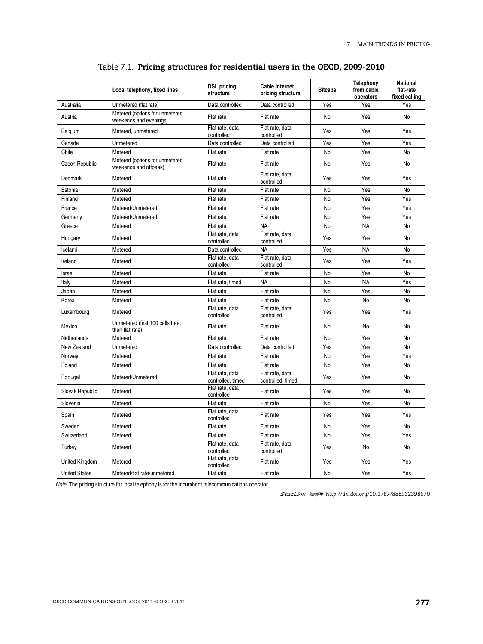|                       | Local telephony, fixed lines                             | <b>DSL pricing</b><br>structure      | <b>Cable Internet</b><br>pricing structure | <b>Bitcaps</b> | Telephony<br>from cable<br>operators | <b>National</b><br>flat-rate<br>fixed calling |
|-----------------------|----------------------------------------------------------|--------------------------------------|--------------------------------------------|----------------|--------------------------------------|-----------------------------------------------|
| Australia             | Unmetered (flat rate)                                    | Data controlled                      | Data controlled                            | Yes            | Yes                                  | Yes                                           |
| Austria               | Metered (options for unmetered<br>weekends and evenings) | Flat rate                            | Flat rate                                  | No             | Yes                                  | No                                            |
| Belgium               | Metered, unmetered                                       | Flat rate, data<br>controlled        | Flat rate, data<br>controlled              | Yes            | Yes                                  | Yes                                           |
| Canada                | Unmetered                                                | Data controlled                      | Data controlled                            | Yes            | Yes                                  | Yes                                           |
| Chile                 | Metered                                                  | Flat rate                            | Flat rate                                  | No             | Yes                                  | No                                            |
| <b>Czech Republic</b> | Metered (options for unmetered<br>weekends and offpeak)  | Flat rate                            | Flat rate                                  | No             | Yes                                  | No                                            |
| Denmark               | Metered                                                  | Flat rate                            | Flat rate, data<br>controlled              | Yes            | Yes                                  | Yes                                           |
| Estonia               | Metered                                                  | Flat rate                            | Flat rate                                  | No             | Yes                                  | No                                            |
| Finland               | Metered                                                  | Flat rate                            | Flat rate                                  | No             | Yes                                  | Yes                                           |
| France                | Metered/Unmetered                                        | Flat rate                            | Flat rate                                  | No             | Yes                                  | Yes                                           |
| Germany               | Metered/Unmetered                                        | Flat rate                            | Flat rate                                  | <b>No</b>      | Yes                                  | Yes                                           |
| Greece                | Metered                                                  | Flat rate                            | <b>NA</b>                                  | No             | <b>NA</b>                            | No                                            |
| Hungary               | Metered                                                  | Flat rate, data<br>controlled        | Flat rate, data<br>controlled              | Yes            | Yes                                  | No                                            |
| Iceland               | Metered                                                  | Data controlled                      | <b>NA</b>                                  | Yes            | <b>NA</b>                            | No                                            |
| Ireland               | Metered                                                  | Flat rate, data<br>controlled        | Flat rate, data<br>controlled              | Yes            | Yes                                  | Yes                                           |
| Israel                | Metered                                                  | Flat rate                            | Flat rate                                  | No             | Yes                                  | No                                            |
| Italy                 | Metered                                                  | Flat rate, timed                     | <b>NA</b>                                  | No             | <b>NA</b>                            | Yes                                           |
| Japan                 | Metered                                                  | Flat rate                            | Flat rate                                  | No             | Yes                                  | No                                            |
| Korea                 | Metered                                                  | Flat rate                            | Flat rate                                  | No             | No                                   | No                                            |
| Luxembourg            | Metered                                                  | Flat rate, data<br>controlled        | Flat rate, data<br>controlled              | Yes            | Yes                                  | Yes                                           |
| Mexico                | Unmetered (first 100 calls free,<br>then flat rate)      | Flat rate                            | Flat rate                                  | No             | No                                   | No                                            |
| Netherlands           | Metered                                                  | Flat rate                            | Flat rate                                  | No             | Yes                                  | No                                            |
| New Zealand           | Unmetered                                                | Data controlled                      | Data controlled                            | Yes            | Yes                                  | No                                            |
| Norway                | Metered                                                  | Flat rate                            | Flat rate                                  | No             | Yes                                  | Yes                                           |
| Poland                | Metered                                                  | Flat rate                            | Flat rate                                  | No             | Yes                                  | No                                            |
| Portugal              | Metered/Unmetered                                        | Flat rate, data<br>controlled, timed | Flat rate, data<br>controlled, timed       | Yes            | Yes                                  | No                                            |
| Slovak Republic       | Metered                                                  | Flat rate, data<br>controlled        | Flat rate                                  | Yes            | Yes                                  | No                                            |
| Slovenia              | Metered                                                  | Flat rate                            | Flat rate                                  | No             | Yes                                  | No                                            |
| Spain                 | Metered                                                  | Flat rate, data<br>controlled        | Flat rate                                  | Yes            | Yes                                  | Yes                                           |
| Sweden                | Metered                                                  | Flat rate                            | Flat rate                                  | No             | Yes                                  | No                                            |
| Switzerland           | Metered                                                  | Flat rate                            | Flat rate                                  | No             | Yes                                  | Yes                                           |
| Turkey                | Metered                                                  | Flat rate, data<br>controlled        | Flat rate, data<br>controlled              | Yes            | No                                   | N <sub>o</sub>                                |
| United Kingdom        | Metered                                                  | Flat rate, data<br>controlled        | Flat rate                                  | Yes            | Yes                                  | Yes                                           |
| <b>United States</b>  | Metered/flat rate/unmetered                              | Flat rate                            | Flat rate                                  | <b>No</b>      | Yes                                  | Yes                                           |

# Table 7.1. **Pricing structures for residential users in the OECD, 2009-2010**

Note: The pricing structure for local telephony is for the incumbent telecommunications operator.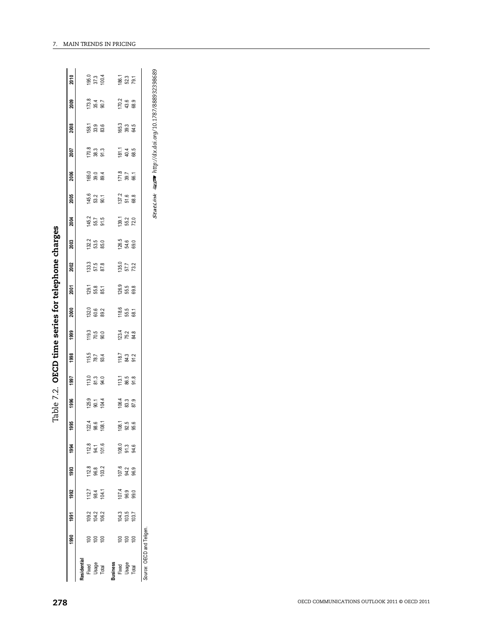| 278      |                                                       |                                                           |
|----------|-------------------------------------------------------|-----------------------------------------------------------|
|          | Residentia<br>Usage<br>Total<br>Fixed                 | <b>Business</b><br>Fixed<br>Usage<br>Total                |
| 1990     | 668                                                   | $888$                                                     |
| 1991     | $\frac{0.2}{0.3}$                                     | $\begin{array}{l} 104.3 \\ 103.7 \\ 103.7 \\ \end{array}$ |
| 1992     | $\begin{array}{c} 112.7 \\ 98.4 \\ 104.1 \end{array}$ | $107.4$<br>$99.0$<br>$99.0$                               |
| 1993     | $\begin{array}{c} 112.8 \\ 96.8 \\ 103.2 \end{array}$ | $\begin{array}{c} 107.6 \\ 94.2 \\ 96.9 \end{array}$      |
| 1994     | $12.8$<br>$94.1$<br>$101.6$                           | $\frac{6}{9}$<br>$\frac{3}{9}$<br>$\frac{3}{9}$           |
| 886<br>ᡪ | $\frac{1224}{98.6}$                                   | $\begin{array}{c} 108.1 \\ 92.5 \\ 95.6 \end{array}$      |
| 1996     | $125.9$<br>$30.1$<br>$104.4$                          | $\begin{array}{c} 1064 \\ 83.3 \\ 87.9 \end{array}$       |
| 1997     | $13.0$<br>$81.3$<br>$94.0$                            | $113.1$<br>$86.5$<br>$91.8$                               |
| 1998     | $\frac{115.5}{78.7}$                                  | $\begin{array}{c} 18.7 \\ 84.3 \\ 91.2 \end{array}$       |
| 1999     | $\frac{119.3}{70.5}$                                  | $123.4$<br>75.2<br>84.8                                   |
| 2000     | $132.6$<br>60.6<br>89.2                               | 118.6<br>55.5<br>68.1                                     |
| 2001     | $729.1$<br>$55.8$<br>$85.1$                           | $26.9$<br>$55.5$<br>$69.8$                                |
| 2002     | $\begin{array}{c} 133.3 \\ 57.5 \\ 87.8 \end{array}$  | $\frac{135.0}{57.7}$                                      |
| 2003     | $1322$<br>53.5<br>85.0                                | $126.5$<br>$54.6$<br>$69.0$                               |
| 2004     | $45.7$<br>$55.7$<br>$91.5$                            | $139.1$<br>$55.2$<br>$72.0$                               |
| 2005     | $145.6$<br>53.2<br>90.1                               | $\frac{137.2}{51.6}$                                      |
| 2006     | $165.0$<br>$39.0$<br>$39.4$                           | $\frac{1718}{39.7}$                                       |
| 2007     | $\frac{70.8}{38.3}$                                   | $\frac{1811}{404}$                                        |
| 2008     | $158.1$<br>$33.9$<br>$33.6$                           | $165.3$<br>$39.3$<br>$64.5$                               |
| 2009     | $\begin{array}{c} 73.8 \\ 35.4 \\ 90.7 \end{array}$   | $\begin{array}{c} 170.2 \\ 43.6 \\ 68.9 \end{array}$      |
| 2010     | $\frac{195.0}{37.3}$                                  | $\frac{186.1}{52.3}$                                      |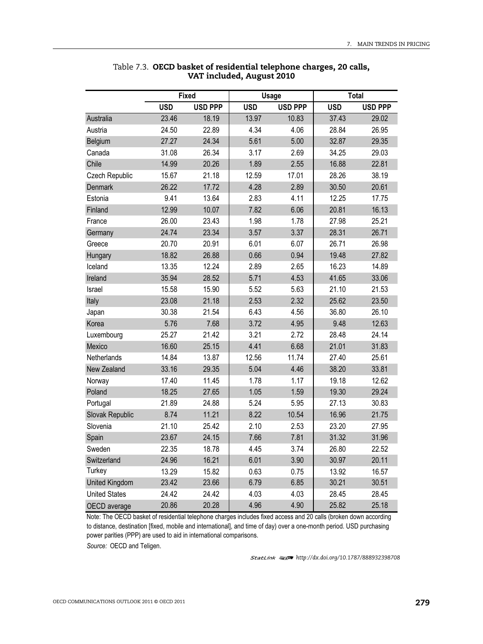|                                                                                                                                                                                                                                  |       |            |                | <b>Usage</b> |                | <b>Total</b> |
|----------------------------------------------------------------------------------------------------------------------------------------------------------------------------------------------------------------------------------|-------|------------|----------------|--------------|----------------|--------------|
| <b>Fixed</b><br><b>USD</b><br><b>USD PPP</b><br>23.46<br>Australia<br>18.19<br>24.50<br>22.89<br>Austria<br>24.34<br>Belgium<br>27.27<br>26.34<br>Canada<br>31.08<br>Chile<br>14.99<br>20.26<br>Czech Republic<br>15.67<br>21.18 |       | <b>USD</b> | <b>USD PPP</b> | <b>USD</b>   | <b>USD PPP</b> |              |
|                                                                                                                                                                                                                                  |       |            | 13.97          | 10.83        | 37.43          | 29.02        |
|                                                                                                                                                                                                                                  |       |            | 4.34           | 4.06         | 28.84          | 26.95        |
|                                                                                                                                                                                                                                  |       |            | 5.61           | 5.00         | 32.87          | 29.35        |
|                                                                                                                                                                                                                                  |       |            | 3.17           | 2.69         | 34.25          | 29.03        |
|                                                                                                                                                                                                                                  |       | 1.89       | 2.55           | 16.88        | 22.81          |              |
|                                                                                                                                                                                                                                  |       |            | 12.59          | 17.01        | 28.26          | 38.19        |
| <b>Denmark</b>                                                                                                                                                                                                                   | 26.22 | 17.72      | 4.28           | 2.89         | 30.50          | 20.61        |
| Estonia                                                                                                                                                                                                                          | 9.41  | 13.64      | 2.83           | 4.11         | 12.25          | 17.75        |
| Finland                                                                                                                                                                                                                          | 12.99 | 10.07      | 7.82           | 6.06         | 20.81          | 16.13        |
| France                                                                                                                                                                                                                           | 26.00 | 23.43      | 1.98           | 1.78         | 27.98          | 25.21        |
| Germany                                                                                                                                                                                                                          | 24.74 | 23.34      | 3.57           | 3.37         | 28.31          | 26.71        |
| Greece                                                                                                                                                                                                                           | 20.70 | 20.91      | 6.01           | 6.07         | 26.71          | 26.98        |
| Hungary                                                                                                                                                                                                                          | 18.82 | 26.88      | 0.66           | 0.94         | 19.48          | 27.82        |
| Iceland                                                                                                                                                                                                                          | 13.35 | 12.24      | 2.89           | 2.65         | 16.23          | 14.89        |
| Ireland                                                                                                                                                                                                                          | 35.94 | 28.52      | 5.71           | 4.53         | 41.65          | 33.06        |
| Israel                                                                                                                                                                                                                           | 15.58 | 15.90      | 5.52           | 5.63         | 21.10          | 21.53        |
| Italy                                                                                                                                                                                                                            | 23.08 | 21.18      | 2.53           | 2.32         | 25.62          | 23.50        |
| Japan                                                                                                                                                                                                                            | 30.38 | 21.54      | 6.43           | 4.56         | 36.80          | 26.10        |
| Korea                                                                                                                                                                                                                            | 5.76  | 7.68       | 3.72           | 4.95         | 9.48           | 12.63        |
| Luxembourg                                                                                                                                                                                                                       | 25.27 | 21.42      | 3.21           | 2.72         | 28.48          | 24.14        |
| Mexico                                                                                                                                                                                                                           | 16.60 | 25.15      | 4.41           | 6.68         | 21.01          | 31.83        |
| Netherlands                                                                                                                                                                                                                      | 14.84 | 13.87      | 12.56          | 11.74        | 27.40          | 25.61        |
| New Zealand                                                                                                                                                                                                                      | 33.16 | 29.35      | 5.04           | 4.46         | 38.20          | 33.81        |
| Norway                                                                                                                                                                                                                           | 17.40 | 11.45      | 1.78           | 1.17         | 19.18          | 12.62        |
| Poland                                                                                                                                                                                                                           | 18.25 | 27.65      | 1.05           | 1.59         | 19.30          | 29.24        |
| Portugal                                                                                                                                                                                                                         | 21.89 | 24.88      | 5.24           | 5.95         | 27.13          | 30.83        |
| Slovak Republic                                                                                                                                                                                                                  | 8.74  | 11.21      | 8.22           | 10.54        | 16.96          | 21.75        |
| Slovenia                                                                                                                                                                                                                         | 21.10 | 25.42      | 2.10           | 2.53         | 23.20          | 27.95        |
| Spain                                                                                                                                                                                                                            | 23.67 | 24.15      | 7.66           | 7.81         | 31.32          | 31.96        |
| Sweden                                                                                                                                                                                                                           | 22.35 | 18.78      | 4.45           | 3.74         | 26.80          | 22.52        |
| Switzerland                                                                                                                                                                                                                      | 24.96 | 16.21      | 6.01           | 3.90         | 30.97          | 20.11        |
| Turkey                                                                                                                                                                                                                           | 13.29 | 15.82      | 0.63           | 0.75         | 13.92          | 16.57        |
| <b>United Kingdom</b>                                                                                                                                                                                                            | 23.42 | 23.66      | 6.79           | 6.85         | 30.21          | 30.51        |
| <b>United States</b>                                                                                                                                                                                                             | 24.42 | 24.42      | 4.03           | 4.03         | 28.45          | 28.45        |
| OECD average                                                                                                                                                                                                                     | 20.86 | 20.28      | 4.96           | 4.90         | 25.82          | 25.18        |

#### Table 7.3. **OECD basket of residential telephone charges, 20 calls, VAT included, August 2010**

Note: The OECD basket of residential telephone charges includes fixed access and 20 calls (broken down according to distance, destination [fixed, mobile and international], and time of day) over a one-month period. USD purchasing power parities (PPP) are used to aid in international comparisons.

*Source:* OECD and Teligen.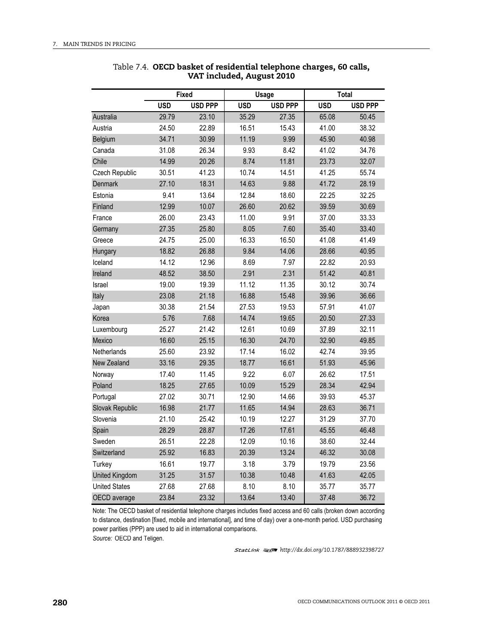| <b>Fixed</b><br><b>USD PPP</b><br><b>USD</b><br>Australia<br>29.79<br>23.10<br>24.50<br>22.89<br>Austria<br>34.71<br>30.99<br>Belgium<br>31.08<br>26.34<br>Canada<br>Chile<br>14.99<br>20.26<br>Czech Republic<br>30.51<br>41.23 |       |            | <b>Usage</b>   |            | <b>Total</b>   |       |
|----------------------------------------------------------------------------------------------------------------------------------------------------------------------------------------------------------------------------------|-------|------------|----------------|------------|----------------|-------|
|                                                                                                                                                                                                                                  |       | <b>USD</b> | <b>USD PPP</b> | <b>USD</b> | <b>USD PPP</b> |       |
| 27.10<br>Denmark                                                                                                                                                                                                                 |       |            | 35.29          | 27.35      | 65.08          | 50.45 |
|                                                                                                                                                                                                                                  |       |            | 16.51          | 15.43      | 41.00          | 38.32 |
|                                                                                                                                                                                                                                  |       |            | 11.19          | 9.99       | 45.90          | 40.98 |
|                                                                                                                                                                                                                                  |       |            | 9.93           | 8.42       | 41.02          | 34.76 |
|                                                                                                                                                                                                                                  |       | 8.74       | 11.81          | 23.73      | 32.07          |       |
|                                                                                                                                                                                                                                  |       | 10.74      | 14.51          | 41.25      | 55.74          |       |
|                                                                                                                                                                                                                                  |       | 18.31      | 14.63          | 9.88       | 41.72          | 28.19 |
| Estonia                                                                                                                                                                                                                          | 9.41  | 13.64      | 12.84          | 18.60      | 22.25          | 32.25 |
| Finland                                                                                                                                                                                                                          | 12.99 | 10.07      | 26.60          | 20.62      | 39.59          | 30.69 |
| France                                                                                                                                                                                                                           | 26.00 | 23.43      | 11.00          | 9.91       | 37.00          | 33.33 |
| Germany                                                                                                                                                                                                                          | 27.35 | 25.80      | 8.05           | 7.60       | 35.40          | 33.40 |
| Greece                                                                                                                                                                                                                           | 24.75 | 25.00      | 16.33          | 16.50      | 41.08          | 41.49 |
| Hungary                                                                                                                                                                                                                          | 18.82 | 26.88      | 9.84           | 14.06      | 28.66          | 40.95 |
| Iceland                                                                                                                                                                                                                          | 14.12 | 12.96      | 8.69           | 7.97       | 22.82          | 20.93 |
| Ireland                                                                                                                                                                                                                          | 48.52 | 38.50      | 2.91           | 2.31       | 51.42          | 40.81 |
| Israel                                                                                                                                                                                                                           | 19.00 | 19.39      | 11.12          | 11.35      | 30.12          | 30.74 |
| Italy                                                                                                                                                                                                                            | 23.08 | 21.18      | 16.88          | 15.48      | 39.96          | 36.66 |
| Japan                                                                                                                                                                                                                            | 30.38 | 21.54      | 27.53          | 19.53      | 57.91          | 41.07 |
| Korea                                                                                                                                                                                                                            | 5.76  | 7.68       | 14.74          | 19.65      | 20.50          | 27.33 |
| Luxembourg                                                                                                                                                                                                                       | 25.27 | 21.42      | 12.61          | 10.69      | 37.89          | 32.11 |
| Mexico                                                                                                                                                                                                                           | 16.60 | 25.15      | 16.30          | 24.70      | 32.90          | 49.85 |
| Netherlands                                                                                                                                                                                                                      | 25.60 | 23.92      | 17.14          | 16.02      | 42.74          | 39.95 |
| New Zealand                                                                                                                                                                                                                      | 33.16 | 29.35      | 18.77          | 16.61      | 51.93          | 45.96 |
| Norway                                                                                                                                                                                                                           | 17.40 | 11.45      | 9.22           | 6.07       | 26.62          | 17.51 |
| Poland                                                                                                                                                                                                                           | 18.25 | 27.65      | 10.09          | 15.29      | 28.34          | 42.94 |
| Portugal                                                                                                                                                                                                                         | 27.02 | 30.71      | 12.90          | 14.66      | 39.93          | 45.37 |
| Slovak Republic                                                                                                                                                                                                                  | 16.98 | 21.77      | 11.65          | 14.94      | 28.63          | 36.71 |
| Slovenia                                                                                                                                                                                                                         | 21.10 | 25.42      | 10.19          | 12.27      | 31.29          | 37.70 |
| Spain                                                                                                                                                                                                                            | 28.29 | 28.87      | 17.26          | 17.61      | 45.55          | 46.48 |
| Sweden                                                                                                                                                                                                                           | 26.51 | 22.28      | 12.09          | 10.16      | 38.60          | 32.44 |
| Switzerland                                                                                                                                                                                                                      | 25.92 | 16.83      | 20.39          | 13.24      | 46.32          | 30.08 |
| Turkey                                                                                                                                                                                                                           | 16.61 | 19.77      | 3.18           | 3.79       | 19.79          | 23.56 |
| <b>United Kingdom</b>                                                                                                                                                                                                            | 31.25 | 31.57      | 10.38          | 10.48      | 41.63          | 42.05 |
| <b>United States</b>                                                                                                                                                                                                             | 27.68 | 27.68      | 8.10           | 8.10       | 35.77          | 35.77 |
| OECD average                                                                                                                                                                                                                     | 23.84 | 23.32      | 13.64          | 13.40      | 37.48          | 36.72 |

Table 7.4. **OECD basket of residential telephone charges, 60 calls, VAT included, August 2010**

*Source:* OECD and Teligen. Note: The OECD basket of residential telephone charges includes fixed access and 60 calls (broken down according to distance, destination [fixed, mobile and international], and time of day) over a one-month period. USD purchasing power parities (PPP) are used to aid in international comparisons.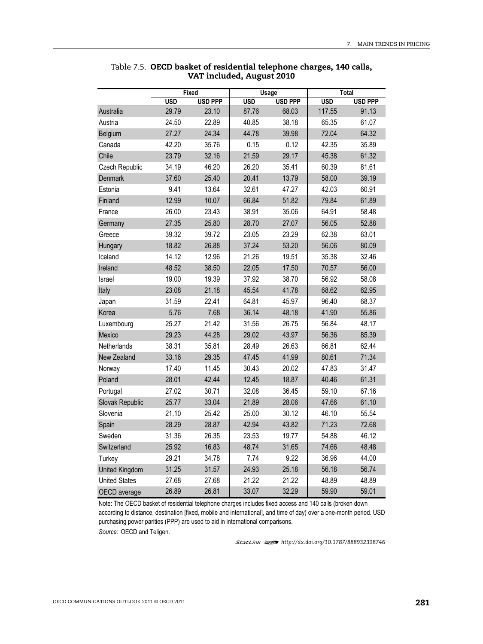| <b>Fixed</b><br><b>USD</b><br><b>USD PPP</b><br>Australia<br>29.79<br>23.10<br>Austria<br>24.50<br>22.89<br>27.27<br>24.34<br>Belgium<br>42.20<br>35.76<br>Canada<br>Chile<br>23.79<br>32.16<br>34.19<br>46.20<br>Czech Republic |       |       | <b>Usage</b> |                | Total      |                |
|----------------------------------------------------------------------------------------------------------------------------------------------------------------------------------------------------------------------------------|-------|-------|--------------|----------------|------------|----------------|
| Denmark<br>37.60                                                                                                                                                                                                                 |       |       | <b>USD</b>   | <b>USD PPP</b> | <b>USD</b> | <b>USD PPP</b> |
|                                                                                                                                                                                                                                  |       |       | 87.76        | 68.03          | 117.55     | 91.13          |
|                                                                                                                                                                                                                                  |       |       | 40.85        | 38.18          | 65.35      | 61.07          |
|                                                                                                                                                                                                                                  |       |       | 44.78        | 39.98          | 72.04      | 64.32          |
|                                                                                                                                                                                                                                  |       |       | 0.15         | 0.12           | 42.35      | 35.89          |
|                                                                                                                                                                                                                                  |       | 21.59 | 29.17        | 45.38          | 61.32      |                |
|                                                                                                                                                                                                                                  |       |       | 26.20        | 35.41          | 60.39      | 81.61          |
|                                                                                                                                                                                                                                  |       | 25.40 | 20.41        | 13.79          | 58.00      | 39.19          |
| Estonia                                                                                                                                                                                                                          | 9.41  | 13.64 | 32.61        | 47.27          | 42.03      | 60.91          |
| Finland                                                                                                                                                                                                                          | 12.99 | 10.07 | 66.84        | 51.82          | 79.84      | 61.89          |
| France                                                                                                                                                                                                                           | 26.00 | 23.43 | 38.91        | 35.06          | 64.91      | 58.48          |
| Germany                                                                                                                                                                                                                          | 27.35 | 25.80 | 28.70        | 27.07          | 56.05      | 52.88          |
| Greece                                                                                                                                                                                                                           | 39.32 | 39.72 | 23.05        | 23.29          | 62.38      | 63.01          |
| Hungary                                                                                                                                                                                                                          | 18.82 | 26.88 | 37.24        | 53.20          | 56.06      | 80.09          |
| Iceland                                                                                                                                                                                                                          | 14.12 | 12.96 | 21.26        | 19.51          | 35.38      | 32.46          |
| Ireland                                                                                                                                                                                                                          | 48.52 | 38.50 | 22.05        | 17.50          | 70.57      | 56.00          |
| Israel                                                                                                                                                                                                                           | 19.00 | 19.39 | 37.92        | 38.70          | 56.92      | 58.08          |
| Italy                                                                                                                                                                                                                            | 23.08 | 21.18 | 45.54        | 41.78          | 68.62      | 62.95          |
| Japan                                                                                                                                                                                                                            | 31.59 | 22.41 | 64.81        | 45.97          | 96.40      | 68.37          |
| Korea                                                                                                                                                                                                                            | 5.76  | 7.68  | 36.14        | 48.18          | 41.90      | 55.86          |
| Luxembourg                                                                                                                                                                                                                       | 25.27 | 21.42 | 31.56        | 26.75          | 56.84      | 48.17          |
| Mexico                                                                                                                                                                                                                           | 29.23 | 44.28 | 29.02        | 43.97          | 56.36      | 85.39          |
| Netherlands                                                                                                                                                                                                                      | 38.31 | 35.81 | 28.49        | 26.63          | 66.81      | 62.44          |
| New Zealand                                                                                                                                                                                                                      | 33.16 | 29.35 | 47.45        | 41.99          | 80.61      | 71.34          |
| Norway                                                                                                                                                                                                                           | 17.40 | 11.45 | 30.43        | 20.02          | 47.83      | 31.47          |
| Poland                                                                                                                                                                                                                           | 28.01 | 42.44 | 12.45        | 18.87          | 40.46      | 61.31          |
| Portugal                                                                                                                                                                                                                         | 27.02 | 30.71 | 32.08        | 36.45          | 59.10      | 67.16          |
| Slovak Republic                                                                                                                                                                                                                  | 25.77 | 33.04 | 21.89        | 28.06          | 47.66      | 61.10          |
| Slovenia                                                                                                                                                                                                                         | 21.10 | 25.42 | 25.00        | 30.12          | 46.10      | 55.54          |
| Spain                                                                                                                                                                                                                            | 28.29 | 28.87 | 42.94        | 43.82          | 71.23      | 72.68          |
| Sweden                                                                                                                                                                                                                           | 31.36 | 26.35 | 23.53        | 19.77          | 54.88      | 46.12          |
| Switzerland                                                                                                                                                                                                                      | 25.92 | 16.83 | 48.74        | 31.65          | 74.66      | 48.48          |
| Turkey                                                                                                                                                                                                                           | 29.21 | 34.78 | 7.74         | 9.22           | 36.96      | 44.00          |
| <b>United Kingdom</b>                                                                                                                                                                                                            | 31.25 | 31.57 | 24.93        | 25.18          | 56.18      | 56.74          |
| <b>United States</b>                                                                                                                                                                                                             | 27.68 | 27.68 | 21.22        | 21.22          | 48.89      | 48.89          |
| OECD average                                                                                                                                                                                                                     | 26.89 | 26.81 | 33.07        | 32.29          | 59.90      | 59.01          |

Table 7.5. **OECD basket of residential telephone charges, 140 calls, VAT included, August 2010**

Note: The OECD basket of residential telephone charges includes fixed access and 140 calls (broken down according to distance, destination [fixed, mobile and international], and time of day) over a one-month period. USD purchasing power parities (PPP) are used to aid in international comparisons.

*Source:* OECD and Teligen.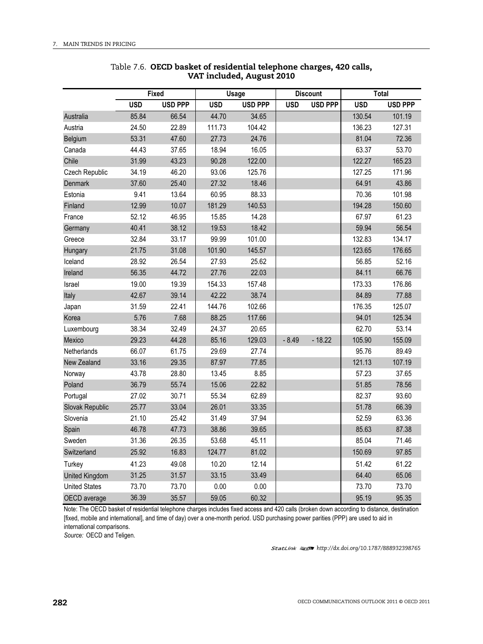| <b>Fixed</b><br><b>USD</b><br><b>USD PPP</b><br><b>USD</b><br>85.84<br>66.54<br>44.70<br>Australia<br>24.50<br>22.89<br>111.73<br>Austria<br>53.31<br>Belgium<br>47.60<br>27.73<br>44.43<br>37.65<br>18.94<br>Canada<br>Chile<br>31.99<br>90.28<br>43.23<br>34.19<br>Czech Republic<br>46.20<br>93.06 |       | <b>Usage</b> |                | <b>Discount</b> |                | <b>Total</b> |                |        |
|-------------------------------------------------------------------------------------------------------------------------------------------------------------------------------------------------------------------------------------------------------------------------------------------------------|-------|--------------|----------------|-----------------|----------------|--------------|----------------|--------|
|                                                                                                                                                                                                                                                                                                       |       |              | <b>USD PPP</b> | <b>USD</b>      | <b>USD PPP</b> | <b>USD</b>   | <b>USD PPP</b> |        |
|                                                                                                                                                                                                                                                                                                       |       |              | 34.65          |                 |                | 130.54       | 101.19         |        |
|                                                                                                                                                                                                                                                                                                       |       |              | 104.42         |                 |                | 136.23       | 127.31         |        |
|                                                                                                                                                                                                                                                                                                       |       |              | 24.76          |                 |                | 81.04        | 72.36          |        |
|                                                                                                                                                                                                                                                                                                       |       |              | 16.05          |                 |                | 63.37        | 53.70          |        |
|                                                                                                                                                                                                                                                                                                       |       |              | 122.00         |                 |                | 122.27       | 165.23         |        |
|                                                                                                                                                                                                                                                                                                       |       |              | 125.76         |                 |                | 127.25       | 171.96         |        |
| Denmark                                                                                                                                                                                                                                                                                               | 37.60 | 25.40        | 27.32          | 18.46           |                |              | 64.91          | 43.86  |
| Estonia                                                                                                                                                                                                                                                                                               | 9.41  | 13.64        | 60.95          | 88.33           |                |              | 70.36          | 101.98 |
| Finland                                                                                                                                                                                                                                                                                               | 12.99 | 10.07        | 181.29         | 140.53          |                |              | 194.28         | 150.60 |
| France                                                                                                                                                                                                                                                                                                | 52.12 | 46.95        | 15.85          | 14.28           |                |              | 67.97          | 61.23  |
| Germany                                                                                                                                                                                                                                                                                               | 40.41 | 38.12        | 19.53          | 18.42           |                |              | 59.94          | 56.54  |
| Greece                                                                                                                                                                                                                                                                                                | 32.84 | 33.17        | 99.99          | 101.00          |                |              | 132.83         | 134.17 |
| Hungary                                                                                                                                                                                                                                                                                               | 21.75 | 31.08        | 101.90         | 145.57          |                |              | 123.65         | 176.65 |
| Iceland                                                                                                                                                                                                                                                                                               | 28.92 | 26.54        | 27.93          | 25.62           |                |              | 56.85          | 52.16  |
| Ireland                                                                                                                                                                                                                                                                                               | 56.35 | 44.72        | 27.76          | 22.03           |                |              | 84.11          | 66.76  |
| Israel                                                                                                                                                                                                                                                                                                | 19.00 | 19.39        | 154.33         | 157.48          |                |              | 173.33         | 176.86 |
| Italy                                                                                                                                                                                                                                                                                                 | 42.67 | 39.14        | 42.22          | 38.74           |                |              | 84.89          | 77.88  |
| Japan                                                                                                                                                                                                                                                                                                 | 31.59 | 22.41        | 144.76         | 102.66          |                |              | 176.35         | 125.07 |
| Korea                                                                                                                                                                                                                                                                                                 | 5.76  | 7.68         | 88.25          | 117.66          |                |              | 94.01          | 125.34 |
| Luxembourg                                                                                                                                                                                                                                                                                            | 38.34 | 32.49        | 24.37          | 20.65           |                |              | 62.70          | 53.14  |
| Mexico                                                                                                                                                                                                                                                                                                | 29.23 | 44.28        | 85.16          | 129.03          | $-8.49$        | $-18.22$     | 105.90         | 155.09 |
| Netherlands                                                                                                                                                                                                                                                                                           | 66.07 | 61.75        | 29.69          | 27.74           |                |              | 95.76          | 89.49  |
| New Zealand                                                                                                                                                                                                                                                                                           | 33.16 | 29.35        | 87.97          | 77.85           |                |              | 121.13         | 107.19 |
| Norway                                                                                                                                                                                                                                                                                                | 43.78 | 28.80        | 13.45          | 8.85            |                |              | 57.23          | 37.65  |
| Poland                                                                                                                                                                                                                                                                                                | 36.79 | 55.74        | 15.06          | 22.82           |                |              | 51.85          | 78.56  |
| Portugal                                                                                                                                                                                                                                                                                              | 27.02 | 30.71        | 55.34          | 62.89           |                |              | 82.37          | 93.60  |
| Slovak Republic                                                                                                                                                                                                                                                                                       | 25.77 | 33.04        | 26.01          | 33.35           |                |              | 51.78          | 66.39  |
| Slovenia                                                                                                                                                                                                                                                                                              | 21.10 | 25.42        | 31.49          | 37.94           |                |              | 52.59          | 63.36  |
| Spain                                                                                                                                                                                                                                                                                                 | 46.78 | 47.73        | 38.86          | 39.65           |                |              | 85.63          | 87.38  |
| Sweden                                                                                                                                                                                                                                                                                                | 31.36 | 26.35        | 53.68          | 45.11           |                |              | 85.04          | 71.46  |
| Switzerland                                                                                                                                                                                                                                                                                           | 25.92 | 16.83        | 124.77         | 81.02           |                |              | 150.69         | 97.85  |
| Turkey                                                                                                                                                                                                                                                                                                | 41.23 | 49.08        | 10.20          | 12.14           |                |              | 51.42          | 61.22  |
| <b>United Kingdom</b>                                                                                                                                                                                                                                                                                 | 31.25 | 31.57        | 33.15          | 33.49           |                |              | 64.40          | 65.06  |
| <b>United States</b>                                                                                                                                                                                                                                                                                  | 73.70 | 73.70        | 0.00           | 0.00            |                |              | 73.70          | 73.70  |
| OECD average                                                                                                                                                                                                                                                                                          | 36.39 | 35.57        | 59.05          | 60.32           |                |              | 95.19          | 95.35  |

### Table 7.6. **OECD basket of residential telephone charges, 420 calls, VAT included, August 2010**

Note: The OECD basket of residential telephone charges includes fixed access and 420 calls (broken down according to distance, destination [fixed, mobile and international], and time of day) over a one-month period. USD purchasing power parities (PPP) are used to aid in international comparisons.

*Source:* OECD and Teligen.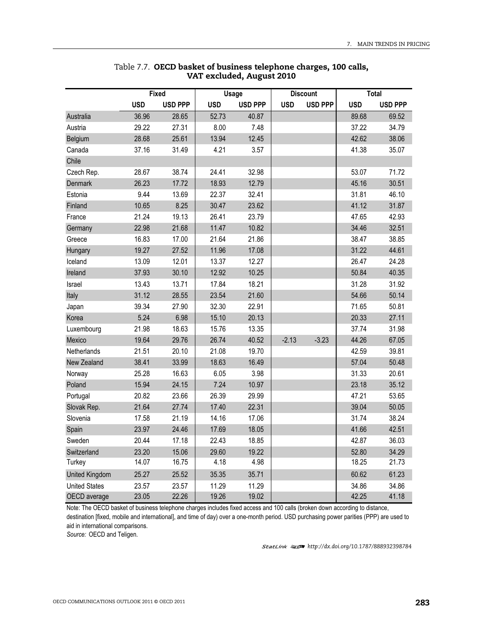| <b>Fixed</b><br><b>USD</b><br><b>USD PPP</b><br><b>USD</b><br>36.96<br>28.65<br>52.73<br>Australia<br>Austria<br>29.22<br>27.31<br>8.00<br>13.94<br>28.68<br>25.61<br>Belgium<br>37.16<br>31.49<br>4.21<br>Canada<br>Chile<br>28.67<br>38.74<br>24.41<br>Czech Rep. |       | <b>Usage</b> |                | <b>Discount</b> |                | <b>Total</b> |                |       |
|---------------------------------------------------------------------------------------------------------------------------------------------------------------------------------------------------------------------------------------------------------------------|-------|--------------|----------------|-----------------|----------------|--------------|----------------|-------|
|                                                                                                                                                                                                                                                                     |       |              | <b>USD PPP</b> | <b>USD</b>      | <b>USD PPP</b> | <b>USD</b>   | <b>USD PPP</b> |       |
|                                                                                                                                                                                                                                                                     |       |              | 40.87          |                 |                | 89.68        | 69.52          |       |
|                                                                                                                                                                                                                                                                     |       |              | 7.48           |                 |                | 37.22        | 34.79          |       |
|                                                                                                                                                                                                                                                                     |       |              | 12.45          |                 |                | 42.62        | 38.06          |       |
|                                                                                                                                                                                                                                                                     |       |              | 3.57           |                 |                | 41.38        | 35.07          |       |
|                                                                                                                                                                                                                                                                     |       |              |                |                 |                |              |                |       |
|                                                                                                                                                                                                                                                                     |       | 32.98        |                |                 | 53.07          | 71.72        |                |       |
| Denmark                                                                                                                                                                                                                                                             | 26.23 | 17.72        | 18.93          | 12.79           |                |              | 45.16          | 30.51 |
| Estonia                                                                                                                                                                                                                                                             | 9.44  | 13.69        | 22.37          | 32.41           |                |              | 31.81          | 46.10 |
| Finland                                                                                                                                                                                                                                                             | 10.65 | 8.25         | 30.47          | 23.62           |                |              | 41.12          | 31.87 |
| France                                                                                                                                                                                                                                                              | 21.24 | 19.13        | 26.41          | 23.79           |                |              | 47.65          | 42.93 |
| Germany                                                                                                                                                                                                                                                             | 22.98 | 21.68        | 11.47          | 10.82           |                |              | 34.46          | 32.51 |
| Greece                                                                                                                                                                                                                                                              | 16.83 | 17.00        | 21.64          | 21.86           |                |              | 38.47          | 38.85 |
| Hungary                                                                                                                                                                                                                                                             | 19.27 | 27.52        | 11.96          | 17.08           |                |              | 31.22          | 44.61 |
| Iceland                                                                                                                                                                                                                                                             | 13.09 | 12.01        | 13.37          | 12.27           |                |              | 26.47          | 24.28 |
| Ireland                                                                                                                                                                                                                                                             | 37.93 | 30.10        | 12.92          | 10.25           |                |              | 50.84          | 40.35 |
| Israel                                                                                                                                                                                                                                                              | 13.43 | 13.71        | 17.84          | 18.21           |                |              | 31.28          | 31.92 |
| Italy                                                                                                                                                                                                                                                               | 31.12 | 28.55        | 23.54          | 21.60           |                |              | 54.66          | 50.14 |
| Japan                                                                                                                                                                                                                                                               | 39.34 | 27.90        | 32.30          | 22.91           |                |              | 71.65          | 50.81 |
| Korea                                                                                                                                                                                                                                                               | 5.24  | 6.98         | 15.10          | 20.13           |                |              | 20.33          | 27.11 |
| Luxembourg                                                                                                                                                                                                                                                          | 21.98 | 18.63        | 15.76          | 13.35           |                |              | 37.74          | 31.98 |
| Mexico                                                                                                                                                                                                                                                              | 19.64 | 29.76        | 26.74          | 40.52           | $-2.13$        | $-3.23$      | 44.26          | 67.05 |
| Netherlands                                                                                                                                                                                                                                                         | 21.51 | 20.10        | 21.08          | 19.70           |                |              | 42.59          | 39.81 |
| New Zealand                                                                                                                                                                                                                                                         | 38.41 | 33.99        | 18.63          | 16.49           |                |              | 57.04          | 50.48 |
| Norway                                                                                                                                                                                                                                                              | 25.28 | 16.63        | 6.05           | 3.98            |                |              | 31.33          | 20.61 |
| Poland                                                                                                                                                                                                                                                              | 15.94 | 24.15        | 7.24           | 10.97           |                |              | 23.18          | 35.12 |
| Portugal                                                                                                                                                                                                                                                            | 20.82 | 23.66        | 26.39          | 29.99           |                |              | 47.21          | 53.65 |
| Slovak Rep.                                                                                                                                                                                                                                                         | 21.64 | 27.74        | 17.40          | 22.31           |                |              | 39.04          | 50.05 |
| Slovenia                                                                                                                                                                                                                                                            | 17.58 | 21.19        | 14.16          | 17.06           |                |              | 31.74          | 38.24 |
| Spain                                                                                                                                                                                                                                                               | 23.97 | 24.46        | 17.69          | 18.05           |                |              | 41.66          | 42.51 |
| Sweden                                                                                                                                                                                                                                                              | 20.44 | 17.18        | 22.43          | 18.85           |                |              | 42.87          | 36.03 |
| Switzerland                                                                                                                                                                                                                                                         | 23.20 | 15.06        | 29.60          | 19.22           |                |              | 52.80          | 34.29 |
| Turkey                                                                                                                                                                                                                                                              | 14.07 | 16.75        | 4.18           | 4.98            |                |              | 18.25          | 21.73 |
| <b>United Kingdom</b>                                                                                                                                                                                                                                               | 25.27 | 25.52        | 35.35          | 35.71           |                |              | 60.62          | 61.23 |
| <b>United States</b>                                                                                                                                                                                                                                                | 23.57 | 23.57        | 11.29          | 11.29           |                |              | 34.86          | 34.86 |
| OECD average                                                                                                                                                                                                                                                        | 23.05 | 22.26        | 19.26          | 19.02           |                |              | 42.25          | 41.18 |

## Table 7.7. **OECD basket of business telephone charges, 100 calls, VAT excluded, August 2010**

Note: The OECD basket of business telephone charges includes fixed access and 100 calls (broken down according to distance, destination [fixed, mobile and international], and time of day) over a one-month period. USD purchasing power parities (PPP) are used to aid in international comparisons.

*Source:* OECD and Teligen.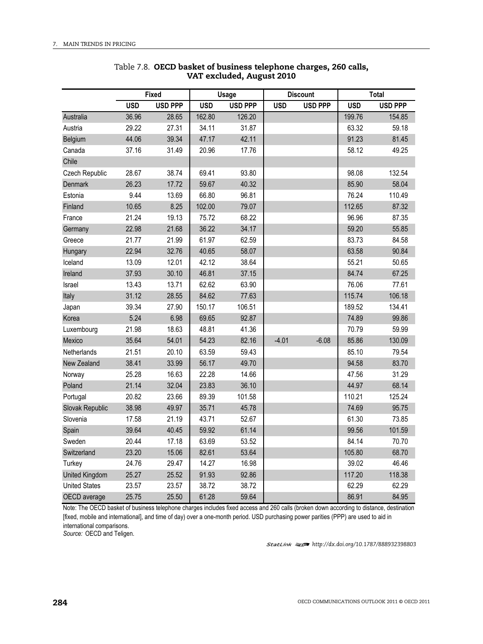|                                                                                                                                                                                                                              |            |                |            |                |            | <b>Discount</b> |            | <b>Total</b>   |
|------------------------------------------------------------------------------------------------------------------------------------------------------------------------------------------------------------------------------|------------|----------------|------------|----------------|------------|-----------------|------------|----------------|
|                                                                                                                                                                                                                              | <b>USD</b> | <b>USD PPP</b> | <b>USD</b> | <b>USD PPP</b> | <b>USD</b> | <b>USD PPP</b>  | <b>USD</b> | <b>USD PPP</b> |
| <b>Fixed</b><br>36.96<br>Australia<br>28.65<br>162.80<br>29.22<br>Austria<br>27.31<br>34.11<br>44.06<br>Belgium<br>39.34<br>47.17<br>Canada<br>37.16<br>31.49<br>20.96<br>Chile<br>28.67<br>38.74<br>69.41<br>Czech Republic |            | 126.20         |            |                | 199.76     | 154.85          |            |                |
| <b>Usage</b>                                                                                                                                                                                                                 |            | 31.87          |            |                | 63.32      | 59.18           |            |                |
|                                                                                                                                                                                                                              |            |                |            | 42.11          |            |                 | 91.23      | 81.45          |
|                                                                                                                                                                                                                              |            | 17.76          |            |                | 58.12      | 49.25           |            |                |
|                                                                                                                                                                                                                              |            |                |            |                |            |                 |            |                |
|                                                                                                                                                                                                                              |            |                |            | 93.80          |            |                 | 98.08      | 132.54         |
| <b>Denmark</b>                                                                                                                                                                                                               | 26.23      | 17.72          | 59.67      | 40.32          |            |                 | 85.90      | 58.04          |
| Estonia                                                                                                                                                                                                                      | 9.44       | 13.69          | 66.80      | 96.81          |            |                 | 76.24      | 110.49         |
| Finland                                                                                                                                                                                                                      | 10.65      | 8.25           | 102.00     | 79.07          |            |                 | 112.65     | 87.32          |
| France                                                                                                                                                                                                                       | 21.24      | 19.13          | 75.72      | 68.22          |            |                 | 96.96      | 87.35          |
| Germany                                                                                                                                                                                                                      | 22.98      | 21.68          | 36.22      | 34.17          |            |                 | 59.20      | 55.85          |
| Greece                                                                                                                                                                                                                       | 21.77      | 21.99          | 61.97      | 62.59          |            |                 | 83.73      | 84.58          |
| Hungary                                                                                                                                                                                                                      | 22.94      | 32.76          | 40.65      | 58.07          |            |                 | 63.58      | 90.84          |
| Iceland                                                                                                                                                                                                                      | 13.09      | 12.01          | 42.12      | 38.64          |            |                 | 55.21      | 50.65          |
| Ireland                                                                                                                                                                                                                      | 37.93      | 30.10          | 46.81      | 37.15          |            |                 | 84.74      | 67.25          |
| Israel                                                                                                                                                                                                                       | 13.43      | 13.71          | 62.62      | 63.90          |            |                 | 76.06      | 77.61          |
| Italy                                                                                                                                                                                                                        | 31.12      | 28.55          | 84.62      | 77.63          |            |                 | 115.74     | 106.18         |
| Japan                                                                                                                                                                                                                        | 39.34      | 27.90          | 150.17     | 106.51         |            |                 | 189.52     | 134.41         |
| Korea                                                                                                                                                                                                                        | 5.24       | 6.98           | 69.65      | 92.87          |            |                 | 74.89      | 99.86          |
| Luxembourg                                                                                                                                                                                                                   | 21.98      | 18.63          | 48.81      | 41.36          |            |                 | 70.79      | 59.99          |
| Mexico                                                                                                                                                                                                                       | 35.64      | 54.01          | 54.23      | 82.16          | $-4.01$    | $-6.08$         | 85.86      | 130.09         |
| Netherlands                                                                                                                                                                                                                  | 21.51      | 20.10          | 63.59      | 59.43          |            |                 | 85.10      | 79.54          |
| New Zealand                                                                                                                                                                                                                  | 38.41      | 33.99          | 56.17      | 49.70          |            |                 | 94.58      | 83.70          |
| Norway                                                                                                                                                                                                                       | 25.28      | 16.63          | 22.28      | 14.66          |            |                 | 47.56      | 31.29          |
| Poland                                                                                                                                                                                                                       | 21.14      | 32.04          | 23.83      | 36.10          |            |                 | 44.97      | 68.14          |
| Portugal                                                                                                                                                                                                                     | 20.82      | 23.66          | 89.39      | 101.58         |            |                 | 110.21     | 125.24         |
| Slovak Republic                                                                                                                                                                                                              | 38.98      | 49.97          | 35.71      | 45.78          |            |                 | 74.69      | 95.75          |
| Slovenia                                                                                                                                                                                                                     | 17.58      | 21.19          | 43.71      | 52.67          |            |                 | 61.30      | 73.85          |
| Spain                                                                                                                                                                                                                        | 39.64      | 40.45          | 59.92      | 61.14          |            |                 | 99.56      | 101.59         |
| Sweden                                                                                                                                                                                                                       | 20.44      | 17.18          | 63.69      | 53.52          |            |                 | 84.14      | 70.70          |
| Switzerland                                                                                                                                                                                                                  | 23.20      | 15.06          | 82.61      | 53.64          |            |                 | 105.80     | 68.70          |
| Turkey                                                                                                                                                                                                                       | 24.76      | 29.47          | 14.27      | 16.98          |            |                 | 39.02      | 46.46          |
| <b>United Kingdom</b>                                                                                                                                                                                                        | 25.27      | 25.52          | 91.93      | 92.86          |            |                 | 117.20     | 118.38         |
| <b>United States</b>                                                                                                                                                                                                         | 23.57      | 23.57          | 38.72      | 38.72          |            |                 | 62.29      | 62.29          |
| OECD average                                                                                                                                                                                                                 | 25.75      | 25.50          | 61.28      | 59.64          |            |                 | 86.91      | 84.95          |

### Table 7.8. **OECD basket of business telephone charges, 260 calls, VAT excluded, August 2010**

Note: The OECD basket of business telephone charges includes fixed access and 260 calls (broken down according to distance, destination [fixed, mobile and international], and time of day) over a one-month period. USD purchasing power parities (PPP) are used to aid in international comparisons.

*Source:* OECD and Teligen.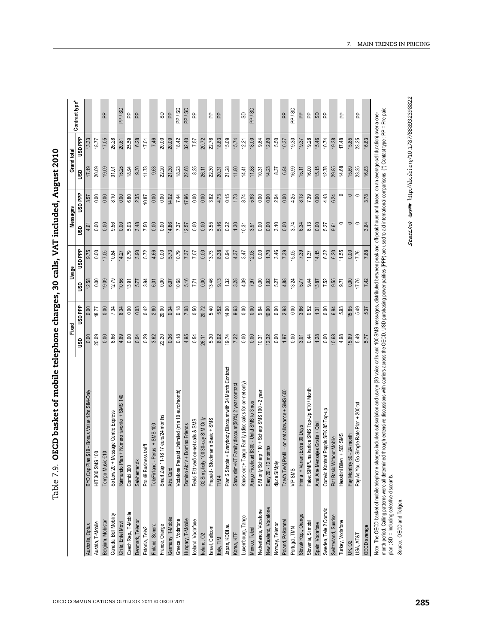| - c-t-t-t-1                                                                           | $\frac{1}{1}$ |
|---------------------------------------------------------------------------------------|---------------|
|                                                                                       |               |
|                                                                                       | ֦֘            |
| . OECD basket of mobile telephone charges, 30 calls, VAT included,<br>ole 7.9. OECD b | .<br>i        |
|                                                                                       |               |

| 3.48<br>5.16<br>$\circ$<br>0.00<br>5.03<br>0.00<br>3.55<br>3.10<br>6.13<br>0.00<br>9.56<br>7.50<br>0.00<br>14.86<br>0.00<br>0.22<br>1.30<br>10.31<br>0.00<br>0.00<br>3.74<br>6.34<br>0.00<br>5.27<br>9.61<br>0.00<br>0.00<br>7.37<br>12.57<br>3.91<br>0.00<br>ŝ<br><b>Hd GSN</b><br>17.05<br>5.72<br>5.73<br>10.79<br>13.73<br>3.46<br>15.05<br>7.39<br>14.15<br>11.55<br>0.00<br>18.79<br>3.90<br>4.66<br>0.00<br>7.07<br>0.00<br>8.38<br>12.08<br>0.00<br>1.70<br>7.39<br>6.32<br>6.20<br>10.84<br>7.37<br>0.94<br>4.37<br>3.47<br>11.37<br>14.27<br>5.16<br>7.71<br>13.46<br>9.13<br>0.00<br>19.09<br>0.00<br>10.68<br>0.00<br>1.32<br>3.28<br>4.09<br>0.00<br>1.92<br>4.88<br>13.24<br>9.44<br>7.52<br>9.55<br>9.71<br>12.79<br>10.56<br>13.91<br>3.94<br>6.07<br>7.97<br>5.27<br>5.77<br>13.87<br>5.77<br>6.01<br>12.58<br><b>GSD</b><br><b>USDPP</b><br>0.00<br>0.03<br>0.42<br>0.18<br>0.50<br>20.72<br>5.40<br>14.00<br>9.63<br>3.86<br>0.00<br>2.80<br>20.00<br>0.34<br>7.08<br>5.52<br>0.00<br>0.00<br>9.64<br>10.90<br>0.00<br>2.98<br>0.00<br>0.52<br>0.00<br>6.94<br>5.93<br>7.34<br>6.34<br>1.31<br>18.77<br>20.09<br>0.00<br>0.36<br>0.18<br>5.30<br>19.74<br>0.00<br>10.68<br>4.98<br>0.00<br>8.66<br>4.69<br>0.04<br>0.29<br>3.62<br>22.20<br>4.95<br>0.54<br>26.11<br>6.02<br>7.22<br>0.00<br>10.31<br>12.32<br>0.00<br>3.01<br>0.44<br>1.28<br>0.00<br>0.00<br>1.97<br>9sp<br>Plan S Simple + Everybody Discount with 24 Month Contract<br>Tango Family (disc calcs for on-net only)<br>Show slim+KT Family discount(50%) 2 year contract<br>na kartice SMS Top-Up €10 / Month<br>Taryfa Twój Profil - on-net allowance + SMS 600<br>Bonus Value 12m SIM-Only<br>Vodafone Prepaid Unlimited (min 10 euro/month)<br>SIM only Scherp 110 + Scherp SMS 100 - 2 year<br>Raimundo Plan + Número favorito + SMS 140<br>Amigo Fidelidad \$300 - Unitd SMS to 3 nos<br>Comviq Kontant Poppis SEK 85 Top-up<br>Message Centre Express<br>-18 17 euro/24 months<br>100 30-day SIM Only<br>Prepaid - Stockmann Basic + SMS<br>Frelsi Eitt vero on-net calls & SMS<br>nsajes Gratis + Qtal<br>Domino Aktív + Domino Friends<br>Perus + SMS 100<br>Prima + Variant Extra 30 Days<br>Hesabini Bilen + 500 SMS<br>Flat Basic Without Mobile<br>Pro 49 Business tariff<br>Easy 20 - 12 months<br>BYO Cap Plan \$19 -<br>HIT 300 SMS 100<br>$\in 10$<br>Tempo Music<br>Selvhenter.dk<br>TeleFinland -<br>Smart Zap 11<br>O2 Simplicity<br>djuce SIMply<br>Paket SIMPL<br>A mi Aire Mer<br>So Low 20 +<br>Knock-out +<br>Combi 300<br>Xtra Card<br>VIP SMS<br>TIM <sub>4</sub><br>New Zealand, Vodafone<br>Sweden, Tele 2 Comviq<br>Netherlands, Vodafone<br>Czech Rep., T-Mobile<br>Canada, Bell Mobility<br>Slovak Rep., Orange<br>Switzerland, Sunrise<br>Luxembourg, Tango<br>Germany, T-Mobile<br>Greece, Vodafone<br>Hungary, T-Mobile<br>loeland, Vodafone<br>Belgium, Mobistar<br>Poland, Polkomtel<br>Denmark, Telenor<br>Slovenia, Si.mobil<br>Turkey, Vodafone<br>Chile, Entel Movil<br>Austria, T-Mobile<br>Spain, Vodafone<br>Norway, Telenor<br>Australia, Optus<br>France, Orange<br>Japan, KDDI au<br>Finland, Sonera<br>Israel, Cellcom<br>Portugal, TMN<br>Estonia, Tele2<br>Mexico, Telcel<br>Korea, KTF<br>Ireland, O <sub>2</sub><br>Italy, TIM | 20.09<br>15.25<br>31.01<br><b>GSU</b><br><b>USD</b> PPP<br>2.35<br>0.00<br>0.00<br>8.10<br>6.80<br>0.00 | <b>USDPPP</b>  |  |
|-----------------------------------------------------------------------------------------------------------------------------------------------------------------------------------------------------------------------------------------------------------------------------------------------------------------------------------------------------------------------------------------------------------------------------------------------------------------------------------------------------------------------------------------------------------------------------------------------------------------------------------------------------------------------------------------------------------------------------------------------------------------------------------------------------------------------------------------------------------------------------------------------------------------------------------------------------------------------------------------------------------------------------------------------------------------------------------------------------------------------------------------------------------------------------------------------------------------------------------------------------------------------------------------------------------------------------------------------------------------------------------------------------------------------------------------------------------------------------------------------------------------------------------------------------------------------------------------------------------------------------------------------------------------------------------------------------------------------------------------------------------------------------------------------------------------------------------------------------------------------------------------------------------------------------------------------------------------------------------------------------------------------------------------------------------------------------------------------------------------------------------------------------------------------------------------------------------------------------------------------------------------------------------------------------------------------------------------------------------------------------------------------------------------------------------------------------------------------------------------------------------------------------------------------------------------------------------------------------------------------------------------------------------------------------------------------------------------------------------------------------------------------------------------------------------------------------------------------------------------------------------------------------------------------------------------------------------------------------------------------------------------------------------------------------------------------------------------------------------------------------------------------------------------------------------------------------------------------------------------------------------------------|---------------------------------------------------------------------------------------------------------|----------------|--|
|                                                                                                                                                                                                                                                                                                                                                                                                                                                                                                                                                                                                                                                                                                                                                                                                                                                                                                                                                                                                                                                                                                                                                                                                                                                                                                                                                                                                                                                                                                                                                                                                                                                                                                                                                                                                                                                                                                                                                                                                                                                                                                                                                                                                                                                                                                                                                                                                                                                                                                                                                                                                                                                                                                                                                                                                                                                                                                                                                                                                                                                                                                                                                                                                                                                                       |                                                                                                         |                |  |
|                                                                                                                                                                                                                                                                                                                                                                                                                                                                                                                                                                                                                                                                                                                                                                                                                                                                                                                                                                                                                                                                                                                                                                                                                                                                                                                                                                                                                                                                                                                                                                                                                                                                                                                                                                                                                                                                                                                                                                                                                                                                                                                                                                                                                                                                                                                                                                                                                                                                                                                                                                                                                                                                                                                                                                                                                                                                                                                                                                                                                                                                                                                                                                                                                                                                       |                                                                                                         |                |  |
|                                                                                                                                                                                                                                                                                                                                                                                                                                                                                                                                                                                                                                                                                                                                                                                                                                                                                                                                                                                                                                                                                                                                                                                                                                                                                                                                                                                                                                                                                                                                                                                                                                                                                                                                                                                                                                                                                                                                                                                                                                                                                                                                                                                                                                                                                                                                                                                                                                                                                                                                                                                                                                                                                                                                                                                                                                                                                                                                                                                                                                                                                                                                                                                                                                                                       |                                                                                                         | 18.77          |  |
|                                                                                                                                                                                                                                                                                                                                                                                                                                                                                                                                                                                                                                                                                                                                                                                                                                                                                                                                                                                                                                                                                                                                                                                                                                                                                                                                                                                                                                                                                                                                                                                                                                                                                                                                                                                                                                                                                                                                                                                                                                                                                                                                                                                                                                                                                                                                                                                                                                                                                                                                                                                                                                                                                                                                                                                                                                                                                                                                                                                                                                                                                                                                                                                                                                                                       |                                                                                                         | 17.05<br>19.09 |  |
|                                                                                                                                                                                                                                                                                                                                                                                                                                                                                                                                                                                                                                                                                                                                                                                                                                                                                                                                                                                                                                                                                                                                                                                                                                                                                                                                                                                                                                                                                                                                                                                                                                                                                                                                                                                                                                                                                                                                                                                                                                                                                                                                                                                                                                                                                                                                                                                                                                                                                                                                                                                                                                                                                                                                                                                                                                                                                                                                                                                                                                                                                                                                                                                                                                                                       |                                                                                                         | 26.28          |  |
|                                                                                                                                                                                                                                                                                                                                                                                                                                                                                                                                                                                                                                                                                                                                                                                                                                                                                                                                                                                                                                                                                                                                                                                                                                                                                                                                                                                                                                                                                                                                                                                                                                                                                                                                                                                                                                                                                                                                                                                                                                                                                                                                                                                                                                                                                                                                                                                                                                                                                                                                                                                                                                                                                                                                                                                                                                                                                                                                                                                                                                                                                                                                                                                                                                                                       |                                                                                                         | 20.61          |  |
|                                                                                                                                                                                                                                                                                                                                                                                                                                                                                                                                                                                                                                                                                                                                                                                                                                                                                                                                                                                                                                                                                                                                                                                                                                                                                                                                                                                                                                                                                                                                                                                                                                                                                                                                                                                                                                                                                                                                                                                                                                                                                                                                                                                                                                                                                                                                                                                                                                                                                                                                                                                                                                                                                                                                                                                                                                                                                                                                                                                                                                                                                                                                                                                                                                                                       |                                                                                                         | 25.59<br>18.94 |  |
|                                                                                                                                                                                                                                                                                                                                                                                                                                                                                                                                                                                                                                                                                                                                                                                                                                                                                                                                                                                                                                                                                                                                                                                                                                                                                                                                                                                                                                                                                                                                                                                                                                                                                                                                                                                                                                                                                                                                                                                                                                                                                                                                                                                                                                                                                                                                                                                                                                                                                                                                                                                                                                                                                                                                                                                                                                                                                                                                                                                                                                                                                                                                                                                                                                                                       |                                                                                                         | 6.28<br>9.30   |  |
|                                                                                                                                                                                                                                                                                                                                                                                                                                                                                                                                                                                                                                                                                                                                                                                                                                                                                                                                                                                                                                                                                                                                                                                                                                                                                                                                                                                                                                                                                                                                                                                                                                                                                                                                                                                                                                                                                                                                                                                                                                                                                                                                                                                                                                                                                                                                                                                                                                                                                                                                                                                                                                                                                                                                                                                                                                                                                                                                                                                                                                                                                                                                                                                                                                                                       | 11.73<br>10.87                                                                                          | 17.01          |  |
|                                                                                                                                                                                                                                                                                                                                                                                                                                                                                                                                                                                                                                                                                                                                                                                                                                                                                                                                                                                                                                                                                                                                                                                                                                                                                                                                                                                                                                                                                                                                                                                                                                                                                                                                                                                                                                                                                                                                                                                                                                                                                                                                                                                                                                                                                                                                                                                                                                                                                                                                                                                                                                                                                                                                                                                                                                                                                                                                                                                                                                                                                                                                                                                                                                                                       | 0.00                                                                                                    | 7.46<br>9.63   |  |
|                                                                                                                                                                                                                                                                                                                                                                                                                                                                                                                                                                                                                                                                                                                                                                                                                                                                                                                                                                                                                                                                                                                                                                                                                                                                                                                                                                                                                                                                                                                                                                                                                                                                                                                                                                                                                                                                                                                                                                                                                                                                                                                                                                                                                                                                                                                                                                                                                                                                                                                                                                                                                                                                                                                                                                                                                                                                                                                                                                                                                                                                                                                                                                                                                                                                       | 22.20<br>0.00                                                                                           | 20.00          |  |
|                                                                                                                                                                                                                                                                                                                                                                                                                                                                                                                                                                                                                                                                                                                                                                                                                                                                                                                                                                                                                                                                                                                                                                                                                                                                                                                                                                                                                                                                                                                                                                                                                                                                                                                                                                                                                                                                                                                                                                                                                                                                                                                                                                                                                                                                                                                                                                                                                                                                                                                                                                                                                                                                                                                                                                                                                                                                                                                                                                                                                                                                                                                                                                                                                                                                       | 21.30<br>14.02                                                                                          | 20.09          |  |
|                                                                                                                                                                                                                                                                                                                                                                                                                                                                                                                                                                                                                                                                                                                                                                                                                                                                                                                                                                                                                                                                                                                                                                                                                                                                                                                                                                                                                                                                                                                                                                                                                                                                                                                                                                                                                                                                                                                                                                                                                                                                                                                                                                                                                                                                                                                                                                                                                                                                                                                                                                                                                                                                                                                                                                                                                                                                                                                                                                                                                                                                                                                                                                                                                                                                       | 7.44                                                                                                    | 18.42<br>18.23 |  |
|                                                                                                                                                                                                                                                                                                                                                                                                                                                                                                                                                                                                                                                                                                                                                                                                                                                                                                                                                                                                                                                                                                                                                                                                                                                                                                                                                                                                                                                                                                                                                                                                                                                                                                                                                                                                                                                                                                                                                                                                                                                                                                                                                                                                                                                                                                                                                                                                                                                                                                                                                                                                                                                                                                                                                                                                                                                                                                                                                                                                                                                                                                                                                                                                                                                                       | 22.68<br>17.96                                                                                          | 32.40          |  |
|                                                                                                                                                                                                                                                                                                                                                                                                                                                                                                                                                                                                                                                                                                                                                                                                                                                                                                                                                                                                                                                                                                                                                                                                                                                                                                                                                                                                                                                                                                                                                                                                                                                                                                                                                                                                                                                                                                                                                                                                                                                                                                                                                                                                                                                                                                                                                                                                                                                                                                                                                                                                                                                                                                                                                                                                                                                                                                                                                                                                                                                                                                                                                                                                                                                                       | 0.00                                                                                                    | 7.57<br>8.25   |  |
|                                                                                                                                                                                                                                                                                                                                                                                                                                                                                                                                                                                                                                                                                                                                                                                                                                                                                                                                                                                                                                                                                                                                                                                                                                                                                                                                                                                                                                                                                                                                                                                                                                                                                                                                                                                                                                                                                                                                                                                                                                                                                                                                                                                                                                                                                                                                                                                                                                                                                                                                                                                                                                                                                                                                                                                                                                                                                                                                                                                                                                                                                                                                                                                                                                                                       | 26.11<br>0.00                                                                                           | 20.72          |  |
|                                                                                                                                                                                                                                                                                                                                                                                                                                                                                                                                                                                                                                                                                                                                                                                                                                                                                                                                                                                                                                                                                                                                                                                                                                                                                                                                                                                                                                                                                                                                                                                                                                                                                                                                                                                                                                                                                                                                                                                                                                                                                                                                                                                                                                                                                                                                                                                                                                                                                                                                                                                                                                                                                                                                                                                                                                                                                                                                                                                                                                                                                                                                                                                                                                                                       | 22.30<br>3.62                                                                                           | 22.76          |  |
|                                                                                                                                                                                                                                                                                                                                                                                                                                                                                                                                                                                                                                                                                                                                                                                                                                                                                                                                                                                                                                                                                                                                                                                                                                                                                                                                                                                                                                                                                                                                                                                                                                                                                                                                                                                                                                                                                                                                                                                                                                                                                                                                                                                                                                                                                                                                                                                                                                                                                                                                                                                                                                                                                                                                                                                                                                                                                                                                                                                                                                                                                                                                                                                                                                                                       | 20.31<br>4.73                                                                                           | 18.63          |  |
|                                                                                                                                                                                                                                                                                                                                                                                                                                                                                                                                                                                                                                                                                                                                                                                                                                                                                                                                                                                                                                                                                                                                                                                                                                                                                                                                                                                                                                                                                                                                                                                                                                                                                                                                                                                                                                                                                                                                                                                                                                                                                                                                                                                                                                                                                                                                                                                                                                                                                                                                                                                                                                                                                                                                                                                                                                                                                                                                                                                                                                                                                                                                                                                                                                                                       | 21.28<br>0.15                                                                                           | 15.09          |  |
|                                                                                                                                                                                                                                                                                                                                                                                                                                                                                                                                                                                                                                                                                                                                                                                                                                                                                                                                                                                                                                                                                                                                                                                                                                                                                                                                                                                                                                                                                                                                                                                                                                                                                                                                                                                                                                                                                                                                                                                                                                                                                                                                                                                                                                                                                                                                                                                                                                                                                                                                                                                                                                                                                                                                                                                                                                                                                                                                                                                                                                                                                                                                                                                                                                                                       | 11.80<br>1.73                                                                                           | 15.74          |  |
|                                                                                                                                                                                                                                                                                                                                                                                                                                                                                                                                                                                                                                                                                                                                                                                                                                                                                                                                                                                                                                                                                                                                                                                                                                                                                                                                                                                                                                                                                                                                                                                                                                                                                                                                                                                                                                                                                                                                                                                                                                                                                                                                                                                                                                                                                                                                                                                                                                                                                                                                                                                                                                                                                                                                                                                                                                                                                                                                                                                                                                                                                                                                                                                                                                                                       | 14.41<br>8.74                                                                                           | 12.21          |  |
|                                                                                                                                                                                                                                                                                                                                                                                                                                                                                                                                                                                                                                                                                                                                                                                                                                                                                                                                                                                                                                                                                                                                                                                                                                                                                                                                                                                                                                                                                                                                                                                                                                                                                                                                                                                                                                                                                                                                                                                                                                                                                                                                                                                                                                                                                                                                                                                                                                                                                                                                                                                                                                                                                                                                                                                                                                                                                                                                                                                                                                                                                                                                                                                                                                                                       | 11.88<br>5.93                                                                                           | 18.00          |  |
|                                                                                                                                                                                                                                                                                                                                                                                                                                                                                                                                                                                                                                                                                                                                                                                                                                                                                                                                                                                                                                                                                                                                                                                                                                                                                                                                                                                                                                                                                                                                                                                                                                                                                                                                                                                                                                                                                                                                                                                                                                                                                                                                                                                                                                                                                                                                                                                                                                                                                                                                                                                                                                                                                                                                                                                                                                                                                                                                                                                                                                                                                                                                                                                                                                                                       | 10.31<br>0.00                                                                                           | 9.64           |  |
|                                                                                                                                                                                                                                                                                                                                                                                                                                                                                                                                                                                                                                                                                                                                                                                                                                                                                                                                                                                                                                                                                                                                                                                                                                                                                                                                                                                                                                                                                                                                                                                                                                                                                                                                                                                                                                                                                                                                                                                                                                                                                                                                                                                                                                                                                                                                                                                                                                                                                                                                                                                                                                                                                                                                                                                                                                                                                                                                                                                                                                                                                                                                                                                                                                                                       | 14.23<br>0.00                                                                                           | 12.60          |  |
|                                                                                                                                                                                                                                                                                                                                                                                                                                                                                                                                                                                                                                                                                                                                                                                                                                                                                                                                                                                                                                                                                                                                                                                                                                                                                                                                                                                                                                                                                                                                                                                                                                                                                                                                                                                                                                                                                                                                                                                                                                                                                                                                                                                                                                                                                                                                                                                                                                                                                                                                                                                                                                                                                                                                                                                                                                                                                                                                                                                                                                                                                                                                                                                                                                                                       | 2.04                                                                                                    | 5.50<br>8.37   |  |
|                                                                                                                                                                                                                                                                                                                                                                                                                                                                                                                                                                                                                                                                                                                                                                                                                                                                                                                                                                                                                                                                                                                                                                                                                                                                                                                                                                                                                                                                                                                                                                                                                                                                                                                                                                                                                                                                                                                                                                                                                                                                                                                                                                                                                                                                                                                                                                                                                                                                                                                                                                                                                                                                                                                                                                                                                                                                                                                                                                                                                                                                                                                                                                                                                                                                       | 0.00                                                                                                    | 10.37<br>6.84  |  |
|                                                                                                                                                                                                                                                                                                                                                                                                                                                                                                                                                                                                                                                                                                                                                                                                                                                                                                                                                                                                                                                                                                                                                                                                                                                                                                                                                                                                                                                                                                                                                                                                                                                                                                                                                                                                                                                                                                                                                                                                                                                                                                                                                                                                                                                                                                                                                                                                                                                                                                                                                                                                                                                                                                                                                                                                                                                                                                                                                                                                                                                                                                                                                                                                                                                                       | 4.25                                                                                                    | 19.30<br>16.99 |  |
|                                                                                                                                                                                                                                                                                                                                                                                                                                                                                                                                                                                                                                                                                                                                                                                                                                                                                                                                                                                                                                                                                                                                                                                                                                                                                                                                                                                                                                                                                                                                                                                                                                                                                                                                                                                                                                                                                                                                                                                                                                                                                                                                                                                                                                                                                                                                                                                                                                                                                                                                                                                                                                                                                                                                                                                                                                                                                                                                                                                                                                                                                                                                                                                                                                                                       | 15.11<br>8.13                                                                                           | 19.37          |  |
|                                                                                                                                                                                                                                                                                                                                                                                                                                                                                                                                                                                                                                                                                                                                                                                                                                                                                                                                                                                                                                                                                                                                                                                                                                                                                                                                                                                                                                                                                                                                                                                                                                                                                                                                                                                                                                                                                                                                                                                                                                                                                                                                                                                                                                                                                                                                                                                                                                                                                                                                                                                                                                                                                                                                                                                                                                                                                                                                                                                                                                                                                                                                                                                                                                                                       | 7.39                                                                                                    | 19.28<br>16.00 |  |
|                                                                                                                                                                                                                                                                                                                                                                                                                                                                                                                                                                                                                                                                                                                                                                                                                                                                                                                                                                                                                                                                                                                                                                                                                                                                                                                                                                                                                                                                                                                                                                                                                                                                                                                                                                                                                                                                                                                                                                                                                                                                                                                                                                                                                                                                                                                                                                                                                                                                                                                                                                                                                                                                                                                                                                                                                                                                                                                                                                                                                                                                                                                                                                                                                                                                       | 0.00                                                                                                    | 15.46<br>15.15 |  |
|                                                                                                                                                                                                                                                                                                                                                                                                                                                                                                                                                                                                                                                                                                                                                                                                                                                                                                                                                                                                                                                                                                                                                                                                                                                                                                                                                                                                                                                                                                                                                                                                                                                                                                                                                                                                                                                                                                                                                                                                                                                                                                                                                                                                                                                                                                                                                                                                                                                                                                                                                                                                                                                                                                                                                                                                                                                                                                                                                                                                                                                                                                                                                                                                                                                                       | 4.43                                                                                                    | 10.74<br>12.78 |  |
|                                                                                                                                                                                                                                                                                                                                                                                                                                                                                                                                                                                                                                                                                                                                                                                                                                                                                                                                                                                                                                                                                                                                                                                                                                                                                                                                                                                                                                                                                                                                                                                                                                                                                                                                                                                                                                                                                                                                                                                                                                                                                                                                                                                                                                                                                                                                                                                                                                                                                                                                                                                                                                                                                                                                                                                                                                                                                                                                                                                                                                                                                                                                                                                                                                                                       | 29.85<br>6.24                                                                                           | 19.38          |  |
|                                                                                                                                                                                                                                                                                                                                                                                                                                                                                                                                                                                                                                                                                                                                                                                                                                                                                                                                                                                                                                                                                                                                                                                                                                                                                                                                                                                                                                                                                                                                                                                                                                                                                                                                                                                                                                                                                                                                                                                                                                                                                                                                                                                                                                                                                                                                                                                                                                                                                                                                                                                                                                                                                                                                                                                                                                                                                                                                                                                                                                                                                                                                                                                                                                                                       | $\circ$                                                                                                 | 17.48<br>14.68 |  |
| $\circ$ $\circ$<br>0.00<br>0.00<br>15.85<br>15.69<br>50 - 24 month<br>Pay Monthly<br><b>UK, O2</b>                                                                                                                                                                                                                                                                                                                                                                                                                                                                                                                                                                                                                                                                                                                                                                                                                                                                                                                                                                                                                                                                                                                                                                                                                                                                                                                                                                                                                                                                                                                                                                                                                                                                                                                                                                                                                                                                                                                                                                                                                                                                                                                                                                                                                                                                                                                                                                                                                                                                                                                                                                                                                                                                                                                                                                                                                                                                                                                                                                                                                                                                                                                                                                    | 15.69<br>$\circ$                                                                                        | 15.85          |  |
| 17.76<br>17.76<br>5.49<br>5.49<br>Pay As You Go Simple Rate Plan + 200 txt<br>USA, AT&T                                                                                                                                                                                                                                                                                                                                                                                                                                                                                                                                                                                                                                                                                                                                                                                                                                                                                                                                                                                                                                                                                                                                                                                                                                                                                                                                                                                                                                                                                                                                                                                                                                                                                                                                                                                                                                                                                                                                                                                                                                                                                                                                                                                                                                                                                                                                                                                                                                                                                                                                                                                                                                                                                                                                                                                                                                                                                                                                                                                                                                                                                                                                                                               | 23.25<br>$\circ$                                                                                        | 23.25          |  |
| 3.64<br>7.68<br>7.42<br>5.37<br>OECD average                                                                                                                                                                                                                                                                                                                                                                                                                                                                                                                                                                                                                                                                                                                                                                                                                                                                                                                                                                                                                                                                                                                                                                                                                                                                                                                                                                                                                                                                                                                                                                                                                                                                                                                                                                                                                                                                                                                                                                                                                                                                                                                                                                                                                                                                                                                                                                                                                                                                                                                                                                                                                                                                                                                                                                                                                                                                                                                                                                                                                                                                                                                                                                                                                          |                                                                                                         | 16.83<br>16.83 |  |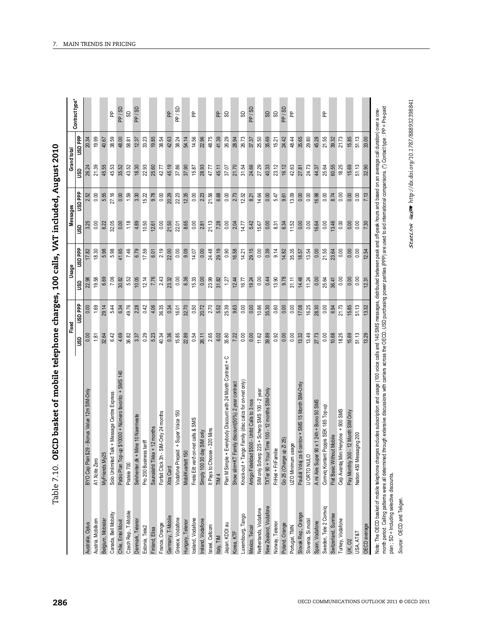| į                                   |
|-------------------------------------|
| ו<br>ו                              |
|                                     |
| :                                   |
|                                     |
|                                     |
|                                     |
|                                     |
|                                     |
|                                     |
| <br> <br>                           |
| $\mathbf{I}$                        |
|                                     |
|                                     |
|                                     |
| i - 15.3 ) 2 ) - 1 .<br>והה כל<br>י |
|                                     |
|                                     |
|                                     |
|                                     |
|                                     |
|                                     |
|                                     |
|                                     |
|                                     |
|                                     |
|                                     |
|                                     |
|                                     |
|                                     |
|                                     |
|                                     |
|                                     |
| $\vdots$                            |
| í                                   |
|                                     |
|                                     |
|                                     |
| ĺ                                   |
|                                     |
|                                     |
|                                     |
|                                     |
|                                     |
|                                     |
|                                     |
|                                     |
|                                     |
| $\frac{1}{2}$                       |
|                                     |
|                                     |
|                                     |
|                                     |
| しんしょく                               |
|                                     |
| י<br>:<br>י                         |
|                                     |
|                                     |
|                                     |
| 7 مام<br>į                          |

| MyFriends My2<br>BYO Cap Plan<br>A1 Xoite Zero<br>Pratele 700<br>Czech Rep., T-Mobile<br>Canada, Bell Mobility<br>Austria, Mobilkom<br>Belgium, Mobistar<br>Chile, Entel Movil<br>Australia, Optus |                                                       | Fixed  |                |       |           |       |         | Grand tota |                |
|----------------------------------------------------------------------------------------------------------------------------------------------------------------------------------------------------|-------------------------------------------------------|--------|----------------|-------|-----------|-------|---------|------------|----------------|
|                                                                                                                                                                                                    |                                                       | g      | <b>USD</b> PPP | ន្ធ   | uso<br>PP | នី    | ddd GSN | g          | <b>Had GSN</b> |
|                                                                                                                                                                                                    | \$29 - Bonus Value 12m SIM-Only                       |        | 0.00           | 22.98 |           |       |         | 26.24      | 20.34          |
|                                                                                                                                                                                                    |                                                       | 1.81   | 1.69           | 19.58 | 18.30     | 0.00  | 0.00    | 21.39      | 19.99          |
|                                                                                                                                                                                                    | زي                                                    | 32.64  | 29.14          | 6.69  | 5.98      |       | 5.55    | 45.55      | 40.67          |
|                                                                                                                                                                                                    | Solo Unlimited Talk + Message Centre Express          | 6.42   | 5.44           | 7.06  | 5.98      | 32.05 | 27.16   | 45.53      | 38.59          |
|                                                                                                                                                                                                    | Pablo Plan Top-up \$10000 + Número favorito + SMS 140 | 4.69   | 6.34           | 30.82 | 11.65     | 0.00  | 0.00    | 35.52      | 48.00          |
|                                                                                                                                                                                                    |                                                       | 36.82  | 49.76          | 5.52  | 7.46      | 1.18  | 1.59    | 43.52      | 58.81          |
| Denmark, Telenor                                                                                                                                                                                   | Selvhenter.dk + Mine 10 Naermeste                     | 3.37   | 2.28           | 10.05 | 6.79      |       | 3.30    | 18.30      | 12.37          |
| Pro 200 Busine<br>Estonia, Tele2                                                                                                                                                                   | ss tariff                                             | 0.29   | 0.42           | 12.14 | 17.59     | 10.50 | 15.22   | 22.93      | 33.23          |
| Finland, Elisa                                                                                                                                                                                     | Saunalahti Tikka + 12 months                          | 5.23   | 4.06           | 7.76  | 6.01      | 12.61 | 9.78    | 25.60      | 19.85          |
| Forfait Click 3h<br>France, Orange                                                                                                                                                                 | -SIM-Only 24 months                                   | 40.34  | 36.35          | 2.43  | 2.19      | 0.00  | 0.00    | 42.77      | 38.54          |
| Xtra Card<br>Germany, T-Mobile                                                                                                                                                                     |                                                       | 0.36   | 0.34           | 23.32 | 22.00     | 21.50 | 20.29   | 45.19      | 42.63          |
| Greece, Vodafone                                                                                                                                                                                   | Vodafone Prepaid + Super Voice 150                    | 15.85  | 16.01          | 0.00  | 0.00      | 22.01 | 22.23   | 37.86      | 38.24          |
| MobilKvartett 150<br>Hungary, Telenor                                                                                                                                                              |                                                       | 22.89  | 32.70          | 6.36  | 9.09      | 8.65  | 12.35   | 37.90      | 54.14          |
| Frelsi Eitt verð<br>Iceland, Vodafone                                                                                                                                                              | on-net calls & SMS                                    | 0.54   | 0.50           | 15.33 | 14.07     | 0.00  | 0.00    | 15.87      | 14.56          |
| Simply 100 30<br>Ireland, Vodafone                                                                                                                                                                 | day SIM only                                          | 26.11  | 20.72          | 0.00  | 0.00      | 2.81  | 2.23    | 28.93      | 22.96          |
| Israel, Cellcom                                                                                                                                                                                    | It Pays to Choose - 320 Mins                          | 2.65   | 2.70           | 23.99 | 24.48     | 21.13 | 21.56   | 47.77      | 48.75          |
| TIM <sub>4</sub><br>Italy, TIM                                                                                                                                                                     |                                                       | $6.02$ | 5.52           | 31.82 | 29.19     | 7.28  | 6.68    | 45.11      | 41.39          |
| Plan M Simple<br>Japan, KDDI au                                                                                                                                                                    | + Everybody Discount with 24 Month Contract + C       | 35.80  | 25.39          | 1.27  | 0.90      | 0.00  | 0.00    | 37.07      | 26.29          |
| Show slim+KT<br>Korea, KTF                                                                                                                                                                         | Family discount(50%) 2 year contract                  | 7.22   | 9.63           | 12.44 | 16.58     | 2.04  | 2.73    | 21.70      | 28.94          |
| Luxembourg, Tango                                                                                                                                                                                  | Knock-out + Tango Family (disc calcs for on-net only) | 0.00   | 0.00           | 16.77 | 14.21     | 14.77 | 12.52   | 31.54      | 26.73          |
| Mexico, Telcel                                                                                                                                                                                     | Amigo Fidelidad \$500 - Unitd Calls to 3 nos          | 0.00   | 0.00           | 19.24 | 29.15     | 5.42  | 8.21    | 24.66      | 37.37          |
| Netherlands, Vodafone                                                                                                                                                                              | SIM only Scherp 225 + Scherp SMS 100 - 2 year         | 11.62  | 10.86          | 0.00  | 0.00      | 15.67 | 14.64   | 27.29      | 25.50          |
| New Zealand, Vodafone                                                                                                                                                                              | TXTer 90 + Your Time 100 - 12 months SIM-Only         | 39.89  | 35.30          | 0.44  | 0.39      | 0.00  | 0.00    | 40.33      | 35.69          |
| FriHet + FriFamilie<br>Norway, Telenor                                                                                                                                                             |                                                       | 0.92   | 0.60           | 13.90 | 9.14      | 8.31  | 5.47    | 23.12      | 15.21          |
| Go 25 (Charge<br>Poland, Orange                                                                                                                                                                    | $up$ Z 25)                                            | 0.00   | 0.00           | 9.78  | 14.82     | 6.34  | 9.61    | 16.12      | 24.42          |
| UZO Minimum<br>Portugal, TMN                                                                                                                                                                       | usage                                                 | 0.00   | 0.00           | 31.11 | 35.35     | 11.52 | 13.09   | 42.63      | 48.44          |
| Paušál Volaj za<br>Slovak Rep., Orange                                                                                                                                                             | 6 centov + SMS 15 Month SIM-Only                      | 13.32  | 17.08          | 14.48 | 18.57     | 0.00  | 0.00    | 27.81      | 35.65          |
| <b>U ORTO NULC</b><br>Slovenia, Si.mobil                                                                                                                                                           |                                                       | 13.49  | 16.25          | 11.24 | 13.54     | 0.00  | 0.00    | 24.73      | 29.80          |
| A mi Aire Supe<br>Spain, Vodafone                                                                                                                                                                  | r 90 x 1 24h + Bono 50 SMS                            | 27.73  | 28.30          | 0.00  | 0.00      | 16.64 | 16.98   | 44.37      | 45.28          |
| Sweden, Tele 2 Comviq                                                                                                                                                                              | Comviq Kontant Poppis SEK 185 Top-up                  | 0.00   | 0.00           | 25.64 | 21.55     | 0.00  | 0.00    | 25.64      | 21.55          |
| Flat Basic Without Mobile<br>Switzerland, Sunrise                                                                                                                                                  |                                                       | 10.68  | 6.94           | 36.41 | 23.64     | 13.46 | 8.74    | 60.55      | 39.32          |
| Turkey, Vodafone                                                                                                                                                                                   | Cep Avantaj Mini Heryöne + 500 SMS                    | 18.25  | 21.73          | 0.00  | 0.00      | 0.00  | 0.00    | 18.25      | 21.73          |
| <b>UK, O2</b>                                                                                                                                                                                      | Pay Monthly 300 - 12 Month SIM Only                   | 15.69  | 15.85          | 0.00  | 0.00      | 0.00  | 0.00    | 15.69      | 15.85          |
| Nation 450 Messaging 200<br>USA, AT&T                                                                                                                                                              |                                                       | 51.13  | 51.13          | 0.00  | 0.00      | 0.00  | 0.00    | 51.13      | 51.13          |
| OECD average                                                                                                                                                                                       |                                                       | 13.29  |                |       | 12.54     |       |         | 32.90      | 33.00          |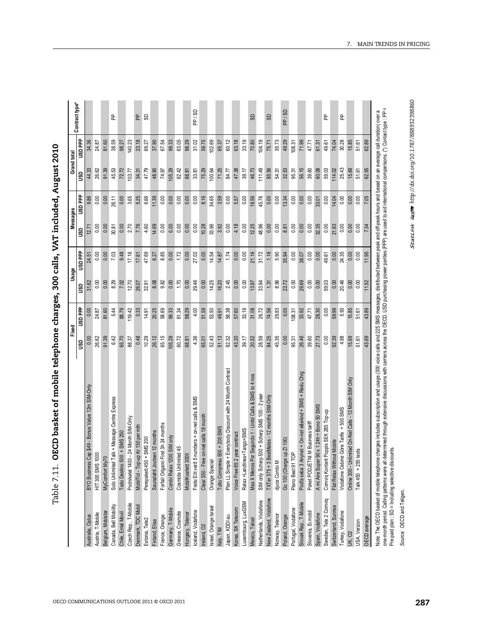| I                           |
|-----------------------------|
|                             |
|                             |
|                             |
| <br> <br>                   |
| <br> <br>                   |
| $\mathbf{I}$                |
| ו<br>ו                      |
|                             |
|                             |
|                             |
| $\vdots$                    |
|                             |
|                             |
|                             |
|                             |
|                             |
|                             |
| .<br>יי החה ה<br> <br> <br> |
| י<br>:<br>:                 |
| l                           |
| ;<br>}<br>;                 |

| ຮິ<br>ddd asn<br>0.00<br>3.65<br>0.00<br>8.16<br>0.00<br>45.76<br>0.00<br>0.00<br>5.25<br>6.66<br>11.39<br>0.00<br>0.00<br>0.00<br>0.00<br>34.65<br>3.59<br>0.00<br>0.00<br>0.00<br>0.00<br>0.00<br>0.00<br>0.00<br>26.11<br>0.00<br>0.00<br>18.56<br>14.04<br>0.00<br>9.86<br>5.57<br>13.34<br>33.01<br>0.00<br>2.70<br>7.76<br>0.00<br>0.00<br>0.00<br>4.18<br>0.00<br>48.96<br>0.00<br>30.81<br>0.00<br>4.60<br>14.69<br>0.00<br>0.00<br>0.00<br>10.28<br>33.96<br>3.92<br>12.25<br>0.00<br>0.00<br>0.00<br>0.00<br>0.00<br>32.35<br>21.63<br>0.00<br>0.00<br>0.00<br>0.00<br>8.81<br>12.71<br>ິ<br>uso PP<br>17.16<br>8.85<br>27.02<br>21.16<br>31.72<br>1.16<br>0.00<br>7.03<br>9.48<br>47.69<br>0.00<br>1.72<br>0.00<br>0.00<br>1.74<br>0.00<br>5.90<br>0.00<br>38.07<br>0.00<br>49.61<br>0.00<br>24.35<br>0.00<br>0.00<br>14.54<br>14.87<br>0.00<br>35.94<br>0.00<br>0.00<br>17.61<br>6.27<br>24.51<br>2.45<br>8.29<br>9.82<br>0.00<br>1.70<br>0.00<br>29.46<br>0.00<br>0.00<br>59.03<br>0.00<br>20.46<br>0.00<br>7.02<br>12.70<br>8.08<br>0.00<br>14.25<br>16.20<br>0.00<br>33.94<br>8.96<br>29.69<br>0.00<br>0.00<br>0.00<br>0.00<br>23.72<br>26.07<br>32.91<br>13.97<br>1.31<br>31.62<br>g<br><b>USD</b> PPP<br>58.69<br>4.00<br>58.38<br>33.19<br>31.08<br>26.72<br>0.00<br>5.93<br>5.44<br>88.79<br>119.42<br>0.33<br>20.25<br>99.33<br>61.34<br>98.29<br>51.59<br>53.50<br>57.60<br>74.56<br>29.83<br>0.00<br>33.92<br>59.99<br>15.85<br>0.00<br>24.87<br>81.60<br>14.91<br>46.91<br>108.31<br>28.30<br>51.61<br>47.71<br>4.36<br>51.13<br>0.00<br>4.98<br>15.69<br>6.42<br>0.48<br>10.29<br>26.12<br>65.15<br>105.29<br>60.72<br>52.43<br>82.32<br>43.20<br>28.59<br>84.25<br>45.35<br>26.46<br>92.39<br>26.62<br>91.39<br>65.70<br>88.37<br>39.17<br>20.52<br>0.00<br>39.60<br>27.73<br>68.81<br>65.01<br>95.31<br>51.61<br>GSU<br>Plan LL Simple + Everybody Discount with 24 Month Contract<br>Podľa seba 3 Anynet + On-net e&wknd + SMS + Redu Chrg<br>Mas X Menos Por Segundo 1 - Unitd Calls & SMS to 4 nos<br>Online 300 - Unlimited On-Net Calls - 12 Month SIM Only<br>Cap \$49 - Bonus Value 12m SIM-Only<br>rp 500 + Scherp SMS 100 - 2 year<br>BestMates - 12 months SIM-Only<br>5 numbers + on-net calls & SMS<br>Solo Unlimited Talk + Message Centre Express<br>A mi Aire Super 90 x 1 24h + Bono 50 SMS<br>Vodafone Cebine Göre Tarife + 500 SMS<br>Comviq Kontant Poppis SEK 285 Top-up<br>Clear 350 - Free on-net calls 18 month<br>Podnikatel 1400 - 24 Month SIM-Only<br>Paket PODJETNI M Business tariff<br>Forfait Origami First 3h 24 months<br>Tutto Compreso 500 + 200 SMS<br>MobilTid - Top-up Kr 150 per mt<br>nes+Tango+SMS<br>Saunalahti Joutsen 12 months<br>Todo Destino 500 + SMS 250<br>2 year contract<br>200 SIM only<br>Perepakett 450 + SMS 200<br>Go 100 (Charge up Z1100)<br>Flat Relax Without Mobile<br>Cosmote Unlimited 45<br>Talk 450 + 250 texts<br>POL<br>1000<br>MobilKvartett 3000<br>Orange Special<br><b>BYO Business</b><br>MyComfort My<br>Combi Relax 1<br>Frelsi Eitt verð<br>Voice Free 65<br>SIM only Sche<br>TXTer $375 + 3$<br>djuce Combi N<br>Relax +Landlin<br>Plano Best 91<br>HIT 300 SMS<br>New Zealand, Vodafone<br>Sweden, Tele 2 Comviq<br>Netherlands, Vodafone<br>Luxembourg, LuxGSM<br>Slovak Rep., T-Mobile<br>Czech Rep., T-Mobile<br>Canada, Bell Mobility<br>Denmark, TDC Mobi<br>Switzerland, Sunrise<br>Israel, Orange Israel<br>Portugal, Vodafone<br>Korea, SK Telecom<br>Gemany, T-Mobile<br>Iceland, Vodafone<br>Belgium, Mobistan<br>Slovenia, Si.mobil<br>Turkey, Vodafone<br>Chile, Entel Movil<br>Greece, Cosmote<br>Austria, T-Mobile<br>Hungary, Telenor<br>Spain, Vodafone<br>Norway, Telenor<br>France, Orange<br>Poland, Orange<br>Australia, Optus<br>Japan, KDDI au<br>Mexico, Telcel<br>Estonia, Tele2<br>Finland, Elisa<br>USA, Verizon<br>Ireland, O <sub>2</sub><br>Italy, TIM<br><b>UK, 02</b> |  | Fixed |       | Usage |       | Messages |      | Grand total |                |
|--------------------------------------------------------------------------------------------------------------------------------------------------------------------------------------------------------------------------------------------------------------------------------------------------------------------------------------------------------------------------------------------------------------------------------------------------------------------------------------------------------------------------------------------------------------------------------------------------------------------------------------------------------------------------------------------------------------------------------------------------------------------------------------------------------------------------------------------------------------------------------------------------------------------------------------------------------------------------------------------------------------------------------------------------------------------------------------------------------------------------------------------------------------------------------------------------------------------------------------------------------------------------------------------------------------------------------------------------------------------------------------------------------------------------------------------------------------------------------------------------------------------------------------------------------------------------------------------------------------------------------------------------------------------------------------------------------------------------------------------------------------------------------------------------------------------------------------------------------------------------------------------------------------------------------------------------------------------------------------------------------------------------------------------------------------------------------------------------------------------------------------------------------------------------------------------------------------------------------------------------------------------------------------------------------------------------------------------------------------------------------------------------------------------------------------------------------------------------------------------------------------------------------------------------------------------------------------------------------------------------------------------------------------------------------------------------------------------------------------------------------------------------------------------------------------------------------------------------------------------------------------------------------------------------------------------------------------------------------------------------------------------------------------------------------------------------------------------------------------------------------------------------------------------------------------------------------------------------------------------------------------------------------------------------------------------------------------------------------------------------------------------------------------------------------------------------------------------------------------------------------------------------------------------------------------------------------------------------------------------------------------------------------------------------------------------------------------------------------------------------------------------------------------------------------------------------------------------------------------------------------------------------------------|--|-------|-------|-------|-------|----------|------|-------------|----------------|
|                                                                                                                                                                                                                                                                                                                                                                                                                                                                                                                                                                                                                                                                                                                                                                                                                                                                                                                                                                                                                                                                                                                                                                                                                                                                                                                                                                                                                                                                                                                                                                                                                                                                                                                                                                                                                                                                                                                                                                                                                                                                                                                                                                                                                                                                                                                                                                                                                                                                                                                                                                                                                                                                                                                                                                                                                                                                                                                                                                                                                                                                                                                                                                                                                                                                                                                                                                                                                                                                                                                                                                                                                                                                                                                                                                                                                                                                                                              |  |       |       |       |       |          |      |             | <b>ddd GSN</b> |
|                                                                                                                                                                                                                                                                                                                                                                                                                                                                                                                                                                                                                                                                                                                                                                                                                                                                                                                                                                                                                                                                                                                                                                                                                                                                                                                                                                                                                                                                                                                                                                                                                                                                                                                                                                                                                                                                                                                                                                                                                                                                                                                                                                                                                                                                                                                                                                                                                                                                                                                                                                                                                                                                                                                                                                                                                                                                                                                                                                                                                                                                                                                                                                                                                                                                                                                                                                                                                                                                                                                                                                                                                                                                                                                                                                                                                                                                                                              |  |       |       |       |       |          |      | 44.33       |                |
|                                                                                                                                                                                                                                                                                                                                                                                                                                                                                                                                                                                                                                                                                                                                                                                                                                                                                                                                                                                                                                                                                                                                                                                                                                                                                                                                                                                                                                                                                                                                                                                                                                                                                                                                                                                                                                                                                                                                                                                                                                                                                                                                                                                                                                                                                                                                                                                                                                                                                                                                                                                                                                                                                                                                                                                                                                                                                                                                                                                                                                                                                                                                                                                                                                                                                                                                                                                                                                                                                                                                                                                                                                                                                                                                                                                                                                                                                                              |  |       |       |       |       |          |      | 26.62       | 24.87          |
|                                                                                                                                                                                                                                                                                                                                                                                                                                                                                                                                                                                                                                                                                                                                                                                                                                                                                                                                                                                                                                                                                                                                                                                                                                                                                                                                                                                                                                                                                                                                                                                                                                                                                                                                                                                                                                                                                                                                                                                                                                                                                                                                                                                                                                                                                                                                                                                                                                                                                                                                                                                                                                                                                                                                                                                                                                                                                                                                                                                                                                                                                                                                                                                                                                                                                                                                                                                                                                                                                                                                                                                                                                                                                                                                                                                                                                                                                                              |  |       |       |       |       |          |      | 91.39       | 81.60          |
|                                                                                                                                                                                                                                                                                                                                                                                                                                                                                                                                                                                                                                                                                                                                                                                                                                                                                                                                                                                                                                                                                                                                                                                                                                                                                                                                                                                                                                                                                                                                                                                                                                                                                                                                                                                                                                                                                                                                                                                                                                                                                                                                                                                                                                                                                                                                                                                                                                                                                                                                                                                                                                                                                                                                                                                                                                                                                                                                                                                                                                                                                                                                                                                                                                                                                                                                                                                                                                                                                                                                                                                                                                                                                                                                                                                                                                                                                                              |  |       |       |       |       |          |      | 45.53       | 38.59          |
|                                                                                                                                                                                                                                                                                                                                                                                                                                                                                                                                                                                                                                                                                                                                                                                                                                                                                                                                                                                                                                                                                                                                                                                                                                                                                                                                                                                                                                                                                                                                                                                                                                                                                                                                                                                                                                                                                                                                                                                                                                                                                                                                                                                                                                                                                                                                                                                                                                                                                                                                                                                                                                                                                                                                                                                                                                                                                                                                                                                                                                                                                                                                                                                                                                                                                                                                                                                                                                                                                                                                                                                                                                                                                                                                                                                                                                                                                                              |  |       |       |       |       |          |      | 72.72       | 98.27          |
|                                                                                                                                                                                                                                                                                                                                                                                                                                                                                                                                                                                                                                                                                                                                                                                                                                                                                                                                                                                                                                                                                                                                                                                                                                                                                                                                                                                                                                                                                                                                                                                                                                                                                                                                                                                                                                                                                                                                                                                                                                                                                                                                                                                                                                                                                                                                                                                                                                                                                                                                                                                                                                                                                                                                                                                                                                                                                                                                                                                                                                                                                                                                                                                                                                                                                                                                                                                                                                                                                                                                                                                                                                                                                                                                                                                                                                                                                                              |  |       |       |       |       |          |      | 103.77      | 140.23         |
|                                                                                                                                                                                                                                                                                                                                                                                                                                                                                                                                                                                                                                                                                                                                                                                                                                                                                                                                                                                                                                                                                                                                                                                                                                                                                                                                                                                                                                                                                                                                                                                                                                                                                                                                                                                                                                                                                                                                                                                                                                                                                                                                                                                                                                                                                                                                                                                                                                                                                                                                                                                                                                                                                                                                                                                                                                                                                                                                                                                                                                                                                                                                                                                                                                                                                                                                                                                                                                                                                                                                                                                                                                                                                                                                                                                                                                                                                                              |  |       |       |       |       |          |      | 34.31       | 23.18          |
|                                                                                                                                                                                                                                                                                                                                                                                                                                                                                                                                                                                                                                                                                                                                                                                                                                                                                                                                                                                                                                                                                                                                                                                                                                                                                                                                                                                                                                                                                                                                                                                                                                                                                                                                                                                                                                                                                                                                                                                                                                                                                                                                                                                                                                                                                                                                                                                                                                                                                                                                                                                                                                                                                                                                                                                                                                                                                                                                                                                                                                                                                                                                                                                                                                                                                                                                                                                                                                                                                                                                                                                                                                                                                                                                                                                                                                                                                                              |  |       |       |       |       |          |      | 47.79       | 69.27          |
|                                                                                                                                                                                                                                                                                                                                                                                                                                                                                                                                                                                                                                                                                                                                                                                                                                                                                                                                                                                                                                                                                                                                                                                                                                                                                                                                                                                                                                                                                                                                                                                                                                                                                                                                                                                                                                                                                                                                                                                                                                                                                                                                                                                                                                                                                                                                                                                                                                                                                                                                                                                                                                                                                                                                                                                                                                                                                                                                                                                                                                                                                                                                                                                                                                                                                                                                                                                                                                                                                                                                                                                                                                                                                                                                                                                                                                                                                                              |  |       |       |       |       |          |      | 48.90       | 37.90          |
|                                                                                                                                                                                                                                                                                                                                                                                                                                                                                                                                                                                                                                                                                                                                                                                                                                                                                                                                                                                                                                                                                                                                                                                                                                                                                                                                                                                                                                                                                                                                                                                                                                                                                                                                                                                                                                                                                                                                                                                                                                                                                                                                                                                                                                                                                                                                                                                                                                                                                                                                                                                                                                                                                                                                                                                                                                                                                                                                                                                                                                                                                                                                                                                                                                                                                                                                                                                                                                                                                                                                                                                                                                                                                                                                                                                                                                                                                                              |  |       |       |       |       |          |      | 74.97       | 67.54          |
|                                                                                                                                                                                                                                                                                                                                                                                                                                                                                                                                                                                                                                                                                                                                                                                                                                                                                                                                                                                                                                                                                                                                                                                                                                                                                                                                                                                                                                                                                                                                                                                                                                                                                                                                                                                                                                                                                                                                                                                                                                                                                                                                                                                                                                                                                                                                                                                                                                                                                                                                                                                                                                                                                                                                                                                                                                                                                                                                                                                                                                                                                                                                                                                                                                                                                                                                                                                                                                                                                                                                                                                                                                                                                                                                                                                                                                                                                                              |  |       |       |       |       |          |      | 105.29      | 99.33          |
|                                                                                                                                                                                                                                                                                                                                                                                                                                                                                                                                                                                                                                                                                                                                                                                                                                                                                                                                                                                                                                                                                                                                                                                                                                                                                                                                                                                                                                                                                                                                                                                                                                                                                                                                                                                                                                                                                                                                                                                                                                                                                                                                                                                                                                                                                                                                                                                                                                                                                                                                                                                                                                                                                                                                                                                                                                                                                                                                                                                                                                                                                                                                                                                                                                                                                                                                                                                                                                                                                                                                                                                                                                                                                                                                                                                                                                                                                                              |  |       |       |       |       |          |      | 62.42       | 63.05          |
|                                                                                                                                                                                                                                                                                                                                                                                                                                                                                                                                                                                                                                                                                                                                                                                                                                                                                                                                                                                                                                                                                                                                                                                                                                                                                                                                                                                                                                                                                                                                                                                                                                                                                                                                                                                                                                                                                                                                                                                                                                                                                                                                                                                                                                                                                                                                                                                                                                                                                                                                                                                                                                                                                                                                                                                                                                                                                                                                                                                                                                                                                                                                                                                                                                                                                                                                                                                                                                                                                                                                                                                                                                                                                                                                                                                                                                                                                                              |  |       |       |       |       |          |      | 68.81       | 98.29          |
|                                                                                                                                                                                                                                                                                                                                                                                                                                                                                                                                                                                                                                                                                                                                                                                                                                                                                                                                                                                                                                                                                                                                                                                                                                                                                                                                                                                                                                                                                                                                                                                                                                                                                                                                                                                                                                                                                                                                                                                                                                                                                                                                                                                                                                                                                                                                                                                                                                                                                                                                                                                                                                                                                                                                                                                                                                                                                                                                                                                                                                                                                                                                                                                                                                                                                                                                                                                                                                                                                                                                                                                                                                                                                                                                                                                                                                                                                                              |  |       |       |       |       |          |      | 33.81       | 31.02          |
|                                                                                                                                                                                                                                                                                                                                                                                                                                                                                                                                                                                                                                                                                                                                                                                                                                                                                                                                                                                                                                                                                                                                                                                                                                                                                                                                                                                                                                                                                                                                                                                                                                                                                                                                                                                                                                                                                                                                                                                                                                                                                                                                                                                                                                                                                                                                                                                                                                                                                                                                                                                                                                                                                                                                                                                                                                                                                                                                                                                                                                                                                                                                                                                                                                                                                                                                                                                                                                                                                                                                                                                                                                                                                                                                                                                                                                                                                                              |  |       |       |       |       |          |      | 75.29       | 59.75          |
|                                                                                                                                                                                                                                                                                                                                                                                                                                                                                                                                                                                                                                                                                                                                                                                                                                                                                                                                                                                                                                                                                                                                                                                                                                                                                                                                                                                                                                                                                                                                                                                                                                                                                                                                                                                                                                                                                                                                                                                                                                                                                                                                                                                                                                                                                                                                                                                                                                                                                                                                                                                                                                                                                                                                                                                                                                                                                                                                                                                                                                                                                                                                                                                                                                                                                                                                                                                                                                                                                                                                                                                                                                                                                                                                                                                                                                                                                                              |  |       |       |       |       |          |      | 100.64      | 102.69         |
|                                                                                                                                                                                                                                                                                                                                                                                                                                                                                                                                                                                                                                                                                                                                                                                                                                                                                                                                                                                                                                                                                                                                                                                                                                                                                                                                                                                                                                                                                                                                                                                                                                                                                                                                                                                                                                                                                                                                                                                                                                                                                                                                                                                                                                                                                                                                                                                                                                                                                                                                                                                                                                                                                                                                                                                                                                                                                                                                                                                                                                                                                                                                                                                                                                                                                                                                                                                                                                                                                                                                                                                                                                                                                                                                                                                                                                                                                                              |  |       |       |       |       |          |      | 71.25       | 65.37          |
|                                                                                                                                                                                                                                                                                                                                                                                                                                                                                                                                                                                                                                                                                                                                                                                                                                                                                                                                                                                                                                                                                                                                                                                                                                                                                                                                                                                                                                                                                                                                                                                                                                                                                                                                                                                                                                                                                                                                                                                                                                                                                                                                                                                                                                                                                                                                                                                                                                                                                                                                                                                                                                                                                                                                                                                                                                                                                                                                                                                                                                                                                                                                                                                                                                                                                                                                                                                                                                                                                                                                                                                                                                                                                                                                                                                                                                                                                                              |  |       |       |       |       |          |      | 84.77       | 60.12          |
|                                                                                                                                                                                                                                                                                                                                                                                                                                                                                                                                                                                                                                                                                                                                                                                                                                                                                                                                                                                                                                                                                                                                                                                                                                                                                                                                                                                                                                                                                                                                                                                                                                                                                                                                                                                                                                                                                                                                                                                                                                                                                                                                                                                                                                                                                                                                                                                                                                                                                                                                                                                                                                                                                                                                                                                                                                                                                                                                                                                                                                                                                                                                                                                                                                                                                                                                                                                                                                                                                                                                                                                                                                                                                                                                                                                                                                                                                                              |  |       |       |       |       |          |      | 47.38       | 63.18          |
|                                                                                                                                                                                                                                                                                                                                                                                                                                                                                                                                                                                                                                                                                                                                                                                                                                                                                                                                                                                                                                                                                                                                                                                                                                                                                                                                                                                                                                                                                                                                                                                                                                                                                                                                                                                                                                                                                                                                                                                                                                                                                                                                                                                                                                                                                                                                                                                                                                                                                                                                                                                                                                                                                                                                                                                                                                                                                                                                                                                                                                                                                                                                                                                                                                                                                                                                                                                                                                                                                                                                                                                                                                                                                                                                                                                                                                                                                                              |  |       |       |       |       |          |      | 39.17       | 33.19          |
|                                                                                                                                                                                                                                                                                                                                                                                                                                                                                                                                                                                                                                                                                                                                                                                                                                                                                                                                                                                                                                                                                                                                                                                                                                                                                                                                                                                                                                                                                                                                                                                                                                                                                                                                                                                                                                                                                                                                                                                                                                                                                                                                                                                                                                                                                                                                                                                                                                                                                                                                                                                                                                                                                                                                                                                                                                                                                                                                                                                                                                                                                                                                                                                                                                                                                                                                                                                                                                                                                                                                                                                                                                                                                                                                                                                                                                                                                                              |  |       |       |       |       |          |      | 46.73       | 70.80          |
|                                                                                                                                                                                                                                                                                                                                                                                                                                                                                                                                                                                                                                                                                                                                                                                                                                                                                                                                                                                                                                                                                                                                                                                                                                                                                                                                                                                                                                                                                                                                                                                                                                                                                                                                                                                                                                                                                                                                                                                                                                                                                                                                                                                                                                                                                                                                                                                                                                                                                                                                                                                                                                                                                                                                                                                                                                                                                                                                                                                                                                                                                                                                                                                                                                                                                                                                                                                                                                                                                                                                                                                                                                                                                                                                                                                                                                                                                                              |  |       |       |       |       |          |      | 111.49      | 104.19         |
|                                                                                                                                                                                                                                                                                                                                                                                                                                                                                                                                                                                                                                                                                                                                                                                                                                                                                                                                                                                                                                                                                                                                                                                                                                                                                                                                                                                                                                                                                                                                                                                                                                                                                                                                                                                                                                                                                                                                                                                                                                                                                                                                                                                                                                                                                                                                                                                                                                                                                                                                                                                                                                                                                                                                                                                                                                                                                                                                                                                                                                                                                                                                                                                                                                                                                                                                                                                                                                                                                                                                                                                                                                                                                                                                                                                                                                                                                                              |  |       |       |       |       |          |      | 85.56       | 75.71          |
|                                                                                                                                                                                                                                                                                                                                                                                                                                                                                                                                                                                                                                                                                                                                                                                                                                                                                                                                                                                                                                                                                                                                                                                                                                                                                                                                                                                                                                                                                                                                                                                                                                                                                                                                                                                                                                                                                                                                                                                                                                                                                                                                                                                                                                                                                                                                                                                                                                                                                                                                                                                                                                                                                                                                                                                                                                                                                                                                                                                                                                                                                                                                                                                                                                                                                                                                                                                                                                                                                                                                                                                                                                                                                                                                                                                                                                                                                                              |  |       |       |       |       |          |      | 54.31       | 35.73          |
|                                                                                                                                                                                                                                                                                                                                                                                                                                                                                                                                                                                                                                                                                                                                                                                                                                                                                                                                                                                                                                                                                                                                                                                                                                                                                                                                                                                                                                                                                                                                                                                                                                                                                                                                                                                                                                                                                                                                                                                                                                                                                                                                                                                                                                                                                                                                                                                                                                                                                                                                                                                                                                                                                                                                                                                                                                                                                                                                                                                                                                                                                                                                                                                                                                                                                                                                                                                                                                                                                                                                                                                                                                                                                                                                                                                                                                                                                                              |  |       |       |       |       |          |      | 32.53       | 49.29          |
|                                                                                                                                                                                                                                                                                                                                                                                                                                                                                                                                                                                                                                                                                                                                                                                                                                                                                                                                                                                                                                                                                                                                                                                                                                                                                                                                                                                                                                                                                                                                                                                                                                                                                                                                                                                                                                                                                                                                                                                                                                                                                                                                                                                                                                                                                                                                                                                                                                                                                                                                                                                                                                                                                                                                                                                                                                                                                                                                                                                                                                                                                                                                                                                                                                                                                                                                                                                                                                                                                                                                                                                                                                                                                                                                                                                                                                                                                                              |  |       |       |       |       |          |      | 95.31       | 108.31         |
|                                                                                                                                                                                                                                                                                                                                                                                                                                                                                                                                                                                                                                                                                                                                                                                                                                                                                                                                                                                                                                                                                                                                                                                                                                                                                                                                                                                                                                                                                                                                                                                                                                                                                                                                                                                                                                                                                                                                                                                                                                                                                                                                                                                                                                                                                                                                                                                                                                                                                                                                                                                                                                                                                                                                                                                                                                                                                                                                                                                                                                                                                                                                                                                                                                                                                                                                                                                                                                                                                                                                                                                                                                                                                                                                                                                                                                                                                                              |  |       |       |       |       |          |      | 56.15       | 71.99          |
|                                                                                                                                                                                                                                                                                                                                                                                                                                                                                                                                                                                                                                                                                                                                                                                                                                                                                                                                                                                                                                                                                                                                                                                                                                                                                                                                                                                                                                                                                                                                                                                                                                                                                                                                                                                                                                                                                                                                                                                                                                                                                                                                                                                                                                                                                                                                                                                                                                                                                                                                                                                                                                                                                                                                                                                                                                                                                                                                                                                                                                                                                                                                                                                                                                                                                                                                                                                                                                                                                                                                                                                                                                                                                                                                                                                                                                                                                                              |  |       |       |       |       |          |      | 39.60       | 47.71          |
|                                                                                                                                                                                                                                                                                                                                                                                                                                                                                                                                                                                                                                                                                                                                                                                                                                                                                                                                                                                                                                                                                                                                                                                                                                                                                                                                                                                                                                                                                                                                                                                                                                                                                                                                                                                                                                                                                                                                                                                                                                                                                                                                                                                                                                                                                                                                                                                                                                                                                                                                                                                                                                                                                                                                                                                                                                                                                                                                                                                                                                                                                                                                                                                                                                                                                                                                                                                                                                                                                                                                                                                                                                                                                                                                                                                                                                                                                                              |  |       |       |       |       |          |      | 60.08       | 61.31          |
|                                                                                                                                                                                                                                                                                                                                                                                                                                                                                                                                                                                                                                                                                                                                                                                                                                                                                                                                                                                                                                                                                                                                                                                                                                                                                                                                                                                                                                                                                                                                                                                                                                                                                                                                                                                                                                                                                                                                                                                                                                                                                                                                                                                                                                                                                                                                                                                                                                                                                                                                                                                                                                                                                                                                                                                                                                                                                                                                                                                                                                                                                                                                                                                                                                                                                                                                                                                                                                                                                                                                                                                                                                                                                                                                                                                                                                                                                                              |  |       |       |       |       |          |      | 59.03       | 49.61          |
|                                                                                                                                                                                                                                                                                                                                                                                                                                                                                                                                                                                                                                                                                                                                                                                                                                                                                                                                                                                                                                                                                                                                                                                                                                                                                                                                                                                                                                                                                                                                                                                                                                                                                                                                                                                                                                                                                                                                                                                                                                                                                                                                                                                                                                                                                                                                                                                                                                                                                                                                                                                                                                                                                                                                                                                                                                                                                                                                                                                                                                                                                                                                                                                                                                                                                                                                                                                                                                                                                                                                                                                                                                                                                                                                                                                                                                                                                                              |  |       |       |       |       |          |      | 114.02      | 74.04          |
|                                                                                                                                                                                                                                                                                                                                                                                                                                                                                                                                                                                                                                                                                                                                                                                                                                                                                                                                                                                                                                                                                                                                                                                                                                                                                                                                                                                                                                                                                                                                                                                                                                                                                                                                                                                                                                                                                                                                                                                                                                                                                                                                                                                                                                                                                                                                                                                                                                                                                                                                                                                                                                                                                                                                                                                                                                                                                                                                                                                                                                                                                                                                                                                                                                                                                                                                                                                                                                                                                                                                                                                                                                                                                                                                                                                                                                                                                                              |  |       |       |       |       |          |      | 25.43       | 30.28          |
|                                                                                                                                                                                                                                                                                                                                                                                                                                                                                                                                                                                                                                                                                                                                                                                                                                                                                                                                                                                                                                                                                                                                                                                                                                                                                                                                                                                                                                                                                                                                                                                                                                                                                                                                                                                                                                                                                                                                                                                                                                                                                                                                                                                                                                                                                                                                                                                                                                                                                                                                                                                                                                                                                                                                                                                                                                                                                                                                                                                                                                                                                                                                                                                                                                                                                                                                                                                                                                                                                                                                                                                                                                                                                                                                                                                                                                                                                                              |  |       |       |       |       |          |      | 15.69       | 15.85          |
|                                                                                                                                                                                                                                                                                                                                                                                                                                                                                                                                                                                                                                                                                                                                                                                                                                                                                                                                                                                                                                                                                                                                                                                                                                                                                                                                                                                                                                                                                                                                                                                                                                                                                                                                                                                                                                                                                                                                                                                                                                                                                                                                                                                                                                                                                                                                                                                                                                                                                                                                                                                                                                                                                                                                                                                                                                                                                                                                                                                                                                                                                                                                                                                                                                                                                                                                                                                                                                                                                                                                                                                                                                                                                                                                                                                                                                                                                                              |  |       |       |       |       |          |      | 51.61       | 51.61          |
| OECD average                                                                                                                                                                                                                                                                                                                                                                                                                                                                                                                                                                                                                                                                                                                                                                                                                                                                                                                                                                                                                                                                                                                                                                                                                                                                                                                                                                                                                                                                                                                                                                                                                                                                                                                                                                                                                                                                                                                                                                                                                                                                                                                                                                                                                                                                                                                                                                                                                                                                                                                                                                                                                                                                                                                                                                                                                                                                                                                                                                                                                                                                                                                                                                                                                                                                                                                                                                                                                                                                                                                                                                                                                                                                                                                                                                                                                                                                                                 |  | 43.69 | 43.89 | 11.52 | 11.95 | 7.34     | 7.05 | 62.55       | 62.89          |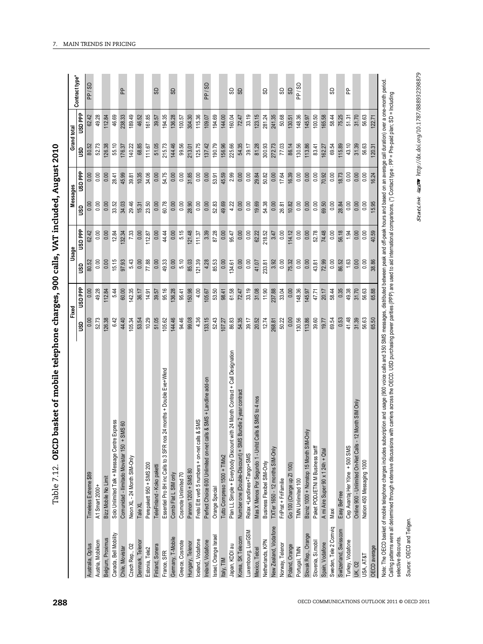| J                                 |
|-----------------------------------|
| $\sim$ 000 calls VAT includes     |
| ノントリーク                            |
| らりいし りょう<br><b>GOIRTH A</b><br>I  |
|                                   |
|                                   |
| <b>CASE 2018</b><br>,             |
| ים בים ב<br>.<br>3<br>3<br>3<br>3 |
| $\frac{1}{1}$<br>י<br>ו           |

| ddd GSN<br>123.15<br>241.35<br>49.28<br>189.49<br>161.85<br>194.35<br>136.28<br>304.30<br>144.00<br>33.19<br>281.24<br>50.68<br>148.36<br>165.58<br>58.44<br>75.25<br>51.31<br>31.70<br>62.42<br>112.84<br>46.69<br>238.33<br>46.52<br>115.36<br>194.69<br>160.04<br>72.47<br>100.50<br>56.63<br>39.57<br>100.57<br>109.07<br>130.51<br>145.97<br>126.38<br>125.75<br>190.79<br>156.96<br>225.66<br>54.35<br>300.93<br>272.73<br>77.03<br>86.14<br>130.56<br>113.86<br>69.54<br>115.89<br>43.10<br>31.39<br>52.73<br>55.10<br>140.22<br>68.85<br>51.05<br>215.73<br>144.46<br>99.56<br>137.42<br>39.17<br>81.28<br>83.41<br>56.63<br>80.52<br>111.67<br>213.01<br>162.27<br>176.37<br>ຮິ<br><b>Hel</b> OSN<br>0.00<br>54.75<br>31.85<br>0.00<br>18.73<br>0.00<br>0.00<br>0.00<br>0.00<br>0.00<br>10.35<br>34.06<br>0.00<br>0.00<br>0.00<br>0.00<br>45.59<br>2.99<br>0.00<br>0.00<br>29.84<br>0.00<br>16.39<br>0.00<br>0.00<br>0.00<br>70.92<br>0.00<br>45.99<br>50.82<br>17.64<br>28.41<br>39.81<br>53.91<br>0.00<br>0.00<br>0.00<br>0.00<br>29.46<br>15.31<br>23.50<br>0.00<br>60.78<br>0.00<br>0.00<br>28.90<br>0.00<br>52.83<br>49.69<br>4.22<br>0.00<br>0.00<br>19.69<br>54.38<br>0.00<br>26.81<br>10.82<br>0.00<br>0.00<br>0.00<br>69.50<br>0.00<br>28.84<br>0.00<br>0.00<br>33.52<br>34.03<br>0.00<br>ន្ធ<br>ddd asn<br>114.12<br>0.00<br>0.00<br>7.33<br>0.00<br>0.00<br>44.44<br>0.00<br>5.15<br>121.48<br>3.39<br>87.28<br>0.00<br>0.00<br>0.00<br>62.22<br>0.00<br>0.00<br>52.78<br>74.48<br>0.00<br>56.18<br>1.94<br>0.00<br>62.42<br>0.00<br>12.84<br>132.34<br>112.87<br>111.37<br>95.47<br>218.52<br>3.47<br>0.00<br>1.63<br>15.15<br>49.33<br>85.03<br>121.39<br>4.28<br>85.53<br>0.00<br>75.32<br>0.00<br>0.00<br>0.00<br>0.00<br>97.93<br>5.43<br>0.00<br>77.88<br>0.00<br>0.00<br>5.10<br>0.00<br>134.61<br>0.00<br>233.81<br>3.92<br>0.00<br>0.00<br>43.81<br>72.99<br>0.00<br>86.52<br>80.52<br>41.07<br>0.00<br>g<br><b>ddd GSN</b><br>33.19<br>31.08<br>148.36<br>0.35<br>49.38<br>31.70<br>142.35<br>95.16<br>136.28<br>150.98<br>4.00<br>61.58<br>72.47<br>11.90<br>237.88<br>33.04<br>0.00<br>58.44<br>0.00<br>49.28<br>12.84<br>5.44<br>60.00<br>36.17<br>14.91<br>39.57<br>95.41<br>105.67<br>53.50<br>98.41<br>47.71<br>20.17<br>56.63<br>145.97<br>41.48<br>94.46<br>99.08<br>4.36<br>52.43<br>54.35<br>12.74<br>130.56<br>52.73<br>6.42<br>105.34<br>10.29<br>51.05<br>133.15<br>39.17<br>0.00<br>113.86<br>39.60<br>69.54<br>0.53<br>31.39<br>56.63<br>126.38<br>44.40<br>53.54<br>105.62<br>144.46<br>86.83<br>20.52<br>50.22<br>19.77<br>0.00<br>107.27<br>268.81<br>ຮິ<br>Plan LL Simple + Everybody Discount with 24 Month Contract + Call Designation<br>Essentiel Pro 8H inc Calls to 3 SFR nos 24 months + Double Eve+Wknd<br>& SMS + Landline add-on<br>undle 2 year contract<br>s & SMS to 4 nos<br>Month SIM Only<br>SMS<br>press<br><b>1S 60</b><br>Solo Unlimited Talk + Message Centre Ex<br>Frelsi Eitt verð 5 numbers + on-net calls 8<br>Perfect Choice 600 Unlimited on-net calls<br>Number one (Double-Discount) + SMS Bu<br>Mas X Menos Por Segundo 1 - Unitd Call<br>Bizniz 1000 + Nonstop 15 Month SIM-On<br>Comunidad - Ilimitado Movistar 150 + SN<br>Online 900 - Unlimited On-Net Calls - 12<br>Cep Avantaj Her Yöne + 500 SMS<br>Paket PODJETNI M Business tariff<br>TXTer 1650 - 12 months SIM-Only<br>A mi Aire Super 90 x 1 24h + Qtal<br>Relax +Landlines+Tango+SMS<br>Tutto Compreso 1500 + TIMx2<br>Neon XL - 24 Month SIM-Only<br>Nation 450 Messaging 1000<br>Business Flexibel SIM-Only<br>Perepakett 950 + SMS 200<br>Go 100 (Charge up Zl 100)<br>TeleFinland - Koko paketti<br>Pannon 1200 + SMS 80<br>Timeless Extreme \$89<br>Cosmote Unlimited 70<br>Combi Flat L SIM only<br>Bizz Mobile No Limit<br>TMN Unlimited 100<br>FriPrat + FriFamilie<br>A1 Smart 2000+<br><b>Orange Special</b><br>Easy BeFree<br>Tale XL<br>Maxi<br>New Zealand, Vodafone<br>Sweden, Tele 2 Comviq<br>Switzerland, Swisscom<br>Luxembourg, LuxGSM<br>Canada, Bell Mobility<br>Slovak Rep., Orange<br>Israel, Orange Israel<br>Korea, SK Telecom<br>Germany, T-Mobile<br>Belgium, Proximus<br>celand, Vodafone<br>Netherlands, KPN<br>Ireland, Vodafone<br>Slovenia, Si.mobil<br>Austria, Mobilkom<br>Greece, Cosmote<br>Turkey, Vodafone<br>Denmark, Telenor<br>Hungary, Telenor<br>Spain, Vodafone<br>Japan, KDDI au<br>Norway, Telenor<br>Australia, Optus<br>Poland, Orange<br>Czech Rep., O2<br>Finland, Sonera<br>Chile, Movistar<br>Portugal, TMN<br>Estonia, Tele2<br>Mexico, Telcel<br>France, SFR<br>USA, AT&T<br>Italy, TIM<br><b>UK, 02</b> |              | Fixed |       | Usage |       | Messages |       | Grand total |        |                |
|------------------------------------------------------------------------------------------------------------------------------------------------------------------------------------------------------------------------------------------------------------------------------------------------------------------------------------------------------------------------------------------------------------------------------------------------------------------------------------------------------------------------------------------------------------------------------------------------------------------------------------------------------------------------------------------------------------------------------------------------------------------------------------------------------------------------------------------------------------------------------------------------------------------------------------------------------------------------------------------------------------------------------------------------------------------------------------------------------------------------------------------------------------------------------------------------------------------------------------------------------------------------------------------------------------------------------------------------------------------------------------------------------------------------------------------------------------------------------------------------------------------------------------------------------------------------------------------------------------------------------------------------------------------------------------------------------------------------------------------------------------------------------------------------------------------------------------------------------------------------------------------------------------------------------------------------------------------------------------------------------------------------------------------------------------------------------------------------------------------------------------------------------------------------------------------------------------------------------------------------------------------------------------------------------------------------------------------------------------------------------------------------------------------------------------------------------------------------------------------------------------------------------------------------------------------------------------------------------------------------------------------------------------------------------------------------------------------------------------------------------------------------------------------------------------------------------------------------------------------------------------------------------------------------------------------------------------------------------------------------------------------------------------------------------------------------------------------------------------------------------------------------------------------------------------------------------------------------------------------------------------------------------------------------------------------------------------------------------------------------------------------------------------------------------------------------------------------------------------------------------------------------------------------------------------------------------------------------------------------------------------------------------------------------------------------------------------------------------------------------------------------------------------------------------------------------------------------------------------------------------------------------------------------------------------------------------------------------------------------------------------------------------------------------------------------------------------------------------------------------------------------------------------------------------------------------------------------------------------------------------------------------------------------------------------------------------------------------------------------------------------------------------------------------------------------------------------------------------------------------------------------------------------------------------------------------------------------------------------|--------------|-------|-------|-------|-------|----------|-------|-------------|--------|----------------|
|                                                                                                                                                                                                                                                                                                                                                                                                                                                                                                                                                                                                                                                                                                                                                                                                                                                                                                                                                                                                                                                                                                                                                                                                                                                                                                                                                                                                                                                                                                                                                                                                                                                                                                                                                                                                                                                                                                                                                                                                                                                                                                                                                                                                                                                                                                                                                                                                                                                                                                                                                                                                                                                                                                                                                                                                                                                                                                                                                                                                                                                                                                                                                                                                                                                                                                                                                                                                                                                                                                                                                                                                                                                                                                                                                                                                                                                                                                                                                                                                                                                                                                                                                                                                                                                                                                                                                                                                                                                                                                                                                                                                            |              |       |       |       |       |          |       |             |        | Contract type* |
|                                                                                                                                                                                                                                                                                                                                                                                                                                                                                                                                                                                                                                                                                                                                                                                                                                                                                                                                                                                                                                                                                                                                                                                                                                                                                                                                                                                                                                                                                                                                                                                                                                                                                                                                                                                                                                                                                                                                                                                                                                                                                                                                                                                                                                                                                                                                                                                                                                                                                                                                                                                                                                                                                                                                                                                                                                                                                                                                                                                                                                                                                                                                                                                                                                                                                                                                                                                                                                                                                                                                                                                                                                                                                                                                                                                                                                                                                                                                                                                                                                                                                                                                                                                                                                                                                                                                                                                                                                                                                                                                                                                                            |              |       |       |       |       |          |       |             |        | PP / SD        |
|                                                                                                                                                                                                                                                                                                                                                                                                                                                                                                                                                                                                                                                                                                                                                                                                                                                                                                                                                                                                                                                                                                                                                                                                                                                                                                                                                                                                                                                                                                                                                                                                                                                                                                                                                                                                                                                                                                                                                                                                                                                                                                                                                                                                                                                                                                                                                                                                                                                                                                                                                                                                                                                                                                                                                                                                                                                                                                                                                                                                                                                                                                                                                                                                                                                                                                                                                                                                                                                                                                                                                                                                                                                                                                                                                                                                                                                                                                                                                                                                                                                                                                                                                                                                                                                                                                                                                                                                                                                                                                                                                                                                            |              |       |       |       |       |          |       |             |        |                |
|                                                                                                                                                                                                                                                                                                                                                                                                                                                                                                                                                                                                                                                                                                                                                                                                                                                                                                                                                                                                                                                                                                                                                                                                                                                                                                                                                                                                                                                                                                                                                                                                                                                                                                                                                                                                                                                                                                                                                                                                                                                                                                                                                                                                                                                                                                                                                                                                                                                                                                                                                                                                                                                                                                                                                                                                                                                                                                                                                                                                                                                                                                                                                                                                                                                                                                                                                                                                                                                                                                                                                                                                                                                                                                                                                                                                                                                                                                                                                                                                                                                                                                                                                                                                                                                                                                                                                                                                                                                                                                                                                                                                            |              |       |       |       |       |          |       |             |        |                |
|                                                                                                                                                                                                                                                                                                                                                                                                                                                                                                                                                                                                                                                                                                                                                                                                                                                                                                                                                                                                                                                                                                                                                                                                                                                                                                                                                                                                                                                                                                                                                                                                                                                                                                                                                                                                                                                                                                                                                                                                                                                                                                                                                                                                                                                                                                                                                                                                                                                                                                                                                                                                                                                                                                                                                                                                                                                                                                                                                                                                                                                                                                                                                                                                                                                                                                                                                                                                                                                                                                                                                                                                                                                                                                                                                                                                                                                                                                                                                                                                                                                                                                                                                                                                                                                                                                                                                                                                                                                                                                                                                                                                            |              |       |       |       |       |          |       |             |        |                |
|                                                                                                                                                                                                                                                                                                                                                                                                                                                                                                                                                                                                                                                                                                                                                                                                                                                                                                                                                                                                                                                                                                                                                                                                                                                                                                                                                                                                                                                                                                                                                                                                                                                                                                                                                                                                                                                                                                                                                                                                                                                                                                                                                                                                                                                                                                                                                                                                                                                                                                                                                                                                                                                                                                                                                                                                                                                                                                                                                                                                                                                                                                                                                                                                                                                                                                                                                                                                                                                                                                                                                                                                                                                                                                                                                                                                                                                                                                                                                                                                                                                                                                                                                                                                                                                                                                                                                                                                                                                                                                                                                                                                            |              |       |       |       |       |          |       |             |        | $\mathbf{r}$   |
|                                                                                                                                                                                                                                                                                                                                                                                                                                                                                                                                                                                                                                                                                                                                                                                                                                                                                                                                                                                                                                                                                                                                                                                                                                                                                                                                                                                                                                                                                                                                                                                                                                                                                                                                                                                                                                                                                                                                                                                                                                                                                                                                                                                                                                                                                                                                                                                                                                                                                                                                                                                                                                                                                                                                                                                                                                                                                                                                                                                                                                                                                                                                                                                                                                                                                                                                                                                                                                                                                                                                                                                                                                                                                                                                                                                                                                                                                                                                                                                                                                                                                                                                                                                                                                                                                                                                                                                                                                                                                                                                                                                                            |              |       |       |       |       |          |       |             |        |                |
|                                                                                                                                                                                                                                                                                                                                                                                                                                                                                                                                                                                                                                                                                                                                                                                                                                                                                                                                                                                                                                                                                                                                                                                                                                                                                                                                                                                                                                                                                                                                                                                                                                                                                                                                                                                                                                                                                                                                                                                                                                                                                                                                                                                                                                                                                                                                                                                                                                                                                                                                                                                                                                                                                                                                                                                                                                                                                                                                                                                                                                                                                                                                                                                                                                                                                                                                                                                                                                                                                                                                                                                                                                                                                                                                                                                                                                                                                                                                                                                                                                                                                                                                                                                                                                                                                                                                                                                                                                                                                                                                                                                                            |              |       |       |       |       |          |       |             |        |                |
|                                                                                                                                                                                                                                                                                                                                                                                                                                                                                                                                                                                                                                                                                                                                                                                                                                                                                                                                                                                                                                                                                                                                                                                                                                                                                                                                                                                                                                                                                                                                                                                                                                                                                                                                                                                                                                                                                                                                                                                                                                                                                                                                                                                                                                                                                                                                                                                                                                                                                                                                                                                                                                                                                                                                                                                                                                                                                                                                                                                                                                                                                                                                                                                                                                                                                                                                                                                                                                                                                                                                                                                                                                                                                                                                                                                                                                                                                                                                                                                                                                                                                                                                                                                                                                                                                                                                                                                                                                                                                                                                                                                                            |              |       |       |       |       |          |       |             |        |                |
|                                                                                                                                                                                                                                                                                                                                                                                                                                                                                                                                                                                                                                                                                                                                                                                                                                                                                                                                                                                                                                                                                                                                                                                                                                                                                                                                                                                                                                                                                                                                                                                                                                                                                                                                                                                                                                                                                                                                                                                                                                                                                                                                                                                                                                                                                                                                                                                                                                                                                                                                                                                                                                                                                                                                                                                                                                                                                                                                                                                                                                                                                                                                                                                                                                                                                                                                                                                                                                                                                                                                                                                                                                                                                                                                                                                                                                                                                                                                                                                                                                                                                                                                                                                                                                                                                                                                                                                                                                                                                                                                                                                                            |              |       |       |       |       |          |       |             |        | 8              |
|                                                                                                                                                                                                                                                                                                                                                                                                                                                                                                                                                                                                                                                                                                                                                                                                                                                                                                                                                                                                                                                                                                                                                                                                                                                                                                                                                                                                                                                                                                                                                                                                                                                                                                                                                                                                                                                                                                                                                                                                                                                                                                                                                                                                                                                                                                                                                                                                                                                                                                                                                                                                                                                                                                                                                                                                                                                                                                                                                                                                                                                                                                                                                                                                                                                                                                                                                                                                                                                                                                                                                                                                                                                                                                                                                                                                                                                                                                                                                                                                                                                                                                                                                                                                                                                                                                                                                                                                                                                                                                                                                                                                            |              |       |       |       |       |          |       |             |        |                |
|                                                                                                                                                                                                                                                                                                                                                                                                                                                                                                                                                                                                                                                                                                                                                                                                                                                                                                                                                                                                                                                                                                                                                                                                                                                                                                                                                                                                                                                                                                                                                                                                                                                                                                                                                                                                                                                                                                                                                                                                                                                                                                                                                                                                                                                                                                                                                                                                                                                                                                                                                                                                                                                                                                                                                                                                                                                                                                                                                                                                                                                                                                                                                                                                                                                                                                                                                                                                                                                                                                                                                                                                                                                                                                                                                                                                                                                                                                                                                                                                                                                                                                                                                                                                                                                                                                                                                                                                                                                                                                                                                                                                            |              |       |       |       |       |          |       |             |        | <b>G</b>       |
|                                                                                                                                                                                                                                                                                                                                                                                                                                                                                                                                                                                                                                                                                                                                                                                                                                                                                                                                                                                                                                                                                                                                                                                                                                                                                                                                                                                                                                                                                                                                                                                                                                                                                                                                                                                                                                                                                                                                                                                                                                                                                                                                                                                                                                                                                                                                                                                                                                                                                                                                                                                                                                                                                                                                                                                                                                                                                                                                                                                                                                                                                                                                                                                                                                                                                                                                                                                                                                                                                                                                                                                                                                                                                                                                                                                                                                                                                                                                                                                                                                                                                                                                                                                                                                                                                                                                                                                                                                                                                                                                                                                                            |              |       |       |       |       |          |       |             |        |                |
|                                                                                                                                                                                                                                                                                                                                                                                                                                                                                                                                                                                                                                                                                                                                                                                                                                                                                                                                                                                                                                                                                                                                                                                                                                                                                                                                                                                                                                                                                                                                                                                                                                                                                                                                                                                                                                                                                                                                                                                                                                                                                                                                                                                                                                                                                                                                                                                                                                                                                                                                                                                                                                                                                                                                                                                                                                                                                                                                                                                                                                                                                                                                                                                                                                                                                                                                                                                                                                                                                                                                                                                                                                                                                                                                                                                                                                                                                                                                                                                                                                                                                                                                                                                                                                                                                                                                                                                                                                                                                                                                                                                                            |              |       |       |       |       |          |       |             |        |                |
|                                                                                                                                                                                                                                                                                                                                                                                                                                                                                                                                                                                                                                                                                                                                                                                                                                                                                                                                                                                                                                                                                                                                                                                                                                                                                                                                                                                                                                                                                                                                                                                                                                                                                                                                                                                                                                                                                                                                                                                                                                                                                                                                                                                                                                                                                                                                                                                                                                                                                                                                                                                                                                                                                                                                                                                                                                                                                                                                                                                                                                                                                                                                                                                                                                                                                                                                                                                                                                                                                                                                                                                                                                                                                                                                                                                                                                                                                                                                                                                                                                                                                                                                                                                                                                                                                                                                                                                                                                                                                                                                                                                                            |              |       |       |       |       |          |       |             |        |                |
|                                                                                                                                                                                                                                                                                                                                                                                                                                                                                                                                                                                                                                                                                                                                                                                                                                                                                                                                                                                                                                                                                                                                                                                                                                                                                                                                                                                                                                                                                                                                                                                                                                                                                                                                                                                                                                                                                                                                                                                                                                                                                                                                                                                                                                                                                                                                                                                                                                                                                                                                                                                                                                                                                                                                                                                                                                                                                                                                                                                                                                                                                                                                                                                                                                                                                                                                                                                                                                                                                                                                                                                                                                                                                                                                                                                                                                                                                                                                                                                                                                                                                                                                                                                                                                                                                                                                                                                                                                                                                                                                                                                                            |              |       |       |       |       |          |       |             |        | PP / SD        |
|                                                                                                                                                                                                                                                                                                                                                                                                                                                                                                                                                                                                                                                                                                                                                                                                                                                                                                                                                                                                                                                                                                                                                                                                                                                                                                                                                                                                                                                                                                                                                                                                                                                                                                                                                                                                                                                                                                                                                                                                                                                                                                                                                                                                                                                                                                                                                                                                                                                                                                                                                                                                                                                                                                                                                                                                                                                                                                                                                                                                                                                                                                                                                                                                                                                                                                                                                                                                                                                                                                                                                                                                                                                                                                                                                                                                                                                                                                                                                                                                                                                                                                                                                                                                                                                                                                                                                                                                                                                                                                                                                                                                            |              |       |       |       |       |          |       |             |        |                |
|                                                                                                                                                                                                                                                                                                                                                                                                                                                                                                                                                                                                                                                                                                                                                                                                                                                                                                                                                                                                                                                                                                                                                                                                                                                                                                                                                                                                                                                                                                                                                                                                                                                                                                                                                                                                                                                                                                                                                                                                                                                                                                                                                                                                                                                                                                                                                                                                                                                                                                                                                                                                                                                                                                                                                                                                                                                                                                                                                                                                                                                                                                                                                                                                                                                                                                                                                                                                                                                                                                                                                                                                                                                                                                                                                                                                                                                                                                                                                                                                                                                                                                                                                                                                                                                                                                                                                                                                                                                                                                                                                                                                            |              |       |       |       |       |          |       |             |        |                |
|                                                                                                                                                                                                                                                                                                                                                                                                                                                                                                                                                                                                                                                                                                                                                                                                                                                                                                                                                                                                                                                                                                                                                                                                                                                                                                                                                                                                                                                                                                                                                                                                                                                                                                                                                                                                                                                                                                                                                                                                                                                                                                                                                                                                                                                                                                                                                                                                                                                                                                                                                                                                                                                                                                                                                                                                                                                                                                                                                                                                                                                                                                                                                                                                                                                                                                                                                                                                                                                                                                                                                                                                                                                                                                                                                                                                                                                                                                                                                                                                                                                                                                                                                                                                                                                                                                                                                                                                                                                                                                                                                                                                            |              |       |       |       |       |          |       |             |        | 8              |
|                                                                                                                                                                                                                                                                                                                                                                                                                                                                                                                                                                                                                                                                                                                                                                                                                                                                                                                                                                                                                                                                                                                                                                                                                                                                                                                                                                                                                                                                                                                                                                                                                                                                                                                                                                                                                                                                                                                                                                                                                                                                                                                                                                                                                                                                                                                                                                                                                                                                                                                                                                                                                                                                                                                                                                                                                                                                                                                                                                                                                                                                                                                                                                                                                                                                                                                                                                                                                                                                                                                                                                                                                                                                                                                                                                                                                                                                                                                                                                                                                                                                                                                                                                                                                                                                                                                                                                                                                                                                                                                                                                                                            |              |       |       |       |       |          |       |             |        | S <sub>D</sub> |
|                                                                                                                                                                                                                                                                                                                                                                                                                                                                                                                                                                                                                                                                                                                                                                                                                                                                                                                                                                                                                                                                                                                                                                                                                                                                                                                                                                                                                                                                                                                                                                                                                                                                                                                                                                                                                                                                                                                                                                                                                                                                                                                                                                                                                                                                                                                                                                                                                                                                                                                                                                                                                                                                                                                                                                                                                                                                                                                                                                                                                                                                                                                                                                                                                                                                                                                                                                                                                                                                                                                                                                                                                                                                                                                                                                                                                                                                                                                                                                                                                                                                                                                                                                                                                                                                                                                                                                                                                                                                                                                                                                                                            |              |       |       |       |       |          |       |             |        |                |
|                                                                                                                                                                                                                                                                                                                                                                                                                                                                                                                                                                                                                                                                                                                                                                                                                                                                                                                                                                                                                                                                                                                                                                                                                                                                                                                                                                                                                                                                                                                                                                                                                                                                                                                                                                                                                                                                                                                                                                                                                                                                                                                                                                                                                                                                                                                                                                                                                                                                                                                                                                                                                                                                                                                                                                                                                                                                                                                                                                                                                                                                                                                                                                                                                                                                                                                                                                                                                                                                                                                                                                                                                                                                                                                                                                                                                                                                                                                                                                                                                                                                                                                                                                                                                                                                                                                                                                                                                                                                                                                                                                                                            |              |       |       |       |       |          |       |             |        |                |
|                                                                                                                                                                                                                                                                                                                                                                                                                                                                                                                                                                                                                                                                                                                                                                                                                                                                                                                                                                                                                                                                                                                                                                                                                                                                                                                                                                                                                                                                                                                                                                                                                                                                                                                                                                                                                                                                                                                                                                                                                                                                                                                                                                                                                                                                                                                                                                                                                                                                                                                                                                                                                                                                                                                                                                                                                                                                                                                                                                                                                                                                                                                                                                                                                                                                                                                                                                                                                                                                                                                                                                                                                                                                                                                                                                                                                                                                                                                                                                                                                                                                                                                                                                                                                                                                                                                                                                                                                                                                                                                                                                                                            |              |       |       |       |       |          |       |             |        | S)             |
|                                                                                                                                                                                                                                                                                                                                                                                                                                                                                                                                                                                                                                                                                                                                                                                                                                                                                                                                                                                                                                                                                                                                                                                                                                                                                                                                                                                                                                                                                                                                                                                                                                                                                                                                                                                                                                                                                                                                                                                                                                                                                                                                                                                                                                                                                                                                                                                                                                                                                                                                                                                                                                                                                                                                                                                                                                                                                                                                                                                                                                                                                                                                                                                                                                                                                                                                                                                                                                                                                                                                                                                                                                                                                                                                                                                                                                                                                                                                                                                                                                                                                                                                                                                                                                                                                                                                                                                                                                                                                                                                                                                                            |              |       |       |       |       |          |       |             |        |                |
|                                                                                                                                                                                                                                                                                                                                                                                                                                                                                                                                                                                                                                                                                                                                                                                                                                                                                                                                                                                                                                                                                                                                                                                                                                                                                                                                                                                                                                                                                                                                                                                                                                                                                                                                                                                                                                                                                                                                                                                                                                                                                                                                                                                                                                                                                                                                                                                                                                                                                                                                                                                                                                                                                                                                                                                                                                                                                                                                                                                                                                                                                                                                                                                                                                                                                                                                                                                                                                                                                                                                                                                                                                                                                                                                                                                                                                                                                                                                                                                                                                                                                                                                                                                                                                                                                                                                                                                                                                                                                                                                                                                                            |              |       |       |       |       |          |       |             |        | 9              |
|                                                                                                                                                                                                                                                                                                                                                                                                                                                                                                                                                                                                                                                                                                                                                                                                                                                                                                                                                                                                                                                                                                                                                                                                                                                                                                                                                                                                                                                                                                                                                                                                                                                                                                                                                                                                                                                                                                                                                                                                                                                                                                                                                                                                                                                                                                                                                                                                                                                                                                                                                                                                                                                                                                                                                                                                                                                                                                                                                                                                                                                                                                                                                                                                                                                                                                                                                                                                                                                                                                                                                                                                                                                                                                                                                                                                                                                                                                                                                                                                                                                                                                                                                                                                                                                                                                                                                                                                                                                                                                                                                                                                            |              |       |       |       |       |          |       |             |        | <b>GS</b>      |
|                                                                                                                                                                                                                                                                                                                                                                                                                                                                                                                                                                                                                                                                                                                                                                                                                                                                                                                                                                                                                                                                                                                                                                                                                                                                                                                                                                                                                                                                                                                                                                                                                                                                                                                                                                                                                                                                                                                                                                                                                                                                                                                                                                                                                                                                                                                                                                                                                                                                                                                                                                                                                                                                                                                                                                                                                                                                                                                                                                                                                                                                                                                                                                                                                                                                                                                                                                                                                                                                                                                                                                                                                                                                                                                                                                                                                                                                                                                                                                                                                                                                                                                                                                                                                                                                                                                                                                                                                                                                                                                                                                                                            |              |       |       |       |       |          |       |             |        | PP / SD        |
|                                                                                                                                                                                                                                                                                                                                                                                                                                                                                                                                                                                                                                                                                                                                                                                                                                                                                                                                                                                                                                                                                                                                                                                                                                                                                                                                                                                                                                                                                                                                                                                                                                                                                                                                                                                                                                                                                                                                                                                                                                                                                                                                                                                                                                                                                                                                                                                                                                                                                                                                                                                                                                                                                                                                                                                                                                                                                                                                                                                                                                                                                                                                                                                                                                                                                                                                                                                                                                                                                                                                                                                                                                                                                                                                                                                                                                                                                                                                                                                                                                                                                                                                                                                                                                                                                                                                                                                                                                                                                                                                                                                                            |              |       |       |       |       |          |       |             |        |                |
|                                                                                                                                                                                                                                                                                                                                                                                                                                                                                                                                                                                                                                                                                                                                                                                                                                                                                                                                                                                                                                                                                                                                                                                                                                                                                                                                                                                                                                                                                                                                                                                                                                                                                                                                                                                                                                                                                                                                                                                                                                                                                                                                                                                                                                                                                                                                                                                                                                                                                                                                                                                                                                                                                                                                                                                                                                                                                                                                                                                                                                                                                                                                                                                                                                                                                                                                                                                                                                                                                                                                                                                                                                                                                                                                                                                                                                                                                                                                                                                                                                                                                                                                                                                                                                                                                                                                                                                                                                                                                                                                                                                                            |              |       |       |       |       |          |       |             |        |                |
|                                                                                                                                                                                                                                                                                                                                                                                                                                                                                                                                                                                                                                                                                                                                                                                                                                                                                                                                                                                                                                                                                                                                                                                                                                                                                                                                                                                                                                                                                                                                                                                                                                                                                                                                                                                                                                                                                                                                                                                                                                                                                                                                                                                                                                                                                                                                                                                                                                                                                                                                                                                                                                                                                                                                                                                                                                                                                                                                                                                                                                                                                                                                                                                                                                                                                                                                                                                                                                                                                                                                                                                                                                                                                                                                                                                                                                                                                                                                                                                                                                                                                                                                                                                                                                                                                                                                                                                                                                                                                                                                                                                                            |              |       |       |       |       |          |       |             |        |                |
|                                                                                                                                                                                                                                                                                                                                                                                                                                                                                                                                                                                                                                                                                                                                                                                                                                                                                                                                                                                                                                                                                                                                                                                                                                                                                                                                                                                                                                                                                                                                                                                                                                                                                                                                                                                                                                                                                                                                                                                                                                                                                                                                                                                                                                                                                                                                                                                                                                                                                                                                                                                                                                                                                                                                                                                                                                                                                                                                                                                                                                                                                                                                                                                                                                                                                                                                                                                                                                                                                                                                                                                                                                                                                                                                                                                                                                                                                                                                                                                                                                                                                                                                                                                                                                                                                                                                                                                                                                                                                                                                                                                                            |              |       |       |       |       |          |       |             |        | 8              |
|                                                                                                                                                                                                                                                                                                                                                                                                                                                                                                                                                                                                                                                                                                                                                                                                                                                                                                                                                                                                                                                                                                                                                                                                                                                                                                                                                                                                                                                                                                                                                                                                                                                                                                                                                                                                                                                                                                                                                                                                                                                                                                                                                                                                                                                                                                                                                                                                                                                                                                                                                                                                                                                                                                                                                                                                                                                                                                                                                                                                                                                                                                                                                                                                                                                                                                                                                                                                                                                                                                                                                                                                                                                                                                                                                                                                                                                                                                                                                                                                                                                                                                                                                                                                                                                                                                                                                                                                                                                                                                                                                                                                            |              |       |       |       |       |          |       |             |        |                |
|                                                                                                                                                                                                                                                                                                                                                                                                                                                                                                                                                                                                                                                                                                                                                                                                                                                                                                                                                                                                                                                                                                                                                                                                                                                                                                                                                                                                                                                                                                                                                                                                                                                                                                                                                                                                                                                                                                                                                                                                                                                                                                                                                                                                                                                                                                                                                                                                                                                                                                                                                                                                                                                                                                                                                                                                                                                                                                                                                                                                                                                                                                                                                                                                                                                                                                                                                                                                                                                                                                                                                                                                                                                                                                                                                                                                                                                                                                                                                                                                                                                                                                                                                                                                                                                                                                                                                                                                                                                                                                                                                                                                            |              |       |       |       |       |          |       |             |        | <u>۾</u>       |
|                                                                                                                                                                                                                                                                                                                                                                                                                                                                                                                                                                                                                                                                                                                                                                                                                                                                                                                                                                                                                                                                                                                                                                                                                                                                                                                                                                                                                                                                                                                                                                                                                                                                                                                                                                                                                                                                                                                                                                                                                                                                                                                                                                                                                                                                                                                                                                                                                                                                                                                                                                                                                                                                                                                                                                                                                                                                                                                                                                                                                                                                                                                                                                                                                                                                                                                                                                                                                                                                                                                                                                                                                                                                                                                                                                                                                                                                                                                                                                                                                                                                                                                                                                                                                                                                                                                                                                                                                                                                                                                                                                                                            |              |       |       |       |       |          |       |             |        |                |
|                                                                                                                                                                                                                                                                                                                                                                                                                                                                                                                                                                                                                                                                                                                                                                                                                                                                                                                                                                                                                                                                                                                                                                                                                                                                                                                                                                                                                                                                                                                                                                                                                                                                                                                                                                                                                                                                                                                                                                                                                                                                                                                                                                                                                                                                                                                                                                                                                                                                                                                                                                                                                                                                                                                                                                                                                                                                                                                                                                                                                                                                                                                                                                                                                                                                                                                                                                                                                                                                                                                                                                                                                                                                                                                                                                                                                                                                                                                                                                                                                                                                                                                                                                                                                                                                                                                                                                                                                                                                                                                                                                                                            |              |       |       |       |       |          |       |             |        |                |
|                                                                                                                                                                                                                                                                                                                                                                                                                                                                                                                                                                                                                                                                                                                                                                                                                                                                                                                                                                                                                                                                                                                                                                                                                                                                                                                                                                                                                                                                                                                                                                                                                                                                                                                                                                                                                                                                                                                                                                                                                                                                                                                                                                                                                                                                                                                                                                                                                                                                                                                                                                                                                                                                                                                                                                                                                                                                                                                                                                                                                                                                                                                                                                                                                                                                                                                                                                                                                                                                                                                                                                                                                                                                                                                                                                                                                                                                                                                                                                                                                                                                                                                                                                                                                                                                                                                                                                                                                                                                                                                                                                                                            | OECD average | 65.50 | 65.88 | 38.86 | 40.59 | 15.95    | 16.24 | 120.31      | 122.71 |                |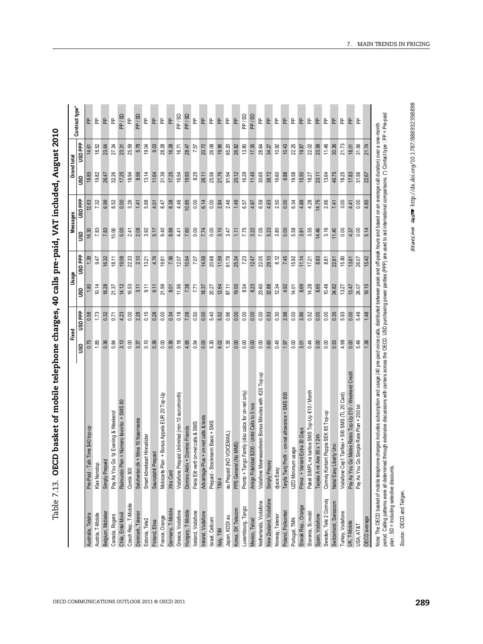| l                |
|------------------|
|                  |
|                  |
|                  |
|                  |
|                  |
|                  |
| ていくらくそう          |
| l                |
| $\vdots$         |
|                  |
|                  |
| .<br>.           |
| $\mathbf{I}$     |
|                  |
|                  |
|                  |
|                  |
|                  |
|                  |
|                  |
|                  |
|                  |
|                  |
|                  |
| I<br>i           |
|                  |
| $\frac{1}{2}$    |
| I<br>J           |
| )<br>)<br>)<br>Ę |

| ddd GSN<br>7.75<br>7.05<br>3.80<br>5.58<br>3.55<br>3.16<br>16.30<br>7.83<br>2.41<br>2.08<br>3.92<br>9.40<br>8.88<br>0.00<br>7.74<br>0.00<br>3.10<br>3.47<br>3.22<br>5.23<br>0.00<br>3.81<br>14.46<br>11.40<br>0.00<br>7.83<br>10.06<br>0.00<br>5.17<br>4.41<br>7.60<br>1.11<br>ຮຶ<br><b>Hdd CST</b><br>8.12<br>2.10<br>22.05<br>7.45<br>7.56<br>7.07<br>61.78<br>7.23<br>29.10<br>8.83<br>9.47<br>19.08<br>22.33<br>4.74<br>14.58<br>11.59<br>15.92<br>11.14<br>16.32<br>13.21<br>19.81<br>12.07<br>10.54<br>20.68<br>25.34<br>17.21<br>8.81<br>15.80<br>18.11<br>12.47<br>22.61<br>10.14<br>16.53<br>11.95<br>32.88<br>8.69<br>14.28<br>10.48<br>18.28<br>14.12<br>9.11<br>21.99<br>8.01<br>7.38<br>7.71<br>12.64<br>87.11<br>19.00<br>8.54<br>23.60<br>12.34<br>14.01<br>34.82<br>21.37<br>3.11<br>6.11<br>18.37<br>20.27<br>8.23<br>4.92<br>8.65<br>13.27<br>GSU<br>ddd GSN<br>0.15<br>0.35<br>5.93<br>1.73<br>0.32<br>4.23<br>2.28<br>0.18<br>7.08<br>0.50<br>5.40<br>0.96<br>0.00<br>0.00<br>0.53<br>0.30<br>2.98<br>0.00<br>3.86<br>0.52<br>0.00<br>0.58<br>0.00<br>0.28<br>0.00<br>0.00<br>5.52<br>0.00<br>0.00<br>0.00<br>0.71<br>0.34<br>1.85<br>0.00<br>0.36<br>0.18<br>4.95<br>0.54<br>5.30<br>1.35<br>0.45<br>0.36<br>0.84<br>3.13<br>0.00<br>0.10<br>0.36<br>0.00<br>6.02<br>0.00<br>0.00<br>0.00<br>0.00<br>0.60<br>0.00<br>3.01<br>0.44<br>0.00<br>0.53<br>4.98<br>3.37<br>1.97<br>0.00<br>GSU<br>€20 Тор-ир<br>na kartice SMS Top-Up €10 / Month<br>Pronto + Tango Family (disc calcs for on-net only)<br>Mobicarte Plan + Bonus Appels EUR 20 Top-Up<br>Profil - on-net allowance + SMS 600<br>Vodafone Prepaid Unlimited (min 10 euro/month)<br>Vodafone Cep1 Tarifesi + 500 SMS (TL 20 Card)<br>Vodafone Meerwaarderen Bonus Minutes with<br>8<br>Amigo Fidelidad \$200 - Unitd Calls to 3 nos<br>an + Número favorito + SMS<br>Pay As You Go 1¢ Evening & Weekend<br>Comviq Kontant Poppis SEK 85 Top-up<br>Is & texts<br>Selvhenter.dk + Mine 10 Naermeste<br>Frelsi Eitt vero on-net calls & SMS<br>Prepaid - Stockmann Basic + SMS<br>+ Domino Friends<br>Pre-Paid - Talk Time \$40 top-up<br>ant Extra 30 Days<br>au Prepaid (NO VOICEMAIL)<br>$\ln s$ + on-net cal<br>Smart kõnekaart Hinnaliider<br>Aire 90 x 1 24<br>(No MMS)<br>iberty Uno<br>UZO Minimum usage<br>repaid<br>Simply Prepaid<br>Simply Prepay<br>Klax Nonstop<br>Domino Aktív<br>Raimundo Pl<br>Saunalahti P<br>Advantage P<br>PPS General<br>Prima + Vari<br>Paket SIMPL<br>Natal Easy Li<br>Tarjeta A mi<br>Taryfa Twój<br>djuce Easy<br>Combi 300<br>Xtra Card<br>TIM 4<br>New Zealand, Vodafone<br>Sweden, Tele 2 Comviq<br>Netherlands, Vodafone<br>Switzerland, Swisscom<br>Czech Rep., T-Mobile<br>Slovak Rep., Orange<br>Luxembourg, Tango<br>Korea, SK Telecom<br>Germany, T-Mobile<br>Hungary, T-Mobile<br>Greece, Vodafone<br>Iceland, Vodafone<br>Ireland, Vodafone<br>Slovenia, Si.mobil<br>Turkey, Vodafone<br>Denmark, Telenor<br>Poland, Polkomtel<br>Belgium, Mobistar<br>Chile, Entel Movil<br>Austria, T-Mobile<br>Spain, Vodafone<br>Canada, Rogers<br>Australia, Telstra<br>Japan, KDDI au<br>Norway, Telenor<br>France, Orange<br>Israel, Cellcom<br>Mexico, Telcel<br>Portugal, TMN<br>Estonia, Tele2<br>Finland, Elisa<br>Italy, TIM |                |                |
|---------------------------------------------------------------------------------------------------------------------------------------------------------------------------------------------------------------------------------------------------------------------------------------------------------------------------------------------------------------------------------------------------------------------------------------------------------------------------------------------------------------------------------------------------------------------------------------------------------------------------------------------------------------------------------------------------------------------------------------------------------------------------------------------------------------------------------------------------------------------------------------------------------------------------------------------------------------------------------------------------------------------------------------------------------------------------------------------------------------------------------------------------------------------------------------------------------------------------------------------------------------------------------------------------------------------------------------------------------------------------------------------------------------------------------------------------------------------------------------------------------------------------------------------------------------------------------------------------------------------------------------------------------------------------------------------------------------------------------------------------------------------------------------------------------------------------------------------------------------------------------------------------------------------------------------------------------------------------------------------------------------------------------------------------------------------------------------------------------------------------------------------------------------------------------------------------------------------------------------------------------------------------------------------------------------------------------------------------------------------------------------------------------------------------------------------------------------------------------------------------------------------------------------------------------------------------------------------------------------------------------------------------------------------------------------------------------------------------------------------------------------------------------------------------------------------------------------------------------------------------------------------------------------------------------------------------------------------------------------------------------------------------------------------------------------------------------------------------------------------------------------------------------------------------------------------------------------------------------------------------------|----------------|----------------|
|                                                                                                                                                                                                                                                                                                                                                                                                                                                                                                                                                                                                                                                                                                                                                                                                                                                                                                                                                                                                                                                                                                                                                                                                                                                                                                                                                                                                                                                                                                                                                                                                                                                                                                                                                                                                                                                                                                                                                                                                                                                                                                                                                                                                                                                                                                                                                                                                                                                                                                                                                                                                                                                                                                                                                                                                                                                                                                                                                                                                                                                                                                                                                                                                                                                         | SO             | <b>ddd GSN</b> |
|                                                                                                                                                                                                                                                                                                                                                                                                                                                                                                                                                                                                                                                                                                                                                                                                                                                                                                                                                                                                                                                                                                                                                                                                                                                                                                                                                                                                                                                                                                                                                                                                                                                                                                                                                                                                                                                                                                                                                                                                                                                                                                                                                                                                                                                                                                                                                                                                                                                                                                                                                                                                                                                                                                                                                                                                                                                                                                                                                                                                                                                                                                                                                                                                                                                         | 18.85<br>2.63  |                |
|                                                                                                                                                                                                                                                                                                                                                                                                                                                                                                                                                                                                                                                                                                                                                                                                                                                                                                                                                                                                                                                                                                                                                                                                                                                                                                                                                                                                                                                                                                                                                                                                                                                                                                                                                                                                                                                                                                                                                                                                                                                                                                                                                                                                                                                                                                                                                                                                                                                                                                                                                                                                                                                                                                                                                                                                                                                                                                                                                                                                                                                                                                                                                                                                                                                         | 19.82<br>7.32  | 18.52          |
|                                                                                                                                                                                                                                                                                                                                                                                                                                                                                                                                                                                                                                                                                                                                                                                                                                                                                                                                                                                                                                                                                                                                                                                                                                                                                                                                                                                                                                                                                                                                                                                                                                                                                                                                                                                                                                                                                                                                                                                                                                                                                                                                                                                                                                                                                                                                                                                                                                                                                                                                                                                                                                                                                                                                                                                                                                                                                                                                                                                                                                                                                                                                                                                                                                                         | 26.47<br>6.99  | 23.64          |
|                                                                                                                                                                                                                                                                                                                                                                                                                                                                                                                                                                                                                                                                                                                                                                                                                                                                                                                                                                                                                                                                                                                                                                                                                                                                                                                                                                                                                                                                                                                                                                                                                                                                                                                                                                                                                                                                                                                                                                                                                                                                                                                                                                                                                                                                                                                                                                                                                                                                                                                                                                                                                                                                                                                                                                                                                                                                                                                                                                                                                                                                                                                                                                                                                                                         | 32.26<br>8.52  | 27.34          |
|                                                                                                                                                                                                                                                                                                                                                                                                                                                                                                                                                                                                                                                                                                                                                                                                                                                                                                                                                                                                                                                                                                                                                                                                                                                                                                                                                                                                                                                                                                                                                                                                                                                                                                                                                                                                                                                                                                                                                                                                                                                                                                                                                                                                                                                                                                                                                                                                                                                                                                                                                                                                                                                                                                                                                                                                                                                                                                                                                                                                                                                                                                                                                                                                                                                         | 17.25<br>0.00  | 23.31          |
|                                                                                                                                                                                                                                                                                                                                                                                                                                                                                                                                                                                                                                                                                                                                                                                                                                                                                                                                                                                                                                                                                                                                                                                                                                                                                                                                                                                                                                                                                                                                                                                                                                                                                                                                                                                                                                                                                                                                                                                                                                                                                                                                                                                                                                                                                                                                                                                                                                                                                                                                                                                                                                                                                                                                                                                                                                                                                                                                                                                                                                                                                                                                                                                                                                                         | 18.94<br>3.26  | 25.59          |
|                                                                                                                                                                                                                                                                                                                                                                                                                                                                                                                                                                                                                                                                                                                                                                                                                                                                                                                                                                                                                                                                                                                                                                                                                                                                                                                                                                                                                                                                                                                                                                                                                                                                                                                                                                                                                                                                                                                                                                                                                                                                                                                                                                                                                                                                                                                                                                                                                                                                                                                                                                                                                                                                                                                                                                                                                                                                                                                                                                                                                                                                                                                                                                                                                                                         | 8.56<br>1.41   | 5.78           |
|                                                                                                                                                                                                                                                                                                                                                                                                                                                                                                                                                                                                                                                                                                                                                                                                                                                                                                                                                                                                                                                                                                                                                                                                                                                                                                                                                                                                                                                                                                                                                                                                                                                                                                                                                                                                                                                                                                                                                                                                                                                                                                                                                                                                                                                                                                                                                                                                                                                                                                                                                                                                                                                                                                                                                                                                                                                                                                                                                                                                                                                                                                                                                                                                                                                         | 13.14<br>5.68  | 19.04          |
|                                                                                                                                                                                                                                                                                                                                                                                                                                                                                                                                                                                                                                                                                                                                                                                                                                                                                                                                                                                                                                                                                                                                                                                                                                                                                                                                                                                                                                                                                                                                                                                                                                                                                                                                                                                                                                                                                                                                                                                                                                                                                                                                                                                                                                                                                                                                                                                                                                                                                                                                                                                                                                                                                                                                                                                                                                                                                                                                                                                                                                                                                                                                                                                                                                                         | 11.64<br>4.01  | 9.03           |
|                                                                                                                                                                                                                                                                                                                                                                                                                                                                                                                                                                                                                                                                                                                                                                                                                                                                                                                                                                                                                                                                                                                                                                                                                                                                                                                                                                                                                                                                                                                                                                                                                                                                                                                                                                                                                                                                                                                                                                                                                                                                                                                                                                                                                                                                                                                                                                                                                                                                                                                                                                                                                                                                                                                                                                                                                                                                                                                                                                                                                                                                                                                                                                                                                                                         | 31.39<br>8.47  | 28.28          |
|                                                                                                                                                                                                                                                                                                                                                                                                                                                                                                                                                                                                                                                                                                                                                                                                                                                                                                                                                                                                                                                                                                                                                                                                                                                                                                                                                                                                                                                                                                                                                                                                                                                                                                                                                                                                                                                                                                                                                                                                                                                                                                                                                                                                                                                                                                                                                                                                                                                                                                                                                                                                                                                                                                                                                                                                                                                                                                                                                                                                                                                                                                                                                                                                                                                         | 17.25<br>8.38  | 16.28          |
|                                                                                                                                                                                                                                                                                                                                                                                                                                                                                                                                                                                                                                                                                                                                                                                                                                                                                                                                                                                                                                                                                                                                                                                                                                                                                                                                                                                                                                                                                                                                                                                                                                                                                                                                                                                                                                                                                                                                                                                                                                                                                                                                                                                                                                                                                                                                                                                                                                                                                                                                                                                                                                                                                                                                                                                                                                                                                                                                                                                                                                                                                                                                                                                                                                                         | 16.54<br>4.46  | 16.71          |
|                                                                                                                                                                                                                                                                                                                                                                                                                                                                                                                                                                                                                                                                                                                                                                                                                                                                                                                                                                                                                                                                                                                                                                                                                                                                                                                                                                                                                                                                                                                                                                                                                                                                                                                                                                                                                                                                                                                                                                                                                                                                                                                                                                                                                                                                                                                                                                                                                                                                                                                                                                                                                                                                                                                                                                                                                                                                                                                                                                                                                                                                                                                                                                                                                                                         | 19.93<br>10.85 | 28.47          |
|                                                                                                                                                                                                                                                                                                                                                                                                                                                                                                                                                                                                                                                                                                                                                                                                                                                                                                                                                                                                                                                                                                                                                                                                                                                                                                                                                                                                                                                                                                                                                                                                                                                                                                                                                                                                                                                                                                                                                                                                                                                                                                                                                                                                                                                                                                                                                                                                                                                                                                                                                                                                                                                                                                                                                                                                                                                                                                                                                                                                                                                                                                                                                                                                                                                         | 8.25<br>0.00   | 7.57           |
|                                                                                                                                                                                                                                                                                                                                                                                                                                                                                                                                                                                                                                                                                                                                                                                                                                                                                                                                                                                                                                                                                                                                                                                                                                                                                                                                                                                                                                                                                                                                                                                                                                                                                                                                                                                                                                                                                                                                                                                                                                                                                                                                                                                                                                                                                                                                                                                                                                                                                                                                                                                                                                                                                                                                                                                                                                                                                                                                                                                                                                                                                                                                                                                                                                                         | 26.11<br>6.14  | 20.72          |
|                                                                                                                                                                                                                                                                                                                                                                                                                                                                                                                                                                                                                                                                                                                                                                                                                                                                                                                                                                                                                                                                                                                                                                                                                                                                                                                                                                                                                                                                                                                                                                                                                                                                                                                                                                                                                                                                                                                                                                                                                                                                                                                                                                                                                                                                                                                                                                                                                                                                                                                                                                                                                                                                                                                                                                                                                                                                                                                                                                                                                                                                                                                                                                                                                                                         | 25.56<br>0.00  | 26.08          |
|                                                                                                                                                                                                                                                                                                                                                                                                                                                                                                                                                                                                                                                                                                                                                                                                                                                                                                                                                                                                                                                                                                                                                                                                                                                                                                                                                                                                                                                                                                                                                                                                                                                                                                                                                                                                                                                                                                                                                                                                                                                                                                                                                                                                                                                                                                                                                                                                                                                                                                                                                                                                                                                                                                                                                                                                                                                                                                                                                                                                                                                                                                                                                                                                                                                         | 21.76<br>2.84  | 19.96          |
|                                                                                                                                                                                                                                                                                                                                                                                                                                                                                                                                                                                                                                                                                                                                                                                                                                                                                                                                                                                                                                                                                                                                                                                                                                                                                                                                                                                                                                                                                                                                                                                                                                                                                                                                                                                                                                                                                                                                                                                                                                                                                                                                                                                                                                                                                                                                                                                                                                                                                                                                                                                                                                                                                                                                                                                                                                                                                                                                                                                                                                                                                                                                                                                                                                                         | 91.94<br>2.46  | 65.20          |
|                                                                                                                                                                                                                                                                                                                                                                                                                                                                                                                                                                                                                                                                                                                                                                                                                                                                                                                                                                                                                                                                                                                                                                                                                                                                                                                                                                                                                                                                                                                                                                                                                                                                                                                                                                                                                                                                                                                                                                                                                                                                                                                                                                                                                                                                                                                                                                                                                                                                                                                                                                                                                                                                                                                                                                                                                                                                                                                                                                                                                                                                                                                                                                                                                                                         | 20.12<br>1.49  | 26.82          |
|                                                                                                                                                                                                                                                                                                                                                                                                                                                                                                                                                                                                                                                                                                                                                                                                                                                                                                                                                                                                                                                                                                                                                                                                                                                                                                                                                                                                                                                                                                                                                                                                                                                                                                                                                                                                                                                                                                                                                                                                                                                                                                                                                                                                                                                                                                                                                                                                                                                                                                                                                                                                                                                                                                                                                                                                                                                                                                                                                                                                                                                                                                                                                                                                                                                         | 16.29<br>6.57  | 13.80          |
|                                                                                                                                                                                                                                                                                                                                                                                                                                                                                                                                                                                                                                                                                                                                                                                                                                                                                                                                                                                                                                                                                                                                                                                                                                                                                                                                                                                                                                                                                                                                                                                                                                                                                                                                                                                                                                                                                                                                                                                                                                                                                                                                                                                                                                                                                                                                                                                                                                                                                                                                                                                                                                                                                                                                                                                                                                                                                                                                                                                                                                                                                                                                                                                                                                                         | 11.45<br>4.87  | 17.35          |
|                                                                                                                                                                                                                                                                                                                                                                                                                                                                                                                                                                                                                                                                                                                                                                                                                                                                                                                                                                                                                                                                                                                                                                                                                                                                                                                                                                                                                                                                                                                                                                                                                                                                                                                                                                                                                                                                                                                                                                                                                                                                                                                                                                                                                                                                                                                                                                                                                                                                                                                                                                                                                                                                                                                                                                                                                                                                                                                                                                                                                                                                                                                                                                                                                                                         | 30.65<br>6.59  | 28.64          |
|                                                                                                                                                                                                                                                                                                                                                                                                                                                                                                                                                                                                                                                                                                                                                                                                                                                                                                                                                                                                                                                                                                                                                                                                                                                                                                                                                                                                                                                                                                                                                                                                                                                                                                                                                                                                                                                                                                                                                                                                                                                                                                                                                                                                                                                                                                                                                                                                                                                                                                                                                                                                                                                                                                                                                                                                                                                                                                                                                                                                                                                                                                                                                                                                                                                         | 38.72<br>4.63  | 34.27          |
|                                                                                                                                                                                                                                                                                                                                                                                                                                                                                                                                                                                                                                                                                                                                                                                                                                                                                                                                                                                                                                                                                                                                                                                                                                                                                                                                                                                                                                                                                                                                                                                                                                                                                                                                                                                                                                                                                                                                                                                                                                                                                                                                                                                                                                                                                                                                                                                                                                                                                                                                                                                                                                                                                                                                                                                                                                                                                                                                                                                                                                                                                                                                                                                                                                                         | 16.60<br>2.50  | 10.92          |
|                                                                                                                                                                                                                                                                                                                                                                                                                                                                                                                                                                                                                                                                                                                                                                                                                                                                                                                                                                                                                                                                                                                                                                                                                                                                                                                                                                                                                                                                                                                                                                                                                                                                                                                                                                                                                                                                                                                                                                                                                                                                                                                                                                                                                                                                                                                                                                                                                                                                                                                                                                                                                                                                                                                                                                                                                                                                                                                                                                                                                                                                                                                                                                                                                                                         | 6.88<br>0.00   | 10.43          |
|                                                                                                                                                                                                                                                                                                                                                                                                                                                                                                                                                                                                                                                                                                                                                                                                                                                                                                                                                                                                                                                                                                                                                                                                                                                                                                                                                                                                                                                                                                                                                                                                                                                                                                                                                                                                                                                                                                                                                                                                                                                                                                                                                                                                                                                                                                                                                                                                                                                                                                                                                                                                                                                                                                                                                                                                                                                                                                                                                                                                                                                                                                                                                                                                                                                         | 19.58<br>6.34  | 22.25          |
|                                                                                                                                                                                                                                                                                                                                                                                                                                                                                                                                                                                                                                                                                                                                                                                                                                                                                                                                                                                                                                                                                                                                                                                                                                                                                                                                                                                                                                                                                                                                                                                                                                                                                                                                                                                                                                                                                                                                                                                                                                                                                                                                                                                                                                                                                                                                                                                                                                                                                                                                                                                                                                                                                                                                                                                                                                                                                                                                                                                                                                                                                                                                                                                                                                                         | 15.50<br>4.88  | 19.87          |
|                                                                                                                                                                                                                                                                                                                                                                                                                                                                                                                                                                                                                                                                                                                                                                                                                                                                                                                                                                                                                                                                                                                                                                                                                                                                                                                                                                                                                                                                                                                                                                                                                                                                                                                                                                                                                                                                                                                                                                                                                                                                                                                                                                                                                                                                                                                                                                                                                                                                                                                                                                                                                                                                                                                                                                                                                                                                                                                                                                                                                                                                                                                                                                                                                                                         | 18.27<br>4.28  | 22.02          |
|                                                                                                                                                                                                                                                                                                                                                                                                                                                                                                                                                                                                                                                                                                                                                                                                                                                                                                                                                                                                                                                                                                                                                                                                                                                                                                                                                                                                                                                                                                                                                                                                                                                                                                                                                                                                                                                                                                                                                                                                                                                                                                                                                                                                                                                                                                                                                                                                                                                                                                                                                                                                                                                                                                                                                                                                                                                                                                                                                                                                                                                                                                                                                                                                                                                         | 23.11<br>14.75 | 23.58          |
|                                                                                                                                                                                                                                                                                                                                                                                                                                                                                                                                                                                                                                                                                                                                                                                                                                                                                                                                                                                                                                                                                                                                                                                                                                                                                                                                                                                                                                                                                                                                                                                                                                                                                                                                                                                                                                                                                                                                                                                                                                                                                                                                                                                                                                                                                                                                                                                                                                                                                                                                                                                                                                                                                                                                                                                                                                                                                                                                                                                                                                                                                                                                                                                                                                                         | 13.64<br>2.66  | 11.46          |
|                                                                                                                                                                                                                                                                                                                                                                                                                                                                                                                                                                                                                                                                                                                                                                                                                                                                                                                                                                                                                                                                                                                                                                                                                                                                                                                                                                                                                                                                                                                                                                                                                                                                                                                                                                                                                                                                                                                                                                                                                                                                                                                                                                                                                                                                                                                                                                                                                                                                                                                                                                                                                                                                                                                                                                                                                                                                                                                                                                                                                                                                                                                                                                                                                                                         | 46.75<br>7.41  | 30.36          |
|                                                                                                                                                                                                                                                                                                                                                                                                                                                                                                                                                                                                                                                                                                                                                                                                                                                                                                                                                                                                                                                                                                                                                                                                                                                                                                                                                                                                                                                                                                                                                                                                                                                                                                                                                                                                                                                                                                                                                                                                                                                                                                                                                                                                                                                                                                                                                                                                                                                                                                                                                                                                                                                                                                                                                                                                                                                                                                                                                                                                                                                                                                                                                                                                                                                         | 18.25<br>0.00  | 21.73          |
| 4.37<br>13.61<br>13.47<br>0.00<br>0.00<br>Pay As You Go Mates Rates Top-Up £10 - Weekend Credit<br>UK, T-Mobile                                                                                                                                                                                                                                                                                                                                                                                                                                                                                                                                                                                                                                                                                                                                                                                                                                                                                                                                                                                                                                                                                                                                                                                                                                                                                                                                                                                                                                                                                                                                                                                                                                                                                                                                                                                                                                                                                                                                                                                                                                                                                                                                                                                                                                                                                                                                                                                                                                                                                                                                                                                                                                                                                                                                                                                                                                                                                                                                                                                                                                                                                                                                         | 17.83<br>4.41  | 18.01          |
| 0.00<br>26.07<br>26.07<br>5.49<br>5.49<br>Pay As You Go Simple Rate Plan + 200 txt<br>USA, AT&T                                                                                                                                                                                                                                                                                                                                                                                                                                                                                                                                                                                                                                                                                                                                                                                                                                                                                                                                                                                                                                                                                                                                                                                                                                                                                                                                                                                                                                                                                                                                                                                                                                                                                                                                                                                                                                                                                                                                                                                                                                                                                                                                                                                                                                                                                                                                                                                                                                                                                                                                                                                                                                                                                                                                                                                                                                                                                                                                                                                                                                                                                                                                                         | 31.56<br>0.00  | 31.56          |
| 5.14<br>15.42<br>16.15<br>1.48<br>1.38<br>OECD average                                                                                                                                                                                                                                                                                                                                                                                                                                                                                                                                                                                                                                                                                                                                                                                                                                                                                                                                                                                                                                                                                                                                                                                                                                                                                                                                                                                                                                                                                                                                                                                                                                                                                                                                                                                                                                                                                                                                                                                                                                                                                                                                                                                                                                                                                                                                                                                                                                                                                                                                                                                                                                                                                                                                                                                                                                                                                                                                                                                                                                                                                                                                                                                                  | 22.67<br>4.85  | 21.74          |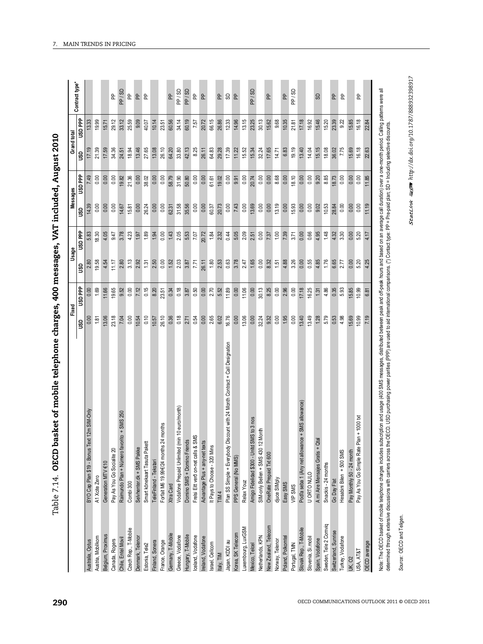| ì                |
|------------------|
| <b>.</b><br>.    |
|                  |
|                  |
|                  |
|                  |
|                  |
| -<br>-<br>-      |
|                  |
| $\frac{1}{2}$    |
| <br> <br> <br>   |
|                  |
| את היה היה היה ה |
|                  |
|                  |
| うりょう             |
| $\frac{1}{2}$    |
|                  |
|                  |
|                  |
|                  |
|                  |
|                  |
|                  |
| )<br> <br>       |
|                  |
|                  |
| ,<br>,<br>,<br>, |
|                  |
|                  |
|                  |
|                  |

| Australia, Optus                    |                                                                               | 1.81<br><b>SD</b> | ddd asn<br>1.69 | 19.58<br>4.54<br>2.80<br>ဒ္အ | usa PP<br>4.05<br>5.83<br>18.30 | 0.00<br>0.00<br>14.39<br>ຮິ | ddd GSN<br>0.00 | 17.19<br>21.39<br>ຮຶ | dd GSN<br>19.99<br>15.71 | Contract type* |
|-------------------------------------|-------------------------------------------------------------------------------|-------------------|-----------------|------------------------------|---------------------------------|-----------------------------|-----------------|----------------------|--------------------------|----------------|
|                                     |                                                                               |                   |                 |                              |                                 |                             |                 |                      |                          |                |
|                                     | t 12m SIM-Only<br>BYO Cap Plan \$19 - Bonus Tex                               |                   |                 |                              |                                 |                             |                 |                      |                          |                |
| A1 Xote Zero<br>Austria, Mobilkom   |                                                                               |                   |                 |                              |                                 |                             |                 |                      |                          |                |
| Belgium, Proximus                   | Generation MTV €10                                                            | 13.06             | 11.66           |                              |                                 |                             |                 | 17.59                |                          |                |
| Canada, Rogers                      | Pay As You Go Socialite 20                                                    | 23.18             | 19.65           | 11.17                        | 9.47                            | 0.00                        | 0.00            | 34.36                | 29.12                    |                |
| Chile, Entel Movil                  | $to +$ SMS 250<br>Raimundo Plan + Número favor                                | 7.04              | 9.52            | 2.80                         | 3.78                            | 14.67                       | 19.82           | 24.51                | 33.12                    |                |
| Combi 300<br>Czech Rep., T-Mobile   |                                                                               | 0.00              | 0.00            | 3.13                         | 4.23                            | 15.81                       | 21.36           | 18.94                | 25.59                    |                |
| Denmark, Teleno                     | Selvhenter.dk + SMS Pakke                                                     | 10.54             | 7.12            | 2.92                         | 1.97                            | 0.00                        | 0.00            | 13.46                | 9.09                     |                |
| Estonia, Tele2                      | Smart kõnekaart Tasuta Pakett                                                 | 0.10              | 0.15            | 1.31                         | 1.89                            | 26.24                       | 38.02           | 27.65                | 40.07                    |                |
| Finland, Sonera                     | TeleFinland - Tekstari                                                        | 10.57             | 8.20            | 2.50                         | 1.94                            | 0.00                        | 0.00            | 13.08                | 10.14                    |                |
| France, Orange                      | months<br>Forfait M6 19.99€/24 months 24                                      | 26.10             | 23.51           | 0.00                         | 0.00                            | 0.00                        | 0.00            | 26.10                | 23.51                    |                |
| Xtra Card<br>Gemany, T-Mobile       |                                                                               | 0.36              | 0.34            | 1.52                         | 1.43                            | 62.31                       | 58.79           | 64.20                | 60.56                    |                |
| Greece, Vodafone                    | Vodafone Prepaid Unlimited (min 10 euro/month)                                | 0.18              | 0.18            | 2.03                         | 2.05                            | 31.58                       | 31.90           | 33.80                | 34.14                    |                |
| Hungary, T-Mobile                   | Domino SMS + Domino Friends                                                   | 2.71              | 3.87            | 3.87                         | 5.53                            | 35.56                       | 50.80           | 42.13                | 60.19                    |                |
| Iceland, Vodafone                   | 6<br>Frelsi Eitt vero on-net calls & SM                                       | 0.54              | 0.50            | 771                          | 7.07                            | 0.00                        | 0.00            | 8.25                 | 7.57                     |                |
| Ireland, Vodafone                   | Advantage Plus + any-net texts                                                | 0.00              | 0.00            | 26.11                        | 20.72                           | 0.00                        | 0.00            | 26.11                | 20.72                    |                |
| Israel, Cellcom                     | It Pays to Choose - 320 Mins                                                  | 2.65              | 2.70            | 1.80                         | 1.84                            | 60.37                       | 61.61           | 64.83                | 66.15                    |                |
| TIM <sub>4</sub><br>Italy, TIM      |                                                                               | 6.02              | 5.52            | 2.53                         | 2.32                            | 20.73                       | 19.02           | 29.28                | 26.86                    |                |
| Japan, KDDI au                      | Plan SS Simple + Everybody Discount with 24 Month Contract + Call Designation | 16.76             | 11.89           | 0.63                         | 0.44                            | 0.00                        | 0.00            | 17.39                | 12.33                    |                |
| Korea, SK Telecom                   | PPS General (No MMS)                                                          | 0.00              | 0.00            | 3.78                         | 5.05                            | 7.43                        | 9.91            | 11.22                | 14.96                    |                |
| Relax Youz<br>Luxembourg, LuxGSM    |                                                                               | 13.06             | 11.06           | 2.47                         | 2.09                            | 0.00                        | 0.00            | 15.52                | 13.15                    |                |
| Mexico, Telcel                      | Amigo Fidelidad \$300 - Unitd SMS to 3 nos                                    | 0.00              | 0.00            | 1.65                         | 2.51                            | 13.69                       | 20.74           | 15.34                | 23.25                    |                |
| Netherlands, KPN                    | Month<br>SIM-only Bellen + SMS 430 12                                         | 32.24             | 30.13           | 0.00                         | 0.00                            | 0.00                        | 0.00            | 32.24                | 30.13                    |                |
| New Zealand, Telecom                | OneRate Prepaid Txt 600                                                       | 9.32              | 8.25            | 8.32                         | 7.37                            | 0.00                        | 0.00            | 17.65                | 15.62                    |                |
| djuce SIMply<br>Norway, Telenor     |                                                                               | 0.00              | 0.00            | 1.51                         | 1.00                            | 13.19                       | 8.68            | 14.71                | 9.68                     |                |
| Easy SMS<br>Poland, Polkomtel       |                                                                               | 1.95              | 2.96            | 4.88                         | 7.39                            | 0.00                        | 0.00            | 6.83                 | 10.35                    |                |
| VIP SMS<br>Portugal, TMN            |                                                                               | 0.00              | 0.00            | 3.26                         | 3.71                            | 15.93                       | 18.10           | 19.19                | 21.81                    |                |
| Slovak Rep., T-Mobile               | Podľa seba 1 (Any net allowance + SMS allowance)                              | 13.40             | 17.18           | 0.00                         | 0.00                            | 0.00                        | 0.00            | 13.40                | 17.18                    |                |
| U ORTO NULO<br>Slovenia, Si.mobil   |                                                                               | 13.49             | 16.25           | 0.55                         | 0.66                            | 0.00                        | 0.00            | 14.04                | 16.92                    |                |
| Spain, Vodafone                     | A mi Aire Mensajes Gratis + Qta                                               | 1.28              | 1.31            | 4.85                         | 4.95                            | 9.02                        | 9.20            | 15.15                | 15.46                    |                |
| Sweden, Tele 2 Comviq               | Snackis - 24 months                                                           | 5.79              | 4.86            | 1.76                         | 1.48                            | 10.53                       | 8.85            | 18.08                | 15.20                    |                |
| Go Day Flat<br>Switzerland, Sunrise |                                                                               | 0.53              | 0.35            | 6.65                         | 4.32                            | 28.84                       | 18.73           | 36.02                | 23.39                    |                |
| Turkey, Vodafone                    | Hesabini Bilen + 500 SMS                                                      | 4.98              | 5.93            | 2.77                         | 3.30                            | 0.00                        | 0.00            | 7.75                 | 9.22                     |                |
| <b>UK, 02</b>                       | Pay Monthly 50 - 24 month                                                     | 15.69             | 15.85           | 0.00                         | 0.00                            | 0.00                        | 0.00            | 15.69                | 15.85                    |                |
| USA, AT&T                           | Pay As You Go Simple Rate Plan + 1000 txt                                     | 10.99             | 10.99           | 5.20                         | 5.20                            | 0.00                        | 0.00            | 16.18                | 16.18                    |                |
| OECD average                        |                                                                               | 7.19              | 6.81            | 4.25                         |                                 | 11.19                       | 11.85           | 22.63                | 22.84                    |                |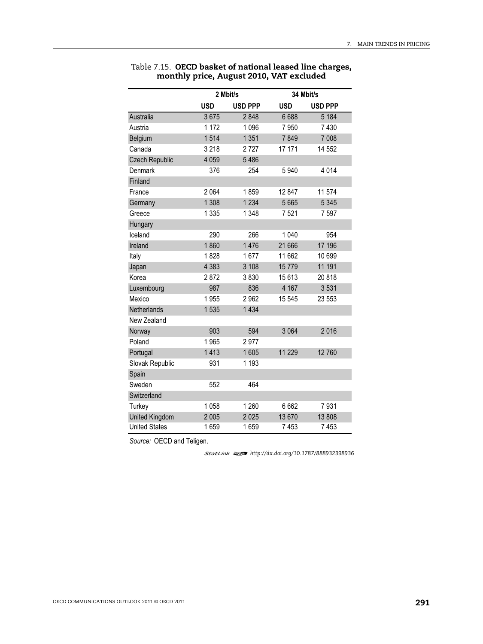|                       |            | 2 Mbit/s       |            | 34 Mbit/s      |
|-----------------------|------------|----------------|------------|----------------|
|                       | <b>USD</b> | <b>USD PPP</b> | <b>USD</b> | <b>USD PPP</b> |
| Australia             | 3675       | 2848           | 6688       | 5 1 8 4        |
| Austria               | 1 172      | 1 0 9 6        | 7950       | 7430           |
| Belgium               | 1514       | 1 3 5 1        | 7849       | 7 0 0 8        |
| Canada                | 3 2 1 8    | 2727           | 17 171     | 14 552         |
| <b>Czech Republic</b> | 4 0 5 9    | 5486           |            |                |
| Denmark               | 376        | 254            | 5940       | 4014           |
| Finland               |            |                |            |                |
| France                | 2 0 6 4    | 1859           | 12 847     | 11 574         |
| Germany               | 1 3 0 8    | 1 2 3 4        | 5 6 6 5    | 5 3 4 5        |
| Greece                | 1 3 3 5    | 1 3 4 8        | 7521       | 7597           |
| Hungary               |            |                |            |                |
| Iceland               | 290        | 266            | 1 0 4 0    | 954            |
| Ireland               | 1860       | 1476           | 21 666     | 17 196         |
| Italy                 | 1828       | 1677           | 11 662     | 10 699         |
| Japan                 | 4 3 8 3    | 3 108          | 15779      | 11 191         |
| Korea                 | 2872       | 3830           | 15613      | 20818          |
| Luxembourg            | 987        | 836            | 4 1 6 7    | 3531           |
| Mexico                | 1955       | 2962           | 15 545     | 23 553         |
| Netherlands           | 1535       | 1 4 3 4        |            |                |
| New Zealand           |            |                |            |                |
| Norway                | 903        | 594            | 3 0 6 4    | 2016           |
| Poland                | 1965       | 2977           |            |                |
| Portugal              | 1413       | 1605           | 11 229     | 12760          |
| Slovak Republic       | 931        | 1 1 9 3        |            |                |
| Spain                 |            |                |            |                |
| Sweden                | 552        | 464            |            |                |
| Switzerland           |            |                |            |                |
| Turkey                | 1058       | 1 2 6 0        | 6662       | 7931           |
| <b>United Kingdom</b> | 2 0 0 5    | 2025           | 13 670     | 13 808         |
| <b>United States</b>  | 1659       | 1659           | 7453       | 7453           |

Table 7.15. **OECD basket of national leased line charges, monthly price, August 2010, VAT excluded**

*Source:* OECD and Teligen.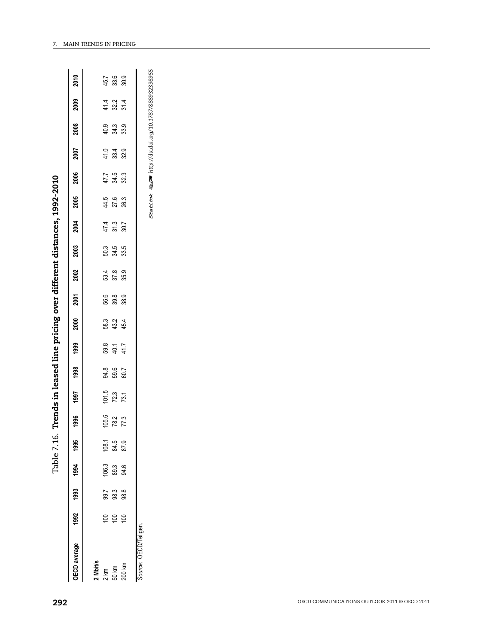| 292                                          |                                            |       |              |                         | Table 7.16.  |                      |                      |      |                      |                           |                                     |                        |                                  |                            | Trends in leased line pricing over different distances, 1992-2010 |                            |                                                    |                            |                                           |                            |
|----------------------------------------------|--------------------------------------------|-------|--------------|-------------------------|--------------|----------------------|----------------------|------|----------------------|---------------------------|-------------------------------------|------------------------|----------------------------------|----------------------------|-------------------------------------------------------------------|----------------------------|----------------------------------------------------|----------------------------|-------------------------------------------|----------------------------|
|                                              | OECD average                               | 1992  | 1993         | 1994                    | 1995         | 1996                 | 1997                 | 1998 | 1999                 | 2000                      | 2001                                | 2002                   | 2003                             | 2004                       | 2005                                                              | 2006                       | 2007                                               | 2008                       | 2009                                      | 2010                       |
|                                              |                                            |       |              |                         |              |                      |                      |      |                      |                           |                                     |                        |                                  |                            |                                                                   |                            |                                                    |                            |                                           |                            |
|                                              |                                            |       | 99.7         |                         | 108.1        |                      |                      |      |                      |                           |                                     |                        |                                  |                            |                                                                   |                            |                                                    |                            |                                           |                            |
|                                              | <b>2 Mbit/s</b><br>2 km<br>50 km<br>200 km | e e e | 98.3<br>98.8 | $106.3$<br>89.3<br>94.6 | 84.5<br>87.9 | $\frac{105.6}{78.2}$ | $\frac{101.5}{72.3}$ |      | 59.3<br>40.7<br>41.7 | 58 32 4<br>58 32 4<br>4 4 | (၆ )<br>(၆ ) တို့ တို့<br>(၁ ) တို့ | 53 x 9<br>57 8<br>55 9 | 50 30 30<br>50 30 30<br>50 30 30 | $47.4$<br>$51.3$<br>$50.7$ | 44.5<br>27.6<br>26.3                                              | $47.7$<br>$34.3$<br>$32.3$ | $488$<br>$249$                                     | 9<br>9<br>3<br>3<br>3<br>3 | $\frac{4}{1}$ $\frac{3}{2}$ $\frac{4}{1}$ | $45.7$<br>$33.9$<br>$30.9$ |
|                                              |                                            |       |              |                         |              |                      |                      |      |                      |                           |                                     |                        |                                  |                            |                                                                   |                            |                                                    |                            |                                           |                            |
|                                              | Source: OECD/Teligen.                      |       |              |                         |              |                      |                      |      |                      |                           |                                     |                        |                                  |                            |                                                                   |                            |                                                    |                            |                                           |                            |
|                                              |                                            |       |              |                         |              |                      |                      |      |                      |                           |                                     |                        |                                  |                            | <b>StatLink</b>                                                   |                            | <b>■ser</b> http://dx.doi.org/10.1787/888932398955 |                            |                                           |                            |
|                                              |                                            |       |              |                         |              |                      |                      |      |                      |                           |                                     |                        |                                  |                            |                                                                   |                            |                                                    |                            |                                           |                            |
|                                              |                                            |       |              |                         |              |                      |                      |      |                      |                           |                                     |                        |                                  |                            |                                                                   |                            |                                                    |                            |                                           |                            |
|                                              |                                            |       |              |                         |              |                      |                      |      |                      |                           |                                     |                        |                                  |                            |                                                                   |                            |                                                    |                            |                                           |                            |
|                                              |                                            |       |              |                         |              |                      |                      |      |                      |                           |                                     |                        |                                  |                            |                                                                   |                            |                                                    |                            |                                           |                            |
|                                              |                                            |       |              |                         |              |                      |                      |      |                      |                           |                                     |                        |                                  |                            |                                                                   |                            |                                                    |                            |                                           |                            |
|                                              |                                            |       |              |                         |              |                      |                      |      |                      |                           |                                     |                        |                                  |                            |                                                                   |                            |                                                    |                            |                                           |                            |
|                                              |                                            |       |              |                         |              |                      |                      |      |                      |                           |                                     |                        |                                  |                            |                                                                   |                            |                                                    |                            |                                           |                            |
|                                              |                                            |       |              |                         |              |                      |                      |      |                      |                           |                                     |                        |                                  |                            |                                                                   |                            |                                                    |                            |                                           |                            |
|                                              |                                            |       |              |                         |              |                      |                      |      |                      |                           |                                     |                        |                                  |                            |                                                                   |                            |                                                    |                            |                                           |                            |
|                                              |                                            |       |              |                         |              |                      |                      |      |                      |                           |                                     |                        |                                  |                            |                                                                   |                            |                                                    |                            |                                           |                            |
|                                              |                                            |       |              |                         |              |                      |                      |      |                      |                           |                                     |                        |                                  |                            |                                                                   |                            |                                                    |                            |                                           |                            |
|                                              |                                            |       |              |                         |              |                      |                      |      |                      |                           |                                     |                        |                                  |                            |                                                                   |                            |                                                    |                            |                                           |                            |
|                                              |                                            |       |              |                         |              |                      |                      |      |                      |                           |                                     |                        |                                  |                            |                                                                   |                            |                                                    |                            |                                           |                            |
| OECD COMMUNICATIONS OUTLOOK 2011 @ OECD 2011 |                                            |       |              |                         |              |                      |                      |      |                      |                           |                                     |                        |                                  |                            |                                                                   |                            |                                                    |                            |                                           |                            |
|                                              |                                            |       |              |                         |              |                      |                      |      |                      |                           |                                     |                        |                                  |                            |                                                                   |                            |                                                    |                            |                                           |                            |
|                                              |                                            |       |              |                         |              |                      |                      |      |                      |                           |                                     |                        |                                  |                            |                                                                   |                            |                                                    |                            |                                           |                            |
|                                              |                                            |       |              |                         |              |                      |                      |      |                      |                           |                                     |                        |                                  |                            |                                                                   |                            |                                                    |                            |                                           |                            |
|                                              |                                            |       |              |                         |              |                      |                      |      |                      |                           |                                     |                        |                                  |                            |                                                                   |                            |                                                    |                            |                                           |                            |
|                                              |                                            |       |              |                         |              |                      |                      |      |                      |                           |                                     |                        |                                  |                            |                                                                   |                            |                                                    |                            |                                           |                            |
|                                              |                                            |       |              |                         |              |                      |                      |      |                      |                           |                                     |                        |                                  |                            |                                                                   |                            |                                                    |                            |                                           |                            |
|                                              |                                            |       |              |                         |              |                      |                      |      |                      |                           |                                     |                        |                                  |                            |                                                                   |                            |                                                    |                            |                                           |                            |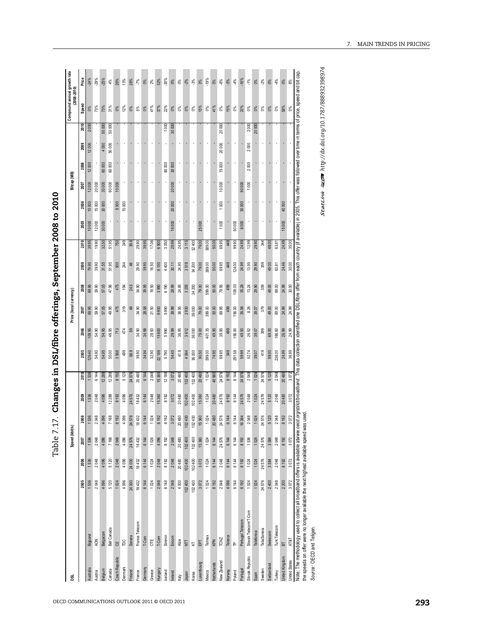| )<br>)<br> <br>Č                |
|---------------------------------|
|                                 |
| ֧֚֚֚֕                           |
|                                 |
| ı                               |
|                                 |
| i<br>$\mathbf{I}$               |
| <b>POT ACT</b><br>i             |
|                                 |
|                                 |
| י<br>היי היי היי היי היי ה<br>J |
| י<br>י<br>I                     |
| able                            |

|                 |                         |         |         | Speed (kbit/s) |                |       |         |              |        | Price (local currency) |                |        |            |                |              | Bitcap (MB) |              |           |          | Compound annual growth rate<br>(2008-2010) |                |
|-----------------|-------------------------|---------|---------|----------------|----------------|-------|---------|--------------|--------|------------------------|----------------|--------|------------|----------------|--------------|-------------|--------------|-----------|----------|--------------------------------------------|----------------|
|                 |                         | 2005    | 2006    | 2007           | 2008           | 2009  | 2010    | 2005         | 2006   | 2007                   | 2008           | 2009   | 2010       | 2005           | 2006         | 2007        | 2008         | 2009      | 2010     | Speed                                      | Price          |
| Australia       | Bigpond                 | 1536    | 1536    | 1536           | 1536           | 1536  | 1536    | 129.40       | 109.95 | 69.95                  |                | 79.95  | 39.95      | 10000          | 10000        | 12000       | $12000$      | 12000     | $2\ 000$ | $0\%$                                      | $-24%$         |
| Austria         | NOK                     | 2048    | 2048    | 2048           | 2048           | 2048  | 6144    | 54.90        | 54.90  | 59.90                  | 69.95          | 39.90  | 19.90      | 12000          | 15000        | 20000       |              |           |          | 73%                                        | $-29%$         |
| Belgium         | Belgacom                | 4096    | 4 096   | 4 096          |                | 4096  | 12288   | 54.95        | 54.95  | 57.05                  |                | 31.55  | 32.50      | 300000         | 30000        | 30000       | 60000        | 4 000     | 50000    | 73%                                        | $-25%$         |
| Canada          | Bell Canada             | 5120    | 5 120   | 7 168          | 4 096<br>7 168 | 12288 | 12288   | 50.00        | 46.95  | 49.95                  | 57.05<br>47.96 | 51.95  | 51.95      |                |              | 60000       | 60000        | $50\ 000$ | 50 000   | 31%                                        | $4\%$          |
| Czech Republic  | $\alpha$                | 1024    | 2048    | 2048           | 8 192          | 8 192 | 8192    | 3568         | $713$  | 475                    | 475            | 500    | 750<br>249 |                | 8000         | 10000       |              |           |          | $0\%$<br>$12\%$                            | $26\%$         |
| Denmark         | $\frac{c}{\sqrt{2}}$    | 4096    | 4 096   | 4 096          | 4096           | 4096  | 5120    | 499          | 474    | 319                    | $\frac{3}{2}$  |        |            | $\cdot$        | 15000        |             | $\cdot$      | $\cdot$   |          |                                            | 13%            |
| Finland         | Sonera                  | 24 000  | 24 000  | 24 576         | 24576          | 24576 | 24576   | 68.9         | $59\,$ | $49$                   | 24.5           | 49     | 39.9       | $\blacksquare$ |              |             |              |           |          |                                            | 28%            |
| France          | France Telecom          | 18432   | 18432   | 18432          | 18432          | 18432 | 20480   | 39.90        | 34.90  | 34.90                  | 34.90          | 29.90  | 29.90      | $\mathbf{r}$   | $\mathbf{r}$ |             | $\mathbf{r}$ |           |          | <b>0%</b><br>5%<br>0%                      | $-7\%$<br>0%   |
| Germany         | T-Com                   | 6144    | 6 144   | 6 144          | 6 144          | 6 144 | 6144    | <b>34.94</b> | 34.98  | 28.58                  | 39.95          | 39.95  | 39.95      |                |              |             |              |           |          |                                            |                |
| Greece          | UΕ                      | 1024    | 1024    | 1024           | 1 024          | 2048  | 2048    | 32.90        | 28.50  | 21.50                  | 16.50          | 16.50  | 17.06      | $\cdot$        |              |             | $\cdot$      |           |          | 41%                                        | $2\%$          |
| Hungary         | T-Com                   | 2048    | 2048    | 4 096          | 8 192          | 15360 | 15360   | 22 188       | 15 600 | 6 900                  | 3990           | 6 150  | 6900       | $\blacksquare$ |              |             |              |           |          | 37%                                        | 32%            |
| Iceland         | Simmin                  | 6144    | 8 192   | 8 192          | 8 192          | 8 192 | 12188   | 5790         | 5 990  | 5990                   | 6190           | 4400   | 3050       |                |              |             | 80 000       |           | 1000     | 22%                                        | 30%            |
| Ireland         | Eircom                  | 2048    | 2048    | 2048           | 3072           | 3072  | 3072    | 54.45        | 29.99  | 39.99                  | 29.99          | 30.11  | 29.99      | 16000          | 20000        | 20000       | 30 000       |           | 30 000   | $0\%$<br>$0\%$                             | $0\%$<br>$0\%$ |
| Mal             | Alice                   | 4000    | 20 480  | 20 480         | 20480          | 20480 | 20480   | 41.9         | 36.95  | 36.95                  | 24.95          | 24.95  | 24.95      |                |              |             |              | $\cdot$   |          |                                            |                |
| Japan           | $\overline{\Xi}$        | 102 400 | 102 400 | 102400         | 102400         | 02400 | 102400  | 4064         | 3612   | 2930                   | 3255           | 3518   | 3115       | ×,             |              |             |              |           |          | $0\%$                                      | $-2%$          |
| Korea           | $\overline{\mathbf{x}}$ | 102 400 | 102 400 | 102400         | 102400         | 02400 | 102400  | 36 000       | 36 000 | 36000                  | 34 200         | 34 200 | 32400      |                |              |             | $\epsilon$   |           |          | $0\%$                                      | $3\%$          |
| Luxembourg      | $\overline{\text{E}}$   | 3072    | 3072    | 15 360         | 15360<br>1024  | 15360 | 20480   | 90.50        | 79.00  | 79.00                  | 79.00          | 79.00  | 79.00      | 25000          |              |             |              |           |          | $15%$<br>$0%$                              | $0\%$          |
| Mexico          | Telmex                  | 1024    | 1024    | 1024           |                | 1024  | 1024    | 599.00       | 401.35 | 399.00                 | 599.00         | 389.00 | 389.00     |                |              |             |              |           |          |                                            | $-19%$         |
| Netherlands     | KPN                     | 8192    | 6 144   | 6 144          | 20480          | 20480 | 40960   | 74.95        | 49.95  | 50.00                  | 50.00          | 50.00  | 50.00      | ł              |              |             |              |           |          | 41%                                        | $0\%$          |
| New Zealand     | TCNZ                    | 2048    | 2048    | 24576          | 24576          | 24576 | 24576   | 69.95        | 39.95  | 69.95                  | 79.95          | 69.95  | 69.95      | 1000           | 1000         | 10000       | 15000        | 20 000    | 20 000   | $0\%$                                      | $6\%$          |
| Norway          | Telenor                 | 4096    | 6 144   | 6 144          | 6 144          | 8 192 | 8 1 9 2 | 549          | 499    | 499                    | 499            | 49     | 449        |                |              |             |              |           |          | 15%                                        | $-5%$          |
| Poland          | $\mathsf{P}$            | 6144    | 6 144   | 6 144          | 6144           | 6144  | 6144    | 291.58       | 156.00 | 156.00                 | 109.00         | 124.00 | 99.90      | 50000          |              | f           | $\cdot$      | $\cdot$   |          | $0\%$                                      | 4%             |
| Portugal        | Portugal Telecom        | 8192    | 8 192   | 8 192          | 16384          | 24576 | 24576   | 59.99        | 49.50  | 35.58                  | 35.28          | 24.99  | 24.99      | 8000           | 30000        | 50000       |              |           |          | 22%                                        | $-16%$         |
| Slovak Republic | Slovak Telecom/T-Com    | 1024    | 1024    | 1536           | 2048           | 2048  | 2048    | 52.74        | 26.52  | 8.26                   | 13.24          | 13.95  | 12.99      |                |              | 1000        | 2000         | $2000$    | $2000\,$ | $0\%$                                      | $-1\%$         |
| Spain           | Telefonica              | 1024    | 1024    | 1024           | 1 024          | 1024  | 1024    | 39.07        | 39.07  | 39.07                  | 29.90          | 29.90  | 29.90      |                |              |             |              |           | 20 000   | $0\%$                                      | $0\%$          |
| Sweden          | TeliaSonera             | 24576   | 24576   | 24576          | 24576          | 24576 | 24576   | 419          | 399    | 379                    | 359            | 359    | र्द्र      | $\cdot$        |              | $\cdot$     | $\cdot$      | $\cdot$   |          | ŏ,                                         | 2%             |
| Switzerland     | Swisscom                | 2400    | 3584    | 3584           | 5 120<br>2 048 | 5120  | 5 1 20  | 99.00        | 69.00  | 49.00                  | 49.00          | 49.00  | 49.00      | $\blacksquare$ |              |             |              |           |          | $0\%$                                      | $0\%$          |
| Turkey          | Turk Telecom            | 2048    | 2048    | 2048           |                | 2048  | 2048    | 238.00       | 166.60 | 69.00                  | 69.00          | 63.81  | 63.81      |                |              |             | $\epsilon$   |           |          | O%                                         | 4%             |
|                 |                         | 2200    | 8 192   | 8 192          | 8 192          | 20480 | 20480   | 24.99        | 26.99  | 24.99                  | 24.99          | 24.46  | 24.99      | 15000          | 40000        |             |              |           |          | 58%                                        | $0\%$          |
| United Kingdom  | $\overline{B}$          |         |         | 3072           | 3072           |       | 3072    | 36.99        | 24.99  | 24.99                  | 30.00          | 30.00  | 35.00      |                |              |             |              |           |          | ఠ                                          | 8%             |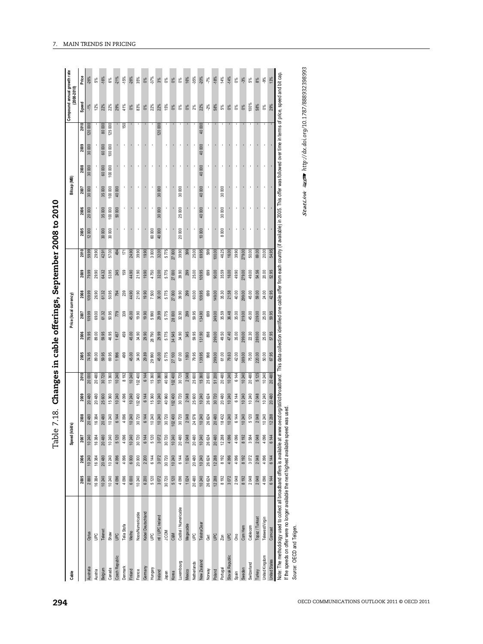| Speed<br>100%<br>41%<br>$0\%$<br>22%<br>$22\%$<br>15%<br>12%<br>22%<br>$0\%$<br>83%<br>$22\%$<br>$-2\%$<br>58%<br>58%<br>22%<br>29%<br>2%<br>$5\%$<br>$0\%$<br>$-1\%$<br><b>8%</b><br>0%<br>$0\%$<br>0%<br>$0\%$<br>29%<br>2010<br>80000<br>125000<br>$\frac{50}{2}$<br>120000<br>40000<br>120000<br>$\cdot$<br>$\bar{1}$<br>$\cdot$<br>$\cdot$<br>40 000<br>30 000<br>60000<br>100 000<br>2009<br>$\epsilon$<br>$\cdot$<br>$\cdot$<br>$\epsilon$<br>$\epsilon$<br>$\epsilon$<br>$\,$<br>$\mathbf{r}$<br>$\mathbf{r}$<br>$\bullet$<br>$\mathbf{r}$<br>$\,$<br>$\cdot$<br>40000<br>٠<br>2008<br>30 000<br>100 000<br>60000<br>$\bar{.}$<br>$\blacksquare$<br>100 000<br>٠<br>40 000<br>30 000<br>30 000<br>30 000<br>30 000<br>35 000<br>40 000<br>2007<br>$\epsilon$<br>$\cdot$<br>$\cdot$<br>30 000<br>25000<br>40 000<br>30 000<br>35 000<br>100 000<br>$50000$<br>2006<br>20 000<br>$\epsilon$<br>$\cdot$<br>$\epsilon$<br>×,<br>$\cdot$<br>20000<br>10000<br>8000<br>60000<br>2005<br>12000<br>30000<br>30000<br>40000<br>2010<br>24.90<br>69.95<br>16.00<br>50.00<br>69.00<br>59.99<br>29.90<br>57.00<br>494<br>171<br>39.90<br>19.90<br>3000<br>32.00<br>5775<br>39.90<br>399<br>25.00<br>599<br>100.00<br>46.25<br>39.90<br>279.00<br>20.00<br>54.95<br>42.91<br>27000<br>5775<br>53.95<br>245<br>159<br>44.90<br>21.90<br>4750<br>32.00<br>39.90<br>25.00<br>109.95<br>00.00<br>35.59<br>16.00<br>49.90<br>49.00<br>54.56<br>20.00<br>2009<br>79.99<br>29.90<br>64.32<br>19.90<br>299<br>699<br>279.00<br>52.95<br>27000<br>5775<br>39.90<br>40.00<br>45.00<br>50.95<br>239<br>$44.90$<br>$21.90$<br>19.90<br>7500<br>30.00<br>299<br>60.00<br>109.95<br>699<br>149.00<br>35.30<br>21.58<br>299.00<br>59.00<br>24.00<br>2008<br>26.90<br>61.32<br>794<br>27 000<br>42.95<br>66'601<br>5775<br>32.90<br>35.00<br>45.00<br>50.95<br>$779\,$<br>339<br>45.00<br>19.90<br>19.90<br>5990<br>29.99<br>299<br>59.95<br>134.90<br>699<br>249.00<br>35.59<br>36.48<br>209.00<br>25.00<br>69.00<br>61.32<br>28 000<br>319.00<br>59.95<br>2007<br>109.99<br>22.30<br>459<br>45.00<br>5775<br>34.90<br>345<br>299.00<br>289.00<br>89.00<br>46.95<br>34.90<br>29.90<br>28790<br>29.99<br>34545<br>59.95<br>131.90<br>49.50<br>47.40<br>35.00<br>299.00<br>25.00<br>57.95<br>2006<br>79.95<br>59.95<br>1457<br>898<br>67.00<br>75.00<br>69.95<br>1996<br>499<br>45.00<br>34.90<br>29.89<br>29990<br>45.00<br>5775<br>139.95<br>299.00<br>42.00<br>50.00<br>2005<br>89.00<br>59.95<br>1093<br>79.95<br>998<br>61.00<br>79.63<br>389.00<br>220.00<br>67.95<br>74.95<br>27100<br>8192<br>10 240<br>102 400<br>6144<br>15 360<br>30720<br>2048<br>15 360<br>6144<br>20 480<br>5125<br>10240<br>2010<br>20 480<br>30720<br>15 360<br>10 240<br>15 360<br>40 960<br>102400<br>25 600<br>51 200<br>20480<br>10 240<br>10 240<br>20480<br>20 000<br>25 600<br>10 240<br>6 144<br>15 360<br>2009<br>20480<br>15 360<br>10 240<br>4 0 96<br>10 240<br>102 400<br>10 240<br>40 960<br>30 720<br>25 600<br>10 240<br>20480<br>10 240<br>6 144<br>2048<br>10 240<br>20 480<br>102400<br>2048<br>26 624<br>30720<br>10 240<br>20 480<br>25 600<br>was used<br>2048<br>10 240<br>24576<br>6 144<br>5 120<br>10 240<br>4 0 96<br>10240<br>10 240<br>10 240<br>30720<br>30720<br>2048<br>10 240<br>26624<br>20480<br>18432<br>10 240<br>10 240<br>12 288<br>2008<br>20 480<br>16384<br>20480<br>6 144<br>30720<br>6 144<br>102 400<br>If the speeds on offer were no longer available the next highest available speed<br>Note: The methodology used to collect all broadband offers is available at www.<br>5120<br>10240<br>3072<br>30720<br>2048<br>2048<br>10240<br>20480<br>10240<br>4096<br>30720<br>6144<br>5120<br>10240<br>20480<br>20480<br>10240<br>20480<br>12288<br>4096<br>4096<br>3584<br>4 096<br>2007<br>16384<br>26624<br>8 192<br>6 144<br>2048<br>20480<br>4096<br>6000<br>20000<br>2200<br>6144<br>3072<br>30720<br>6144<br>20480<br>10240<br>12288<br>8192<br>4096<br>3072<br>4096<br>16384<br>10240<br>4096<br>10240<br>1024<br>26624<br>4096<br>8192<br>6144<br>2006<br>10240<br>6 000<br>2048<br>4 096<br>6 200<br>5 120<br>3072<br>30 720<br>4096<br>20 480<br>10 240<br>12 288<br>3072<br>2048<br>2005<br>2880<br>16384<br>10 240<br>10 240<br>4 0 96<br>10 240<br>5 120<br>1 024<br>26624<br>8 192<br>2048<br>8 192<br>4 096<br>6 144<br>Coditel / Numericable<br>Kabel Deutschland<br>Noos/Numericable<br>ntl / UPC Ireland<br>Topaz / Turksat<br>TelewestVirgin<br>TelstraClear<br>Megacable<br>Telia Stofa<br>Cablecom<br>Com Hem<br>Source: OECD and Teligen.<br>Comcast<br>Telenet<br><b>J:COM</b><br>Welho<br>Optus<br>Shaw<br>9er<br><b>G</b><br>C&M<br>9er<br><b>UPC</b><br>9d<br><b>G</b><br>δm<br>Z <sub>on</sub><br>$\overline{6}$<br>Slovak Republic<br>Czech Republic<br>United Kingdom<br><b>United States</b><br>New Zealand<br>Luxembourg<br>Netherlands<br>Switzerland<br>Denmark<br>Gemany<br>Australia<br>Hungary<br>Portugal<br>Belgium<br>Canada<br>Sweden<br>Finland<br>Mexico<br>Turkey<br>Norway<br>Austria<br>France<br>Poland<br>Ireland<br>Japan<br>Korea<br>Spain |  |  |  |  |  | <b>StatLink 每至 http://dx.doi.org/10.1787/888932398993</b><br>oecd.org/sti/rd/broadband. This data collection identified one cable offer from each country (if available) in 2005. This offer was followed over time in terms of price, speed and bit cap.<br>$-15%$<br>$.26\%$<br>$35\%$<br>$-35\%$<br>$50\%$<br>Price<br>-26%<br>$-21%$<br>37%<br>18%<br>14%<br>$-14%$<br>$-16%$<br>16%<br>$7\%$<br>13%<br>5%<br>$6\%$<br>$0\%$<br>$3\%$<br>$0\%$<br>$0\%$<br>$0\%$<br>$0\%$<br>$-3\%$<br>5%<br>$8\%$<br>$-9%$ |  |  |  |  |  |  |  |  | Bitcap (MB) |  | Compound annual growth rate<br>(2008-2010) |  |
|----------------------------------------------------------------------------------------------------------------------------------------------------------------------------------------------------------------------------------------------------------------------------------------------------------------------------------------------------------------------------------------------------------------------------------------------------------------------------------------------------------------------------------------------------------------------------------------------------------------------------------------------------------------------------------------------------------------------------------------------------------------------------------------------------------------------------------------------------------------------------------------------------------------------------------------------------------------------------------------------------------------------------------------------------------------------------------------------------------------------------------------------------------------------------------------------------------------------------------------------------------------------------------------------------------------------------------------------------------------------------------------------------------------------------------------------------------------------------------------------------------------------------------------------------------------------------------------------------------------------------------------------------------------------------------------------------------------------------------------------------------------------------------------------------------------------------------------------------------------------------------------------------------------------------------------------------------------------------------------------------------------------------------------------------------------------------------------------------------------------------------------------------------------------------------------------------------------------------------------------------------------------------------------------------------------------------------------------------------------------------------------------------------------------------------------------------------------------------------------------------------------------------------------------------------------------------------------------------------------------------------------------------------------------------------------------------------------------------------------------------------------------------------------------------------------------------------------------------------------------------------------------------------------------------------------------------------------------------------------------------------------------------------------------------------------------------------------------------------------------------------------------------------------------------------------------------------------------------------------------------------------------------------------------------------------------------------------------------------------------------------------------------------------------------------------------------------------------------------------------------------------------------------------------------------------------------------------------------------------------------------------------------------------------------------------------------------------------------------------------------------------------------------------------------------------------------------------------------------------------------------------------------------------------------------------------------------------------------------------------------------------------------------------------------------------------------------------------------------------------------------------------------------------------------------------------------------------------------------------------------------------------------------------------------------------------------------------------------------------------------------------------------------------------------------------------------------------------------------------------------------------------------------------------------------------------------------------------------------------------------------------------------------------------------------------------------------------------------------------------------------------------------------------------------------------------------------------------------------------------------------------------------------------------------------------------------------------------------------------------------------------------------------------------------------------------------------------------------|--|--|--|--|--|-----------------------------------------------------------------------------------------------------------------------------------------------------------------------------------------------------------------------------------------------------------------------------------------------------------------------------------------------------------------------------------------------------------------------------------------------------------------------------------------------------------------|--|--|--|--|--|--|--|--|-------------|--|--------------------------------------------|--|
|                                                                                                                                                                                                                                                                                                                                                                                                                                                                                                                                                                                                                                                                                                                                                                                                                                                                                                                                                                                                                                                                                                                                                                                                                                                                                                                                                                                                                                                                                                                                                                                                                                                                                                                                                                                                                                                                                                                                                                                                                                                                                                                                                                                                                                                                                                                                                                                                                                                                                                                                                                                                                                                                                                                                                                                                                                                                                                                                                                                                                                                                                                                                                                                                                                                                                                                                                                                                                                                                                                                                                                                                                                                                                                                                                                                                                                                                                                                                                                                                                                                                                                                                                                                                                                                                                                                                                                                                                                                                                                                                                                                                                                                                                                                                                                                                                                                                                                                                                                                                                                                                                                    |  |  |  |  |  |                                                                                                                                                                                                                                                                                                                                                                                                                                                                                                                 |  |  |  |  |  |  |  |  |             |  |                                            |  |
|                                                                                                                                                                                                                                                                                                                                                                                                                                                                                                                                                                                                                                                                                                                                                                                                                                                                                                                                                                                                                                                                                                                                                                                                                                                                                                                                                                                                                                                                                                                                                                                                                                                                                                                                                                                                                                                                                                                                                                                                                                                                                                                                                                                                                                                                                                                                                                                                                                                                                                                                                                                                                                                                                                                                                                                                                                                                                                                                                                                                                                                                                                                                                                                                                                                                                                                                                                                                                                                                                                                                                                                                                                                                                                                                                                                                                                                                                                                                                                                                                                                                                                                                                                                                                                                                                                                                                                                                                                                                                                                                                                                                                                                                                                                                                                                                                                                                                                                                                                                                                                                                                                    |  |  |  |  |  |                                                                                                                                                                                                                                                                                                                                                                                                                                                                                                                 |  |  |  |  |  |  |  |  |             |  |                                            |  |
|                                                                                                                                                                                                                                                                                                                                                                                                                                                                                                                                                                                                                                                                                                                                                                                                                                                                                                                                                                                                                                                                                                                                                                                                                                                                                                                                                                                                                                                                                                                                                                                                                                                                                                                                                                                                                                                                                                                                                                                                                                                                                                                                                                                                                                                                                                                                                                                                                                                                                                                                                                                                                                                                                                                                                                                                                                                                                                                                                                                                                                                                                                                                                                                                                                                                                                                                                                                                                                                                                                                                                                                                                                                                                                                                                                                                                                                                                                                                                                                                                                                                                                                                                                                                                                                                                                                                                                                                                                                                                                                                                                                                                                                                                                                                                                                                                                                                                                                                                                                                                                                                                                    |  |  |  |  |  |                                                                                                                                                                                                                                                                                                                                                                                                                                                                                                                 |  |  |  |  |  |  |  |  |             |  |                                            |  |
|                                                                                                                                                                                                                                                                                                                                                                                                                                                                                                                                                                                                                                                                                                                                                                                                                                                                                                                                                                                                                                                                                                                                                                                                                                                                                                                                                                                                                                                                                                                                                                                                                                                                                                                                                                                                                                                                                                                                                                                                                                                                                                                                                                                                                                                                                                                                                                                                                                                                                                                                                                                                                                                                                                                                                                                                                                                                                                                                                                                                                                                                                                                                                                                                                                                                                                                                                                                                                                                                                                                                                                                                                                                                                                                                                                                                                                                                                                                                                                                                                                                                                                                                                                                                                                                                                                                                                                                                                                                                                                                                                                                                                                                                                                                                                                                                                                                                                                                                                                                                                                                                                                    |  |  |  |  |  |                                                                                                                                                                                                                                                                                                                                                                                                                                                                                                                 |  |  |  |  |  |  |  |  |             |  |                                            |  |
|                                                                                                                                                                                                                                                                                                                                                                                                                                                                                                                                                                                                                                                                                                                                                                                                                                                                                                                                                                                                                                                                                                                                                                                                                                                                                                                                                                                                                                                                                                                                                                                                                                                                                                                                                                                                                                                                                                                                                                                                                                                                                                                                                                                                                                                                                                                                                                                                                                                                                                                                                                                                                                                                                                                                                                                                                                                                                                                                                                                                                                                                                                                                                                                                                                                                                                                                                                                                                                                                                                                                                                                                                                                                                                                                                                                                                                                                                                                                                                                                                                                                                                                                                                                                                                                                                                                                                                                                                                                                                                                                                                                                                                                                                                                                                                                                                                                                                                                                                                                                                                                                                                    |  |  |  |  |  |                                                                                                                                                                                                                                                                                                                                                                                                                                                                                                                 |  |  |  |  |  |  |  |  |             |  |                                            |  |
|                                                                                                                                                                                                                                                                                                                                                                                                                                                                                                                                                                                                                                                                                                                                                                                                                                                                                                                                                                                                                                                                                                                                                                                                                                                                                                                                                                                                                                                                                                                                                                                                                                                                                                                                                                                                                                                                                                                                                                                                                                                                                                                                                                                                                                                                                                                                                                                                                                                                                                                                                                                                                                                                                                                                                                                                                                                                                                                                                                                                                                                                                                                                                                                                                                                                                                                                                                                                                                                                                                                                                                                                                                                                                                                                                                                                                                                                                                                                                                                                                                                                                                                                                                                                                                                                                                                                                                                                                                                                                                                                                                                                                                                                                                                                                                                                                                                                                                                                                                                                                                                                                                    |  |  |  |  |  |                                                                                                                                                                                                                                                                                                                                                                                                                                                                                                                 |  |  |  |  |  |  |  |  |             |  |                                            |  |
|                                                                                                                                                                                                                                                                                                                                                                                                                                                                                                                                                                                                                                                                                                                                                                                                                                                                                                                                                                                                                                                                                                                                                                                                                                                                                                                                                                                                                                                                                                                                                                                                                                                                                                                                                                                                                                                                                                                                                                                                                                                                                                                                                                                                                                                                                                                                                                                                                                                                                                                                                                                                                                                                                                                                                                                                                                                                                                                                                                                                                                                                                                                                                                                                                                                                                                                                                                                                                                                                                                                                                                                                                                                                                                                                                                                                                                                                                                                                                                                                                                                                                                                                                                                                                                                                                                                                                                                                                                                                                                                                                                                                                                                                                                                                                                                                                                                                                                                                                                                                                                                                                                    |  |  |  |  |  |                                                                                                                                                                                                                                                                                                                                                                                                                                                                                                                 |  |  |  |  |  |  |  |  |             |  |                                            |  |
|                                                                                                                                                                                                                                                                                                                                                                                                                                                                                                                                                                                                                                                                                                                                                                                                                                                                                                                                                                                                                                                                                                                                                                                                                                                                                                                                                                                                                                                                                                                                                                                                                                                                                                                                                                                                                                                                                                                                                                                                                                                                                                                                                                                                                                                                                                                                                                                                                                                                                                                                                                                                                                                                                                                                                                                                                                                                                                                                                                                                                                                                                                                                                                                                                                                                                                                                                                                                                                                                                                                                                                                                                                                                                                                                                                                                                                                                                                                                                                                                                                                                                                                                                                                                                                                                                                                                                                                                                                                                                                                                                                                                                                                                                                                                                                                                                                                                                                                                                                                                                                                                                                    |  |  |  |  |  |                                                                                                                                                                                                                                                                                                                                                                                                                                                                                                                 |  |  |  |  |  |  |  |  |             |  |                                            |  |
|                                                                                                                                                                                                                                                                                                                                                                                                                                                                                                                                                                                                                                                                                                                                                                                                                                                                                                                                                                                                                                                                                                                                                                                                                                                                                                                                                                                                                                                                                                                                                                                                                                                                                                                                                                                                                                                                                                                                                                                                                                                                                                                                                                                                                                                                                                                                                                                                                                                                                                                                                                                                                                                                                                                                                                                                                                                                                                                                                                                                                                                                                                                                                                                                                                                                                                                                                                                                                                                                                                                                                                                                                                                                                                                                                                                                                                                                                                                                                                                                                                                                                                                                                                                                                                                                                                                                                                                                                                                                                                                                                                                                                                                                                                                                                                                                                                                                                                                                                                                                                                                                                                    |  |  |  |  |  |                                                                                                                                                                                                                                                                                                                                                                                                                                                                                                                 |  |  |  |  |  |  |  |  |             |  |                                            |  |
|                                                                                                                                                                                                                                                                                                                                                                                                                                                                                                                                                                                                                                                                                                                                                                                                                                                                                                                                                                                                                                                                                                                                                                                                                                                                                                                                                                                                                                                                                                                                                                                                                                                                                                                                                                                                                                                                                                                                                                                                                                                                                                                                                                                                                                                                                                                                                                                                                                                                                                                                                                                                                                                                                                                                                                                                                                                                                                                                                                                                                                                                                                                                                                                                                                                                                                                                                                                                                                                                                                                                                                                                                                                                                                                                                                                                                                                                                                                                                                                                                                                                                                                                                                                                                                                                                                                                                                                                                                                                                                                                                                                                                                                                                                                                                                                                                                                                                                                                                                                                                                                                                                    |  |  |  |  |  |                                                                                                                                                                                                                                                                                                                                                                                                                                                                                                                 |  |  |  |  |  |  |  |  |             |  |                                            |  |
|                                                                                                                                                                                                                                                                                                                                                                                                                                                                                                                                                                                                                                                                                                                                                                                                                                                                                                                                                                                                                                                                                                                                                                                                                                                                                                                                                                                                                                                                                                                                                                                                                                                                                                                                                                                                                                                                                                                                                                                                                                                                                                                                                                                                                                                                                                                                                                                                                                                                                                                                                                                                                                                                                                                                                                                                                                                                                                                                                                                                                                                                                                                                                                                                                                                                                                                                                                                                                                                                                                                                                                                                                                                                                                                                                                                                                                                                                                                                                                                                                                                                                                                                                                                                                                                                                                                                                                                                                                                                                                                                                                                                                                                                                                                                                                                                                                                                                                                                                                                                                                                                                                    |  |  |  |  |  |                                                                                                                                                                                                                                                                                                                                                                                                                                                                                                                 |  |  |  |  |  |  |  |  |             |  |                                            |  |
|                                                                                                                                                                                                                                                                                                                                                                                                                                                                                                                                                                                                                                                                                                                                                                                                                                                                                                                                                                                                                                                                                                                                                                                                                                                                                                                                                                                                                                                                                                                                                                                                                                                                                                                                                                                                                                                                                                                                                                                                                                                                                                                                                                                                                                                                                                                                                                                                                                                                                                                                                                                                                                                                                                                                                                                                                                                                                                                                                                                                                                                                                                                                                                                                                                                                                                                                                                                                                                                                                                                                                                                                                                                                                                                                                                                                                                                                                                                                                                                                                                                                                                                                                                                                                                                                                                                                                                                                                                                                                                                                                                                                                                                                                                                                                                                                                                                                                                                                                                                                                                                                                                    |  |  |  |  |  |                                                                                                                                                                                                                                                                                                                                                                                                                                                                                                                 |  |  |  |  |  |  |  |  |             |  |                                            |  |
|                                                                                                                                                                                                                                                                                                                                                                                                                                                                                                                                                                                                                                                                                                                                                                                                                                                                                                                                                                                                                                                                                                                                                                                                                                                                                                                                                                                                                                                                                                                                                                                                                                                                                                                                                                                                                                                                                                                                                                                                                                                                                                                                                                                                                                                                                                                                                                                                                                                                                                                                                                                                                                                                                                                                                                                                                                                                                                                                                                                                                                                                                                                                                                                                                                                                                                                                                                                                                                                                                                                                                                                                                                                                                                                                                                                                                                                                                                                                                                                                                                                                                                                                                                                                                                                                                                                                                                                                                                                                                                                                                                                                                                                                                                                                                                                                                                                                                                                                                                                                                                                                                                    |  |  |  |  |  |                                                                                                                                                                                                                                                                                                                                                                                                                                                                                                                 |  |  |  |  |  |  |  |  |             |  |                                            |  |
|                                                                                                                                                                                                                                                                                                                                                                                                                                                                                                                                                                                                                                                                                                                                                                                                                                                                                                                                                                                                                                                                                                                                                                                                                                                                                                                                                                                                                                                                                                                                                                                                                                                                                                                                                                                                                                                                                                                                                                                                                                                                                                                                                                                                                                                                                                                                                                                                                                                                                                                                                                                                                                                                                                                                                                                                                                                                                                                                                                                                                                                                                                                                                                                                                                                                                                                                                                                                                                                                                                                                                                                                                                                                                                                                                                                                                                                                                                                                                                                                                                                                                                                                                                                                                                                                                                                                                                                                                                                                                                                                                                                                                                                                                                                                                                                                                                                                                                                                                                                                                                                                                                    |  |  |  |  |  |                                                                                                                                                                                                                                                                                                                                                                                                                                                                                                                 |  |  |  |  |  |  |  |  |             |  |                                            |  |
|                                                                                                                                                                                                                                                                                                                                                                                                                                                                                                                                                                                                                                                                                                                                                                                                                                                                                                                                                                                                                                                                                                                                                                                                                                                                                                                                                                                                                                                                                                                                                                                                                                                                                                                                                                                                                                                                                                                                                                                                                                                                                                                                                                                                                                                                                                                                                                                                                                                                                                                                                                                                                                                                                                                                                                                                                                                                                                                                                                                                                                                                                                                                                                                                                                                                                                                                                                                                                                                                                                                                                                                                                                                                                                                                                                                                                                                                                                                                                                                                                                                                                                                                                                                                                                                                                                                                                                                                                                                                                                                                                                                                                                                                                                                                                                                                                                                                                                                                                                                                                                                                                                    |  |  |  |  |  |                                                                                                                                                                                                                                                                                                                                                                                                                                                                                                                 |  |  |  |  |  |  |  |  |             |  |                                            |  |
|                                                                                                                                                                                                                                                                                                                                                                                                                                                                                                                                                                                                                                                                                                                                                                                                                                                                                                                                                                                                                                                                                                                                                                                                                                                                                                                                                                                                                                                                                                                                                                                                                                                                                                                                                                                                                                                                                                                                                                                                                                                                                                                                                                                                                                                                                                                                                                                                                                                                                                                                                                                                                                                                                                                                                                                                                                                                                                                                                                                                                                                                                                                                                                                                                                                                                                                                                                                                                                                                                                                                                                                                                                                                                                                                                                                                                                                                                                                                                                                                                                                                                                                                                                                                                                                                                                                                                                                                                                                                                                                                                                                                                                                                                                                                                                                                                                                                                                                                                                                                                                                                                                    |  |  |  |  |  |                                                                                                                                                                                                                                                                                                                                                                                                                                                                                                                 |  |  |  |  |  |  |  |  |             |  |                                            |  |
|                                                                                                                                                                                                                                                                                                                                                                                                                                                                                                                                                                                                                                                                                                                                                                                                                                                                                                                                                                                                                                                                                                                                                                                                                                                                                                                                                                                                                                                                                                                                                                                                                                                                                                                                                                                                                                                                                                                                                                                                                                                                                                                                                                                                                                                                                                                                                                                                                                                                                                                                                                                                                                                                                                                                                                                                                                                                                                                                                                                                                                                                                                                                                                                                                                                                                                                                                                                                                                                                                                                                                                                                                                                                                                                                                                                                                                                                                                                                                                                                                                                                                                                                                                                                                                                                                                                                                                                                                                                                                                                                                                                                                                                                                                                                                                                                                                                                                                                                                                                                                                                                                                    |  |  |  |  |  |                                                                                                                                                                                                                                                                                                                                                                                                                                                                                                                 |  |  |  |  |  |  |  |  |             |  |                                            |  |
|                                                                                                                                                                                                                                                                                                                                                                                                                                                                                                                                                                                                                                                                                                                                                                                                                                                                                                                                                                                                                                                                                                                                                                                                                                                                                                                                                                                                                                                                                                                                                                                                                                                                                                                                                                                                                                                                                                                                                                                                                                                                                                                                                                                                                                                                                                                                                                                                                                                                                                                                                                                                                                                                                                                                                                                                                                                                                                                                                                                                                                                                                                                                                                                                                                                                                                                                                                                                                                                                                                                                                                                                                                                                                                                                                                                                                                                                                                                                                                                                                                                                                                                                                                                                                                                                                                                                                                                                                                                                                                                                                                                                                                                                                                                                                                                                                                                                                                                                                                                                                                                                                                    |  |  |  |  |  |                                                                                                                                                                                                                                                                                                                                                                                                                                                                                                                 |  |  |  |  |  |  |  |  |             |  |                                            |  |
|                                                                                                                                                                                                                                                                                                                                                                                                                                                                                                                                                                                                                                                                                                                                                                                                                                                                                                                                                                                                                                                                                                                                                                                                                                                                                                                                                                                                                                                                                                                                                                                                                                                                                                                                                                                                                                                                                                                                                                                                                                                                                                                                                                                                                                                                                                                                                                                                                                                                                                                                                                                                                                                                                                                                                                                                                                                                                                                                                                                                                                                                                                                                                                                                                                                                                                                                                                                                                                                                                                                                                                                                                                                                                                                                                                                                                                                                                                                                                                                                                                                                                                                                                                                                                                                                                                                                                                                                                                                                                                                                                                                                                                                                                                                                                                                                                                                                                                                                                                                                                                                                                                    |  |  |  |  |  |                                                                                                                                                                                                                                                                                                                                                                                                                                                                                                                 |  |  |  |  |  |  |  |  |             |  |                                            |  |
|                                                                                                                                                                                                                                                                                                                                                                                                                                                                                                                                                                                                                                                                                                                                                                                                                                                                                                                                                                                                                                                                                                                                                                                                                                                                                                                                                                                                                                                                                                                                                                                                                                                                                                                                                                                                                                                                                                                                                                                                                                                                                                                                                                                                                                                                                                                                                                                                                                                                                                                                                                                                                                                                                                                                                                                                                                                                                                                                                                                                                                                                                                                                                                                                                                                                                                                                                                                                                                                                                                                                                                                                                                                                                                                                                                                                                                                                                                                                                                                                                                                                                                                                                                                                                                                                                                                                                                                                                                                                                                                                                                                                                                                                                                                                                                                                                                                                                                                                                                                                                                                                                                    |  |  |  |  |  |                                                                                                                                                                                                                                                                                                                                                                                                                                                                                                                 |  |  |  |  |  |  |  |  |             |  |                                            |  |
|                                                                                                                                                                                                                                                                                                                                                                                                                                                                                                                                                                                                                                                                                                                                                                                                                                                                                                                                                                                                                                                                                                                                                                                                                                                                                                                                                                                                                                                                                                                                                                                                                                                                                                                                                                                                                                                                                                                                                                                                                                                                                                                                                                                                                                                                                                                                                                                                                                                                                                                                                                                                                                                                                                                                                                                                                                                                                                                                                                                                                                                                                                                                                                                                                                                                                                                                                                                                                                                                                                                                                                                                                                                                                                                                                                                                                                                                                                                                                                                                                                                                                                                                                                                                                                                                                                                                                                                                                                                                                                                                                                                                                                                                                                                                                                                                                                                                                                                                                                                                                                                                                                    |  |  |  |  |  |                                                                                                                                                                                                                                                                                                                                                                                                                                                                                                                 |  |  |  |  |  |  |  |  |             |  |                                            |  |
|                                                                                                                                                                                                                                                                                                                                                                                                                                                                                                                                                                                                                                                                                                                                                                                                                                                                                                                                                                                                                                                                                                                                                                                                                                                                                                                                                                                                                                                                                                                                                                                                                                                                                                                                                                                                                                                                                                                                                                                                                                                                                                                                                                                                                                                                                                                                                                                                                                                                                                                                                                                                                                                                                                                                                                                                                                                                                                                                                                                                                                                                                                                                                                                                                                                                                                                                                                                                                                                                                                                                                                                                                                                                                                                                                                                                                                                                                                                                                                                                                                                                                                                                                                                                                                                                                                                                                                                                                                                                                                                                                                                                                                                                                                                                                                                                                                                                                                                                                                                                                                                                                                    |  |  |  |  |  |                                                                                                                                                                                                                                                                                                                                                                                                                                                                                                                 |  |  |  |  |  |  |  |  |             |  |                                            |  |
|                                                                                                                                                                                                                                                                                                                                                                                                                                                                                                                                                                                                                                                                                                                                                                                                                                                                                                                                                                                                                                                                                                                                                                                                                                                                                                                                                                                                                                                                                                                                                                                                                                                                                                                                                                                                                                                                                                                                                                                                                                                                                                                                                                                                                                                                                                                                                                                                                                                                                                                                                                                                                                                                                                                                                                                                                                                                                                                                                                                                                                                                                                                                                                                                                                                                                                                                                                                                                                                                                                                                                                                                                                                                                                                                                                                                                                                                                                                                                                                                                                                                                                                                                                                                                                                                                                                                                                                                                                                                                                                                                                                                                                                                                                                                                                                                                                                                                                                                                                                                                                                                                                    |  |  |  |  |  |                                                                                                                                                                                                                                                                                                                                                                                                                                                                                                                 |  |  |  |  |  |  |  |  |             |  |                                            |  |
|                                                                                                                                                                                                                                                                                                                                                                                                                                                                                                                                                                                                                                                                                                                                                                                                                                                                                                                                                                                                                                                                                                                                                                                                                                                                                                                                                                                                                                                                                                                                                                                                                                                                                                                                                                                                                                                                                                                                                                                                                                                                                                                                                                                                                                                                                                                                                                                                                                                                                                                                                                                                                                                                                                                                                                                                                                                                                                                                                                                                                                                                                                                                                                                                                                                                                                                                                                                                                                                                                                                                                                                                                                                                                                                                                                                                                                                                                                                                                                                                                                                                                                                                                                                                                                                                                                                                                                                                                                                                                                                                                                                                                                                                                                                                                                                                                                                                                                                                                                                                                                                                                                    |  |  |  |  |  |                                                                                                                                                                                                                                                                                                                                                                                                                                                                                                                 |  |  |  |  |  |  |  |  |             |  |                                            |  |
|                                                                                                                                                                                                                                                                                                                                                                                                                                                                                                                                                                                                                                                                                                                                                                                                                                                                                                                                                                                                                                                                                                                                                                                                                                                                                                                                                                                                                                                                                                                                                                                                                                                                                                                                                                                                                                                                                                                                                                                                                                                                                                                                                                                                                                                                                                                                                                                                                                                                                                                                                                                                                                                                                                                                                                                                                                                                                                                                                                                                                                                                                                                                                                                                                                                                                                                                                                                                                                                                                                                                                                                                                                                                                                                                                                                                                                                                                                                                                                                                                                                                                                                                                                                                                                                                                                                                                                                                                                                                                                                                                                                                                                                                                                                                                                                                                                                                                                                                                                                                                                                                                                    |  |  |  |  |  |                                                                                                                                                                                                                                                                                                                                                                                                                                                                                                                 |  |  |  |  |  |  |  |  |             |  |                                            |  |
|                                                                                                                                                                                                                                                                                                                                                                                                                                                                                                                                                                                                                                                                                                                                                                                                                                                                                                                                                                                                                                                                                                                                                                                                                                                                                                                                                                                                                                                                                                                                                                                                                                                                                                                                                                                                                                                                                                                                                                                                                                                                                                                                                                                                                                                                                                                                                                                                                                                                                                                                                                                                                                                                                                                                                                                                                                                                                                                                                                                                                                                                                                                                                                                                                                                                                                                                                                                                                                                                                                                                                                                                                                                                                                                                                                                                                                                                                                                                                                                                                                                                                                                                                                                                                                                                                                                                                                                                                                                                                                                                                                                                                                                                                                                                                                                                                                                                                                                                                                                                                                                                                                    |  |  |  |  |  |                                                                                                                                                                                                                                                                                                                                                                                                                                                                                                                 |  |  |  |  |  |  |  |  |             |  |                                            |  |
|                                                                                                                                                                                                                                                                                                                                                                                                                                                                                                                                                                                                                                                                                                                                                                                                                                                                                                                                                                                                                                                                                                                                                                                                                                                                                                                                                                                                                                                                                                                                                                                                                                                                                                                                                                                                                                                                                                                                                                                                                                                                                                                                                                                                                                                                                                                                                                                                                                                                                                                                                                                                                                                                                                                                                                                                                                                                                                                                                                                                                                                                                                                                                                                                                                                                                                                                                                                                                                                                                                                                                                                                                                                                                                                                                                                                                                                                                                                                                                                                                                                                                                                                                                                                                                                                                                                                                                                                                                                                                                                                                                                                                                                                                                                                                                                                                                                                                                                                                                                                                                                                                                    |  |  |  |  |  |                                                                                                                                                                                                                                                                                                                                                                                                                                                                                                                 |  |  |  |  |  |  |  |  |             |  |                                            |  |
|                                                                                                                                                                                                                                                                                                                                                                                                                                                                                                                                                                                                                                                                                                                                                                                                                                                                                                                                                                                                                                                                                                                                                                                                                                                                                                                                                                                                                                                                                                                                                                                                                                                                                                                                                                                                                                                                                                                                                                                                                                                                                                                                                                                                                                                                                                                                                                                                                                                                                                                                                                                                                                                                                                                                                                                                                                                                                                                                                                                                                                                                                                                                                                                                                                                                                                                                                                                                                                                                                                                                                                                                                                                                                                                                                                                                                                                                                                                                                                                                                                                                                                                                                                                                                                                                                                                                                                                                                                                                                                                                                                                                                                                                                                                                                                                                                                                                                                                                                                                                                                                                                                    |  |  |  |  |  |                                                                                                                                                                                                                                                                                                                                                                                                                                                                                                                 |  |  |  |  |  |  |  |  |             |  |                                            |  |
|                                                                                                                                                                                                                                                                                                                                                                                                                                                                                                                                                                                                                                                                                                                                                                                                                                                                                                                                                                                                                                                                                                                                                                                                                                                                                                                                                                                                                                                                                                                                                                                                                                                                                                                                                                                                                                                                                                                                                                                                                                                                                                                                                                                                                                                                                                                                                                                                                                                                                                                                                                                                                                                                                                                                                                                                                                                                                                                                                                                                                                                                                                                                                                                                                                                                                                                                                                                                                                                                                                                                                                                                                                                                                                                                                                                                                                                                                                                                                                                                                                                                                                                                                                                                                                                                                                                                                                                                                                                                                                                                                                                                                                                                                                                                                                                                                                                                                                                                                                                                                                                                                                    |  |  |  |  |  |                                                                                                                                                                                                                                                                                                                                                                                                                                                                                                                 |  |  |  |  |  |  |  |  |             |  |                                            |  |
|                                                                                                                                                                                                                                                                                                                                                                                                                                                                                                                                                                                                                                                                                                                                                                                                                                                                                                                                                                                                                                                                                                                                                                                                                                                                                                                                                                                                                                                                                                                                                                                                                                                                                                                                                                                                                                                                                                                                                                                                                                                                                                                                                                                                                                                                                                                                                                                                                                                                                                                                                                                                                                                                                                                                                                                                                                                                                                                                                                                                                                                                                                                                                                                                                                                                                                                                                                                                                                                                                                                                                                                                                                                                                                                                                                                                                                                                                                                                                                                                                                                                                                                                                                                                                                                                                                                                                                                                                                                                                                                                                                                                                                                                                                                                                                                                                                                                                                                                                                                                                                                                                                    |  |  |  |  |  |                                                                                                                                                                                                                                                                                                                                                                                                                                                                                                                 |  |  |  |  |  |  |  |  |             |  |                                            |  |
|                                                                                                                                                                                                                                                                                                                                                                                                                                                                                                                                                                                                                                                                                                                                                                                                                                                                                                                                                                                                                                                                                                                                                                                                                                                                                                                                                                                                                                                                                                                                                                                                                                                                                                                                                                                                                                                                                                                                                                                                                                                                                                                                                                                                                                                                                                                                                                                                                                                                                                                                                                                                                                                                                                                                                                                                                                                                                                                                                                                                                                                                                                                                                                                                                                                                                                                                                                                                                                                                                                                                                                                                                                                                                                                                                                                                                                                                                                                                                                                                                                                                                                                                                                                                                                                                                                                                                                                                                                                                                                                                                                                                                                                                                                                                                                                                                                                                                                                                                                                                                                                                                                    |  |  |  |  |  |                                                                                                                                                                                                                                                                                                                                                                                                                                                                                                                 |  |  |  |  |  |  |  |  |             |  |                                            |  |
|                                                                                                                                                                                                                                                                                                                                                                                                                                                                                                                                                                                                                                                                                                                                                                                                                                                                                                                                                                                                                                                                                                                                                                                                                                                                                                                                                                                                                                                                                                                                                                                                                                                                                                                                                                                                                                                                                                                                                                                                                                                                                                                                                                                                                                                                                                                                                                                                                                                                                                                                                                                                                                                                                                                                                                                                                                                                                                                                                                                                                                                                                                                                                                                                                                                                                                                                                                                                                                                                                                                                                                                                                                                                                                                                                                                                                                                                                                                                                                                                                                                                                                                                                                                                                                                                                                                                                                                                                                                                                                                                                                                                                                                                                                                                                                                                                                                                                                                                                                                                                                                                                                    |  |  |  |  |  |                                                                                                                                                                                                                                                                                                                                                                                                                                                                                                                 |  |  |  |  |  |  |  |  |             |  |                                            |  |
|                                                                                                                                                                                                                                                                                                                                                                                                                                                                                                                                                                                                                                                                                                                                                                                                                                                                                                                                                                                                                                                                                                                                                                                                                                                                                                                                                                                                                                                                                                                                                                                                                                                                                                                                                                                                                                                                                                                                                                                                                                                                                                                                                                                                                                                                                                                                                                                                                                                                                                                                                                                                                                                                                                                                                                                                                                                                                                                                                                                                                                                                                                                                                                                                                                                                                                                                                                                                                                                                                                                                                                                                                                                                                                                                                                                                                                                                                                                                                                                                                                                                                                                                                                                                                                                                                                                                                                                                                                                                                                                                                                                                                                                                                                                                                                                                                                                                                                                                                                                                                                                                                                    |  |  |  |  |  |                                                                                                                                                                                                                                                                                                                                                                                                                                                                                                                 |  |  |  |  |  |  |  |  |             |  |                                            |  |
|                                                                                                                                                                                                                                                                                                                                                                                                                                                                                                                                                                                                                                                                                                                                                                                                                                                                                                                                                                                                                                                                                                                                                                                                                                                                                                                                                                                                                                                                                                                                                                                                                                                                                                                                                                                                                                                                                                                                                                                                                                                                                                                                                                                                                                                                                                                                                                                                                                                                                                                                                                                                                                                                                                                                                                                                                                                                                                                                                                                                                                                                                                                                                                                                                                                                                                                                                                                                                                                                                                                                                                                                                                                                                                                                                                                                                                                                                                                                                                                                                                                                                                                                                                                                                                                                                                                                                                                                                                                                                                                                                                                                                                                                                                                                                                                                                                                                                                                                                                                                                                                                                                    |  |  |  |  |  |                                                                                                                                                                                                                                                                                                                                                                                                                                                                                                                 |  |  |  |  |  |  |  |  |             |  |                                            |  |
|                                                                                                                                                                                                                                                                                                                                                                                                                                                                                                                                                                                                                                                                                                                                                                                                                                                                                                                                                                                                                                                                                                                                                                                                                                                                                                                                                                                                                                                                                                                                                                                                                                                                                                                                                                                                                                                                                                                                                                                                                                                                                                                                                                                                                                                                                                                                                                                                                                                                                                                                                                                                                                                                                                                                                                                                                                                                                                                                                                                                                                                                                                                                                                                                                                                                                                                                                                                                                                                                                                                                                                                                                                                                                                                                                                                                                                                                                                                                                                                                                                                                                                                                                                                                                                                                                                                                                                                                                                                                                                                                                                                                                                                                                                                                                                                                                                                                                                                                                                                                                                                                                                    |  |  |  |  |  |                                                                                                                                                                                                                                                                                                                                                                                                                                                                                                                 |  |  |  |  |  |  |  |  |             |  |                                            |  |
|                                                                                                                                                                                                                                                                                                                                                                                                                                                                                                                                                                                                                                                                                                                                                                                                                                                                                                                                                                                                                                                                                                                                                                                                                                                                                                                                                                                                                                                                                                                                                                                                                                                                                                                                                                                                                                                                                                                                                                                                                                                                                                                                                                                                                                                                                                                                                                                                                                                                                                                                                                                                                                                                                                                                                                                                                                                                                                                                                                                                                                                                                                                                                                                                                                                                                                                                                                                                                                                                                                                                                                                                                                                                                                                                                                                                                                                                                                                                                                                                                                                                                                                                                                                                                                                                                                                                                                                                                                                                                                                                                                                                                                                                                                                                                                                                                                                                                                                                                                                                                                                                                                    |  |  |  |  |  |                                                                                                                                                                                                                                                                                                                                                                                                                                                                                                                 |  |  |  |  |  |  |  |  |             |  |                                            |  |
|                                                                                                                                                                                                                                                                                                                                                                                                                                                                                                                                                                                                                                                                                                                                                                                                                                                                                                                                                                                                                                                                                                                                                                                                                                                                                                                                                                                                                                                                                                                                                                                                                                                                                                                                                                                                                                                                                                                                                                                                                                                                                                                                                                                                                                                                                                                                                                                                                                                                                                                                                                                                                                                                                                                                                                                                                                                                                                                                                                                                                                                                                                                                                                                                                                                                                                                                                                                                                                                                                                                                                                                                                                                                                                                                                                                                                                                                                                                                                                                                                                                                                                                                                                                                                                                                                                                                                                                                                                                                                                                                                                                                                                                                                                                                                                                                                                                                                                                                                                                                                                                                                                    |  |  |  |  |  |                                                                                                                                                                                                                                                                                                                                                                                                                                                                                                                 |  |  |  |  |  |  |  |  |             |  |                                            |  |
|                                                                                                                                                                                                                                                                                                                                                                                                                                                                                                                                                                                                                                                                                                                                                                                                                                                                                                                                                                                                                                                                                                                                                                                                                                                                                                                                                                                                                                                                                                                                                                                                                                                                                                                                                                                                                                                                                                                                                                                                                                                                                                                                                                                                                                                                                                                                                                                                                                                                                                                                                                                                                                                                                                                                                                                                                                                                                                                                                                                                                                                                                                                                                                                                                                                                                                                                                                                                                                                                                                                                                                                                                                                                                                                                                                                                                                                                                                                                                                                                                                                                                                                                                                                                                                                                                                                                                                                                                                                                                                                                                                                                                                                                                                                                                                                                                                                                                                                                                                                                                                                                                                    |  |  |  |  |  |                                                                                                                                                                                                                                                                                                                                                                                                                                                                                                                 |  |  |  |  |  |  |  |  |             |  |                                            |  |
|                                                                                                                                                                                                                                                                                                                                                                                                                                                                                                                                                                                                                                                                                                                                                                                                                                                                                                                                                                                                                                                                                                                                                                                                                                                                                                                                                                                                                                                                                                                                                                                                                                                                                                                                                                                                                                                                                                                                                                                                                                                                                                                                                                                                                                                                                                                                                                                                                                                                                                                                                                                                                                                                                                                                                                                                                                                                                                                                                                                                                                                                                                                                                                                                                                                                                                                                                                                                                                                                                                                                                                                                                                                                                                                                                                                                                                                                                                                                                                                                                                                                                                                                                                                                                                                                                                                                                                                                                                                                                                                                                                                                                                                                                                                                                                                                                                                                                                                                                                                                                                                                                                    |  |  |  |  |  |                                                                                                                                                                                                                                                                                                                                                                                                                                                                                                                 |  |  |  |  |  |  |  |  |             |  |                                            |  |
|                                                                                                                                                                                                                                                                                                                                                                                                                                                                                                                                                                                                                                                                                                                                                                                                                                                                                                                                                                                                                                                                                                                                                                                                                                                                                                                                                                                                                                                                                                                                                                                                                                                                                                                                                                                                                                                                                                                                                                                                                                                                                                                                                                                                                                                                                                                                                                                                                                                                                                                                                                                                                                                                                                                                                                                                                                                                                                                                                                                                                                                                                                                                                                                                                                                                                                                                                                                                                                                                                                                                                                                                                                                                                                                                                                                                                                                                                                                                                                                                                                                                                                                                                                                                                                                                                                                                                                                                                                                                                                                                                                                                                                                                                                                                                                                                                                                                                                                                                                                                                                                                                                    |  |  |  |  |  |                                                                                                                                                                                                                                                                                                                                                                                                                                                                                                                 |  |  |  |  |  |  |  |  |             |  |                                            |  |
|                                                                                                                                                                                                                                                                                                                                                                                                                                                                                                                                                                                                                                                                                                                                                                                                                                                                                                                                                                                                                                                                                                                                                                                                                                                                                                                                                                                                                                                                                                                                                                                                                                                                                                                                                                                                                                                                                                                                                                                                                                                                                                                                                                                                                                                                                                                                                                                                                                                                                                                                                                                                                                                                                                                                                                                                                                                                                                                                                                                                                                                                                                                                                                                                                                                                                                                                                                                                                                                                                                                                                                                                                                                                                                                                                                                                                                                                                                                                                                                                                                                                                                                                                                                                                                                                                                                                                                                                                                                                                                                                                                                                                                                                                                                                                                                                                                                                                                                                                                                                                                                                                                    |  |  |  |  |  |                                                                                                                                                                                                                                                                                                                                                                                                                                                                                                                 |  |  |  |  |  |  |  |  |             |  |                                            |  |
|                                                                                                                                                                                                                                                                                                                                                                                                                                                                                                                                                                                                                                                                                                                                                                                                                                                                                                                                                                                                                                                                                                                                                                                                                                                                                                                                                                                                                                                                                                                                                                                                                                                                                                                                                                                                                                                                                                                                                                                                                                                                                                                                                                                                                                                                                                                                                                                                                                                                                                                                                                                                                                                                                                                                                                                                                                                                                                                                                                                                                                                                                                                                                                                                                                                                                                                                                                                                                                                                                                                                                                                                                                                                                                                                                                                                                                                                                                                                                                                                                                                                                                                                                                                                                                                                                                                                                                                                                                                                                                                                                                                                                                                                                                                                                                                                                                                                                                                                                                                                                                                                                                    |  |  |  |  |  |                                                                                                                                                                                                                                                                                                                                                                                                                                                                                                                 |  |  |  |  |  |  |  |  |             |  |                                            |  |
|                                                                                                                                                                                                                                                                                                                                                                                                                                                                                                                                                                                                                                                                                                                                                                                                                                                                                                                                                                                                                                                                                                                                                                                                                                                                                                                                                                                                                                                                                                                                                                                                                                                                                                                                                                                                                                                                                                                                                                                                                                                                                                                                                                                                                                                                                                                                                                                                                                                                                                                                                                                                                                                                                                                                                                                                                                                                                                                                                                                                                                                                                                                                                                                                                                                                                                                                                                                                                                                                                                                                                                                                                                                                                                                                                                                                                                                                                                                                                                                                                                                                                                                                                                                                                                                                                                                                                                                                                                                                                                                                                                                                                                                                                                                                                                                                                                                                                                                                                                                                                                                                                                    |  |  |  |  |  |                                                                                                                                                                                                                                                                                                                                                                                                                                                                                                                 |  |  |  |  |  |  |  |  |             |  |                                            |  |
|                                                                                                                                                                                                                                                                                                                                                                                                                                                                                                                                                                                                                                                                                                                                                                                                                                                                                                                                                                                                                                                                                                                                                                                                                                                                                                                                                                                                                                                                                                                                                                                                                                                                                                                                                                                                                                                                                                                                                                                                                                                                                                                                                                                                                                                                                                                                                                                                                                                                                                                                                                                                                                                                                                                                                                                                                                                                                                                                                                                                                                                                                                                                                                                                                                                                                                                                                                                                                                                                                                                                                                                                                                                                                                                                                                                                                                                                                                                                                                                                                                                                                                                                                                                                                                                                                                                                                                                                                                                                                                                                                                                                                                                                                                                                                                                                                                                                                                                                                                                                                                                                                                    |  |  |  |  |  |                                                                                                                                                                                                                                                                                                                                                                                                                                                                                                                 |  |  |  |  |  |  |  |  |             |  |                                            |  |
|                                                                                                                                                                                                                                                                                                                                                                                                                                                                                                                                                                                                                                                                                                                                                                                                                                                                                                                                                                                                                                                                                                                                                                                                                                                                                                                                                                                                                                                                                                                                                                                                                                                                                                                                                                                                                                                                                                                                                                                                                                                                                                                                                                                                                                                                                                                                                                                                                                                                                                                                                                                                                                                                                                                                                                                                                                                                                                                                                                                                                                                                                                                                                                                                                                                                                                                                                                                                                                                                                                                                                                                                                                                                                                                                                                                                                                                                                                                                                                                                                                                                                                                                                                                                                                                                                                                                                                                                                                                                                                                                                                                                                                                                                                                                                                                                                                                                                                                                                                                                                                                                                                    |  |  |  |  |  |                                                                                                                                                                                                                                                                                                                                                                                                                                                                                                                 |  |  |  |  |  |  |  |  |             |  |                                            |  |
|                                                                                                                                                                                                                                                                                                                                                                                                                                                                                                                                                                                                                                                                                                                                                                                                                                                                                                                                                                                                                                                                                                                                                                                                                                                                                                                                                                                                                                                                                                                                                                                                                                                                                                                                                                                                                                                                                                                                                                                                                                                                                                                                                                                                                                                                                                                                                                                                                                                                                                                                                                                                                                                                                                                                                                                                                                                                                                                                                                                                                                                                                                                                                                                                                                                                                                                                                                                                                                                                                                                                                                                                                                                                                                                                                                                                                                                                                                                                                                                                                                                                                                                                                                                                                                                                                                                                                                                                                                                                                                                                                                                                                                                                                                                                                                                                                                                                                                                                                                                                                                                                                                    |  |  |  |  |  |                                                                                                                                                                                                                                                                                                                                                                                                                                                                                                                 |  |  |  |  |  |  |  |  |             |  |                                            |  |
|                                                                                                                                                                                                                                                                                                                                                                                                                                                                                                                                                                                                                                                                                                                                                                                                                                                                                                                                                                                                                                                                                                                                                                                                                                                                                                                                                                                                                                                                                                                                                                                                                                                                                                                                                                                                                                                                                                                                                                                                                                                                                                                                                                                                                                                                                                                                                                                                                                                                                                                                                                                                                                                                                                                                                                                                                                                                                                                                                                                                                                                                                                                                                                                                                                                                                                                                                                                                                                                                                                                                                                                                                                                                                                                                                                                                                                                                                                                                                                                                                                                                                                                                                                                                                                                                                                                                                                                                                                                                                                                                                                                                                                                                                                                                                                                                                                                                                                                                                                                                                                                                                                    |  |  |  |  |  |                                                                                                                                                                                                                                                                                                                                                                                                                                                                                                                 |  |  |  |  |  |  |  |  |             |  |                                            |  |
|                                                                                                                                                                                                                                                                                                                                                                                                                                                                                                                                                                                                                                                                                                                                                                                                                                                                                                                                                                                                                                                                                                                                                                                                                                                                                                                                                                                                                                                                                                                                                                                                                                                                                                                                                                                                                                                                                                                                                                                                                                                                                                                                                                                                                                                                                                                                                                                                                                                                                                                                                                                                                                                                                                                                                                                                                                                                                                                                                                                                                                                                                                                                                                                                                                                                                                                                                                                                                                                                                                                                                                                                                                                                                                                                                                                                                                                                                                                                                                                                                                                                                                                                                                                                                                                                                                                                                                                                                                                                                                                                                                                                                                                                                                                                                                                                                                                                                                                                                                                                                                                                                                    |  |  |  |  |  |                                                                                                                                                                                                                                                                                                                                                                                                                                                                                                                 |  |  |  |  |  |  |  |  |             |  |                                            |  |
|                                                                                                                                                                                                                                                                                                                                                                                                                                                                                                                                                                                                                                                                                                                                                                                                                                                                                                                                                                                                                                                                                                                                                                                                                                                                                                                                                                                                                                                                                                                                                                                                                                                                                                                                                                                                                                                                                                                                                                                                                                                                                                                                                                                                                                                                                                                                                                                                                                                                                                                                                                                                                                                                                                                                                                                                                                                                                                                                                                                                                                                                                                                                                                                                                                                                                                                                                                                                                                                                                                                                                                                                                                                                                                                                                                                                                                                                                                                                                                                                                                                                                                                                                                                                                                                                                                                                                                                                                                                                                                                                                                                                                                                                                                                                                                                                                                                                                                                                                                                                                                                                                                    |  |  |  |  |  |                                                                                                                                                                                                                                                                                                                                                                                                                                                                                                                 |  |  |  |  |  |  |  |  |             |  |                                            |  |
|                                                                                                                                                                                                                                                                                                                                                                                                                                                                                                                                                                                                                                                                                                                                                                                                                                                                                                                                                                                                                                                                                                                                                                                                                                                                                                                                                                                                                                                                                                                                                                                                                                                                                                                                                                                                                                                                                                                                                                                                                                                                                                                                                                                                                                                                                                                                                                                                                                                                                                                                                                                                                                                                                                                                                                                                                                                                                                                                                                                                                                                                                                                                                                                                                                                                                                                                                                                                                                                                                                                                                                                                                                                                                                                                                                                                                                                                                                                                                                                                                                                                                                                                                                                                                                                                                                                                                                                                                                                                                                                                                                                                                                                                                                                                                                                                                                                                                                                                                                                                                                                                                                    |  |  |  |  |  |                                                                                                                                                                                                                                                                                                                                                                                                                                                                                                                 |  |  |  |  |  |  |  |  |             |  |                                            |  |
|                                                                                                                                                                                                                                                                                                                                                                                                                                                                                                                                                                                                                                                                                                                                                                                                                                                                                                                                                                                                                                                                                                                                                                                                                                                                                                                                                                                                                                                                                                                                                                                                                                                                                                                                                                                                                                                                                                                                                                                                                                                                                                                                                                                                                                                                                                                                                                                                                                                                                                                                                                                                                                                                                                                                                                                                                                                                                                                                                                                                                                                                                                                                                                                                                                                                                                                                                                                                                                                                                                                                                                                                                                                                                                                                                                                                                                                                                                                                                                                                                                                                                                                                                                                                                                                                                                                                                                                                                                                                                                                                                                                                                                                                                                                                                                                                                                                                                                                                                                                                                                                                                                    |  |  |  |  |  |                                                                                                                                                                                                                                                                                                                                                                                                                                                                                                                 |  |  |  |  |  |  |  |  |             |  |                                            |  |
|                                                                                                                                                                                                                                                                                                                                                                                                                                                                                                                                                                                                                                                                                                                                                                                                                                                                                                                                                                                                                                                                                                                                                                                                                                                                                                                                                                                                                                                                                                                                                                                                                                                                                                                                                                                                                                                                                                                                                                                                                                                                                                                                                                                                                                                                                                                                                                                                                                                                                                                                                                                                                                                                                                                                                                                                                                                                                                                                                                                                                                                                                                                                                                                                                                                                                                                                                                                                                                                                                                                                                                                                                                                                                                                                                                                                                                                                                                                                                                                                                                                                                                                                                                                                                                                                                                                                                                                                                                                                                                                                                                                                                                                                                                                                                                                                                                                                                                                                                                                                                                                                                                    |  |  |  |  |  |                                                                                                                                                                                                                                                                                                                                                                                                                                                                                                                 |  |  |  |  |  |  |  |  |             |  |                                            |  |
|                                                                                                                                                                                                                                                                                                                                                                                                                                                                                                                                                                                                                                                                                                                                                                                                                                                                                                                                                                                                                                                                                                                                                                                                                                                                                                                                                                                                                                                                                                                                                                                                                                                                                                                                                                                                                                                                                                                                                                                                                                                                                                                                                                                                                                                                                                                                                                                                                                                                                                                                                                                                                                                                                                                                                                                                                                                                                                                                                                                                                                                                                                                                                                                                                                                                                                                                                                                                                                                                                                                                                                                                                                                                                                                                                                                                                                                                                                                                                                                                                                                                                                                                                                                                                                                                                                                                                                                                                                                                                                                                                                                                                                                                                                                                                                                                                                                                                                                                                                                                                                                                                                    |  |  |  |  |  |                                                                                                                                                                                                                                                                                                                                                                                                                                                                                                                 |  |  |  |  |  |  |  |  |             |  |                                            |  |
|                                                                                                                                                                                                                                                                                                                                                                                                                                                                                                                                                                                                                                                                                                                                                                                                                                                                                                                                                                                                                                                                                                                                                                                                                                                                                                                                                                                                                                                                                                                                                                                                                                                                                                                                                                                                                                                                                                                                                                                                                                                                                                                                                                                                                                                                                                                                                                                                                                                                                                                                                                                                                                                                                                                                                                                                                                                                                                                                                                                                                                                                                                                                                                                                                                                                                                                                                                                                                                                                                                                                                                                                                                                                                                                                                                                                                                                                                                                                                                                                                                                                                                                                                                                                                                                                                                                                                                                                                                                                                                                                                                                                                                                                                                                                                                                                                                                                                                                                                                                                                                                                                                    |  |  |  |  |  |                                                                                                                                                                                                                                                                                                                                                                                                                                                                                                                 |  |  |  |  |  |  |  |  |             |  |                                            |  |
|                                                                                                                                                                                                                                                                                                                                                                                                                                                                                                                                                                                                                                                                                                                                                                                                                                                                                                                                                                                                                                                                                                                                                                                                                                                                                                                                                                                                                                                                                                                                                                                                                                                                                                                                                                                                                                                                                                                                                                                                                                                                                                                                                                                                                                                                                                                                                                                                                                                                                                                                                                                                                                                                                                                                                                                                                                                                                                                                                                                                                                                                                                                                                                                                                                                                                                                                                                                                                                                                                                                                                                                                                                                                                                                                                                                                                                                                                                                                                                                                                                                                                                                                                                                                                                                                                                                                                                                                                                                                                                                                                                                                                                                                                                                                                                                                                                                                                                                                                                                                                                                                                                    |  |  |  |  |  |                                                                                                                                                                                                                                                                                                                                                                                                                                                                                                                 |  |  |  |  |  |  |  |  |             |  |                                            |  |
|                                                                                                                                                                                                                                                                                                                                                                                                                                                                                                                                                                                                                                                                                                                                                                                                                                                                                                                                                                                                                                                                                                                                                                                                                                                                                                                                                                                                                                                                                                                                                                                                                                                                                                                                                                                                                                                                                                                                                                                                                                                                                                                                                                                                                                                                                                                                                                                                                                                                                                                                                                                                                                                                                                                                                                                                                                                                                                                                                                                                                                                                                                                                                                                                                                                                                                                                                                                                                                                                                                                                                                                                                                                                                                                                                                                                                                                                                                                                                                                                                                                                                                                                                                                                                                                                                                                                                                                                                                                                                                                                                                                                                                                                                                                                                                                                                                                                                                                                                                                                                                                                                                    |  |  |  |  |  |                                                                                                                                                                                                                                                                                                                                                                                                                                                                                                                 |  |  |  |  |  |  |  |  |             |  |                                            |  |
|                                                                                                                                                                                                                                                                                                                                                                                                                                                                                                                                                                                                                                                                                                                                                                                                                                                                                                                                                                                                                                                                                                                                                                                                                                                                                                                                                                                                                                                                                                                                                                                                                                                                                                                                                                                                                                                                                                                                                                                                                                                                                                                                                                                                                                                                                                                                                                                                                                                                                                                                                                                                                                                                                                                                                                                                                                                                                                                                                                                                                                                                                                                                                                                                                                                                                                                                                                                                                                                                                                                                                                                                                                                                                                                                                                                                                                                                                                                                                                                                                                                                                                                                                                                                                                                                                                                                                                                                                                                                                                                                                                                                                                                                                                                                                                                                                                                                                                                                                                                                                                                                                                    |  |  |  |  |  |                                                                                                                                                                                                                                                                                                                                                                                                                                                                                                                 |  |  |  |  |  |  |  |  |             |  |                                            |  |
|                                                                                                                                                                                                                                                                                                                                                                                                                                                                                                                                                                                                                                                                                                                                                                                                                                                                                                                                                                                                                                                                                                                                                                                                                                                                                                                                                                                                                                                                                                                                                                                                                                                                                                                                                                                                                                                                                                                                                                                                                                                                                                                                                                                                                                                                                                                                                                                                                                                                                                                                                                                                                                                                                                                                                                                                                                                                                                                                                                                                                                                                                                                                                                                                                                                                                                                                                                                                                                                                                                                                                                                                                                                                                                                                                                                                                                                                                                                                                                                                                                                                                                                                                                                                                                                                                                                                                                                                                                                                                                                                                                                                                                                                                                                                                                                                                                                                                                                                                                                                                                                                                                    |  |  |  |  |  |                                                                                                                                                                                                                                                                                                                                                                                                                                                                                                                 |  |  |  |  |  |  |  |  |             |  |                                            |  |
|                                                                                                                                                                                                                                                                                                                                                                                                                                                                                                                                                                                                                                                                                                                                                                                                                                                                                                                                                                                                                                                                                                                                                                                                                                                                                                                                                                                                                                                                                                                                                                                                                                                                                                                                                                                                                                                                                                                                                                                                                                                                                                                                                                                                                                                                                                                                                                                                                                                                                                                                                                                                                                                                                                                                                                                                                                                                                                                                                                                                                                                                                                                                                                                                                                                                                                                                                                                                                                                                                                                                                                                                                                                                                                                                                                                                                                                                                                                                                                                                                                                                                                                                                                                                                                                                                                                                                                                                                                                                                                                                                                                                                                                                                                                                                                                                                                                                                                                                                                                                                                                                                                    |  |  |  |  |  |                                                                                                                                                                                                                                                                                                                                                                                                                                                                                                                 |  |  |  |  |  |  |  |  |             |  |                                            |  |
|                                                                                                                                                                                                                                                                                                                                                                                                                                                                                                                                                                                                                                                                                                                                                                                                                                                                                                                                                                                                                                                                                                                                                                                                                                                                                                                                                                                                                                                                                                                                                                                                                                                                                                                                                                                                                                                                                                                                                                                                                                                                                                                                                                                                                                                                                                                                                                                                                                                                                                                                                                                                                                                                                                                                                                                                                                                                                                                                                                                                                                                                                                                                                                                                                                                                                                                                                                                                                                                                                                                                                                                                                                                                                                                                                                                                                                                                                                                                                                                                                                                                                                                                                                                                                                                                                                                                                                                                                                                                                                                                                                                                                                                                                                                                                                                                                                                                                                                                                                                                                                                                                                    |  |  |  |  |  |                                                                                                                                                                                                                                                                                                                                                                                                                                                                                                                 |  |  |  |  |  |  |  |  |             |  |                                            |  |
|                                                                                                                                                                                                                                                                                                                                                                                                                                                                                                                                                                                                                                                                                                                                                                                                                                                                                                                                                                                                                                                                                                                                                                                                                                                                                                                                                                                                                                                                                                                                                                                                                                                                                                                                                                                                                                                                                                                                                                                                                                                                                                                                                                                                                                                                                                                                                                                                                                                                                                                                                                                                                                                                                                                                                                                                                                                                                                                                                                                                                                                                                                                                                                                                                                                                                                                                                                                                                                                                                                                                                                                                                                                                                                                                                                                                                                                                                                                                                                                                                                                                                                                                                                                                                                                                                                                                                                                                                                                                                                                                                                                                                                                                                                                                                                                                                                                                                                                                                                                                                                                                                                    |  |  |  |  |  |                                                                                                                                                                                                                                                                                                                                                                                                                                                                                                                 |  |  |  |  |  |  |  |  |             |  |                                            |  |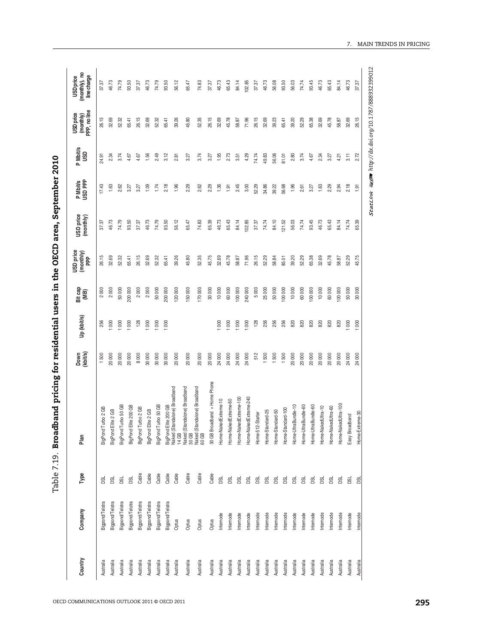| 56.12<br>46.73<br>74.79<br>93.50<br>46.73<br>74.79<br>93.50<br>74.83<br>65.39<br>37.37<br>65.47<br>37.37<br>26.15<br>32.69<br>26.15<br>32.69<br>39.26<br>52.35<br>45.75<br>52.32<br>65.41<br>52.32<br>65.41<br>45.80<br>2000<br>2000<br>50000<br>2000<br>200 000<br>2000<br>50000<br>200 000<br>120000<br>150000<br>170000<br>30000<br>256<br>128<br>$\rm 80$<br>000<br>800<br>1000<br>80<br>$_{000}$<br>000<br>8000<br>1500<br>20000<br>20000<br>30000<br>30000<br>30000<br>20000<br>20000<br>20000<br>20000<br>24000<br>20000<br>30 GB Broadband + Home Phone<br>BigPond Elite 200 GB<br>Naked (Standalone) Broadband<br>14 GB<br>Naked (Standalone) Broadband<br>Naked (Standalone) Broadband<br>60 GB<br>BigPond Turbo 50 GB<br>BigPond Turbo 50 GB<br>BigPond Elite 200 GB<br>d Turbo 2 GB<br>BigPond Turbo 2 GB<br>BigPond Elite 2 GB<br>d Elite 2 GB<br>BigPond<br>BigPono<br>Cable<br>Cable<br>Cable<br>Cable<br>Cable<br>Cable<br>Cable<br>Gable<br>gl<br><b>Bd</b><br><b>BSL</b><br>g<br>Bigpond/Telstra<br>Bigpond/Telstra<br>Bigpond/Telstra<br>Bigpond/Telstra<br>Bigpond/Telstra<br>Bigpond/Telstra<br>Bigpond/Telstra<br>Bigpond/Telstra<br>Optus<br>Optus<br>Optus<br>Optus<br>Australia<br>Australia<br>Australia<br>Australia<br>Australia<br>Australia<br>Australia<br>Australia<br>Australia<br>Australia<br>Australia<br>Australia | 2.49<br>3.12<br>1.95<br>2.73<br>2.34<br>3.74<br>4.67<br>4.67<br>1.56<br>3.74<br>24.91<br>2.81<br>3.27<br>3.27<br>17.43<br>2.18<br>1.63<br>2.62<br>1.09<br>1.74<br>1.96<br>2.29<br>2.62<br>2.29<br>1.36<br>3.27<br>3.27<br>1.91<br>46.73 | 26.15<br>32.69<br>26.15<br>52.32<br>32.69<br>52.32<br>39.26<br>65.41<br>65.41 |
|---------------------------------------------------------------------------------------------------------------------------------------------------------------------------------------------------------------------------------------------------------------------------------------------------------------------------------------------------------------------------------------------------------------------------------------------------------------------------------------------------------------------------------------------------------------------------------------------------------------------------------------------------------------------------------------------------------------------------------------------------------------------------------------------------------------------------------------------------------------------------------------------------------------------------------------------------------------------------------------------------------------------------------------------------------------------------------------------------------------------------------------------------------------------------------------------------------------------------------------------------------------------------------------------------------------------------------------------------------|-----------------------------------------------------------------------------------------------------------------------------------------------------------------------------------------------------------------------------------------|-------------------------------------------------------------------------------|
|                                                                                                                                                                                                                                                                                                                                                                                                                                                                                                                                                                                                                                                                                                                                                                                                                                                                                                                                                                                                                                                                                                                                                                                                                                                                                                                                                         |                                                                                                                                                                                                                                         |                                                                               |
|                                                                                                                                                                                                                                                                                                                                                                                                                                                                                                                                                                                                                                                                                                                                                                                                                                                                                                                                                                                                                                                                                                                                                                                                                                                                                                                                                         |                                                                                                                                                                                                                                         |                                                                               |
|                                                                                                                                                                                                                                                                                                                                                                                                                                                                                                                                                                                                                                                                                                                                                                                                                                                                                                                                                                                                                                                                                                                                                                                                                                                                                                                                                         |                                                                                                                                                                                                                                         |                                                                               |
|                                                                                                                                                                                                                                                                                                                                                                                                                                                                                                                                                                                                                                                                                                                                                                                                                                                                                                                                                                                                                                                                                                                                                                                                                                                                                                                                                         |                                                                                                                                                                                                                                         |                                                                               |
|                                                                                                                                                                                                                                                                                                                                                                                                                                                                                                                                                                                                                                                                                                                                                                                                                                                                                                                                                                                                                                                                                                                                                                                                                                                                                                                                                         |                                                                                                                                                                                                                                         |                                                                               |
|                                                                                                                                                                                                                                                                                                                                                                                                                                                                                                                                                                                                                                                                                                                                                                                                                                                                                                                                                                                                                                                                                                                                                                                                                                                                                                                                                         |                                                                                                                                                                                                                                         |                                                                               |
|                                                                                                                                                                                                                                                                                                                                                                                                                                                                                                                                                                                                                                                                                                                                                                                                                                                                                                                                                                                                                                                                                                                                                                                                                                                                                                                                                         |                                                                                                                                                                                                                                         |                                                                               |
|                                                                                                                                                                                                                                                                                                                                                                                                                                                                                                                                                                                                                                                                                                                                                                                                                                                                                                                                                                                                                                                                                                                                                                                                                                                                                                                                                         |                                                                                                                                                                                                                                         |                                                                               |
|                                                                                                                                                                                                                                                                                                                                                                                                                                                                                                                                                                                                                                                                                                                                                                                                                                                                                                                                                                                                                                                                                                                                                                                                                                                                                                                                                         |                                                                                                                                                                                                                                         |                                                                               |
|                                                                                                                                                                                                                                                                                                                                                                                                                                                                                                                                                                                                                                                                                                                                                                                                                                                                                                                                                                                                                                                                                                                                                                                                                                                                                                                                                         |                                                                                                                                                                                                                                         | 45.80                                                                         |
|                                                                                                                                                                                                                                                                                                                                                                                                                                                                                                                                                                                                                                                                                                                                                                                                                                                                                                                                                                                                                                                                                                                                                                                                                                                                                                                                                         |                                                                                                                                                                                                                                         | 52.35                                                                         |
|                                                                                                                                                                                                                                                                                                                                                                                                                                                                                                                                                                                                                                                                                                                                                                                                                                                                                                                                                                                                                                                                                                                                                                                                                                                                                                                                                         |                                                                                                                                                                                                                                         | 26.15                                                                         |
| 32.69<br>10000<br>Home-NakedExtreme-10<br><b>DSL</b><br>Internode<br>Australia                                                                                                                                                                                                                                                                                                                                                                                                                                                                                                                                                                                                                                                                                                                                                                                                                                                                                                                                                                                                                                                                                                                                                                                                                                                                          |                                                                                                                                                                                                                                         | 32.69                                                                         |
| 65.43<br>45.78<br>60000<br>000<br>24000<br>Home-NakedExtreme-60<br>DSL<br>Internode<br>Australia                                                                                                                                                                                                                                                                                                                                                                                                                                                                                                                                                                                                                                                                                                                                                                                                                                                                                                                                                                                                                                                                                                                                                                                                                                                        |                                                                                                                                                                                                                                         | 45.78                                                                         |
| 84.14<br>58.87<br>100000<br>$\rm 8$<br>24000<br>Home-NakedExtreme-100<br><b>DSL</b><br>Internode<br>Australia                                                                                                                                                                                                                                                                                                                                                                                                                                                                                                                                                                                                                                                                                                                                                                                                                                                                                                                                                                                                                                                                                                                                                                                                                                           | 3.51<br>2.45                                                                                                                                                                                                                            | 58.87                                                                         |
| 102.85<br>71.96<br>240000<br>1000<br>24000<br>Home-NakedExtreme-240<br><b>DSL</b><br>Internode<br>Australia                                                                                                                                                                                                                                                                                                                                                                                                                                                                                                                                                                                                                                                                                                                                                                                                                                                                                                                                                                                                                                                                                                                                                                                                                                             | 4.29<br>3.00                                                                                                                                                                                                                            | 71.96                                                                         |
| 37.37<br>26.15<br>5000<br>128<br>512<br>Home-512-Starter<br><b>BSL</b><br>Internode<br>Australia                                                                                                                                                                                                                                                                                                                                                                                                                                                                                                                                                                                                                                                                                                                                                                                                                                                                                                                                                                                                                                                                                                                                                                                                                                                        | 74.74<br>52.29                                                                                                                                                                                                                          | 26.15                                                                         |
| 74.74<br>52.29<br>25000<br>256<br>1500<br>Home-Standard-25<br>g<br>Internode<br>Australia                                                                                                                                                                                                                                                                                                                                                                                                                                                                                                                                                                                                                                                                                                                                                                                                                                                                                                                                                                                                                                                                                                                                                                                                                                                               | 49.83<br>34.86                                                                                                                                                                                                                          | 32.69                                                                         |
| 84.10<br>58.84<br>50000<br>256<br>1500<br>Home-Standard-50<br>g<br>Internode<br>Australia                                                                                                                                                                                                                                                                                                                                                                                                                                                                                                                                                                                                                                                                                                                                                                                                                                                                                                                                                                                                                                                                                                                                                                                                                                                               | 56.06<br>39.22                                                                                                                                                                                                                          | 39.23                                                                         |
| 21.52<br>85.01<br>100 000<br>256<br>1500<br>Home-Standard-100<br>g<br>Internode<br>Australia                                                                                                                                                                                                                                                                                                                                                                                                                                                                                                                                                                                                                                                                                                                                                                                                                                                                                                                                                                                                                                                                                                                                                                                                                                                            | 81.01<br>56.68                                                                                                                                                                                                                          | 65.41                                                                         |
| 56.03<br>39.20<br>10000<br>820<br>20000<br>Home-UltraBundle-10<br>g<br>Internode<br>Australia                                                                                                                                                                                                                                                                                                                                                                                                                                                                                                                                                                                                                                                                                                                                                                                                                                                                                                                                                                                                                                                                                                                                                                                                                                                           | 2.80<br>1.96                                                                                                                                                                                                                            | 39.20                                                                         |
| 74.74<br>52.29<br>60000<br>820<br>20000<br>Home-UltraBundle-60<br>g<br>Internode<br>Australia                                                                                                                                                                                                                                                                                                                                                                                                                                                                                                                                                                                                                                                                                                                                                                                                                                                                                                                                                                                                                                                                                                                                                                                                                                                           | 3.74<br>2.61                                                                                                                                                                                                                            | 52.29                                                                         |
| 93.45<br>65.38<br>100 000<br>820<br>20000<br>Home-UltraBundle-60<br>g<br>Internode<br>Australia                                                                                                                                                                                                                                                                                                                                                                                                                                                                                                                                                                                                                                                                                                                                                                                                                                                                                                                                                                                                                                                                                                                                                                                                                                                         | 4.67<br>3.27                                                                                                                                                                                                                            | 65.38                                                                         |
| 46.73<br>32.69<br>10000<br>820<br>20000<br>Home-NakedUltra-10<br>g<br>Internode<br>Australia                                                                                                                                                                                                                                                                                                                                                                                                                                                                                                                                                                                                                                                                                                                                                                                                                                                                                                                                                                                                                                                                                                                                                                                                                                                            | 2.34<br>1.63                                                                                                                                                                                                                            | 32.69                                                                         |
| 65.43<br>45.78<br>60000<br>820<br>20000<br>Home-NakedUltra-60<br>g<br>Internode<br>Australia                                                                                                                                                                                                                                                                                                                                                                                                                                                                                                                                                                                                                                                                                                                                                                                                                                                                                                                                                                                                                                                                                                                                                                                                                                                            | 3.27<br>2.29                                                                                                                                                                                                                            | 45.78                                                                         |
| 84.14<br>58.87<br>100 000<br>820<br>20000<br>Home-NakedUltra-100<br>g<br>Internode<br>Australia                                                                                                                                                                                                                                                                                                                                                                                                                                                                                                                                                                                                                                                                                                                                                                                                                                                                                                                                                                                                                                                                                                                                                                                                                                                         | 4.21<br>2.94                                                                                                                                                                                                                            | 58.87                                                                         |
| 74.74<br>52.29<br>50000<br>1000<br>24000<br>Easy Broadband<br>g<br>Internode<br>Australia                                                                                                                                                                                                                                                                                                                                                                                                                                                                                                                                                                                                                                                                                                                                                                                                                                                                                                                                                                                                                                                                                                                                                                                                                                                               | 3.11<br>2.18                                                                                                                                                                                                                            |                                                                               |
| ႙<br>ෂ<br>45.75<br>30000<br>1000<br>24000<br>Home-Extreme-30<br>密<br>Internode<br>Australia                                                                                                                                                                                                                                                                                                                                                                                                                                                                                                                                                                                                                                                                                                                                                                                                                                                                                                                                                                                                                                                                                                                                                                                                                                                             |                                                                                                                                                                                                                                         | 32.69                                                                         |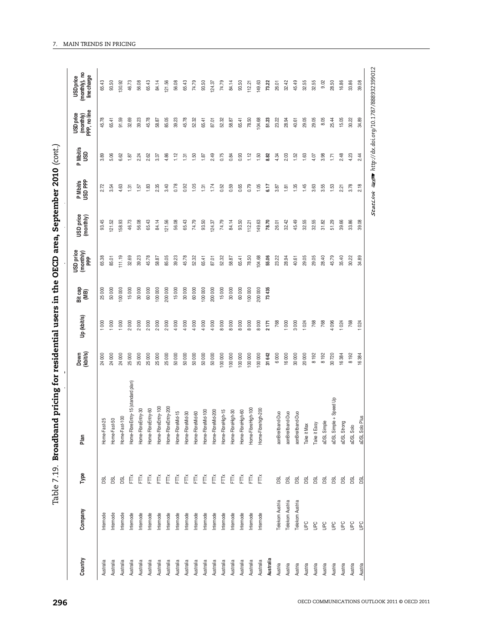| $\sim$ $\sim$ $\sim$ $\sim$                                                           |
|---------------------------------------------------------------------------------------|
|                                                                                       |
|                                                                                       |
|                                                                                       |
|                                                                                       |
|                                                                                       |
|                                                                                       |
|                                                                                       |
|                                                                                       |
| י ברוח הייה ה                                                                         |
|                                                                                       |
| )<br>)<br>!<br>!                                                                      |
|                                                                                       |
| - <<br>-<br>-<br>-<br>-<br>-<br>-<br>-<br>-<br>-<br><br>-<br><br><br><br><br><br><br> |
| י<br>פוסכ                                                                             |
|                                                                                       |
|                                                                                       |
|                                                                                       |
|                                                                                       |
|                                                                                       |
|                                                                                       |
|                                                                                       |
|                                                                                       |
| てこくそ そうも しらこ                                                                          |
|                                                                                       |
|                                                                                       |
|                                                                                       |
|                                                                                       |
|                                                                                       |
|                                                                                       |
|                                                                                       |
|                                                                                       |
|                                                                                       |
|                                                                                       |
| י<br>י<br>ココココ<br>1                                                                   |
|                                                                                       |

| Type<br>Company<br>Country              | Plan                                  | Down<br>(kbit/s) | Up (kbit/s)         | Bit cap<br>(MB) | USD price<br>(monthly)<br>PPP | USD price<br>(monthly) | P Mbit/s<br>USD PPP | P Mbit/s<br>USD | (monthly)<br>PPP, no line<br>USD price | (monthly), no<br>line charge<br><b>USD</b> price |
|-----------------------------------------|---------------------------------------|------------------|---------------------|-----------------|-------------------------------|------------------------|---------------------|-----------------|----------------------------------------|--------------------------------------------------|
| g<br>Internode<br>Australia             | Home-Fast-25                          | 24000            | 1000                | 25000           | 65.38                         | 93.45                  | 2.72                | 3.89            | 45.78                                  | 65.43                                            |
| g<br>Internode<br>Australia             | Home-Fast-50                          | 24000            | $\infty$            | 50000           | 85.01                         | 121.52                 | 3.54                | 5.06            | 65.41                                  | 93.50                                            |
| g<br>Internode<br>Australia             | Home-Fast-100                         | 24000            | 000                 | 00000           | 11.19                         | 58.93                  | 4.63                | 6.62            | 91.59                                  | 30.92                                            |
| Ě<br>Internode<br>Australia             | Home-FibreEntry-15 (standard plan)    | 25000            | 2000                | 15000           | 32.69                         | 46.73                  | 1.31                | 1.87            | 32.69                                  | 46.73                                            |
| Ě<br>Internode<br>Australia             | Home-FibreEntry-30                    | 25000            | 2000                | 30000           | 39.23                         | 56.08                  | 1.57                | 2.24            | 39.23                                  | 56.08                                            |
| Ĕ<br>Internode<br>Australia             | Home-FibreEntry-60                    | 25000            | 2000                | 60000           | 45.78                         | 65.43                  | 1.83                | 2.62            | 45.78                                  | 65.43                                            |
| Ĕ<br>Internode<br>Australia             | Home-FibreEntry-100                   | 25000            | $\rm 000$<br>$\sim$ | 100 000         | 58.87                         | 84.14                  | 2.35                | 3.37            | 58.87                                  | 84.14                                            |
| Ĕ<br>Internode<br>Australia             | Home-FibreEntry-200                   | 25000            | 800<br>$\sim$       | 200 000         | 85.05                         | 121.56                 | 3.40                | 4.86            | 85.05                                  | 21.56                                            |
| FĨ<br>Internode<br>Australia            | Home-FibreMid-15                      | 50000            | 4 000               | 15000           | 39.23                         | 56.08                  | 0.78                | 1.12            | 39.23                                  | 56.08                                            |
| FT<br>Internode<br>Australia            | Home-FibreMid-30                      | 50000            | 4 000               | 30000           | 45.78                         | 65.43                  | 0.92                | 1.31            | 45.78                                  | 65.43                                            |
| Internode<br>Australia                  | Home-FibreMid-60                      | 50000            | 4 000               | 60000           | 52.32                         | 74.79                  | 1.05                | 1.50            | 52.32                                  | 74.79                                            |
| ĔĚ<br>Internode<br>Australia            | Home-FibreMid-100                     | 50000            | 4 000               | 100 000         | 65.41                         | 93.50                  | 1.31                | 1.87            | 65.41                                  | 93.50                                            |
| Ĕ<br>Internode<br>Australia             | Home-FibreMid-200                     | 50000            | 4 000               | 200 000         | 87.01                         | 124.37                 | 1.74                | 2.49            | 87.01                                  | 124.37                                           |
| Ě<br>Internode<br>Australia             | High-15<br>Home-Fibre                 | 100 000          | 8000                | 15000           | 52.32                         | 74.79                  | 0.52                | 0.75            | 52.32                                  | 74.79                                            |
| Ě<br>Internode<br>Australia             | Home-FibreHigh-30                     | 100 000          | 8000                | 30000           | 58.87                         | 84.14                  | 0.59                | 0.84            | 58.87                                  | 84.14                                            |
| Ě<br>Internode<br>Australia             | Home-FibreHigh-60                     | 100 000          | 8000                | 60000           | 65.41                         | 93.50                  | 0.65                | 0.93            | 65.41                                  | 93.50                                            |
| Ĕ<br>Internode<br>Australia             | Home-FibreHigh-100                    | 100 000          | 8000                | 100 000         | 78.50                         | 112.21                 | 0.79                | 1.12            | 78.50                                  | 112.21                                           |
| Ě<br>Internode<br>Australia             | Home-Fibrehigh-200                    | 100 000          | 8000                | 200000          | 104.68                        | 149.63                 | 1.05                | 1.50            | 104.68                                 | 149.63                                           |
| Australia                               |                                       | 31642            | 2171                | 73435           | 55.06                         | 78.70                  | 6.17                | 8.82            | 51.23                                  | 73.22                                            |
| <b>BL</b><br>Telekom Austria<br>Austria | aonBreitband-Duo                      | 6000             | 768                 |                 | 23.22                         | 26.01                  | 3.87                | 4.34            | 23.22                                  | 26.01                                            |
| g<br>Telekom Austria<br>Austria         | aonBreitband-Duo                      | 16000            | 1000                |                 | 28.94                         | 32.42                  | 1.81                | 2.03            | 28.94                                  | 32.42                                            |
| g<br>Telekom Austria<br>Austria         | aonBreitband-Duo                      | 30000            | 3000                |                 | 40.61                         | 45.49                  | 1.35                | 1.52            | 40.61                                  | 45.49                                            |
| g<br>$\tilde{e}$<br>Austria             | Take it Max                           | 20000            | 1024                |                 | 29.05                         | 32.55                  | 1.45                | 1.63            | 29.05                                  | 32.55                                            |
| <b>DSL</b><br><b>UPC</b><br>Austria     | Take it Easy                          | 8192             | 768                 |                 | 29.05                         | 32.55                  | 3.63                | 4.07            | 29.05                                  | 32.55                                            |
| g<br>Den<br>Austria                     | $\underline{\texttt{o}}$<br>aDSL Simp | 8192             | 768                 |                 | 28.40                         | 31.82                  | 3.55                | 3.98            | 8.05                                   | 9.02                                             |
| g<br>$\tilde{e}$<br>Austria             | aDSL Simple + Speed Up                | 30720            | 86                  |                 | 45.79                         | 51.29                  | 1.53                | 1.71            | 25.44                                  | 28.50                                            |
| g<br>$\tilde{e}$<br>Austria             | aDSL Strong                           | 16384            | 1024                |                 | 35.40                         | 39.66                  | 2.21                | 2.48            | 15.05                                  | 16.86                                            |
| g<br>ΘG<br>Austria                      | aDSL Solo                             | 8 192            | 768                 |                 | 30.22                         | 33.86                  | 3.78                | 4.23            | 30.22                                  | 33.86                                            |
| ශි<br><b>DeD</b><br>Austria             | Plus<br>aDSL Solo                     | 16384            | 024                 |                 | 34.89                         | ප<br>ஜ                 | 2.18                | 2.44            | 34.89                                  | 39.08                                            |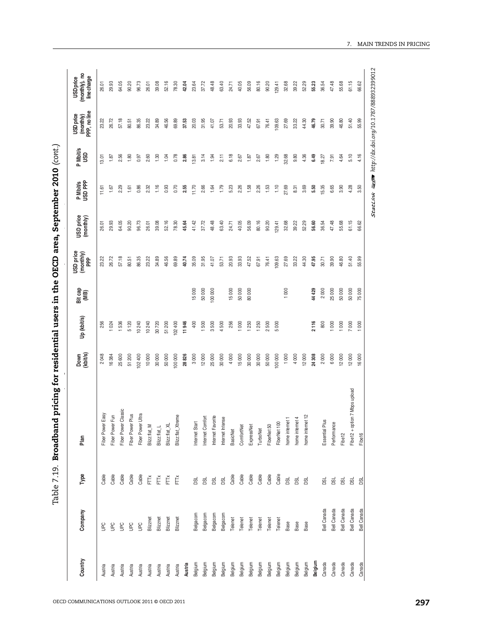| התוח ו<br>$\frac{1}{2}$                                           |
|-------------------------------------------------------------------|
|                                                                   |
| i<br>I<br>I                                                       |
| יברדה הייםה                                                       |
|                                                                   |
|                                                                   |
| ;<br>;<br>;<br>$\frac{1}{2}$ . The second $\frac{1}{2}$<br>į<br>: |
| しょうしつていろう そうし リミット                                                |
|                                                                   |
|                                                                   |
| i<br>Ticholo                                                      |
|                                                                   |
| コカ・コリ                                                             |
| י<br>י                                                            |

| 57.18<br>26.72<br>86.35<br>34.89<br>46.56<br>69.89<br>20.03<br>31.95<br>20.93<br>23.22<br>37.53<br>41.07<br>53.71<br>23.22<br>80.51<br>6.18<br>3.14<br>2.56<br>1.80<br>0.97<br>2.60<br>1.30<br>1.04<br>0.78<br>2.86<br>13.81<br>1.94<br>2.11<br>13.01<br>1.87<br>0.86<br>1.16<br>0.93<br>1.79<br>2.29<br>2.32<br>0.70<br>2.55<br>11.70<br>2.66<br>1.64<br>5.23<br>1.67<br>1.61<br>11.61<br>52.16<br>63.40<br>29.93<br>64.05<br>90.20<br>96.73<br>39.08<br>41.42<br>37.72<br>48.48<br>26.01<br>26.01<br>78.30<br>45.64<br>24.71<br>57.18<br>86.35<br>34.89<br>46.56<br>35.09<br>23.22<br>26.72<br>23.22<br>69.89<br>31.95<br>41.07<br>20.93<br>80.51<br>40.74<br>53.71<br>15000<br>50000<br>15000<br>100000<br>256<br>1536<br>10240<br>10 240<br>400<br>1500<br>256<br>5 120<br>30720<br>51 200<br>102 400<br>11946<br>3500<br>4500<br>1024<br>2048<br>12000<br>4000<br>25600<br>51200<br>102400<br>10000<br>30000<br>50000<br>100 000<br>28826<br>3000<br>25000<br>30000<br>16384<br>Fiber Power Classic<br>Fiber Power Ultra<br>Blizz:flat_M<br>Fiber Power Easy<br>Fiber Power Plus<br>Fiber Power Fun<br>Blizz:flat_Xtreme<br>Internet Comfort<br>Internet Favorite<br>Internet Intense<br>Internet Start<br>Blizz:flat_XL<br>$B\ zz:flat_L$<br><b>BasicNet</b><br>Cable<br>Cable<br>Cable<br>Cable<br>Cable<br>Cable<br>FT<br>FTTX<br>FTŇ<br>Ĕ<br><b>DSL</b><br>DSL<br>g<br>g<br>Belgacom<br>Belgacom<br>Belgacom<br>Belgacom<br>Blizznet<br>Telenet<br>Blizznet<br>Blizznet<br>Blizznet<br>уe<br><b>UPC</b><br><b>G</b><br>Θg<br><b>UPC</b><br>Belgium<br>Belgium<br>Belgium<br>Belgium<br>Belgium<br>Austria<br>Austria<br>Austria<br>Austria<br>Austria<br>Austria<br>Austria<br>Austria<br>Austria<br>Austria |
|-----------------------------------------------------------------------------------------------------------------------------------------------------------------------------------------------------------------------------------------------------------------------------------------------------------------------------------------------------------------------------------------------------------------------------------------------------------------------------------------------------------------------------------------------------------------------------------------------------------------------------------------------------------------------------------------------------------------------------------------------------------------------------------------------------------------------------------------------------------------------------------------------------------------------------------------------------------------------------------------------------------------------------------------------------------------------------------------------------------------------------------------------------------------------------------------------------------------------------------------------------------------------------------------------------------------------------------------------------------------------------------------------------------------------------------------------------------------------------------------------------------------------------------------------------------------------------------------------------------------------------------------------------------------------------------------------------------------------|
|                                                                                                                                                                                                                                                                                                                                                                                                                                                                                                                                                                                                                                                                                                                                                                                                                                                                                                                                                                                                                                                                                                                                                                                                                                                                                                                                                                                                                                                                                                                                                                                                                                                                                                                       |
|                                                                                                                                                                                                                                                                                                                                                                                                                                                                                                                                                                                                                                                                                                                                                                                                                                                                                                                                                                                                                                                                                                                                                                                                                                                                                                                                                                                                                                                                                                                                                                                                                                                                                                                       |
|                                                                                                                                                                                                                                                                                                                                                                                                                                                                                                                                                                                                                                                                                                                                                                                                                                                                                                                                                                                                                                                                                                                                                                                                                                                                                                                                                                                                                                                                                                                                                                                                                                                                                                                       |
|                                                                                                                                                                                                                                                                                                                                                                                                                                                                                                                                                                                                                                                                                                                                                                                                                                                                                                                                                                                                                                                                                                                                                                                                                                                                                                                                                                                                                                                                                                                                                                                                                                                                                                                       |
|                                                                                                                                                                                                                                                                                                                                                                                                                                                                                                                                                                                                                                                                                                                                                                                                                                                                                                                                                                                                                                                                                                                                                                                                                                                                                                                                                                                                                                                                                                                                                                                                                                                                                                                       |
|                                                                                                                                                                                                                                                                                                                                                                                                                                                                                                                                                                                                                                                                                                                                                                                                                                                                                                                                                                                                                                                                                                                                                                                                                                                                                                                                                                                                                                                                                                                                                                                                                                                                                                                       |
|                                                                                                                                                                                                                                                                                                                                                                                                                                                                                                                                                                                                                                                                                                                                                                                                                                                                                                                                                                                                                                                                                                                                                                                                                                                                                                                                                                                                                                                                                                                                                                                                                                                                                                                       |
|                                                                                                                                                                                                                                                                                                                                                                                                                                                                                                                                                                                                                                                                                                                                                                                                                                                                                                                                                                                                                                                                                                                                                                                                                                                                                                                                                                                                                                                                                                                                                                                                                                                                                                                       |
|                                                                                                                                                                                                                                                                                                                                                                                                                                                                                                                                                                                                                                                                                                                                                                                                                                                                                                                                                                                                                                                                                                                                                                                                                                                                                                                                                                                                                                                                                                                                                                                                                                                                                                                       |
|                                                                                                                                                                                                                                                                                                                                                                                                                                                                                                                                                                                                                                                                                                                                                                                                                                                                                                                                                                                                                                                                                                                                                                                                                                                                                                                                                                                                                                                                                                                                                                                                                                                                                                                       |
|                                                                                                                                                                                                                                                                                                                                                                                                                                                                                                                                                                                                                                                                                                                                                                                                                                                                                                                                                                                                                                                                                                                                                                                                                                                                                                                                                                                                                                                                                                                                                                                                                                                                                                                       |
|                                                                                                                                                                                                                                                                                                                                                                                                                                                                                                                                                                                                                                                                                                                                                                                                                                                                                                                                                                                                                                                                                                                                                                                                                                                                                                                                                                                                                                                                                                                                                                                                                                                                                                                       |
|                                                                                                                                                                                                                                                                                                                                                                                                                                                                                                                                                                                                                                                                                                                                                                                                                                                                                                                                                                                                                                                                                                                                                                                                                                                                                                                                                                                                                                                                                                                                                                                                                                                                                                                       |
|                                                                                                                                                                                                                                                                                                                                                                                                                                                                                                                                                                                                                                                                                                                                                                                                                                                                                                                                                                                                                                                                                                                                                                                                                                                                                                                                                                                                                                                                                                                                                                                                                                                                                                                       |
|                                                                                                                                                                                                                                                                                                                                                                                                                                                                                                                                                                                                                                                                                                                                                                                                                                                                                                                                                                                                                                                                                                                                                                                                                                                                                                                                                                                                                                                                                                                                                                                                                                                                                                                       |
| 33.93<br>2.67<br>2.26<br>40.05<br>33.93<br>50000<br>1000<br>15000<br>Cable<br>Telenet<br>Belgium                                                                                                                                                                                                                                                                                                                                                                                                                                                                                                                                                                                                                                                                                                                                                                                                                                                                                                                                                                                                                                                                                                                                                                                                                                                                                                                                                                                                                                                                                                                                                                                                                      |
| 47.52<br>1.87<br>1.58<br>56.09<br>47.52<br>80000<br>1250<br>30000<br>ComfortNet<br>ExpressNet<br>Cable<br>Telenet<br>Belgium                                                                                                                                                                                                                                                                                                                                                                                                                                                                                                                                                                                                                                                                                                                                                                                                                                                                                                                                                                                                                                                                                                                                                                                                                                                                                                                                                                                                                                                                                                                                                                                          |
| 67.91<br>2.67<br>2.26<br>80.16<br>67.91<br>1250<br>30000<br>TurboNet<br>Cable<br>Telenet<br>Belgium                                                                                                                                                                                                                                                                                                                                                                                                                                                                                                                                                                                                                                                                                                                                                                                                                                                                                                                                                                                                                                                                                                                                                                                                                                                                                                                                                                                                                                                                                                                                                                                                                   |
| 76.41<br>1.80<br>1.53<br>90.20<br>76.41<br>2500<br>50000<br>FiberNet 50<br>Cable<br>Telenet<br>Belgium                                                                                                                                                                                                                                                                                                                                                                                                                                                                                                                                                                                                                                                                                                                                                                                                                                                                                                                                                                                                                                                                                                                                                                                                                                                                                                                                                                                                                                                                                                                                                                                                                |
| 109.63<br>1.29<br>1.10<br>129.41<br>109.63<br>5000<br>100 000<br>FiberNet 100<br>Cable<br>Telenet<br>Belgium                                                                                                                                                                                                                                                                                                                                                                                                                                                                                                                                                                                                                                                                                                                                                                                                                                                                                                                                                                                                                                                                                                                                                                                                                                                                                                                                                                                                                                                                                                                                                                                                          |
| 27.69<br>32.68<br>27.69<br>32.68<br>27.69<br>1000<br>1000<br>home internet 1<br><b>DSL</b><br>Base<br>Belgium                                                                                                                                                                                                                                                                                                                                                                                                                                                                                                                                                                                                                                                                                                                                                                                                                                                                                                                                                                                                                                                                                                                                                                                                                                                                                                                                                                                                                                                                                                                                                                                                         |
| 33.22<br>9.80<br>8.31<br>39.22<br>33.22<br>4000<br>nome internet 4<br><b>BSL</b><br>Base<br>Belgium                                                                                                                                                                                                                                                                                                                                                                                                                                                                                                                                                                                                                                                                                                                                                                                                                                                                                                                                                                                                                                                                                                                                                                                                                                                                                                                                                                                                                                                                                                                                                                                                                   |
| 44.30<br>4.36<br>3.69<br>52.29<br>44.30<br>12000<br>met 12<br>home inter<br>g<br>Base<br>Belgium                                                                                                                                                                                                                                                                                                                                                                                                                                                                                                                                                                                                                                                                                                                                                                                                                                                                                                                                                                                                                                                                                                                                                                                                                                                                                                                                                                                                                                                                                                                                                                                                                      |
| 46.79<br>6.49<br>5.50<br>56.60<br>47.95<br>44429<br>2116<br>24308<br>Belgium                                                                                                                                                                                                                                                                                                                                                                                                                                                                                                                                                                                                                                                                                                                                                                                                                                                                                                                                                                                                                                                                                                                                                                                                                                                                                                                                                                                                                                                                                                                                                                                                                                          |
| 30.71<br>18.27<br>15.35<br>36.54<br>30.71<br>2000<br>800<br>2000<br>Plus<br>Essential F<br><b>DSL</b><br><b>Bell Canada</b><br>Canada                                                                                                                                                                                                                                                                                                                                                                                                                                                                                                                                                                                                                                                                                                                                                                                                                                                                                                                                                                                                                                                                                                                                                                                                                                                                                                                                                                                                                                                                                                                                                                                 |
| 39.90<br>7.91<br>6.65<br>47.48<br>39.90<br>25000<br>1000<br>6000<br>Performance<br>g<br>Bell Canada<br>Canada                                                                                                                                                                                                                                                                                                                                                                                                                                                                                                                                                                                                                                                                                                                                                                                                                                                                                                                                                                                                                                                                                                                                                                                                                                                                                                                                                                                                                                                                                                                                                                                                         |
| 46.80<br>4.64<br>3.90<br>55.68<br>46.80<br>50000<br>1000<br>12000<br>Fibe12<br>g<br>Bell Canada<br>Canada                                                                                                                                                                                                                                                                                                                                                                                                                                                                                                                                                                                                                                                                                                                                                                                                                                                                                                                                                                                                                                                                                                                                                                                                                                                                                                                                                                                                                                                                                                                                                                                                             |
| 51.40<br>5.10<br>4.28<br>61.15<br>51.40<br>50000<br>7000<br>12000<br>Fibe12 + option 7 Mbps upload<br>g<br><b>Bell Canada</b><br>Canada                                                                                                                                                                                                                                                                                                                                                                                                                                                                                                                                                                                                                                                                                                                                                                                                                                                                                                                                                                                                                                                                                                                                                                                                                                                                                                                                                                                                                                                                                                                                                                               |
| 55.99<br>4.16<br>3.50<br>ଞ୍<br>86<br>55.99<br>75000<br>1000<br>16000<br>Fibe16<br>g<br>Bell Canada<br>Canada                                                                                                                                                                                                                                                                                                                                                                                                                                                                                                                                                                                                                                                                                                                                                                                                                                                                                                                                                                                                                                                                                                                                                                                                                                                                                                                                                                                                                                                                                                                                                                                                          |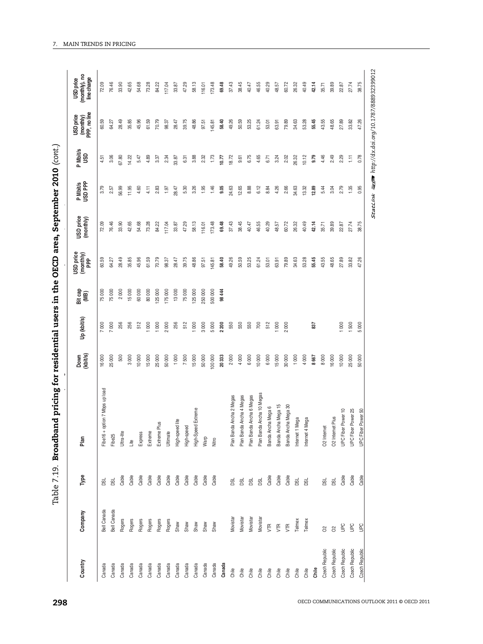| ;<br>)<br>!<br>r<br>cr |
|------------------------|
|                        |
|                        |
|                        |
|                        |
|                        |
|                        |
|                        |
|                        |
|                        |
|                        |
|                        |
|                        |
|                        |
|                        |
|                        |
|                        |
|                        |
|                        |
|                        |
|                        |
| $\frac{1}{2}$          |
|                        |
|                        |
|                        |
|                        |
|                        |
| )<br>)<br>)            |
|                        |
|                        |
|                        |
|                        |
|                        |
| ;<br>;                 |
|                        |
|                        |
|                        |
|                        |
|                        |
|                        |
|                        |
|                        |
|                        |
|                        |
|                        |
|                        |
|                        |
|                        |
|                        |
|                        |
|                        |
|                        |
|                        |
|                        |
|                        |
| I                      |
|                        |
|                        |
|                        |
|                        |
|                        |
|                        |
|                        |
|                        |
|                        |
|                        |
|                        |
|                        |
|                        |
|                        |
|                        |
|                        |
|                        |
|                        |
|                        |
|                        |
|                        |
|                        |
| コンココ<br>י<br>י         |

| Plan<br>Type<br>Company<br>Country                                            |                                | Down<br>(kbit/s) | Up (kbit/s) | Bit cap<br>(MB) | USD price<br>$(\text{month} y)$ | USD price<br>(monthly) | P Mbit/s<br>USD PPP | P Mbit/s<br>USD | (monthly)<br>PPP, no line<br>USD price | (monthly), no<br>line charge<br><b>USD</b> price |
|-------------------------------------------------------------------------------|--------------------------------|------------------|-------------|-----------------|---------------------------------|------------------------|---------------------|-----------------|----------------------------------------|--------------------------------------------------|
| g<br>Bell Canada<br>Canada                                                    | Fibe16 + option 7 Mbps up load | 16000            | 000         | 75000           | 60.59                           | 72.09                  | 3.79                | 4.51            | 60.59                                  | 72.09                                            |
| Fibe25<br>g<br>Bell Canada<br>Canada                                          |                                | 25000            | $\rm 8$     | 75000           | 64.27                           | 76.46                  | 2.57                | 3.06            | 64.27                                  | 76.46                                            |
| Ultra-lite<br>Cable<br>Rogers<br>Canada                                       |                                | 500              | 256         | 2000            | 28.49                           | 33.90                  | 56.99               | 57.80           | 28.49                                  | 33.90                                            |
| Lite<br>Cable<br>Rogers<br>Canada                                             |                                | 3000             | 256         | 15000           | 35.85                           | 42.65                  | 11.95               | 14.22           | 35.85                                  | 42.65                                            |
| Express<br>Cable<br>Rogers<br>Canada                                          |                                | 10000            | 512         | 60000           | 45.96                           | 54.68                  | 4.60                | 5.47            | 45.96                                  | 54.68                                            |
| Extreme<br>Cable<br>Rogers<br>Canada                                          |                                | 15000            | $\infty$    | 80000           | 61.59                           | 73.28                  | 4.11                | 4.89            | 61.59                                  | 73.28                                            |
| Extreme Plus<br>Cable<br>Rogers<br>Canada                                     |                                | 25000            | 1 000       | 125000          | 70.79                           | 84.22                  | 2.83                | 3.37            | 70.79                                  | 84.22                                            |
| Ultimate<br>Cable<br>Rogers<br>Canada                                         |                                | 50000            | 2000        | 175 000         | 98.37                           | 117.04                 | 1.97                | 2.34            | 98.37                                  | 117.04                                           |
| High-speed lite<br>Cable<br>Shaw<br>Canada                                    |                                | 1000             | 256         | 13000           | 28.47                           | 33.87                  | 28.47               | 33.87           | 28.47                                  | 33.87                                            |
| High-speed<br>Cable<br>Shaw<br>Canada                                         |                                | 7500             | 512         | 75000           | 39.75                           | 47.29                  | 5.30                | 6.31            | 39.75                                  | 47.29                                            |
| High-Speed<br>Cable<br>Shaw<br>Canada                                         | Extreme                        | 15000            | 1 000       | 125000          | 48.86                           | 58.13                  | 3.26                | 3.88            | 48.86                                  | 58.13                                            |
| Warp<br>Cable<br>Shaw<br>Canada                                               |                                | 50000            | 3000        | 250 000         | 97.51                           | 116.01                 | 1.95                | 2.32            | 97.51                                  | 116.01                                           |
| Nitro<br>Cable<br>Shaw<br>Canada                                              |                                | 100000           | 5000        | 500 000         | 145.81                          | 173.48                 | 1.46                | 1.73            | 145.81                                 | 173.48                                           |
| Canada                                                                        |                                | 20333            | 2200        | 98444           | 58.40                           | 69.48                  | 9.05                | 10.77           | 58.40                                  | 69.48                                            |
| Plan Banda<br><b>BSL</b><br>Movistar<br>Chile                                 | Ancha 2 Megas                  | 2000             | 550         |                 | 49.26                           | 37.43                  | 24.63               | 18.72           | 49.26                                  | 37.43                                            |
| Plan Banda<br><b>DSL</b><br>Movistar<br>Chile                                 | Ancha 4 Megas                  | 4000             | 550         |                 | 50.59                           | 38.45                  | 12.65               | 9.61            | 50.59                                  | 38.45                                            |
| Plan Banda<br>g<br>Movistar<br>Chile                                          | Ancha 6 Megas                  | 6000             | 550         |                 | 53.25                           | 40.47                  | 8.88                | 6.75            | 53.25                                  | 40.47                                            |
| DSL<br>Movistar<br>Chile                                                      | Plan Banda Ancha 10 Megas      | 10000            | 700         |                 | 61.24                           | 46.55                  | 6.12                | 4.65            | 61.24                                  | 46.55                                            |
| Banda Ancha Mega 6<br>Cable<br><b>VTR</b><br>Chile                            |                                | 6000             | 512         |                 | 53.01                           | 40.29                  | 8.84                | 6.71            | 53.01                                  | 40.29                                            |
| Banda Ancha Mega 15<br>Cable<br><b>VTR</b><br>Chile                           |                                | 15000            | 000         |                 | 63.91                           | 48.57                  | 4.26                | 3.24            | 63.91                                  | 48.57                                            |
| Banda Ancha Mega 30<br>Cable<br><b>VTR</b><br>Chile                           |                                | 30000            | 800         |                 | 79.89                           | 60.72                  | 2.66                | 2.02            | 79.89                                  | 60.72                                            |
| Internet 1 Mega<br>g<br>Telmex<br>Chile                                       |                                | 1000             |             |                 | 34.63                           | 26.32                  | 34.63               | 26.32           | 34.63                                  | 26.32                                            |
| Internet 4 Mega<br>g<br>Telmex<br>Chile                                       |                                | 4000             |             |                 | 53.28                           | 40.49                  | 13.32               | 10.12           | 53.28                                  | 40.49                                            |
| Chile                                                                         |                                | 8667             | 28          |                 | 55.45                           | 42.14                  | 12.89               | 9.79            | 55.45                                  | 42.14                                            |
| O <sub>2</sub> Internet<br>DSL<br>$\delta$<br>Czech Republic                  |                                | 8000             |             |                 | 43.55                           | 35.71                  | 5.44                | 4.46            | 43.55                                  | 35.71                                            |
| O <sub>2</sub> Internet<br>DSL<br>$\rm \stackrel{>}{\circ}$<br>Czech Republic | Plus                           | 16000            |             |                 | 48.65                           | 39.89                  | 3.04                | 2.49            | 48.65                                  | 39.89                                            |
| UPC Fiber Power 10<br>Cable<br><b>UPC</b><br>Czech Republic                   |                                | 10000            | 1000        |                 | 27.89                           | 22.87                  | 2.79                | 2.29            | 27.89                                  | 22.87                                            |
| UPC Fiber Power 25<br>Cable<br><b>UPC</b><br>Czech Republic                   |                                | 25000            | 1500        |                 | 33.82                           | 27.74                  | 1.35                | $\overline{1}$  | 33.82                                  | 27.74                                            |
| UPC Fiber Power 50<br>Cable<br><b>Dell</b><br>Czech Republic                  |                                | 50000            | 80<br>S     |                 | 47.26                           | 38.75                  | 0.95                | 0.78            | 47.26                                  | 38.75                                            |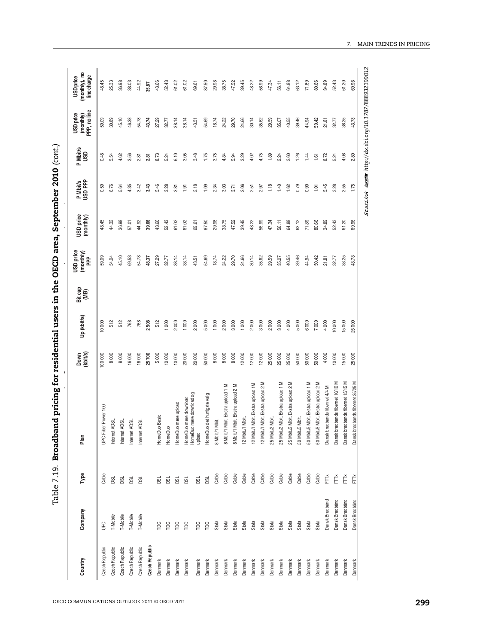| י<br>ו<br>י               |
|---------------------------|
| ׅ֘֒                       |
| - במיה היים ב<br>$\vdots$ |
|                           |
| )<br> }<br> <br>í<br>S    |
| י<br>י                    |
|                           |
|                           |
|                           |
| ı                         |
| i                         |
|                           |
| こっこ<br>I<br>.<br>,        |
|                           |

| Type<br>Company<br>Country               | Plan                                    | Down<br>(kbit/s) | Up (kbit/s) | Bit cap<br>(MB) | (monthly)<br>PPP<br>USD price | USD price<br>(monthly) | P Mbit/s<br>USD PPP | P Mbit/s<br>USD | (monthly)<br>PPP, no line<br>USD price | (monthly), no<br>line charge<br>USD price |
|------------------------------------------|-----------------------------------------|------------------|-------------|-----------------|-------------------------------|------------------------|---------------------|-----------------|----------------------------------------|-------------------------------------------|
| Cable<br><b>UPC</b><br>Czech Republic    | UPC Fiber Power 100                     | 100 000          | 10 000      |                 | 59.09                         | 48.45                  | 0.59                | 0.48            | 59.09                                  | 48.45                                     |
| g<br>T-Mobile<br>Czech Republic          | Internet ADSL                           | 8000             | 512         |                 | 54.04                         | 44.32                  | 6.76                | 모<br>ທ່         | 30.89                                  | 25.33                                     |
| g<br>T-Mobile<br>Czech Republic          | Internet ADSL                           | 8000             | 512         |                 | 45.10                         | 36.98                  | 5.64                | 4.62            | 45.10                                  | 36.98                                     |
| <b>BSL</b><br>T-Mobile<br>Czech Republic | Internet ADSL                           | 16000            | 768         |                 | 69.53                         | 57.01                  | 4.35                | 3.56            | 46.38                                  | 38.03                                     |
| <b>BSL</b><br>T-Mobile<br>Czech Republic | Internet ADSL                           | 16000            | 768         |                 | 54.78                         | 44.92                  | 3.42                | 2.81            | 54.78                                  | 44.92                                     |
| Czech Republic                           |                                         | 25700            | 2508        |                 | 48.37                         | 39.66                  | 3.43                | 2.81            | 43.74                                  | 35.87                                     |
| <b>DSL</b><br>$\beta$<br>Denmark         | HomeDuo Basic                           | 5000             | 512         |                 | 27.29                         | 43.66                  | 5.46                | 8.73            | 27.29                                  | 43.66                                     |
| <b>BSL</b><br>$\beta$<br>Denmark         | HomeDuc                                 | 10000            | 1000        |                 | 32.77                         | 52.43                  | 3.28                | 5.24            | 32.77                                  | 52.43                                     |
| <b>BSL</b><br>$\beta$<br>Denmark         | HomeDuo mere upload                     | 10000            | 2000        |                 | 38.14                         | 61.02                  | 3.81                | 6.10            | 38.14                                  | 61.02                                     |
| <b>DSL</b><br>$\beta$<br>Denmark         | mere download<br>HomeDuo r<br>HomeDuo r | 20000            | 1000        |                 | 38.14                         | 61.02                  | 1.91                | 3.05            | 38.14                                  | 61.02                                     |
| DSL<br>$\overline{p}$<br>Denmark         | mere download og<br>upload              | 20000            | 2000        |                 | 43.51                         | 69.61                  | 2.18                | 3.48            | 43.51                                  | 69.61                                     |
| DSL<br>TDC<br>Denmark                    | HomeDuo det hurtigste valg              | 50000            | 5000        |                 | 54.69                         | 87.50                  | 1.09                | 1.75            | 54.69                                  | 87.50                                     |
| Cable<br>Stofa<br>Denmark                | Mbit.<br>8 Mbit./1 I                    | 8000             | 1000        |                 | 18.74                         | 29.98                  | 2.34                | 3.75            | 18.74                                  | 29.98                                     |
| Cable<br>Stofa<br>Denmark                | Mbit. Ekstra upload 1 M<br>8 Mbit./1    | 8000             | 2000        |                 | 24.22                         | 38.75                  | 3.03                | 4.84            | 24.22                                  | 38.75                                     |
| Cable<br>Stofa<br>Denmark                | Mbit. Ekstra upload 2 M<br>8 Mbit./1    | 8000             | 3000        |                 | 29.70                         | 47.52                  | 3.71                | 5.94            | 29.70                                  | 47.52                                     |
| Cable<br>Stofa<br>Denmark                | Mbit.<br>12 Mbit./1                     | 12000            | 1000        |                 | 24.66                         | 39.45                  | 2.06                | 3.29            | 24.66                                  | 39.45                                     |
| Cable<br>Stofa<br>Denmark                | Mbit. Ekstra upload 1M<br>12 Mbit./1    | 12000            | 2000        |                 | 30.14                         | 48.22                  | 2.51                | 4.02            | 30.14                                  | 48.22                                     |
| Cable<br>Stofa<br>Denmark                | Mbit. Ekstra upload 2 M<br>12 Mbit./1   | 12000            | 3000        |                 | 35.62                         | 56.99                  | 2.97                | 4.75            | 35.62                                  | 56.99                                     |
| Cable<br>Stofa<br>Denmark                | Mbit.<br>25 Mbit./2                     | 25000            | 2000        |                 | 29.59                         | 47.34                  | 1.18                | 1.89            | 29.59                                  | 47.34                                     |
| Cable<br>Stofa<br>Denmark                | Mbit. Ekstra upload 1 M<br>25 Mbit./2   | 25000            | 3000        |                 | 35.07                         | 56.11                  | 1.40                | 2.24            | 35.07                                  | 56.11                                     |
| Cable<br>Stofa<br>Denmark                | Mbit. Ekstra upload 2 M<br>25 Mbit./2   | 25000            | 4 000       |                 | 40.55                         | 64.88                  | 1.62                | 2.60            | 40.55                                  | 64.88                                     |
| Cable<br>Stofa<br>Denmark                | i Mbit.<br>50 Mbit./5                   | 50000            | 5000        |                 | 39.46                         | 63.12                  | 0.79                | 1.26            | 39.46                                  | 63.12                                     |
| Cable<br>Stofa<br>Denmark                | 50 Mbit./5 Mbit. Ekstra upload 1 M      | 50000            | 6 000       |                 | 44.94                         | 71.89                  | 0.90                | 1.44            | 44.94                                  | 71.89                                     |
| Cable<br>Stofa<br>Denmark                | Mbit. Ekstra upload 2 M<br>50 Mbit./5   | 50000            | 7000        |                 | 50.42                         | 80.66                  | $\overline{101}$    | 1.61            | 50.42                                  | 80.66                                     |
| FTŇ<br>Dansk Bredbånd<br>Denmark         | Dansk bredbands fibernet 4/4 M          | 4000             | 4 000       |                 | 21.81                         | 34.89                  | 5.45                | 8.72            | 21.81                                  | 34.89                                     |
| FTŘ<br>Dansk Bredbånd<br>Denmark         | edbands fibernet 10/10 M<br>Dansk bre   | 10000            | 10000       |                 | 32.77                         | 52.43                  | 3.28                | 5.24            | 32.77                                  | 52.43                                     |
| FTŘ<br>Dansk Bredbånd<br>Denmark         | Dansk bredbands fibernet 15/15 M        | 15000            | 15000       |                 | 38.25                         | 61.20                  | 2.55                | 4.08            | 38.25                                  | 61.20                                     |
| Ě<br>Dansk Bredbånd<br>Denmark           | Dansk bredbands fibernet 25/25 M        | 25000            | 25 000      |                 | 43.73                         | 69.96                  | 1.75                | 2.80            | 43.73                                  | 69.96                                     |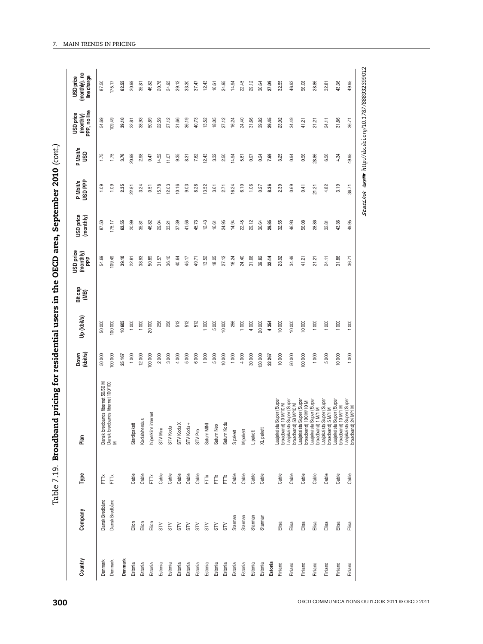| $\ddot{\phantom{a}}$           |
|--------------------------------|
| ֕                              |
|                                |
| $\frac{1}{2}$<br>$\frac{1}{4}$ |
|                                |
|                                |
|                                |
|                                |
| I<br>I                         |
| i<br>I                         |
| l.                             |
| こしこうせい<br>l<br>.<br>T          |
|                                |

| 50000<br>Ibands fibernet 50/50 M<br>Ibands fibernet 100/100<br>Ě<br>Dansk Bredbånd<br>Denmark                                                                                                                                                                                                                                                                                                                                                                                                                                                                                              |             | (monthly)<br>PPP | USD price<br>(monthly) | P Mbit/s<br>USD PPP | P Mbit/s<br>USD | (monthly)<br>PPP, no line<br><b>USD</b> price | USD price<br>(monthly), no<br>line charge |
|--------------------------------------------------------------------------------------------------------------------------------------------------------------------------------------------------------------------------------------------------------------------------------------------------------------------------------------------------------------------------------------------------------------------------------------------------------------------------------------------------------------------------------------------------------------------------------------------|-------------|------------------|------------------------|---------------------|-----------------|-----------------------------------------------|-------------------------------------------|
|                                                                                                                                                                                                                                                                                                                                                                                                                                                                                                                                                                                            | 50 000      | 54.69            | 87.50                  | 1.09                | 1.75            | 54.69                                         | 87.50                                     |
| 100 000<br>100 000<br>Dansk bredt<br>Dansk bredt<br>M<br>FTŘ<br>Dansk Bredbånd<br>Denmark                                                                                                                                                                                                                                                                                                                                                                                                                                                                                                  |             | 109.49           | 175.17                 | 1.09                | 1.75            | 109.49                                        | 175.17                                    |
| 25167<br>Denmark                                                                                                                                                                                                                                                                                                                                                                                                                                                                                                                                                                           | 10 605      | 39.10            | 62.55                  | 2.35                | 3.76            | 39.10                                         | 62.55                                     |
| 1000<br>Stardipakett<br>Cable<br>Elion<br>Estonia                                                                                                                                                                                                                                                                                                                                                                                                                                                                                                                                          | 1000        | 22.81            | 20.99                  | 22.81               | 20.99           | 22.81                                         | 20.99                                     |
| 12000<br>Kodulahendus<br>Cable<br>Elion<br>Estonia                                                                                                                                                                                                                                                                                                                                                                                                                                                                                                                                         | 1000        | 38.93            | 35.81                  | 3.24                | 2.98            | 38.93                                         | 35.81                                     |
| 100 000<br>hüperkiire internet<br>FTTX<br>$\frac{5}{100}$<br>Estonia                                                                                                                                                                                                                                                                                                                                                                                                                                                                                                                       | 20 000      | 50.89            | 46.82                  | 0.51                | 0.47            | 50.89                                         | 46.82                                     |
| 2000<br><b>STV Mini</b><br>Cable<br>$\approx$<br>Estonia                                                                                                                                                                                                                                                                                                                                                                                                                                                                                                                                   | 256         | 31.57            | 29.04                  | 15.78               | 14.52           | 22.59                                         | 20.78                                     |
| 3000<br><b>STV</b> Kodu<br>Cable<br>$\approx$<br>Estonia                                                                                                                                                                                                                                                                                                                                                                                                                                                                                                                                   | 256         | 36.10            | 33.21                  | 12.03               | 11.07           | 27.12                                         | 24.95                                     |
| 4000<br>$\boldsymbol{\times}$<br>STV Kodu<br>Cable<br>$5\overline{N}$<br>Estonia                                                                                                                                                                                                                                                                                                                                                                                                                                                                                                           | 512         | 40.64            | 37.39                  | 10.16               | 9.35            | 31.66                                         | 29.12                                     |
| 5000<br>$\overline{+}$<br>STV Kodu<br>Cable<br><b>NS</b><br>Estonia                                                                                                                                                                                                                                                                                                                                                                                                                                                                                                                        | 512         | 45.17            | 41.56                  | 9.03                | 8.31            | 36.19                                         | 33.30                                     |
| 6000<br>STV Pro<br>Cable<br><b>NS</b><br>Estonia                                                                                                                                                                                                                                                                                                                                                                                                                                                                                                                                           | 512         | 49.71            | 45.73                  | 8.28                | 7.62            | 40.73                                         | 37.47                                     |
| 1000<br>Satum MINI<br>FTTX<br>$\leq$<br>Estonia                                                                                                                                                                                                                                                                                                                                                                                                                                                                                                                                            | 1000        | 13.52            | 12.43                  | 13.52               | 12.43           | 13.52                                         | 12.43                                     |
| 5000<br>Satum Neo<br>FTŘ<br>STV<br>Estonia                                                                                                                                                                                                                                                                                                                                                                                                                                                                                                                                                 | 5000        | 18.05            | 16.61                  | 3.61                | 3.32            | 18.05                                         | 16.61                                     |
| 10000<br>Ξ<br>Satum Kod<br>FTTX<br>STV<br>Estonia                                                                                                                                                                                                                                                                                                                                                                                                                                                                                                                                          | 10 000      | 27.12            | 24.95                  | 2.71                | 2.50            | 27.12                                         | 24.95                                     |
| 1000<br>S pakett<br>Cable<br>Starman<br>Estonia                                                                                                                                                                                                                                                                                                                                                                                                                                                                                                                                            | 256         | 16.24            | 14.94                  | 16.24               | 14.94           | 16.24                                         | 14.94                                     |
| 4000<br>M pakett<br>Cable<br>Starman<br>Estonia                                                                                                                                                                                                                                                                                                                                                                                                                                                                                                                                            | 1000        | 24.40            | 22.45                  | 6.10                | 5.61            | 24.40                                         | 22.45                                     |
| 30000<br>Lpakett<br>Cable<br>Starman<br>Estonia                                                                                                                                                                                                                                                                                                                                                                                                                                                                                                                                            | 4 000       | 31.66            | 29.12                  | 1.06                | 0.97            | 31.66                                         | 29.12                                     |
| 150000<br>XL pakett<br>Cable<br>Starman<br>Estonia                                                                                                                                                                                                                                                                                                                                                                                                                                                                                                                                         | 20 000      | 39.82            | 36.64                  | 0.27                | 0.24            | 39.82                                         | 36.64                                     |
| 22267<br>Estonia                                                                                                                                                                                                                                                                                                                                                                                                                                                                                                                                                                           | 4354        | 32.44            | 29.85                  | 8.36                | 7.69            | 29.45                                         | 27.09                                     |
| 10000<br>Super (Super<br>10 M/10 M<br>Cable<br>Elisa<br>Finland                                                                                                                                                                                                                                                                                                                                                                                                                                                                                                                            | 10 000      | 23.92            | 32.55                  | 2.39                | 3.25            | 23.92                                         | 32.55                                     |
| 50000<br>Super (Super<br>50 M/10 M<br>Cable<br>Elisa<br>Finland                                                                                                                                                                                                                                                                                                                                                                                                                                                                                                                            | 10 000      | 34.49            | 46.93                  | 0.69                | 0.94            | 34.49                                         | 46.93                                     |
| 100 000<br>Super (Super<br>100 M/10 M<br>Cable<br>Elisa<br>Finland                                                                                                                                                                                                                                                                                                                                                                                                                                                                                                                         | 10000       | 41.21            | 56.08                  | 0.41                | 0.56            | 41.21                                         | 56.08                                     |
| 1000<br>i Super (Super<br>) 1 M/1 M<br>Cable<br>Elisa<br>Finland                                                                                                                                                                                                                                                                                                                                                                                                                                                                                                                           | 1000        | 21.21            | 28.86                  | 21.21               | 28.86           | 21.21                                         | 28.86                                     |
| 5000<br>i Super (Super<br>) 5 M/1 M<br>$\begin{tabular}{l} \textit{Laajakais} \\ \textit{broadband} \\ \textit{hroadband} \\ \textit{hroadband} \\ \textit{hroadband} \\ \textit{hroadband} \\ \textit{hroadband} \\ \textit{hroadband} \\ \textit{hroadband} \\ \textit{hroadband} \\ \textit{hroadband} \\ \textit{hroadband} \\ \textit{hagakais} \\ \textit{hagakais} \\ \textit{hagakais} \\ \textit{hagakais} \\ \textit{hagakais} \\ \textit{hagakais} \\ \textit{hagakais} \\ \textit{hagakais} \\ \textit{hagakais} \\ \textit{hagakais} \\ \textit$<br>Cable<br>Elisa<br>Finland | 1 000       | 24.11            | 32.81                  | 4.82                | 6.56            | 24.11                                         | 32.81                                     |
| 10000<br>Super (Super<br>10 M/1 M<br>Cable<br>Elisa<br>Finland                                                                                                                                                                                                                                                                                                                                                                                                                                                                                                                             | 000         | 31.86            | 43.36                  | 3.19                | 4.34            | 31.86                                         | 43.36                                     |
| 1000<br>i Super (Super<br>) 24 M/1 M<br>Cable<br>Elisa<br>Finland                                                                                                                                                                                                                                                                                                                                                                                                                                                                                                                          | $8^{\circ}$ | 36.71            | கு<br>த்               | 36.71               | 49.95           | 36.71                                         | 49.95                                     |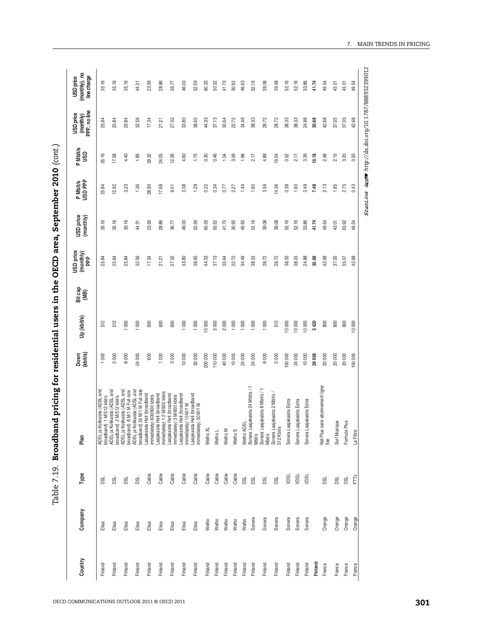|                                                                                                                                                                                                                                                                                                    |                | P Mbit/s<br>USD<br>P Mbit/s<br>USD PPP | (monthly)<br>PPP, no line | line charge |
|----------------------------------------------------------------------------------------------------------------------------------------------------------------------------------------------------------------------------------------------------------------------------------------------------|----------------|----------------------------------------|---------------------------|-------------|
| 25.84<br>512<br>1000<br>ADSL ja<br>broadba<br>g<br>Elisa<br>Finland                                                                                                                                                                                                                                | 25.84<br>35.16 | 35.16                                  | 25.84                     | 35.16       |
| 25.84<br>512<br>2000<br>g<br>Elisa<br>Finland                                                                                                                                                                                                                                                      | 12.92<br>35.16 | 17.58                                  | 25.84                     | 35.16       |
| 25.84<br>000<br>8000<br>ja Kotikaista (ADSL and<br>band) 1 M/512 kbitis<br>ja Kotikaista (ADSL and<br>pand) 2 M/512 kbitis<br>band) 8 M/1 M Full rate<br>pand) 8 M/1 M Full rate<br>ja Kotikaista (ADSL and<br>g<br>Elisa<br>Finland                                                               | 3.23<br>35.16  | 4.40                                   | 25.84                     | 35.16       |
| 32.56<br>$\rm 000$<br>24000<br>g<br>Elisa<br>Finland                                                                                                                                                                                                                                               | 1.36<br>44.31  | 1.85                                   | 32.56                     | 44.31       |
| 17.34<br>600<br>600<br>Cable<br>Elisa<br>Finland                                                                                                                                                                                                                                                   | 28.90<br>23.59 | 39.32                                  | 17.34                     | 23.59       |
| 21.21<br>600<br>1200<br>ADSL ja Kotikaisia (ADSL and<br>Docalista (ADSL and ADSL and ADSL and ADSL and ADSL and<br>Docalista (ADSL and ADSL and ADSL and ADSL and ADSL and<br>ADSL ja Kotikaista (ADSL and<br>Docalista (ADSL and and analysis)<br>Laajakaista Heil (<br>Cable<br>Elisa<br>Finland | 17.68<br>28.86 | 24.05                                  | 21.21                     | 28.86       |
| 27.02<br>600<br>3000<br>Cable<br>Elisa<br>Finland                                                                                                                                                                                                                                                  | 9.01<br>36.77  | 12.26                                  | 27.02                     | 36.77       |
| 33.80<br>1 000<br>10000<br>Cable<br>Elisa<br>Finland                                                                                                                                                                                                                                               | 3.38<br>46.00  | 4.60                                   | 33.80                     | 46.00       |
| 38.65<br>1 000<br>30000<br>Laajakaista Heti (broadband<br>immediately) 30 M/1 M<br>Cable<br>Elisa<br>Finland                                                                                                                                                                                       | 1.29<br>52.59  | 1.75                                   | 38.65                     | 52.59       |
| 44.33<br>10 000<br>200 000<br>Welho XL<br>Cable<br>Welho<br>Finland                                                                                                                                                                                                                                | 0.22<br>60.33  | 0.30                                   | 44.33                     | 60.33       |
| 37.13<br>5000<br>110000<br>Welho L<br>Cable<br>Welho<br>Finland                                                                                                                                                                                                                                    | 0.34<br>50.52  | 0.46                                   | 37.13                     | 50.52       |
| 30.64<br>2000<br>40000<br>Welho M<br>Cable<br>Welho<br>Finland                                                                                                                                                                                                                                     | 0.77<br>41.70  | 1.04                                   | 30.64                     | 41.70       |
| 22.72<br>1 000<br>10000<br>Welho <sub>S</sub><br>Cable<br>Welho<br>Finland                                                                                                                                                                                                                         | 2.27<br>30.92  | 3.09                                   | 22.72                     | 30.92       |
| 34.49<br>1 000<br>24000<br>DSL<br>Welho<br>Finland                                                                                                                                                                                                                                                 | 1.44<br>46.93  | 1.96                                   | 34.49                     | 46.93       |
| 38.33<br>1 000<br>24000<br>g<br>Sonera<br>Finland                                                                                                                                                                                                                                                  | 1.60<br>52.16  | 2.17                                   | 38.33                     | 52.16       |
| 28.72<br>1000<br>8000<br>Welho ADSL<br>Sonera Laajakaista 24 Mbits / 1<br>Mbits<br>Sonera Laajakaista 8 Mbits / 1<br>Mbits<br>g<br>Sonera<br>Finland                                                                                                                                               | 3.59<br>39.08  | 4.89                                   | 28.72                     | 39.08       |
| 28.72<br>512<br>2000<br>a Laajakaista 2 Mbit/s /<br>»it/s<br>Sonera L<br>512 Kbit/<br>g<br>Sonera<br>Finland                                                                                                                                                                                       | 14.36<br>39.08 | 19.54                                  | 28.72                     | 39.08       |
| 38.33<br>10 000<br>100 000<br>Sonera Laajakaista Extra<br><b>NBC</b><br>Sonera<br>Finland                                                                                                                                                                                                          | 0.38<br>52.16  | 0.52                                   | 38.33                     | 52.16       |
| 38.33<br>10000<br>24000<br>Sonera Laajakaista Extra<br>NDSL<br>Sonera<br>Finland                                                                                                                                                                                                                   | 1.60<br>52.16  | 2.17                                   | 38.33                     | 52.16       |
| 24.88<br>10 000<br>10000<br>Sonera Laajakaista Extra<br>yDSL<br>Sonera<br>Finland                                                                                                                                                                                                                  | 2.49<br>33.86  | 3.39                                   | 24.88                     | 33.86       |
| 30.68<br>3420<br>29956<br>Finland                                                                                                                                                                                                                                                                  | 7.48<br>41.74  | 10.18                                  | 30.68                     | 41.74       |
| 42.68<br>800<br>20000<br>sans abonnement ligne<br>Net Plus<br>fixe<br><b>DSL</b><br>Orange<br>France                                                                                                                                                                                               | 2.13<br>49.54  | 2.48                                   | 42.68                     | 49.54       |
| 37.05<br>800<br>20000<br>Surf Musique<br>DSL<br>Orange<br>France                                                                                                                                                                                                                                   | 1.85<br>43.01  | 2.15                                   | 37.05                     | 43.01       |
| 55.07<br>800<br>20000<br>Plus<br>Formule<br>DSL<br>Orange<br>France                                                                                                                                                                                                                                | 2.75<br>63.92  | 3.20                                   | 37.05                     | 43.01       |
| 42.68<br>80<br>$\overline{a}$<br>100 000<br>La Fibre<br>Ě<br>Orange<br>France                                                                                                                                                                                                                      | 0.43<br>49.54  | 0.50                                   | 42.68                     | 49.54       |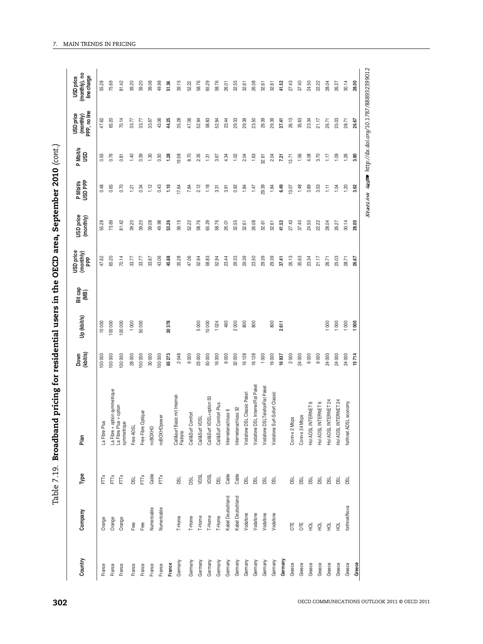| I                     |
|-----------------------|
|                       |
|                       |
|                       |
|                       |
|                       |
| i araa<br> <br> <br>! |
|                       |
|                       |
|                       |
|                       |
| こりりりりり                |
|                       |
|                       |
|                       |
|                       |
|                       |
|                       |
|                       |
|                       |
|                       |
|                       |
|                       |
|                       |
|                       |
|                       |
|                       |
|                       |
|                       |
|                       |
|                       |
|                       |
|                       |
|                       |
|                       |
|                       |
|                       |
|                       |
|                       |
|                       |
|                       |
|                       |
|                       |
|                       |
|                       |
|                       |
| ١                     |
|                       |
|                       |
|                       |
|                       |
|                       |
|                       |
|                       |
|                       |
|                       |
|                       |
|                       |
|                       |
|                       |
|                       |
|                       |
|                       |
|                       |
| l                     |
| :                     |
|                       |
|                       |
|                       |
|                       |
| le 7.19               |

| 29.39<br>29.39<br>29.39<br>65.20<br>70.14<br>43.06<br>44.25<br>35.28<br>47.06<br>52.94<br>58.83<br>52.94<br>23.44<br>29.33<br>23.50<br>37.41<br>47.62<br>33.77<br>33.67<br>33.77<br>0.76<br>0.50<br>0.55<br>0.39<br>1.28<br>19.58<br>2.35<br>4.34<br>1.02<br>2.04<br>1.63<br>0.81<br>1.40<br>1.30<br>8.70<br>1.31<br>3.67<br>32.61<br>2.04<br>7.21<br>0.48<br>0.65<br>0.43<br>$\frac{8}{11}$<br>2.12<br>1.18<br>6.49<br>0.70<br>0.34<br>1.12<br>17.64<br>7.84<br>0.92<br>1.84<br>1.47<br>29.39<br>1.84<br>121<br>3.31<br>3.91<br>55.28<br>75.69<br>81.42<br>49.98<br>53.26<br>39.15<br>58.76<br>65.29<br>58.76<br>32.55<br>26.08<br>41.52<br>39.20<br>39.20<br>39.08<br>52.22<br>32.61<br>32.61<br>26.01<br>32.61<br>70.14<br>35.28<br>47.06<br>58.83<br>29.33<br>29.39<br>23.50<br>29.39<br>47.62<br>65.20<br>43.06<br>45.88<br>52.94<br>23.44<br>29.39<br>37.41<br>33.77<br>33.67<br>52.94<br>33.77<br>100 000<br>100 000<br>1000<br>50000<br>10000<br>460<br>2000<br>800<br>800<br>10000<br>30378<br>5000<br>1024<br>800<br>2611<br>2048<br>6000<br>50000<br>16000<br>16128<br>16128<br>100 000<br>65273<br>25000<br>6000<br>32000<br>1000<br>16000<br>100 000<br>100 000<br>30000<br>100 000<br>16937<br>28000<br>100 000<br>DSL InternetFlat Paket<br><b>DSLTelefonFlat Paket</b><br>La Fibre + option symmetrique<br>La Fibre Plus + option<br>symmetrique<br>Surf-Sofort Classic<br><b>DSL Classic Paket</b><br>Call&surf Basic mit Internet-<br>Flatrate<br>VDSL+option 50<br>Comfort Plus<br>Internetanschluss 32<br>Internetanschluss 6<br>Optique<br>Comfort<br>ncBOXHDpower<br>Call&Surf VDSL<br>La Fibre Plus<br>Free ADSL<br>Free Fibre<br>ncBOXHD<br>Call&Surf (<br>Call&Surf \<br>Call&Surf (<br>Vodafone<br>Vodafone<br>Vodafone<br>Vodafone:<br>Cable<br>Cable<br>Cable<br>VDSL<br>FTX<br>$\check{\mathsf{FT}}$<br>$\check{\mathsf{E}}$<br>NDSL<br>Ě<br>Ě<br>DSL<br>DSL<br>DSL<br>ø<br><b>BSL</b><br><b>DSL</b><br><b>DSL</b><br>DSL<br>Kabel Deutschland<br>Kabel Deutschland<br>Numericable<br>Numericable<br>Vodafone<br>Vodafone<br>Vodafone<br>Vodafone<br>T-Home<br>T-Home<br>T-Home<br>T-Home<br>T-Home<br>Orange<br>Orange<br>Orange<br>Free<br>Free<br>Germany<br>Germany<br>Germany<br>Germany<br>Germany<br>Germany<br>Germany<br>Gemany<br>Germany<br>Germany<br>Germany<br>Germany<br>France<br>France<br>France<br>France<br>France<br>France<br>France<br>France |
|---------------------------------------------------------------------------------------------------------------------------------------------------------------------------------------------------------------------------------------------------------------------------------------------------------------------------------------------------------------------------------------------------------------------------------------------------------------------------------------------------------------------------------------------------------------------------------------------------------------------------------------------------------------------------------------------------------------------------------------------------------------------------------------------------------------------------------------------------------------------------------------------------------------------------------------------------------------------------------------------------------------------------------------------------------------------------------------------------------------------------------------------------------------------------------------------------------------------------------------------------------------------------------------------------------------------------------------------------------------------------------------------------------------------------------------------------------------------------------------------------------------------------------------------------------------------------------------------------------------------------------------------------------------------------------------------------------------------------------------------------------------------------------------------------------------------------------------------------------------------------------------------------------------------------------------------------------------------------------------------------------------------------------------------------------------------------------------------------------------------------------------------------------------------------------------------------------------------------------------------------------------------------------------------------------------------------------------------------------------------------------------------------|
|                                                                                                                                                                                                                                                                                                                                                                                                                                                                                                                                                                                                                                                                                                                                                                                                                                                                                                                                                                                                                                                                                                                                                                                                                                                                                                                                                                                                                                                                                                                                                                                                                                                                                                                                                                                                                                                                                                                                                                                                                                                                                                                                                                                                                                                                                                                                                                                                   |
|                                                                                                                                                                                                                                                                                                                                                                                                                                                                                                                                                                                                                                                                                                                                                                                                                                                                                                                                                                                                                                                                                                                                                                                                                                                                                                                                                                                                                                                                                                                                                                                                                                                                                                                                                                                                                                                                                                                                                                                                                                                                                                                                                                                                                                                                                                                                                                                                   |
|                                                                                                                                                                                                                                                                                                                                                                                                                                                                                                                                                                                                                                                                                                                                                                                                                                                                                                                                                                                                                                                                                                                                                                                                                                                                                                                                                                                                                                                                                                                                                                                                                                                                                                                                                                                                                                                                                                                                                                                                                                                                                                                                                                                                                                                                                                                                                                                                   |
|                                                                                                                                                                                                                                                                                                                                                                                                                                                                                                                                                                                                                                                                                                                                                                                                                                                                                                                                                                                                                                                                                                                                                                                                                                                                                                                                                                                                                                                                                                                                                                                                                                                                                                                                                                                                                                                                                                                                                                                                                                                                                                                                                                                                                                                                                                                                                                                                   |
|                                                                                                                                                                                                                                                                                                                                                                                                                                                                                                                                                                                                                                                                                                                                                                                                                                                                                                                                                                                                                                                                                                                                                                                                                                                                                                                                                                                                                                                                                                                                                                                                                                                                                                                                                                                                                                                                                                                                                                                                                                                                                                                                                                                                                                                                                                                                                                                                   |
|                                                                                                                                                                                                                                                                                                                                                                                                                                                                                                                                                                                                                                                                                                                                                                                                                                                                                                                                                                                                                                                                                                                                                                                                                                                                                                                                                                                                                                                                                                                                                                                                                                                                                                                                                                                                                                                                                                                                                                                                                                                                                                                                                                                                                                                                                                                                                                                                   |
|                                                                                                                                                                                                                                                                                                                                                                                                                                                                                                                                                                                                                                                                                                                                                                                                                                                                                                                                                                                                                                                                                                                                                                                                                                                                                                                                                                                                                                                                                                                                                                                                                                                                                                                                                                                                                                                                                                                                                                                                                                                                                                                                                                                                                                                                                                                                                                                                   |
|                                                                                                                                                                                                                                                                                                                                                                                                                                                                                                                                                                                                                                                                                                                                                                                                                                                                                                                                                                                                                                                                                                                                                                                                                                                                                                                                                                                                                                                                                                                                                                                                                                                                                                                                                                                                                                                                                                                                                                                                                                                                                                                                                                                                                                                                                                                                                                                                   |
|                                                                                                                                                                                                                                                                                                                                                                                                                                                                                                                                                                                                                                                                                                                                                                                                                                                                                                                                                                                                                                                                                                                                                                                                                                                                                                                                                                                                                                                                                                                                                                                                                                                                                                                                                                                                                                                                                                                                                                                                                                                                                                                                                                                                                                                                                                                                                                                                   |
|                                                                                                                                                                                                                                                                                                                                                                                                                                                                                                                                                                                                                                                                                                                                                                                                                                                                                                                                                                                                                                                                                                                                                                                                                                                                                                                                                                                                                                                                                                                                                                                                                                                                                                                                                                                                                                                                                                                                                                                                                                                                                                                                                                                                                                                                                                                                                                                                   |
|                                                                                                                                                                                                                                                                                                                                                                                                                                                                                                                                                                                                                                                                                                                                                                                                                                                                                                                                                                                                                                                                                                                                                                                                                                                                                                                                                                                                                                                                                                                                                                                                                                                                                                                                                                                                                                                                                                                                                                                                                                                                                                                                                                                                                                                                                                                                                                                                   |
|                                                                                                                                                                                                                                                                                                                                                                                                                                                                                                                                                                                                                                                                                                                                                                                                                                                                                                                                                                                                                                                                                                                                                                                                                                                                                                                                                                                                                                                                                                                                                                                                                                                                                                                                                                                                                                                                                                                                                                                                                                                                                                                                                                                                                                                                                                                                                                                                   |
|                                                                                                                                                                                                                                                                                                                                                                                                                                                                                                                                                                                                                                                                                                                                                                                                                                                                                                                                                                                                                                                                                                                                                                                                                                                                                                                                                                                                                                                                                                                                                                                                                                                                                                                                                                                                                                                                                                                                                                                                                                                                                                                                                                                                                                                                                                                                                                                                   |
|                                                                                                                                                                                                                                                                                                                                                                                                                                                                                                                                                                                                                                                                                                                                                                                                                                                                                                                                                                                                                                                                                                                                                                                                                                                                                                                                                                                                                                                                                                                                                                                                                                                                                                                                                                                                                                                                                                                                                                                                                                                                                                                                                                                                                                                                                                                                                                                                   |
|                                                                                                                                                                                                                                                                                                                                                                                                                                                                                                                                                                                                                                                                                                                                                                                                                                                                                                                                                                                                                                                                                                                                                                                                                                                                                                                                                                                                                                                                                                                                                                                                                                                                                                                                                                                                                                                                                                                                                                                                                                                                                                                                                                                                                                                                                                                                                                                                   |
|                                                                                                                                                                                                                                                                                                                                                                                                                                                                                                                                                                                                                                                                                                                                                                                                                                                                                                                                                                                                                                                                                                                                                                                                                                                                                                                                                                                                                                                                                                                                                                                                                                                                                                                                                                                                                                                                                                                                                                                                                                                                                                                                                                                                                                                                                                                                                                                                   |
|                                                                                                                                                                                                                                                                                                                                                                                                                                                                                                                                                                                                                                                                                                                                                                                                                                                                                                                                                                                                                                                                                                                                                                                                                                                                                                                                                                                                                                                                                                                                                                                                                                                                                                                                                                                                                                                                                                                                                                                                                                                                                                                                                                                                                                                                                                                                                                                                   |
|                                                                                                                                                                                                                                                                                                                                                                                                                                                                                                                                                                                                                                                                                                                                                                                                                                                                                                                                                                                                                                                                                                                                                                                                                                                                                                                                                                                                                                                                                                                                                                                                                                                                                                                                                                                                                                                                                                                                                                                                                                                                                                                                                                                                                                                                                                                                                                                                   |
|                                                                                                                                                                                                                                                                                                                                                                                                                                                                                                                                                                                                                                                                                                                                                                                                                                                                                                                                                                                                                                                                                                                                                                                                                                                                                                                                                                                                                                                                                                                                                                                                                                                                                                                                                                                                                                                                                                                                                                                                                                                                                                                                                                                                                                                                                                                                                                                                   |
|                                                                                                                                                                                                                                                                                                                                                                                                                                                                                                                                                                                                                                                                                                                                                                                                                                                                                                                                                                                                                                                                                                                                                                                                                                                                                                                                                                                                                                                                                                                                                                                                                                                                                                                                                                                                                                                                                                                                                                                                                                                                                                                                                                                                                                                                                                                                                                                                   |
| 26.13<br>13.71<br>13.07<br>27.43<br>26.13<br>2000<br>Conn-x 2 Mbps<br><b>DSL</b><br>OTE<br>Greece                                                                                                                                                                                                                                                                                                                                                                                                                                                                                                                                                                                                                                                                                                                                                                                                                                                                                                                                                                                                                                                                                                                                                                                                                                                                                                                                                                                                                                                                                                                                                                                                                                                                                                                                                                                                                                                                                                                                                                                                                                                                                                                                                                                                                                                                                                 |
| 35.63<br>1.56<br>1.48<br>37.40<br>35.63<br>24000<br>Mbps<br>Conn-x 24<br><b>DSL</b><br>OTE<br>Greece                                                                                                                                                                                                                                                                                                                                                                                                                                                                                                                                                                                                                                                                                                                                                                                                                                                                                                                                                                                                                                                                                                                                                                                                                                                                                                                                                                                                                                                                                                                                                                                                                                                                                                                                                                                                                                                                                                                                                                                                                                                                                                                                                                                                                                                                                              |
| 23.34<br>4.08<br>3.89<br>24.50<br>23.34<br>6000<br>INTERNET 6<br>Hol ADSL<br><b>DSL</b><br>로<br>Greece                                                                                                                                                                                                                                                                                                                                                                                                                                                                                                                                                                                                                                                                                                                                                                                                                                                                                                                                                                                                                                                                                                                                                                                                                                                                                                                                                                                                                                                                                                                                                                                                                                                                                                                                                                                                                                                                                                                                                                                                                                                                                                                                                                                                                                                                                            |
| 21.17<br>3.70<br>3.53<br>22.22<br>21.17<br>6000<br>Hol ADSL INTERNET 6<br><b>BSL</b><br>РÓ<br>Greece                                                                                                                                                                                                                                                                                                                                                                                                                                                                                                                                                                                                                                                                                                                                                                                                                                                                                                                                                                                                                                                                                                                                                                                                                                                                                                                                                                                                                                                                                                                                                                                                                                                                                                                                                                                                                                                                                                                                                                                                                                                                                                                                                                                                                                                                                              |
| 26.71<br>1.17<br>$\overline{1}$<br>28.04<br>26.71<br>1000<br>24000<br>INTERNET 24<br>Hol ADSLI<br><b>DSL</b><br>로<br>Greece                                                                                                                                                                                                                                                                                                                                                                                                                                                                                                                                                                                                                                                                                                                                                                                                                                                                                                                                                                                                                                                                                                                                                                                                                                                                                                                                                                                                                                                                                                                                                                                                                                                                                                                                                                                                                                                                                                                                                                                                                                                                                                                                                                                                                                                                       |
| 25.03<br>1.09<br>1.04<br>26.27<br>25.03<br>1000<br>24000<br>INTERNET 24<br>Hol ADSL<br><b>DSL</b><br>РÓ<br>Greece                                                                                                                                                                                                                                                                                                                                                                                                                                                                                                                                                                                                                                                                                                                                                                                                                                                                                                                                                                                                                                                                                                                                                                                                                                                                                                                                                                                                                                                                                                                                                                                                                                                                                                                                                                                                                                                                                                                                                                                                                                                                                                                                                                                                                                                                                 |
| 28.71<br>1.26<br>1.20<br>30.14<br>28.71<br>1000<br>24000<br>DSL economy<br>orthnet AI<br><b>Bd</b><br>forthnet/Nova<br>Greece                                                                                                                                                                                                                                                                                                                                                                                                                                                                                                                                                                                                                                                                                                                                                                                                                                                                                                                                                                                                                                                                                                                                                                                                                                                                                                                                                                                                                                                                                                                                                                                                                                                                                                                                                                                                                                                                                                                                                                                                                                                                                                                                                                                                                                                                     |
| 26.67<br>3.80<br>3.62<br>28.00<br>26.67<br>1000<br>15714<br>Greece                                                                                                                                                                                                                                                                                                                                                                                                                                                                                                                                                                                                                                                                                                                                                                                                                                                                                                                                                                                                                                                                                                                                                                                                                                                                                                                                                                                                                                                                                                                                                                                                                                                                                                                                                                                                                                                                                                                                                                                                                                                                                                                                                                                                                                                                                                                                |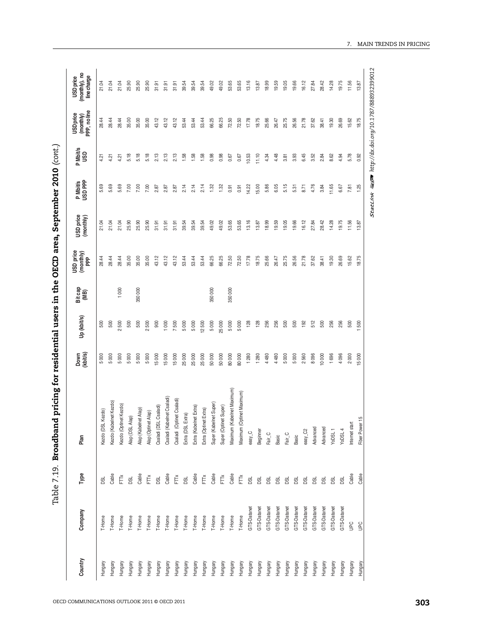| $\ddot{\phantom{a}}$<br>י<br>ו<br>! |
|-------------------------------------|
| l                                   |
| しくらく<br>;<br>;                      |
| f<br>C                              |
|                                     |
|                                     |
|                                     |
|                                     |
|                                     |
|                                     |
|                                     |
| :<br>;<br>;<br>i<br>T<br>ı<br>I     |
|                                     |

| 5.69<br>5.69<br>5.69<br>7.00<br>2.14<br>2.14<br>7.00<br>7.00<br>2.87<br>2.87<br>2.87<br>21.04<br>21.04<br>21.04<br>25.90<br>25.90<br>25.90<br>39.54<br>39.54<br>31.91<br>31.91<br>31.91<br>28.44<br>28.44<br>35.00<br>35.00<br>35.00<br>43.12<br>43.12<br>43.12<br>53.44<br>28.44<br>53.44<br>000<br>350000<br>500<br>500<br>500<br>500<br>2500<br>900<br>1000<br>500<br>7500<br>5000<br>5000<br>5000<br>5000<br>5000<br>15000<br>25 000<br>5000<br>5000<br>5000<br>15000<br>15 000<br>25 000<br>Csaladi (Kabelnet Csaladi)<br>Csaladi (Optinet Csaladi)<br>Kezdo (Kabelnet Kezdo)<br>Kezdo (Optinet Kezdo)<br>Csaladi (DSL Csaladi)<br>Extra (Kabelnet Extra)<br>Alap (Kabelnet Alap)<br>Kezdo (DSL Kezdo)<br>Alap (Optinet Alap)<br>Extra (DSL Extra)<br>Alap (DSL Alap)<br>Cable<br>Cable<br>Cable<br>Cable<br>FTŇ<br>FTX<br>FTŇ<br><b>DSL</b><br>DSL<br>DSL<br>DSL<br>T-Home<br>T-Home<br>T-Home<br>T-Home<br>T-Home<br>T-Home<br>T-Home<br>T-Home<br>T-Home<br>T-Home<br>T-Home<br>Hungary<br>Hungary<br>Hungary<br>Hungary<br>Hungary<br>Hungary<br>Hungary<br>Hungary<br>Hungary<br>Hungary<br>Hungary | 28.44<br>28.44<br>28.44<br>4.21<br>4.21<br>4.21 |       |
|---------------------------------------------------------------------------------------------------------------------------------------------------------------------------------------------------------------------------------------------------------------------------------------------------------------------------------------------------------------------------------------------------------------------------------------------------------------------------------------------------------------------------------------------------------------------------------------------------------------------------------------------------------------------------------------------------------------------------------------------------------------------------------------------------------------------------------------------------------------------------------------------------------------------------------------------------------------------------------------------------------------------------------------------------------------------------------------------------------------|-------------------------------------------------|-------|
|                                                                                                                                                                                                                                                                                                                                                                                                                                                                                                                                                                                                                                                                                                                                                                                                                                                                                                                                                                                                                                                                                                               |                                                 | 21.04 |
|                                                                                                                                                                                                                                                                                                                                                                                                                                                                                                                                                                                                                                                                                                                                                                                                                                                                                                                                                                                                                                                                                                               |                                                 | 21.04 |
|                                                                                                                                                                                                                                                                                                                                                                                                                                                                                                                                                                                                                                                                                                                                                                                                                                                                                                                                                                                                                                                                                                               |                                                 | 21.04 |
|                                                                                                                                                                                                                                                                                                                                                                                                                                                                                                                                                                                                                                                                                                                                                                                                                                                                                                                                                                                                                                                                                                               | 35.00<br>5.18                                   | 25.90 |
|                                                                                                                                                                                                                                                                                                                                                                                                                                                                                                                                                                                                                                                                                                                                                                                                                                                                                                                                                                                                                                                                                                               | 35.00<br>5.18                                   | 25.90 |
|                                                                                                                                                                                                                                                                                                                                                                                                                                                                                                                                                                                                                                                                                                                                                                                                                                                                                                                                                                                                                                                                                                               | 35.00<br>5.18                                   | 25.90 |
|                                                                                                                                                                                                                                                                                                                                                                                                                                                                                                                                                                                                                                                                                                                                                                                                                                                                                                                                                                                                                                                                                                               | 43.12<br>2.13                                   | 31.91 |
|                                                                                                                                                                                                                                                                                                                                                                                                                                                                                                                                                                                                                                                                                                                                                                                                                                                                                                                                                                                                                                                                                                               | 43.12<br>2.13                                   | 31.91 |
|                                                                                                                                                                                                                                                                                                                                                                                                                                                                                                                                                                                                                                                                                                                                                                                                                                                                                                                                                                                                                                                                                                               | 43.12<br>2.13                                   | 31.91 |
|                                                                                                                                                                                                                                                                                                                                                                                                                                                                                                                                                                                                                                                                                                                                                                                                                                                                                                                                                                                                                                                                                                               | 53.44<br>1.58                                   | 39.54 |
|                                                                                                                                                                                                                                                                                                                                                                                                                                                                                                                                                                                                                                                                                                                                                                                                                                                                                                                                                                                                                                                                                                               | 53.44<br>1.58                                   | 39.54 |
| 2.14<br>39.54<br>53.44<br>12500<br>25 000<br>Extra (Optinet Extra)<br>FTTX<br>T-Home<br>Hungary                                                                                                                                                                                                                                                                                                                                                                                                                                                                                                                                                                                                                                                                                                                                                                                                                                                                                                                                                                                                               | 53.44<br>1.58                                   | 39.54 |
| 1.32<br>49.02<br>66.25<br>350000<br>5000<br>50000<br>Super (Kabelnet Super)<br>Cable<br>T-Home<br>Hungary                                                                                                                                                                                                                                                                                                                                                                                                                                                                                                                                                                                                                                                                                                                                                                                                                                                                                                                                                                                                     | 66.25<br>0.98                                   | 49.02 |
| 1.32<br>49.02<br>66.25<br>25000<br>$50\ 000$<br>Super (Optinet Super)<br>FTTX<br>T-Home<br>Hungary                                                                                                                                                                                                                                                                                                                                                                                                                                                                                                                                                                                                                                                                                                                                                                                                                                                                                                                                                                                                            | 66.25<br>0.98                                   | 49.02 |
| 0.91<br>53.65<br>72.50<br>350000<br>5000<br>80 000<br>(Kabelnet Maximum)<br>Maximum (<br>Cable<br>T-Home<br>Hungary                                                                                                                                                                                                                                                                                                                                                                                                                                                                                                                                                                                                                                                                                                                                                                                                                                                                                                                                                                                           | 72.50<br>0.67                                   | 53.65 |
| 0.91<br>53.65<br>72.50<br>5000<br>80 000<br>(Optinet Maximum)<br>Maximum<br>FTTX<br>T-Home<br>Hungary                                                                                                                                                                                                                                                                                                                                                                                                                                                                                                                                                                                                                                                                                                                                                                                                                                                                                                                                                                                                         | 72.50<br>0.67                                   | 53.65 |
| 14.22<br>13.16<br>17.78<br>128<br>1 280<br>easy_C<br>DSL<br>GTS-Datanet<br>Hungary                                                                                                                                                                                                                                                                                                                                                                                                                                                                                                                                                                                                                                                                                                                                                                                                                                                                                                                                                                                                                            | 17.78<br>10.53                                  | 13.16 |
| 15.00<br>13.87<br>18.75<br>128<br>1 280<br>Beginner<br>DSL<br>GTS-Datanet<br>Hungary                                                                                                                                                                                                                                                                                                                                                                                                                                                                                                                                                                                                                                                                                                                                                                                                                                                                                                                                                                                                                          | 18.75<br>11.10                                  | 13.87 |
| 5.86<br>18.99<br>25.66<br>256<br>4 480<br>Fair_C<br>DSL<br>GTS-Datanet<br>Hungary                                                                                                                                                                                                                                                                                                                                                                                                                                                                                                                                                                                                                                                                                                                                                                                                                                                                                                                                                                                                                             | 25.66<br>4.34                                   | 18.99 |
| 6.05<br>19.59<br>26.47<br>256<br>4 480<br>Basic<br><b>DSL</b><br>GTS-Datanet<br>Hungary                                                                                                                                                                                                                                                                                                                                                                                                                                                                                                                                                                                                                                                                                                                                                                                                                                                                                                                                                                                                                       | 26.47<br>4.48                                   | 19.59 |
| 5.15<br>19.05<br>25.75<br>500<br>5000<br>Fair_C<br><b>DSL</b><br>GTS-Datanet<br>Hungary                                                                                                                                                                                                                                                                                                                                                                                                                                                                                                                                                                                                                                                                                                                                                                                                                                                                                                                                                                                                                       | 25.75<br>3.81                                   | 19.05 |
| 5.31<br>19.66<br>26.56<br>500<br>5000<br>Basic<br>DSL<br>GTS-Datanet<br>Hungary                                                                                                                                                                                                                                                                                                                                                                                                                                                                                                                                                                                                                                                                                                                                                                                                                                                                                                                                                                                                                               | 26.56<br>3.93                                   | 19.66 |
| 8.71<br>16.12<br>21.78<br>192<br>2560<br>easy_C2<br>DSL<br>GTS-Datanet<br>Hungary                                                                                                                                                                                                                                                                                                                                                                                                                                                                                                                                                                                                                                                                                                                                                                                                                                                                                                                                                                                                                             | 21.78<br>6.45                                   | 16.12 |
| 4.76<br>27.84<br>37.62<br>512<br>8 0 96<br>Advanced<br><b>DSL</b><br>GTS-Datanet<br>Hungary                                                                                                                                                                                                                                                                                                                                                                                                                                                                                                                                                                                                                                                                                                                                                                                                                                                                                                                                                                                                                   | 37.62<br>3.52                                   | 27.84 |
| 3.84<br>28.42<br>38.41<br>500<br>10 000<br>Advanced<br><b>BSL</b><br>GTS-Datanet<br>Hungary                                                                                                                                                                                                                                                                                                                                                                                                                                                                                                                                                                                                                                                                                                                                                                                                                                                                                                                                                                                                                   | 38.41<br>2.84                                   | 28.42 |
| 11.65<br>14.28<br>19.30<br>256<br>1 696<br>YoDSL1<br><b>DSL</b><br>GTS-Datanet<br>Hungary                                                                                                                                                                                                                                                                                                                                                                                                                                                                                                                                                                                                                                                                                                                                                                                                                                                                                                                                                                                                                     | 19.30<br>8.62                                   | 14.28 |
| 6.67<br>19.75<br>26.69<br>256<br>4 096<br>YoDSL 4<br>DSL<br>GTS-Datanet<br>Hungary                                                                                                                                                                                                                                                                                                                                                                                                                                                                                                                                                                                                                                                                                                                                                                                                                                                                                                                                                                                                                            | 26.69<br>4.94                                   | 19.75 |
| 7.81<br>11.56<br>15.62<br>500<br>2000<br>Internet start<br>Cable<br><b>UPC</b><br>Hungary                                                                                                                                                                                                                                                                                                                                                                                                                                                                                                                                                                                                                                                                                                                                                                                                                                                                                                                                                                                                                     | 15.62<br>5.78                                   | 11.56 |
| 1.25<br>13.87<br>18.75<br>500<br>15000<br>Fiber Power 15<br>Cable<br><b>Dan</b><br>Hungary                                                                                                                                                                                                                                                                                                                                                                                                                                                                                                                                                                                                                                                                                                                                                                                                                                                                                                                                                                                                                    | 18.75<br>0.92                                   | 13.87 |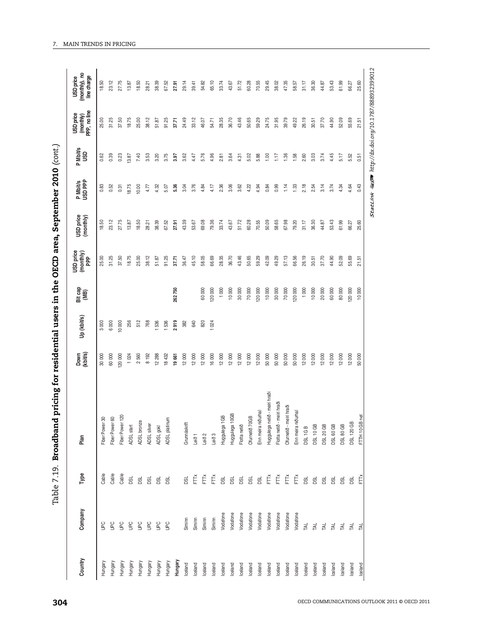| í<br>I)<br>I                                                                                                                                                                                                                   |
|--------------------------------------------------------------------------------------------------------------------------------------------------------------------------------------------------------------------------------|
|                                                                                                                                                                                                                                |
|                                                                                                                                                                                                                                |
|                                                                                                                                                                                                                                |
| is a company of the company of the company of the company of the company of the company of the company of the company of the company of the company of the company of the company of the company of the company of the company |
|                                                                                                                                                                                                                                |
| Jaraa                                                                                                                                                                                                                          |
|                                                                                                                                                                                                                                |
| )<br>}<br>}<br>}                                                                                                                                                                                                               |
| ים<br>ק                                                                                                                                                                                                                        |
|                                                                                                                                                                                                                                |
|                                                                                                                                                                                                                                |
| י<br>י                                                                                                                                                                                                                         |
|                                                                                                                                                                                                                                |
|                                                                                                                                                                                                                                |
| <br> <br> <br> <br> <br>                                                                                                                                                                                                       |
|                                                                                                                                                                                                                                |
|                                                                                                                                                                                                                                |
|                                                                                                                                                                                                                                |
|                                                                                                                                                                                                                                |
|                                                                                                                                                                                                                                |
| I                                                                                                                                                                                                                              |
|                                                                                                                                                                                                                                |
|                                                                                                                                                                                                                                |
|                                                                                                                                                                                                                                |
|                                                                                                                                                                                                                                |
| :<br>:                                                                                                                                                                                                                         |
|                                                                                                                                                                                                                                |
|                                                                                                                                                                                                                                |
| .<br>.<br>i                                                                                                                                                                                                                    |
| I                                                                                                                                                                                                                              |
|                                                                                                                                                                                                                                |

|                                                           | Down<br>(kbit/s) | Up (kbit/s) | Bit cap<br>(MB) | <b>USD</b> price<br>$\frac{\text{(monthly)}}{\text{PPP}}$ | USD price<br>(monthly) | P Mbit/s<br>USD PPP | P Mbit/s<br>USD | (monthly)<br>PPP, no line<br>USD price | (monthly), no<br>line charge<br><b>USD</b> price |
|-----------------------------------------------------------|------------------|-------------|-----------------|-----------------------------------------------------------|------------------------|---------------------|-----------------|----------------------------------------|--------------------------------------------------|
| Fiber Power 30<br>Cable<br>$\frac{1}{2}$<br>Hungary       | 30000            | 3000        |                 | 25.00                                                     | 18.50                  | 0.83                | 0.62            | 25.00                                  | 18.50                                            |
| Fiber Power 60<br>Cable<br>$\frac{1}{2}$<br>Hungary       | 60000            | 6000        |                 | 31.25                                                     | 23.12                  | 0.52                | 0.39            | 31.25                                  | 23.12                                            |
| Fiber Power 120<br>Cable<br>ga<br>Hungary                 | 20000            | 10000       |                 | 37.50                                                     | 27.75                  | 0.31                | 0.23            | 37.50                                  | 27.75                                            |
| ADSL start<br><b>BSL</b><br><b>Dan</b><br>Hungary         | 1024             | 256         |                 | 18.75                                                     | 13.87                  | 18.75               | 13.87           | 18.75                                  | 13.87                                            |
| ADSL bronze<br>g<br>Ρg<br>Hungary                         | 2560             | 512         |                 | 25.00                                                     | 18.50                  | 10.00               | 7.40            | 25.00                                  | 18.50                                            |
| ADSL silver<br>g<br>$\tilde{e}$<br>Hungary                | 8192             | 768         |                 | 38.12                                                     | 28.21                  | 4.77                | 3.53            | 38.12                                  | 28.21                                            |
| ADSL gokl<br>g<br>$\tilde{E}$<br>Hungary                  | 12288            | 536         |                 | 51.87                                                     | 38.39                  | 4.32                | 3.20            | 51.87                                  | 38.39                                            |
| ADSL platinum<br>g<br>$\tilde{E}$<br>Hungary              | 18432            | 536         |                 | 91.25                                                     | 67.52                  | 5.07                | 3.75            | 91.25                                  | 67.52                                            |
| Hungary                                                   | 19661            | 2919        | 262750          | 37.71                                                     | 27.91                  | 5.36                | 3.97            | 37.71                                  | 27.91                                            |
| Grunnáskrift<br><b>BC</b><br>Siminn<br>Iceland            | 12000            | 382         |                 | 36.47                                                     | 43.39                  | 3.04                | 3.62            | 24.49                                  | 29.14                                            |
| Leið 1<br>Ě<br>Siminn<br>Iceland                          | 12000            | 640         |                 | 45.10                                                     | 53.67                  | 3.76                | 4.47            | 33.12                                  | 39.41                                            |
| Leið 2<br>Ě<br>Siminn<br>Iceland                          | 12000            | 820         | 60 000          | 58.05                                                     | 69.08                  | 4.84                | 5.76            | 46.07                                  | 54.82                                            |
| Leið 3<br>Ĕ<br>Siminn<br>Iceland                          | 16000            | 024         | 20 000          | 66.69                                                     | 79.36                  | 4.17                | 4.96            | 54.71                                  | 65.10                                            |
| Huggulega 1GB<br>gd<br>Vodafone<br>lceland                | 12000            |             | 1000            | 28.35                                                     | 33.74                  | 2.36                | 2.81            | 28.35                                  | 33.74                                            |
| Huggulega 10GB<br><b>BSL</b><br>Vodafone<br>lceland       | 12000            |             | 10 000          | 36.70                                                     | 43.67                  | 3.06                | 3.64            | 36.70                                  | 43.67                                            |
| Flotta netið<br>Vodafone<br>Iceland                       | 12000            |             | 30 000          | 43.46                                                     | 51.72                  | 3.62                | 4.31            | 43.46                                  | 51.72                                            |
| Ofurnetið 70GB<br>g g<br>Vodafone<br>Iceland              | 12000            |             | $70\ 000$       | 50.65                                                     | 60.28                  | 4.22                | 5.02            | 50.65                                  | 60.28                                            |
| Enn meira niðurhal<br>ø<br>Vodafone<br>Iceland            | 12000            |             | 120000          | 59.29                                                     | 70.55                  | 4.94                | 5.88            | 59.29                                  | 70.55                                            |
| Huggulega netið - meiri hraði<br>Ě<br>Vodafone<br>Iceland | 50000            |             | 10 000          | 42.09                                                     | 50.09                  | 0.84                | 1,00            | 24.75                                  | 29.45                                            |
| Flotta netið - meiri hraði<br>Ě<br>Vodafone<br>Iceland    | 50000            |             | 30 000          | 49.29                                                     | 58.65                  | 0.99                | 1.17            | 31.95                                  | 38.02                                            |
| meiri hraði<br>Ofurnetið - r<br>Ě<br>Vodafone<br>Iceland  | 50000            |             | 70 000          | 57.13                                                     | 67.98                  | 1.14                | 1.36            | 39.79                                  | 47.35                                            |
| Enn meira niðurhal<br>Ě<br>Vodafone<br>Iceland            | 50000            |             | 120000          | 66.56                                                     | 79.20                  | 1.33                | 1.58            | 49.22                                  | 58.57                                            |
| <b>DSL 1GB</b><br>g<br>TAL<br>Iceland                     | 12000            |             | 1000            | 26.19                                                     | 31.17                  | 2.18                | 2.60            | 26.19                                  | 31.17                                            |
| <b>DSL 10 GB</b><br><b>BL</b><br>TAL<br>Iceland           | 12000            |             | 10000           | 30.51                                                     | 36.30                  | 2.54                | 3.03            | 30.51                                  | 36.30                                            |
| <b>DSL 20 GB</b><br>g<br><b>TAL</b><br>Iceland            | 12000            |             | 20000           | 37.70                                                     | 44.87                  | 3.14                | 3.74            | 37.70                                  | 44.87                                            |
| DSL 60 GB<br>g<br>TAL<br>Iceland                          | 12000            |             | 60000           | 44.90                                                     | 53.43                  | 3.74                | 4.45            | 44.90                                  | 53.43                                            |
| <b>DSL 80 GB</b><br>g<br>TAL<br>Iceland                   | 12000            |             | 80000           | 52.09                                                     | 61.99                  | 4.34                | 5.17            | 52.09                                  | 61.99                                            |
| <b>DSL 120 GB</b><br>g<br>TAL<br>Iceland                  | 12000            |             | 20000           | 55.69                                                     | 66.27                  | 4.64                | 5.52            | 55.69                                  | 66.27                                            |
| FTTH 10 GB net<br>Ê<br><b>TAL</b><br>Iceland              | 50000            |             | 10000           | 21.51                                                     | 25.60                  | 0.43                | 0.51            | 21.51                                  | 25.60                                            |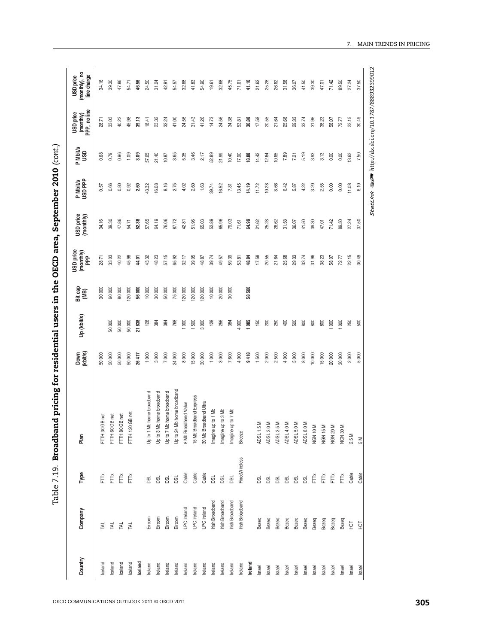| こりりりり                |
|----------------------|
|                      |
|                      |
|                      |
|                      |
| ~TCD area, Septembe. |
|                      |
|                      |
|                      |
|                      |
| ;<br>;               |
| $\vdots$             |
| ・なり アックス・ショー りょうこう   |
|                      |
|                      |
|                      |
|                      |
|                      |
|                      |
| ì<br>こここ             |
| $\frac{1}{2}$<br>i   |

| StatLink ms http://dx.doi.org/10.1787/888932399012<br>22.15<br>30.49<br>33.03<br>40.22<br>45.98<br>39.13<br>41.00<br>31.43<br>41.26<br>14.73<br>24.56<br>34.38<br>30.88<br>17.58<br>20.55<br>25.68<br>29.33<br>33.74<br>31.96<br>38.23<br>58.07<br>72.77<br>23.32<br>32.24<br>24.56<br>21.64<br>18.41<br>53.81<br>28.71<br>3.46<br>10.40<br>5.19<br>3.93<br>3.13<br>0.00<br>0.00<br>0.79<br>0.96<br>1.09<br>3.09<br>57.65<br>21.40<br>3.65<br>5.35<br>52.89<br>21.99<br>17.90<br>18.88<br>14.42<br>10.65<br>7.89<br>13.62<br>7.50<br>0.68<br>12.64<br>7.21<br>10.87<br>2.17<br>8.16<br>13.45<br>6.42<br>0.00<br>11.08<br>6.10<br>0.66<br>0.92<br>2.60<br>16.08<br>2.75<br>4.02<br>2.60<br>1.63<br>39.74<br>16.52<br>14.19<br>10.28<br>8.66<br>5.87<br>4.22<br>3.20<br>2.55<br>0.00<br>0.80<br>43.32<br>7.81<br>11.72<br>0.57<br>34.16<br>39.30<br>64.19<br>65.96<br>79.03<br>64.99<br>25.28<br>26.62<br>31.58<br>41.50<br>39.30<br>71.42<br>89.50<br>47.86<br>52.38<br>57.65<br>76.06<br>87.72<br>51.96<br>65.03<br>52.89<br>21.62<br>36.07<br>47.01<br>37.50<br>54.71<br>42.81<br>71.61<br>27.24<br>57.15<br>33.03<br>45.98<br>48.23<br>65.92<br>32.17<br>39.05<br>39.74<br>59.39<br>17.58<br>20.55<br>21.64<br>25.68<br>29.33<br>33.74<br>31.96<br>38.23<br>22.15<br>30.49<br>40.22<br>43.32<br>49.57<br>48.84<br>58.07<br>28.71<br>48.87<br>53.81<br>72.77<br>44.01<br>80000<br>120000<br>10000<br>30000<br>50000<br>75000<br>120000<br>10000<br>20000<br>30000<br>58500<br>30000<br>60000<br>56000<br>120000<br>120000<br>1085<br>$5000$<br>21838<br>128<br>1500<br>3000<br>128<br>256<br>4 000<br>150<br>200<br>250<br>400<br>500<br>800<br>800<br>800<br>1000<br>1000<br>250<br>50 000<br>50000<br>768<br>1000<br>384<br>500<br>384<br>384<br>9418<br>3000<br>7600<br>4000<br>1500<br>2000<br>2500<br>4000<br>50000<br>50000<br>1000<br>7000<br>24000<br>8000<br>15000<br>30000<br>1000<br>5000<br>8000<br>20000<br>30000<br>2000<br>5000<br>50000<br>50000<br>26417<br>3000<br>10000<br>15000<br>Up to 24 Mb home broadband<br>Up to 7 Mb home broadband<br>Up to 1 Mb home broadband<br>Up to 3 Mb home broadband<br>15 Mb Broadband Express<br>8 Mb Broadband Value<br>30 Mb Broadband Ultra<br>Imagine up to 1 Mb<br>Imagine up to 3 Mb<br>Imagine up to 7 Mb<br>GB net<br>GB net<br>GB net<br>GB net<br>$\geq$<br>$\geq$<br>Σ<br>Σ<br>$\geq$<br>⋝<br>NGN 10M<br><b>NGN 15M</b><br>NGN 20M<br>NGN 30M<br>FTTH 120<br>ADSL 1.5<br><b>ADSL 2.0</b><br>ADSL 2.5<br>ADSL 4.0<br>ADSL 5.0<br>ADSL 8.0<br>FTTH 80<br>FTTH 60<br>FTTH 30<br><b>Breeze</b><br>2.5 M<br>Μ<br>FixedWireless<br>Cable<br>Cable<br>Cable<br>Cable<br>Cable<br>FTTX<br>FTŘ<br>FTTX<br>FTTX<br>Ĕ<br>FT<br>FTX<br>FTTX<br>g<br>g<br>g<br><b>BC</b><br>g<br><b>DSL</b><br>DSL<br><b>BSL</b><br><b>BSL</b><br><b>DSL</b><br><b>DSL</b><br><b>BSL</b><br><b>BSL</b><br>Irish Broadband<br><b>rish Broadband</b><br><b>Irish Broadband</b><br>Irish Broadband<br>UPC Ireland<br>UPC Ireland<br>UPC Ireland<br>Eircom<br>Eircom<br>Eircom<br>Eircom<br>Bezeq<br>Bezeq<br>Bezeq<br>Bezeq<br>Bezeq<br>Bezeq<br>Bezeq<br>Bezeq<br>Bezeq<br>Bezeq<br>$\overline{5}$<br>Ìд<br>TAL<br>TAL<br>TAL<br><b>TAL</b><br>Iceland<br>Ireland<br>Iceland<br>Iceland<br>Iceland<br>Iceland<br>Ireland<br>Ireland<br>Ireland<br>Ireland<br>Ireland<br>Ireland<br>Ireland<br>Ireland<br>Ireland<br>Ireland<br>Ireland<br>Israel<br>Israel<br>Israel<br>Israel<br>Israel<br>Israel<br>Israel<br>Israel<br>Israel<br>Israel<br>Israel<br>Israel | Country | Company | Type | Plan | Down<br>(kbit/s) | Up (kbit/s) | Bit cap<br>(MB) | USD price<br>(monthly)<br>PPP | USD price<br>(monthly) | P Mbit/s<br>USD PPP | P Mbit/s<br>USD | (monthly)<br>PPP, no line<br>USD price | (monthly), no<br>line charge |
|---------------------------------------------------------------------------------------------------------------------------------------------------------------------------------------------------------------------------------------------------------------------------------------------------------------------------------------------------------------------------------------------------------------------------------------------------------------------------------------------------------------------------------------------------------------------------------------------------------------------------------------------------------------------------------------------------------------------------------------------------------------------------------------------------------------------------------------------------------------------------------------------------------------------------------------------------------------------------------------------------------------------------------------------------------------------------------------------------------------------------------------------------------------------------------------------------------------------------------------------------------------------------------------------------------------------------------------------------------------------------------------------------------------------------------------------------------------------------------------------------------------------------------------------------------------------------------------------------------------------------------------------------------------------------------------------------------------------------------------------------------------------------------------------------------------------------------------------------------------------------------------------------------------------------------------------------------------------------------------------------------------------------------------------------------------------------------------------------------------------------------------------------------------------------------------------------------------------------------------------------------------------------------------------------------------------------------------------------------------------------------------------------------------------------------------------------------------------------------------------------------------------------------------------------------------------------------------------------------------------------------------------------------------------------------------------------------------------------------------------------------------------------------------------------------------------------------------------------------------------------------------------------------------------------------------------------------------------------------------------------------------------------------------------------------------------------------------------------------------------------------------------------------------------------------------------------------------------------------------------------------------------------------------------------------------------------------------------------------------------------------------------------------------------------------------------------------------------------------------------------|---------|---------|------|------|------------------|-------------|-----------------|-------------------------------|------------------------|---------------------|-----------------|----------------------------------------|------------------------------|
|                                                                                                                                                                                                                                                                                                                                                                                                                                                                                                                                                                                                                                                                                                                                                                                                                                                                                                                                                                                                                                                                                                                                                                                                                                                                                                                                                                                                                                                                                                                                                                                                                                                                                                                                                                                                                                                                                                                                                                                                                                                                                                                                                                                                                                                                                                                                                                                                                                                                                                                                                                                                                                                                                                                                                                                                                                                                                                                                                                                                                                                                                                                                                                                                                                                                                                                                                                                                                                                                                                   |         |         |      |      |                  |             |                 |                               |                        |                     |                 |                                        | 34.16                        |
|                                                                                                                                                                                                                                                                                                                                                                                                                                                                                                                                                                                                                                                                                                                                                                                                                                                                                                                                                                                                                                                                                                                                                                                                                                                                                                                                                                                                                                                                                                                                                                                                                                                                                                                                                                                                                                                                                                                                                                                                                                                                                                                                                                                                                                                                                                                                                                                                                                                                                                                                                                                                                                                                                                                                                                                                                                                                                                                                                                                                                                                                                                                                                                                                                                                                                                                                                                                                                                                                                                   |         |         |      |      |                  |             |                 |                               |                        |                     |                 |                                        | 39.30                        |
|                                                                                                                                                                                                                                                                                                                                                                                                                                                                                                                                                                                                                                                                                                                                                                                                                                                                                                                                                                                                                                                                                                                                                                                                                                                                                                                                                                                                                                                                                                                                                                                                                                                                                                                                                                                                                                                                                                                                                                                                                                                                                                                                                                                                                                                                                                                                                                                                                                                                                                                                                                                                                                                                                                                                                                                                                                                                                                                                                                                                                                                                                                                                                                                                                                                                                                                                                                                                                                                                                                   |         |         |      |      |                  |             |                 |                               |                        |                     |                 |                                        | 47.86                        |
|                                                                                                                                                                                                                                                                                                                                                                                                                                                                                                                                                                                                                                                                                                                                                                                                                                                                                                                                                                                                                                                                                                                                                                                                                                                                                                                                                                                                                                                                                                                                                                                                                                                                                                                                                                                                                                                                                                                                                                                                                                                                                                                                                                                                                                                                                                                                                                                                                                                                                                                                                                                                                                                                                                                                                                                                                                                                                                                                                                                                                                                                                                                                                                                                                                                                                                                                                                                                                                                                                                   |         |         |      |      |                  |             |                 |                               |                        |                     |                 |                                        | 54.71                        |
|                                                                                                                                                                                                                                                                                                                                                                                                                                                                                                                                                                                                                                                                                                                                                                                                                                                                                                                                                                                                                                                                                                                                                                                                                                                                                                                                                                                                                                                                                                                                                                                                                                                                                                                                                                                                                                                                                                                                                                                                                                                                                                                                                                                                                                                                                                                                                                                                                                                                                                                                                                                                                                                                                                                                                                                                                                                                                                                                                                                                                                                                                                                                                                                                                                                                                                                                                                                                                                                                                                   |         |         |      |      |                  |             |                 |                               |                        |                     |                 |                                        | 46.56                        |
|                                                                                                                                                                                                                                                                                                                                                                                                                                                                                                                                                                                                                                                                                                                                                                                                                                                                                                                                                                                                                                                                                                                                                                                                                                                                                                                                                                                                                                                                                                                                                                                                                                                                                                                                                                                                                                                                                                                                                                                                                                                                                                                                                                                                                                                                                                                                                                                                                                                                                                                                                                                                                                                                                                                                                                                                                                                                                                                                                                                                                                                                                                                                                                                                                                                                                                                                                                                                                                                                                                   |         |         |      |      |                  |             |                 |                               |                        |                     |                 |                                        | 24.50                        |
|                                                                                                                                                                                                                                                                                                                                                                                                                                                                                                                                                                                                                                                                                                                                                                                                                                                                                                                                                                                                                                                                                                                                                                                                                                                                                                                                                                                                                                                                                                                                                                                                                                                                                                                                                                                                                                                                                                                                                                                                                                                                                                                                                                                                                                                                                                                                                                                                                                                                                                                                                                                                                                                                                                                                                                                                                                                                                                                                                                                                                                                                                                                                                                                                                                                                                                                                                                                                                                                                                                   |         |         |      |      |                  |             |                 |                               |                        |                     |                 |                                        | 31.04                        |
|                                                                                                                                                                                                                                                                                                                                                                                                                                                                                                                                                                                                                                                                                                                                                                                                                                                                                                                                                                                                                                                                                                                                                                                                                                                                                                                                                                                                                                                                                                                                                                                                                                                                                                                                                                                                                                                                                                                                                                                                                                                                                                                                                                                                                                                                                                                                                                                                                                                                                                                                                                                                                                                                                                                                                                                                                                                                                                                                                                                                                                                                                                                                                                                                                                                                                                                                                                                                                                                                                                   |         |         |      |      |                  |             |                 |                               |                        |                     |                 |                                        | 42.91                        |
|                                                                                                                                                                                                                                                                                                                                                                                                                                                                                                                                                                                                                                                                                                                                                                                                                                                                                                                                                                                                                                                                                                                                                                                                                                                                                                                                                                                                                                                                                                                                                                                                                                                                                                                                                                                                                                                                                                                                                                                                                                                                                                                                                                                                                                                                                                                                                                                                                                                                                                                                                                                                                                                                                                                                                                                                                                                                                                                                                                                                                                                                                                                                                                                                                                                                                                                                                                                                                                                                                                   |         |         |      |      |                  |             |                 |                               |                        |                     |                 |                                        | 54.57                        |
|                                                                                                                                                                                                                                                                                                                                                                                                                                                                                                                                                                                                                                                                                                                                                                                                                                                                                                                                                                                                                                                                                                                                                                                                                                                                                                                                                                                                                                                                                                                                                                                                                                                                                                                                                                                                                                                                                                                                                                                                                                                                                                                                                                                                                                                                                                                                                                                                                                                                                                                                                                                                                                                                                                                                                                                                                                                                                                                                                                                                                                                                                                                                                                                                                                                                                                                                                                                                                                                                                                   |         |         |      |      |                  |             |                 |                               |                        |                     |                 |                                        | 32.68                        |
|                                                                                                                                                                                                                                                                                                                                                                                                                                                                                                                                                                                                                                                                                                                                                                                                                                                                                                                                                                                                                                                                                                                                                                                                                                                                                                                                                                                                                                                                                                                                                                                                                                                                                                                                                                                                                                                                                                                                                                                                                                                                                                                                                                                                                                                                                                                                                                                                                                                                                                                                                                                                                                                                                                                                                                                                                                                                                                                                                                                                                                                                                                                                                                                                                                                                                                                                                                                                                                                                                                   |         |         |      |      |                  |             |                 |                               |                        |                     |                 |                                        | 41.83                        |
|                                                                                                                                                                                                                                                                                                                                                                                                                                                                                                                                                                                                                                                                                                                                                                                                                                                                                                                                                                                                                                                                                                                                                                                                                                                                                                                                                                                                                                                                                                                                                                                                                                                                                                                                                                                                                                                                                                                                                                                                                                                                                                                                                                                                                                                                                                                                                                                                                                                                                                                                                                                                                                                                                                                                                                                                                                                                                                                                                                                                                                                                                                                                                                                                                                                                                                                                                                                                                                                                                                   |         |         |      |      |                  |             |                 |                               |                        |                     |                 |                                        | 54.90                        |
|                                                                                                                                                                                                                                                                                                                                                                                                                                                                                                                                                                                                                                                                                                                                                                                                                                                                                                                                                                                                                                                                                                                                                                                                                                                                                                                                                                                                                                                                                                                                                                                                                                                                                                                                                                                                                                                                                                                                                                                                                                                                                                                                                                                                                                                                                                                                                                                                                                                                                                                                                                                                                                                                                                                                                                                                                                                                                                                                                                                                                                                                                                                                                                                                                                                                                                                                                                                                                                                                                                   |         |         |      |      |                  |             |                 |                               |                        |                     |                 |                                        | 19.61                        |
|                                                                                                                                                                                                                                                                                                                                                                                                                                                                                                                                                                                                                                                                                                                                                                                                                                                                                                                                                                                                                                                                                                                                                                                                                                                                                                                                                                                                                                                                                                                                                                                                                                                                                                                                                                                                                                                                                                                                                                                                                                                                                                                                                                                                                                                                                                                                                                                                                                                                                                                                                                                                                                                                                                                                                                                                                                                                                                                                                                                                                                                                                                                                                                                                                                                                                                                                                                                                                                                                                                   |         |         |      |      |                  |             |                 |                               |                        |                     |                 |                                        | 32.68                        |
|                                                                                                                                                                                                                                                                                                                                                                                                                                                                                                                                                                                                                                                                                                                                                                                                                                                                                                                                                                                                                                                                                                                                                                                                                                                                                                                                                                                                                                                                                                                                                                                                                                                                                                                                                                                                                                                                                                                                                                                                                                                                                                                                                                                                                                                                                                                                                                                                                                                                                                                                                                                                                                                                                                                                                                                                                                                                                                                                                                                                                                                                                                                                                                                                                                                                                                                                                                                                                                                                                                   |         |         |      |      |                  |             |                 |                               |                        |                     |                 |                                        | 45.75                        |
|                                                                                                                                                                                                                                                                                                                                                                                                                                                                                                                                                                                                                                                                                                                                                                                                                                                                                                                                                                                                                                                                                                                                                                                                                                                                                                                                                                                                                                                                                                                                                                                                                                                                                                                                                                                                                                                                                                                                                                                                                                                                                                                                                                                                                                                                                                                                                                                                                                                                                                                                                                                                                                                                                                                                                                                                                                                                                                                                                                                                                                                                                                                                                                                                                                                                                                                                                                                                                                                                                                   |         |         |      |      |                  |             |                 |                               |                        |                     |                 |                                        | 71.61                        |
|                                                                                                                                                                                                                                                                                                                                                                                                                                                                                                                                                                                                                                                                                                                                                                                                                                                                                                                                                                                                                                                                                                                                                                                                                                                                                                                                                                                                                                                                                                                                                                                                                                                                                                                                                                                                                                                                                                                                                                                                                                                                                                                                                                                                                                                                                                                                                                                                                                                                                                                                                                                                                                                                                                                                                                                                                                                                                                                                                                                                                                                                                                                                                                                                                                                                                                                                                                                                                                                                                                   |         |         |      |      |                  |             |                 |                               |                        |                     |                 |                                        | 41.10                        |
|                                                                                                                                                                                                                                                                                                                                                                                                                                                                                                                                                                                                                                                                                                                                                                                                                                                                                                                                                                                                                                                                                                                                                                                                                                                                                                                                                                                                                                                                                                                                                                                                                                                                                                                                                                                                                                                                                                                                                                                                                                                                                                                                                                                                                                                                                                                                                                                                                                                                                                                                                                                                                                                                                                                                                                                                                                                                                                                                                                                                                                                                                                                                                                                                                                                                                                                                                                                                                                                                                                   |         |         |      |      |                  |             |                 |                               |                        |                     |                 |                                        | 21.62                        |
|                                                                                                                                                                                                                                                                                                                                                                                                                                                                                                                                                                                                                                                                                                                                                                                                                                                                                                                                                                                                                                                                                                                                                                                                                                                                                                                                                                                                                                                                                                                                                                                                                                                                                                                                                                                                                                                                                                                                                                                                                                                                                                                                                                                                                                                                                                                                                                                                                                                                                                                                                                                                                                                                                                                                                                                                                                                                                                                                                                                                                                                                                                                                                                                                                                                                                                                                                                                                                                                                                                   |         |         |      |      |                  |             |                 |                               |                        |                     |                 |                                        | 25.28                        |
|                                                                                                                                                                                                                                                                                                                                                                                                                                                                                                                                                                                                                                                                                                                                                                                                                                                                                                                                                                                                                                                                                                                                                                                                                                                                                                                                                                                                                                                                                                                                                                                                                                                                                                                                                                                                                                                                                                                                                                                                                                                                                                                                                                                                                                                                                                                                                                                                                                                                                                                                                                                                                                                                                                                                                                                                                                                                                                                                                                                                                                                                                                                                                                                                                                                                                                                                                                                                                                                                                                   |         |         |      |      |                  |             |                 |                               |                        |                     |                 |                                        | 26.62                        |
|                                                                                                                                                                                                                                                                                                                                                                                                                                                                                                                                                                                                                                                                                                                                                                                                                                                                                                                                                                                                                                                                                                                                                                                                                                                                                                                                                                                                                                                                                                                                                                                                                                                                                                                                                                                                                                                                                                                                                                                                                                                                                                                                                                                                                                                                                                                                                                                                                                                                                                                                                                                                                                                                                                                                                                                                                                                                                                                                                                                                                                                                                                                                                                                                                                                                                                                                                                                                                                                                                                   |         |         |      |      |                  |             |                 |                               |                        |                     |                 |                                        | 31.58                        |
|                                                                                                                                                                                                                                                                                                                                                                                                                                                                                                                                                                                                                                                                                                                                                                                                                                                                                                                                                                                                                                                                                                                                                                                                                                                                                                                                                                                                                                                                                                                                                                                                                                                                                                                                                                                                                                                                                                                                                                                                                                                                                                                                                                                                                                                                                                                                                                                                                                                                                                                                                                                                                                                                                                                                                                                                                                                                                                                                                                                                                                                                                                                                                                                                                                                                                                                                                                                                                                                                                                   |         |         |      |      |                  |             |                 |                               |                        |                     |                 |                                        | 36.07                        |
|                                                                                                                                                                                                                                                                                                                                                                                                                                                                                                                                                                                                                                                                                                                                                                                                                                                                                                                                                                                                                                                                                                                                                                                                                                                                                                                                                                                                                                                                                                                                                                                                                                                                                                                                                                                                                                                                                                                                                                                                                                                                                                                                                                                                                                                                                                                                                                                                                                                                                                                                                                                                                                                                                                                                                                                                                                                                                                                                                                                                                                                                                                                                                                                                                                                                                                                                                                                                                                                                                                   |         |         |      |      |                  |             |                 |                               |                        |                     |                 |                                        | 41.50                        |
|                                                                                                                                                                                                                                                                                                                                                                                                                                                                                                                                                                                                                                                                                                                                                                                                                                                                                                                                                                                                                                                                                                                                                                                                                                                                                                                                                                                                                                                                                                                                                                                                                                                                                                                                                                                                                                                                                                                                                                                                                                                                                                                                                                                                                                                                                                                                                                                                                                                                                                                                                                                                                                                                                                                                                                                                                                                                                                                                                                                                                                                                                                                                                                                                                                                                                                                                                                                                                                                                                                   |         |         |      |      |                  |             |                 |                               |                        |                     |                 |                                        | 39.30                        |
|                                                                                                                                                                                                                                                                                                                                                                                                                                                                                                                                                                                                                                                                                                                                                                                                                                                                                                                                                                                                                                                                                                                                                                                                                                                                                                                                                                                                                                                                                                                                                                                                                                                                                                                                                                                                                                                                                                                                                                                                                                                                                                                                                                                                                                                                                                                                                                                                                                                                                                                                                                                                                                                                                                                                                                                                                                                                                                                                                                                                                                                                                                                                                                                                                                                                                                                                                                                                                                                                                                   |         |         |      |      |                  |             |                 |                               |                        |                     |                 |                                        | 47.01                        |
|                                                                                                                                                                                                                                                                                                                                                                                                                                                                                                                                                                                                                                                                                                                                                                                                                                                                                                                                                                                                                                                                                                                                                                                                                                                                                                                                                                                                                                                                                                                                                                                                                                                                                                                                                                                                                                                                                                                                                                                                                                                                                                                                                                                                                                                                                                                                                                                                                                                                                                                                                                                                                                                                                                                                                                                                                                                                                                                                                                                                                                                                                                                                                                                                                                                                                                                                                                                                                                                                                                   |         |         |      |      |                  |             |                 |                               |                        |                     |                 |                                        | 71.42                        |
|                                                                                                                                                                                                                                                                                                                                                                                                                                                                                                                                                                                                                                                                                                                                                                                                                                                                                                                                                                                                                                                                                                                                                                                                                                                                                                                                                                                                                                                                                                                                                                                                                                                                                                                                                                                                                                                                                                                                                                                                                                                                                                                                                                                                                                                                                                                                                                                                                                                                                                                                                                                                                                                                                                                                                                                                                                                                                                                                                                                                                                                                                                                                                                                                                                                                                                                                                                                                                                                                                                   |         |         |      |      |                  |             |                 |                               |                        |                     |                 |                                        | 89.50                        |
|                                                                                                                                                                                                                                                                                                                                                                                                                                                                                                                                                                                                                                                                                                                                                                                                                                                                                                                                                                                                                                                                                                                                                                                                                                                                                                                                                                                                                                                                                                                                                                                                                                                                                                                                                                                                                                                                                                                                                                                                                                                                                                                                                                                                                                                                                                                                                                                                                                                                                                                                                                                                                                                                                                                                                                                                                                                                                                                                                                                                                                                                                                                                                                                                                                                                                                                                                                                                                                                                                                   |         |         |      |      |                  |             |                 |                               |                        |                     |                 |                                        | 27.24                        |
|                                                                                                                                                                                                                                                                                                                                                                                                                                                                                                                                                                                                                                                                                                                                                                                                                                                                                                                                                                                                                                                                                                                                                                                                                                                                                                                                                                                                                                                                                                                                                                                                                                                                                                                                                                                                                                                                                                                                                                                                                                                                                                                                                                                                                                                                                                                                                                                                                                                                                                                                                                                                                                                                                                                                                                                                                                                                                                                                                                                                                                                                                                                                                                                                                                                                                                                                                                                                                                                                                                   |         |         |      |      |                  |             |                 |                               |                        |                     |                 |                                        | 37.50                        |
|                                                                                                                                                                                                                                                                                                                                                                                                                                                                                                                                                                                                                                                                                                                                                                                                                                                                                                                                                                                                                                                                                                                                                                                                                                                                                                                                                                                                                                                                                                                                                                                                                                                                                                                                                                                                                                                                                                                                                                                                                                                                                                                                                                                                                                                                                                                                                                                                                                                                                                                                                                                                                                                                                                                                                                                                                                                                                                                                                                                                                                                                                                                                                                                                                                                                                                                                                                                                                                                                                                   |         |         |      |      |                  |             |                 |                               |                        |                     |                 |                                        |                              |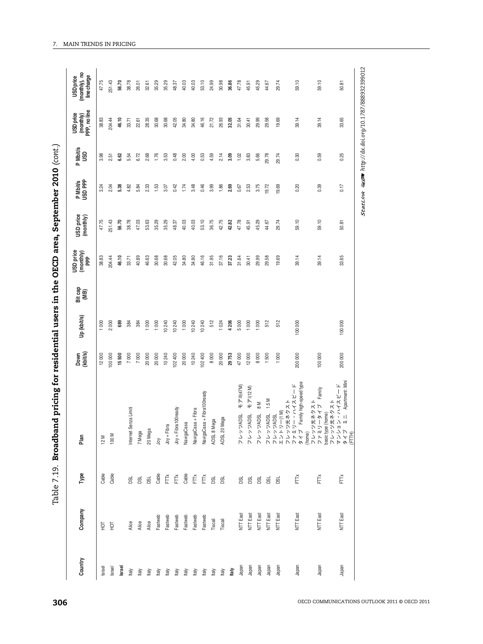| - 1<br>- 1<br>- 1      |
|------------------------|
|                        |
|                        |
|                        |
|                        |
|                        |
| <b>PCD area</b> S<br>ĺ |
|                        |
|                        |
| ) amp 2mm t            |
| י<br>י                 |
| ;<br>{                 |
| Ū                      |
|                        |
|                        |
|                        |
|                        |
| こうしょうしょう しょうこうこう       |
|                        |
|                        |
|                        |
|                        |
|                        |
|                        |
|                        |
| …<br>りい                |
|                        |

| 204.44<br>46.10<br>28.35<br>30.68<br>30.68<br>42.05<br>46.16<br>32.05<br>29.99<br>29.58<br>19.69<br>39.14<br>39.14<br>33.65<br>38.83<br>34.80<br>34.80<br>21.72<br>26.93<br>31.64<br>30.41<br>33.71<br>22.61<br>3.53<br>0.48<br>4.00<br>0.53<br>4.59<br>2.14<br>3.09<br>3.83<br>29.78<br>0.59<br>0.25<br>3.98<br>6.72<br>2.68<br>1.76<br>2.00<br>1.02<br>5.66<br>29.74<br>0.30<br>6.62<br>5.54<br>2.51<br>0.17<br>2.04<br>5.38<br>3.48<br>0.46<br>3.99<br>2.69<br>0.20<br>0.39<br>3.24<br>4.82<br>5.84<br>2.33<br>1.53<br>0.42<br>1.74<br>1.86<br>2.53<br>3.75<br>19.72<br>19.69<br>3.07<br>0.67<br>59.10<br>59.10<br>47.75<br>251.43<br>53.10<br>36.75<br>42.75<br>42.82<br>47.78<br>56.70<br>38.78<br>47.03<br>53.63<br>35.29<br>35.29<br>40.03<br>40.03<br>45.29<br>29.74<br>48.37<br>44.67<br>50.81<br>45.91<br>46.16<br>38.83<br>204.44<br>46.10<br>40.89<br>46.63<br>30.68<br>30.68<br>42.05<br>34.80<br>31.95<br>29.99<br>29.58<br>19.69<br>39.14<br>33.71<br>34.80<br>37.16<br>37.23<br>31.64<br>39.14<br>33.65<br>30.41<br>1000<br>10240<br>512<br>5000<br>1000<br>1000<br>512<br>512<br>100 000<br>2000<br>689<br>384<br>1 000<br>1000<br>10240<br>10240<br>10240<br>4 206<br>1000<br>384<br>1024<br>100 000<br>200 000<br>200 000<br>12000<br>100 000<br>7000<br>7000<br>20000<br>20000<br>10240<br>102400<br>20000<br>10240<br>102400<br>8000<br>29753<br>47000<br>12000<br>8000<br>1500<br>15500<br>20000<br>1000<br>100 000<br>ソ・ハイスピード<br>ミニ Apartment: Mini<br>Family high-speed type<br>ー・ミノム スパード<br>モアIII(47M)<br>$E \nabla$ (12M)<br>フレッツADSL 1.5 M<br>エンドリーパート - インストード アンストード ランサンディストード アイブラックストード Samply high-speed type<br>タイプ Family high-speed type<br>(home) ツチネクスト<br>ファッリータイプ<br>Masic type (forme)<br>マンション・ハイスピード<br>タインション・ハイスピード<br>チンション・ハイスピード<br>NavigaCasa + Fibra100ready<br>$\mathbb{N}$ 8<br>Internet Senza Limiti<br>Joy + Fibra100ready<br>NavigaCasa + Fibra<br><b>JSQVA</b><br>フレッツADSL<br>フレッツADSL<br>Mega<br>ADSL 8 Mega<br>NavigaCasa<br>$Joy + Filbra$<br><b>ADSL 201</b><br>20 Mega<br>レフッ<br>7 Mega<br>100 M<br>12 M<br>λğ<br>Cable<br>Cable<br>Cable<br>Cable<br>$\check{\mathsf{F}}$<br>Ě<br>Ĕ<br>Ĕ<br>FTTX<br>FTX<br>FTTX<br>g<br><b>BSL</b><br><b>BSL</b><br><b>BSL</b><br><b>DSL</b><br><b>DSL</b><br><b>DSL</b><br><b>DSL</b><br><b>DSL</b><br><b>DSL</b><br><b>NTT</b> East<br><b>NTT</b> East<br>NTT East<br>NTT East<br>NTT East<br>NTT East<br><b>NTT</b> East<br>NTT East<br>Fastweb<br>Fastweb<br>Fastweb<br>Fastweb<br>Fastweb<br>Fastweb<br>Tiscali<br>Tiscali<br>Alice<br>Alice<br>Alice<br>$\overline{5}$<br>Ìд<br>Japan<br>Japan<br>Japan<br>Japan<br>Japan<br>Japan<br>Japan<br>Japan<br>Israel<br>Israel<br>Israel<br>ltaly<br>ltaly<br>Italy<br>ltaly<br>ltaly<br>ltaly<br>ltaly<br>ltaly<br>ltaly<br>ltaly<br>ltaly<br>ltaly | Country | Company | Type | Plan | Down<br>(kbit/s) | Up (kbit/s) | Bit cap<br>(MB) | USD price<br>$(\text{menthy})$<br>PPP | USD price<br>(monthly) | P Mbit/s<br>USD PPP | P Mbit/s<br>USD | (monthly)<br>PPP, no line<br>USD price | (monthly), no<br>line charge<br>USD price |
|------------------------------------------------------------------------------------------------------------------------------------------------------------------------------------------------------------------------------------------------------------------------------------------------------------------------------------------------------------------------------------------------------------------------------------------------------------------------------------------------------------------------------------------------------------------------------------------------------------------------------------------------------------------------------------------------------------------------------------------------------------------------------------------------------------------------------------------------------------------------------------------------------------------------------------------------------------------------------------------------------------------------------------------------------------------------------------------------------------------------------------------------------------------------------------------------------------------------------------------------------------------------------------------------------------------------------------------------------------------------------------------------------------------------------------------------------------------------------------------------------------------------------------------------------------------------------------------------------------------------------------------------------------------------------------------------------------------------------------------------------------------------------------------------------------------------------------------------------------------------------------------------------------------------------------------------------------------------------------------------------------------------------------------------------------------------------------------------------------------------------------------------------------------------------------------------------------------------------------------------------------------------------------------------------------------------------------------------------------------------------------------------------------------------------------------------------------------------------------------------------------------------------------------------------------------------------------------------------------------------------------------------------------------------------------------------------------------------------------------------------------------------------------------------------|---------|---------|------|------|------------------|-------------|-----------------|---------------------------------------|------------------------|---------------------|-----------------|----------------------------------------|-------------------------------------------|
|                                                                                                                                                                                                                                                                                                                                                                                                                                                                                                                                                                                                                                                                                                                                                                                                                                                                                                                                                                                                                                                                                                                                                                                                                                                                                                                                                                                                                                                                                                                                                                                                                                                                                                                                                                                                                                                                                                                                                                                                                                                                                                                                                                                                                                                                                                                                                                                                                                                                                                                                                                                                                                                                                                                                                                                                      |         |         |      |      |                  |             |                 |                                       |                        |                     |                 |                                        | 47.75                                     |
|                                                                                                                                                                                                                                                                                                                                                                                                                                                                                                                                                                                                                                                                                                                                                                                                                                                                                                                                                                                                                                                                                                                                                                                                                                                                                                                                                                                                                                                                                                                                                                                                                                                                                                                                                                                                                                                                                                                                                                                                                                                                                                                                                                                                                                                                                                                                                                                                                                                                                                                                                                                                                                                                                                                                                                                                      |         |         |      |      |                  |             |                 |                                       |                        |                     |                 |                                        | 251.43                                    |
|                                                                                                                                                                                                                                                                                                                                                                                                                                                                                                                                                                                                                                                                                                                                                                                                                                                                                                                                                                                                                                                                                                                                                                                                                                                                                                                                                                                                                                                                                                                                                                                                                                                                                                                                                                                                                                                                                                                                                                                                                                                                                                                                                                                                                                                                                                                                                                                                                                                                                                                                                                                                                                                                                                                                                                                                      |         |         |      |      |                  |             |                 |                                       |                        |                     |                 |                                        | 56.70                                     |
|                                                                                                                                                                                                                                                                                                                                                                                                                                                                                                                                                                                                                                                                                                                                                                                                                                                                                                                                                                                                                                                                                                                                                                                                                                                                                                                                                                                                                                                                                                                                                                                                                                                                                                                                                                                                                                                                                                                                                                                                                                                                                                                                                                                                                                                                                                                                                                                                                                                                                                                                                                                                                                                                                                                                                                                                      |         |         |      |      |                  |             |                 |                                       |                        |                     |                 |                                        | 38.78                                     |
|                                                                                                                                                                                                                                                                                                                                                                                                                                                                                                                                                                                                                                                                                                                                                                                                                                                                                                                                                                                                                                                                                                                                                                                                                                                                                                                                                                                                                                                                                                                                                                                                                                                                                                                                                                                                                                                                                                                                                                                                                                                                                                                                                                                                                                                                                                                                                                                                                                                                                                                                                                                                                                                                                                                                                                                                      |         |         |      |      |                  |             |                 |                                       |                        |                     |                 |                                        | 26.01                                     |
|                                                                                                                                                                                                                                                                                                                                                                                                                                                                                                                                                                                                                                                                                                                                                                                                                                                                                                                                                                                                                                                                                                                                                                                                                                                                                                                                                                                                                                                                                                                                                                                                                                                                                                                                                                                                                                                                                                                                                                                                                                                                                                                                                                                                                                                                                                                                                                                                                                                                                                                                                                                                                                                                                                                                                                                                      |         |         |      |      |                  |             |                 |                                       |                        |                     |                 |                                        | 32.61                                     |
|                                                                                                                                                                                                                                                                                                                                                                                                                                                                                                                                                                                                                                                                                                                                                                                                                                                                                                                                                                                                                                                                                                                                                                                                                                                                                                                                                                                                                                                                                                                                                                                                                                                                                                                                                                                                                                                                                                                                                                                                                                                                                                                                                                                                                                                                                                                                                                                                                                                                                                                                                                                                                                                                                                                                                                                                      |         |         |      |      |                  |             |                 |                                       |                        |                     |                 |                                        | 35.29                                     |
|                                                                                                                                                                                                                                                                                                                                                                                                                                                                                                                                                                                                                                                                                                                                                                                                                                                                                                                                                                                                                                                                                                                                                                                                                                                                                                                                                                                                                                                                                                                                                                                                                                                                                                                                                                                                                                                                                                                                                                                                                                                                                                                                                                                                                                                                                                                                                                                                                                                                                                                                                                                                                                                                                                                                                                                                      |         |         |      |      |                  |             |                 |                                       |                        |                     |                 |                                        | 35.29                                     |
|                                                                                                                                                                                                                                                                                                                                                                                                                                                                                                                                                                                                                                                                                                                                                                                                                                                                                                                                                                                                                                                                                                                                                                                                                                                                                                                                                                                                                                                                                                                                                                                                                                                                                                                                                                                                                                                                                                                                                                                                                                                                                                                                                                                                                                                                                                                                                                                                                                                                                                                                                                                                                                                                                                                                                                                                      |         |         |      |      |                  |             |                 |                                       |                        |                     |                 |                                        | 48.37                                     |
|                                                                                                                                                                                                                                                                                                                                                                                                                                                                                                                                                                                                                                                                                                                                                                                                                                                                                                                                                                                                                                                                                                                                                                                                                                                                                                                                                                                                                                                                                                                                                                                                                                                                                                                                                                                                                                                                                                                                                                                                                                                                                                                                                                                                                                                                                                                                                                                                                                                                                                                                                                                                                                                                                                                                                                                                      |         |         |      |      |                  |             |                 |                                       |                        |                     |                 |                                        | 40.03                                     |
|                                                                                                                                                                                                                                                                                                                                                                                                                                                                                                                                                                                                                                                                                                                                                                                                                                                                                                                                                                                                                                                                                                                                                                                                                                                                                                                                                                                                                                                                                                                                                                                                                                                                                                                                                                                                                                                                                                                                                                                                                                                                                                                                                                                                                                                                                                                                                                                                                                                                                                                                                                                                                                                                                                                                                                                                      |         |         |      |      |                  |             |                 |                                       |                        |                     |                 |                                        | 40.03                                     |
|                                                                                                                                                                                                                                                                                                                                                                                                                                                                                                                                                                                                                                                                                                                                                                                                                                                                                                                                                                                                                                                                                                                                                                                                                                                                                                                                                                                                                                                                                                                                                                                                                                                                                                                                                                                                                                                                                                                                                                                                                                                                                                                                                                                                                                                                                                                                                                                                                                                                                                                                                                                                                                                                                                                                                                                                      |         |         |      |      |                  |             |                 |                                       |                        |                     |                 |                                        | 53.10                                     |
|                                                                                                                                                                                                                                                                                                                                                                                                                                                                                                                                                                                                                                                                                                                                                                                                                                                                                                                                                                                                                                                                                                                                                                                                                                                                                                                                                                                                                                                                                                                                                                                                                                                                                                                                                                                                                                                                                                                                                                                                                                                                                                                                                                                                                                                                                                                                                                                                                                                                                                                                                                                                                                                                                                                                                                                                      |         |         |      |      |                  |             |                 |                                       |                        |                     |                 |                                        | 24.99                                     |
|                                                                                                                                                                                                                                                                                                                                                                                                                                                                                                                                                                                                                                                                                                                                                                                                                                                                                                                                                                                                                                                                                                                                                                                                                                                                                                                                                                                                                                                                                                                                                                                                                                                                                                                                                                                                                                                                                                                                                                                                                                                                                                                                                                                                                                                                                                                                                                                                                                                                                                                                                                                                                                                                                                                                                                                                      |         |         |      |      |                  |             |                 |                                       |                        |                     |                 |                                        | 30.98                                     |
|                                                                                                                                                                                                                                                                                                                                                                                                                                                                                                                                                                                                                                                                                                                                                                                                                                                                                                                                                                                                                                                                                                                                                                                                                                                                                                                                                                                                                                                                                                                                                                                                                                                                                                                                                                                                                                                                                                                                                                                                                                                                                                                                                                                                                                                                                                                                                                                                                                                                                                                                                                                                                                                                                                                                                                                                      |         |         |      |      |                  |             |                 |                                       |                        |                     |                 |                                        | 36.86                                     |
|                                                                                                                                                                                                                                                                                                                                                                                                                                                                                                                                                                                                                                                                                                                                                                                                                                                                                                                                                                                                                                                                                                                                                                                                                                                                                                                                                                                                                                                                                                                                                                                                                                                                                                                                                                                                                                                                                                                                                                                                                                                                                                                                                                                                                                                                                                                                                                                                                                                                                                                                                                                                                                                                                                                                                                                                      |         |         |      |      |                  |             |                 |                                       |                        |                     |                 |                                        | 47.78                                     |
|                                                                                                                                                                                                                                                                                                                                                                                                                                                                                                                                                                                                                                                                                                                                                                                                                                                                                                                                                                                                                                                                                                                                                                                                                                                                                                                                                                                                                                                                                                                                                                                                                                                                                                                                                                                                                                                                                                                                                                                                                                                                                                                                                                                                                                                                                                                                                                                                                                                                                                                                                                                                                                                                                                                                                                                                      |         |         |      |      |                  |             |                 |                                       |                        |                     |                 |                                        | 45.91                                     |
|                                                                                                                                                                                                                                                                                                                                                                                                                                                                                                                                                                                                                                                                                                                                                                                                                                                                                                                                                                                                                                                                                                                                                                                                                                                                                                                                                                                                                                                                                                                                                                                                                                                                                                                                                                                                                                                                                                                                                                                                                                                                                                                                                                                                                                                                                                                                                                                                                                                                                                                                                                                                                                                                                                                                                                                                      |         |         |      |      |                  |             |                 |                                       |                        |                     |                 |                                        | 45.29                                     |
|                                                                                                                                                                                                                                                                                                                                                                                                                                                                                                                                                                                                                                                                                                                                                                                                                                                                                                                                                                                                                                                                                                                                                                                                                                                                                                                                                                                                                                                                                                                                                                                                                                                                                                                                                                                                                                                                                                                                                                                                                                                                                                                                                                                                                                                                                                                                                                                                                                                                                                                                                                                                                                                                                                                                                                                                      |         |         |      |      |                  |             |                 |                                       |                        |                     |                 |                                        | 44.67                                     |
|                                                                                                                                                                                                                                                                                                                                                                                                                                                                                                                                                                                                                                                                                                                                                                                                                                                                                                                                                                                                                                                                                                                                                                                                                                                                                                                                                                                                                                                                                                                                                                                                                                                                                                                                                                                                                                                                                                                                                                                                                                                                                                                                                                                                                                                                                                                                                                                                                                                                                                                                                                                                                                                                                                                                                                                                      |         |         |      |      |                  |             |                 |                                       |                        |                     |                 |                                        | 29.74                                     |
|                                                                                                                                                                                                                                                                                                                                                                                                                                                                                                                                                                                                                                                                                                                                                                                                                                                                                                                                                                                                                                                                                                                                                                                                                                                                                                                                                                                                                                                                                                                                                                                                                                                                                                                                                                                                                                                                                                                                                                                                                                                                                                                                                                                                                                                                                                                                                                                                                                                                                                                                                                                                                                                                                                                                                                                                      |         |         |      |      |                  |             |                 |                                       |                        |                     |                 |                                        | 59.10                                     |
|                                                                                                                                                                                                                                                                                                                                                                                                                                                                                                                                                                                                                                                                                                                                                                                                                                                                                                                                                                                                                                                                                                                                                                                                                                                                                                                                                                                                                                                                                                                                                                                                                                                                                                                                                                                                                                                                                                                                                                                                                                                                                                                                                                                                                                                                                                                                                                                                                                                                                                                                                                                                                                                                                                                                                                                                      |         |         |      |      |                  |             |                 |                                       |                        |                     |                 |                                        | 59.10                                     |
|                                                                                                                                                                                                                                                                                                                                                                                                                                                                                                                                                                                                                                                                                                                                                                                                                                                                                                                                                                                                                                                                                                                                                                                                                                                                                                                                                                                                                                                                                                                                                                                                                                                                                                                                                                                                                                                                                                                                                                                                                                                                                                                                                                                                                                                                                                                                                                                                                                                                                                                                                                                                                                                                                                                                                                                                      |         |         |      |      |                  |             |                 |                                       |                        |                     |                 |                                        | 50.81                                     |
|                                                                                                                                                                                                                                                                                                                                                                                                                                                                                                                                                                                                                                                                                                                                                                                                                                                                                                                                                                                                                                                                                                                                                                                                                                                                                                                                                                                                                                                                                                                                                                                                                                                                                                                                                                                                                                                                                                                                                                                                                                                                                                                                                                                                                                                                                                                                                                                                                                                                                                                                                                                                                                                                                                                                                                                                      |         |         |      |      |                  |             |                 |                                       |                        |                     |                 |                                        |                                           |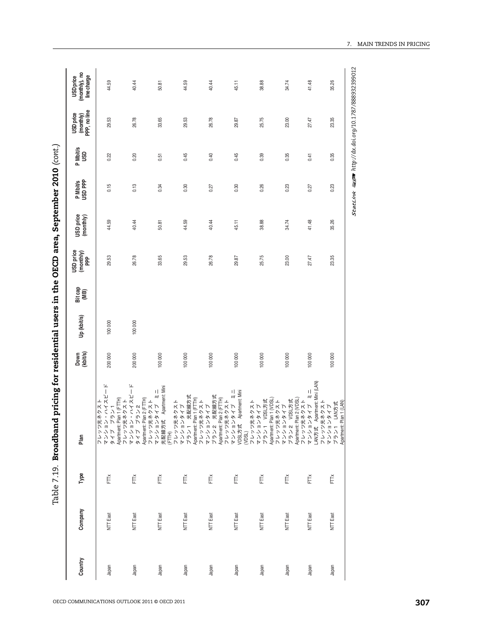| Country | Company  | Type | Plan                                                                                                                                                                                                                            | Down<br>(kbit/s) | Up (kbit/s) | Bit cap<br>(MB) | USD price<br>(monthy) | USD price<br>(monthly) | P Mbit/s<br>USD PPP | P Mbit/s<br>USD | (monthly)<br>PPP, no line<br>USD price | (monthly), no<br>line charge<br><b>USD</b> price |
|---------|----------|------|---------------------------------------------------------------------------------------------------------------------------------------------------------------------------------------------------------------------------------|------------------|-------------|-----------------|-----------------------|------------------------|---------------------|-----------------|----------------------------------------|--------------------------------------------------|
| Japan   | NTT East | Ě    |                                                                                                                                                                                                                                 | 200 000          | 100 000     |                 | 29.53                 | 44.59                  | 0.15                | 0.22            | 29.53                                  | 44.59                                            |
| Japan   | NTT East | Ě    |                                                                                                                                                                                                                                 | 200 000          | 100 000     |                 | 26.78                 | 40.44                  | 0.13                | 0.20            | 26.78                                  | 40.44                                            |
| Japan   | NTT East | FTTX | フレッツ光ネクストートリックスストートリックポネクストートリックポネクストートリングステートのインストートリングリードのインストートリックストートリックスタイプートリックスタイプートリックスタイプートリックスタイプーーを開発力は、Apatment Mini<br>アクセッサングリングストートリックストートートートートートートートートートリックスタイプーンデジタイプーンのMinistration Server Apatment Ministra | 100 000          |             |                 | 33.65                 | 50.81                  | 0.34                | 0.51            | 33.65                                  | 50.81                                            |
| Japan   | NTT East | FTTX |                                                                                                                                                                                                                                 | 100 000          |             |                 | 29.53                 | 44.59                  | 0.30                | 0.45            | 29.53                                  | 44.59                                            |
| Japan   | NTT East | FT   |                                                                                                                                                                                                                                 | 100 000          |             |                 | 26.78                 | 40.44                  | 0.27                | 0.40            | 26.78                                  | 40.44                                            |
| Japan   | NTT East | FTTX |                                                                                                                                                                                                                                 | 100 000          |             |                 | 29.87                 | 45.11                  | 0.30                | 0.45            | 29.87                                  | 45.11                                            |
| Japan   | NTT East | FTTX |                                                                                                                                                                                                                                 | 100 000          |             |                 | 25.75                 | 38.88                  | 0.26                | 0.39            | 25.75                                  | 38.88                                            |
| Japan   | NTT East | FTX  |                                                                                                                                                                                                                                 | 100 000          |             |                 | 23.00                 | 34.74                  | 0.23                | 0.35            | 23.00                                  | 34.74                                            |
| Japan   | NTT East | FTŘ  |                                                                                                                                                                                                                                 | 100 000          |             |                 | 27.47                 | 41.48                  | 0.27                | 0.41            | 27.47                                  | 41.48                                            |
| Japan   | NTT East | Ě    |                                                                                                                                                                                                                                 | 100 000          |             |                 | 23.35                 | 35.26                  | 0.23                | 0.35            | 23.35                                  | 35.26                                            |

7. MAIN TRENDS IN PRICING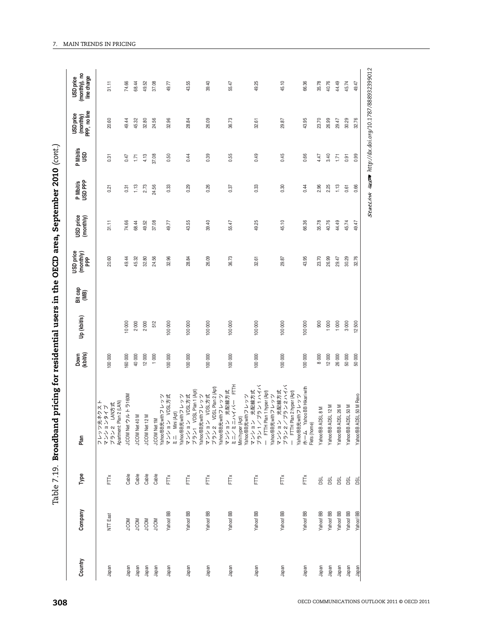| יג' האחר<br>)<br> }<br>                                                               |
|---------------------------------------------------------------------------------------|
|                                                                                       |
|                                                                                       |
|                                                                                       |
|                                                                                       |
|                                                                                       |
|                                                                                       |
|                                                                                       |
|                                                                                       |
|                                                                                       |
|                                                                                       |
|                                                                                       |
|                                                                                       |
|                                                                                       |
|                                                                                       |
|                                                                                       |
|                                                                                       |
|                                                                                       |
| <b>SECD area</b>                                                                      |
|                                                                                       |
|                                                                                       |
|                                                                                       |
|                                                                                       |
|                                                                                       |
|                                                                                       |
|                                                                                       |
|                                                                                       |
|                                                                                       |
|                                                                                       |
| -<br>-<br>-<br>-<br>-<br>-<br>-<br>-<br><br>-<br><br><br><br><br><br><br><br><br><br> |
|                                                                                       |
|                                                                                       |
|                                                                                       |
|                                                                                       |
|                                                                                       |
|                                                                                       |
|                                                                                       |
|                                                                                       |
|                                                                                       |
|                                                                                       |
|                                                                                       |
|                                                                                       |
|                                                                                       |
|                                                                                       |
|                                                                                       |
|                                                                                       |
|                                                                                       |
|                                                                                       |
|                                                                                       |
|                                                                                       |
|                                                                                       |
|                                                                                       |
|                                                                                       |
|                                                                                       |
|                                                                                       |
|                                                                                       |
|                                                                                       |
| - 220 アニシクド ようそ ちょうこうこく アミク                                                           |
|                                                                                       |
|                                                                                       |
|                                                                                       |
|                                                                                       |
|                                                                                       |
|                                                                                       |
|                                                                                       |
|                                                                                       |
|                                                                                       |
|                                                                                       |
|                                                                                       |
|                                                                                       |
|                                                                                       |
|                                                                                       |
|                                                                                       |
|                                                                                       |
|                                                                                       |
|                                                                                       |
|                                                                                       |
|                                                                                       |
|                                                                                       |
|                                                                                       |
|                                                                                       |
|                                                                                       |
|                                                                                       |
|                                                                                       |
|                                                                                       |
| le / 19. I<br>- - - -                                                                 |

| Country        | Company                   | Type         | Plan                                                                                                           | Down<br>(kbit/s) | Up (kbit/s)    | Bit cap<br>(MB) | USD price<br>$(monthly)$<br>PPP | USD price<br>(monthly) | P Mbit/s<br>USD PPP | P Mbit/s<br>USD | (monthly)<br>PPP, no line<br>USD price | (monthly), no<br>line charge<br><b>USD</b> price |
|----------------|---------------------------|--------------|----------------------------------------------------------------------------------------------------------------|------------------|----------------|-----------------|---------------------------------|------------------------|---------------------|-----------------|----------------------------------------|--------------------------------------------------|
| Japan          | NTT East                  | Ě            | Apartment: Plan 2 (LAN)<br>ノ光ネクスト<br>i ンタイプ<br>LAN方式<br>レフッシン<br>マンショ<br>マンショ                                  | 100 000          |                |                 | 20.60                           | 31.11                  | 0.21                | 0.31            | 20.60                                  | 31.11                                            |
| Japan          | <b>J:COM</b>              | Cable        | J:COM Net ウルトラ160M                                                                                             | 160 000          | 10 000         |                 | 49.44                           | 74.66                  | 0.31                | 0.47            | 49.44                                  | 74.66                                            |
| Japan          | <b>NOON</b>               | Cable        | J:COM Net 40 M                                                                                                 | 40000            | 2000           |                 | 45.32                           | 68.44                  | 1.13                | 1.71            | 45.32                                  | 68.44                                            |
| Japan          | <b>J:COM</b>              | Cable        | J:COM Net 12 M                                                                                                 | 12000            | 2000           |                 | 32.80                           | 49.52                  | 2.73                | 4.13            | 32.80                                  | 49.52                                            |
| Japan<br>Japan | Yahoo! BB<br><b>J:COM</b> | Cable<br>FTK | J:COM Net 1M<br>Yahoo!BB光withフレッツ                                                                              | 1000<br>100 000  | 512<br>100 000 |                 | 32.96<br>24.56                  | 37.08<br>49.77         | 24.56<br>0.33       | 37.08<br>0.50   | 24.56<br>32.96                         | 37.08<br>49.77                                   |
|                |                           |              | マンション VDSL方式<br>ミニ Mini (Apt)<br>YahoolBB光withフレッツ                                                             |                  |                |                 |                                 |                        |                     |                 |                                        |                                                  |
| Japan          | Yahoo! BB                 | FTTX         | VDSL Plan 1 (Apt)<br>ン VDSL方式<br>レンツョ<br>ブンショ                                                                  | 100 000          | 100 000        |                 | $\overline{8}$<br>ಙ             | 43.55                  | 0.29                | 0.44            | 28.84                                  | 43.55                                            |
| Japan          | Yahoo! BB                 | FTTx         | VDSL Plan 2 (Apt)<br>ン VDSL方式<br>YahoolB3先withフレッツ<br>マンション VDSL方式<br>プラン2 VDSL Plan 2 (A<br>YahoolBB光withフレッツ | 100 000          | 100 000        |                 | 26.09                           | 39.40                  | 0.26                | 0.39            | 26.09                                  | 39.40                                            |
| Japan          | Yahoo! BB                 | FTŇ          | Ē<br>光配線方式<br>マンション 光野線方式<br>ミニ/ミニハイパー FT<br>Mini hyper (Apt)<br>Yahoo!BB光withフレッツ                             | 100 000          | 100 000        |                 | 36.73                           | 55.47                  | 0.37                | 0.55            | 36.73                                  | 55.47                                            |
| Japan          | Yahoo! BB                 | FTŘ          | ノプラン 1 ハイパ<br>マンション 光配線方式<br>プラン 1 /プラン 1 ハイハ<br>一 FITH Plan 1 hyper (A,r)<br>Yahoo!BB光withフレッツ                | 100000           | 100 000        |                 | 32.61                           | 49.25                  | 0.33                | 0.49            | 32.61                                  | 49.25                                            |
| Japan          | Yahoo! BB                 | FTTX         | ノブラン2ハイパ<br>マンション 光配線方式<br>プラン2/プラン2ハイ/<br>一 FTTH Plan 2 hyper (Apt)                                           | 100 000          | 100 000        |                 | 29.87                           | 45.10                  | 0.30                | 0.45            | 29.87                                  | 45.10                                            |
| Japan          | Yahoo! BB                 | FTTx         | Yahoo BB Hikari with<br>Yahoo!BB光withフレッツ<br>ホーム Yah<br>Flets (home)                                           | 100 000          | 100 000        |                 | 43.95                           | 66.36                  | 0.44                | 0.66            | 43.95                                  | 66.36                                            |
| Japan          | Yahoo! BB                 | DSL          | Yahoo!BB ADSL 8 M                                                                                              | 8000             | 900            |                 | 23.70                           | 35.78                  | 2.96                | 4.47            | 23.70                                  | 35.78                                            |
| Japan          | Yahoo! BB                 | DSL          | Yahoo!BB ADSL 12 M                                                                                             | 12000            | 1000           |                 | 26.99                           | 40.76                  | 2.25                | 3.40            | 26.99                                  | 40.76                                            |
| Japan          | Yahoo! BB                 | <b>DSL</b>   | Yahoo!BB ADSL 26 M                                                                                             | 26000            | 1000           |                 | 29.47                           | 44.49                  | 1.13                | 1.71            | 29.47                                  | 44.49                                            |
| Japan          | Yahoo! BB                 | <b>DSL</b>   | ADSL 50 M<br>Yahoo!BB                                                                                          | 50000            | 3000           |                 | 30.29                           | 45.74                  | 0.61                | 0.91            | 30.29                                  | 45.74                                            |
| Japan          | Yahoo! BB                 | g            | ADSL 50 M Revo<br>Yahoo!BB                                                                                     | 50000            | 12500          |                 | 32.76                           | 49.47                  | 0.66                | 0.99            | 32.76                                  | 49.47                                            |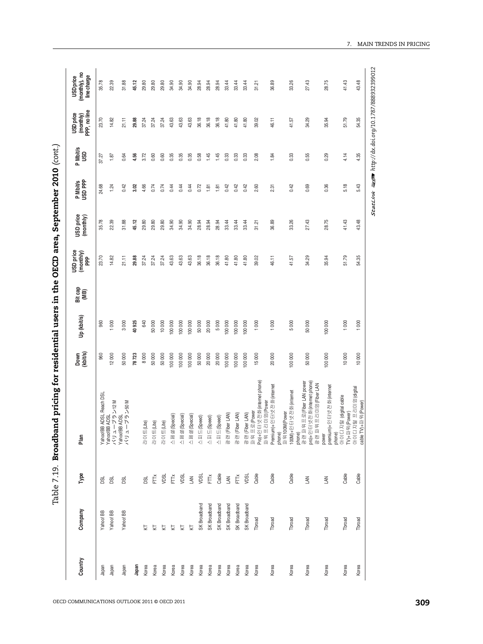| $\mathbf i$                                                                                                        |
|--------------------------------------------------------------------------------------------------------------------|
|                                                                                                                    |
|                                                                                                                    |
|                                                                                                                    |
|                                                                                                                    |
|                                                                                                                    |
|                                                                                                                    |
| l                                                                                                                  |
|                                                                                                                    |
|                                                                                                                    |
| i                                                                                                                  |
| ו<br>ו                                                                                                             |
|                                                                                                                    |
| o<br>Poro                                                                                                          |
| $\frac{1}{2}$<br>Ĕ                                                                                                 |
|                                                                                                                    |
|                                                                                                                    |
|                                                                                                                    |
|                                                                                                                    |
|                                                                                                                    |
| ;                                                                                                                  |
| .<br>I                                                                                                             |
|                                                                                                                    |
|                                                                                                                    |
|                                                                                                                    |
|                                                                                                                    |
|                                                                                                                    |
|                                                                                                                    |
|                                                                                                                    |
|                                                                                                                    |
|                                                                                                                    |
|                                                                                                                    |
|                                                                                                                    |
| ֖֖֖֧֧֧֧֧֧֧֚֚֚֡֬֓֓֓֝֬֓֓֝֬֓֓֬֓֝֬֓֓֬֓֬֓֓֬֓֓֬֓֓֬֓֓֬֓֓֬֟֬֓֩֓<br>֧֧֧֧֧֦֧֦֧֧֧֧֧֩֩֩֩֩֩֩֓֩֓֓֬֓֓֬֓֓֬֓֬֓֘֩֩֓֬֩֓֩֓֩֩֓֩֩֩֩֬֩֩֩֩ |
|                                                                                                                    |
| ֖֧֖֚֚֚֚֚֚֚֚֚֚֚֚֚֚֚֚֚֚֚֚֚֚֚֚֚֚֚֚֚֬֝֟֓֡֞֡֡֓֞                                                                         |
|                                                                                                                    |
|                                                                                                                    |
|                                                                                                                    |
|                                                                                                                    |
|                                                                                                                    |
|                                                                                                                    |
|                                                                                                                    |
|                                                                                                                    |
|                                                                                                                    |
|                                                                                                                    |
|                                                                                                                    |
|                                                                                                                    |
|                                                                                                                    |
| $\frac{1}{2}$                                                                                                      |
|                                                                                                                    |
| י<br>י<br>l<br>l                                                                                                   |
|                                                                                                                    |

| 23.70<br>43.63<br>43.63<br>36.18<br>36.18<br>34.29<br>51.79<br>54.35<br>14.82<br>37.24<br>37.24<br>43.63<br>36.18<br>41.80<br>41.80<br>41.80<br>39.02<br>46.11<br>35.94<br>21.11<br>29.88<br>37.24<br>41.57<br>50 000<br>100 000<br>960<br>1 000<br>3000<br>40925<br>640<br>50 000<br>50 000<br>20 000<br>5000<br>100 000<br>100 000<br>1000<br>1000<br>5000<br>1000<br>1000<br>10 000<br>100 000<br>100 000<br>100 000<br>100 000<br>100 000<br>50000<br>960<br>12000<br>8000<br>100000<br>50000<br>20000<br>100 000<br>100 000<br>100000<br>20000<br>100 000<br>10000<br>50000<br>78723<br>50000<br>50000<br>100000<br>100 000<br>20000<br>15000<br>10000<br>Pro)+인터넷전화(internet phone)<br>pro)+인터넷전화(internet phone)<br>로(Fiber LAN power<br>프리미엄(Fiber LAN<br>Premium)+인터넷전화(internet<br>power<br>premium)+인터넷전화(internet<br>털 프리미엄(digital<br>100M)+인터넷전화(internet<br><b>ADSL Reach DSL</b><br>digital cable<br>パリュープラン12 M<br>Yahoo!BB ADSL<br>パリュープラン50 M<br>파워 프리미엄(Power<br>광랜 (Fiber LAN)<br>파워 프로(Power<br>phone)<br>파워100M(Power<br>TV)+파워(Power)<br>광랜 (Fiber LAN)<br>광랜 (Fiber LAN)<br>스페셜(Special)<br>스페셜(Special)<br>스페셜(Special)<br><b>ADSL</b><br>$\angle \mathbb{II} \mathop{\boxdot} (\mathsf{Speed})$<br>$\angle \mathbb{II} \mathop{\boxdot} (\mathsf{Speed})$<br>$\angle \mathbb{I} \mathbb{I} \subseteq$ (Speed)<br>$\vert \exists \vert$<br>라이트(Lite)<br>라이트(Lite)<br>라이트(Lite)<br>phone)<br>광랜 파워<br>6百 百字<br>phone)<br>OI-OICI XI §<br>$0$ $\mid$ $0$ $\mid$ $\sqsubset$ $\mid$ $\overline{\lambda}$<br>Yahoo!BB A<br>Yahoo!BB A<br>Cable<br>Cable<br>Cable<br>Cable<br>Cable<br>Cable<br>VDSL<br>FTŘ<br>VDSL<br>VDSL<br>FT<br>FTTX<br>VDSL<br>FTŘ<br>$\leq$<br>M<br>$\leq$<br>$\leq$<br>g<br>g<br>g<br>g<br>SK Broadband<br>SK Broadband<br>SK Broadband<br>SK Broadband<br>SK Broadband<br>SK Broadband<br>Yahoo! BB<br>Yahoo! BB<br>Yahoo! BB<br>Tbroad<br>Tbroad<br>Tbroad<br>Tbroad<br>Tbroad<br>Tbroad<br>Tbroad<br><b>Z</b><br>$\overline{\mathbb{Z}}$<br>$\overline{\mathbf{z}}$<br>$\overline{\mathbb{Z}}$<br>$\overline{\mathbf{z}}$<br>호<br>Japan<br>Japan<br>Japan<br>Japan<br>Korea<br>Korea<br>Korea<br>Korea<br>Korea<br>Korea<br>Korea<br>Korea<br>Korea<br>Korea<br>Korea<br>Korea<br>Korea<br>Korea<br>Korea<br>Korea<br>Korea<br>Korea<br>Korea | 35.78<br>22.39<br>31.88<br>45.12<br>29.80<br>29.80<br>34.90<br>34.90<br>34.90<br>29.80 | 1.87<br>3.72<br>37.27<br>0.64<br>4.56<br>24.68<br>1.24<br>0.42<br>3.02<br>4.66 |       | line charge |
|-----------------------------------------------------------------------------------------------------------------------------------------------------------------------------------------------------------------------------------------------------------------------------------------------------------------------------------------------------------------------------------------------------------------------------------------------------------------------------------------------------------------------------------------------------------------------------------------------------------------------------------------------------------------------------------------------------------------------------------------------------------------------------------------------------------------------------------------------------------------------------------------------------------------------------------------------------------------------------------------------------------------------------------------------------------------------------------------------------------------------------------------------------------------------------------------------------------------------------------------------------------------------------------------------------------------------------------------------------------------------------------------------------------------------------------------------------------------------------------------------------------------------------------------------------------------------------------------------------------------------------------------------------------------------------------------------------------------------------------------------------------------------------------------------------------------------------------------------------------------------------------------------------------------------------------------------------------------------------------------------------------------------------------------------------------------------------------------------------------------------------------------------------------------------------------------------------------------------------------------------------------------------------------------------|----------------------------------------------------------------------------------------|--------------------------------------------------------------------------------|-------|-------------|
|                                                                                                                                                                                                                                                                                                                                                                                                                                                                                                                                                                                                                                                                                                                                                                                                                                                                                                                                                                                                                                                                                                                                                                                                                                                                                                                                                                                                                                                                                                                                                                                                                                                                                                                                                                                                                                                                                                                                                                                                                                                                                                                                                                                                                                                                                               |                                                                                        |                                                                                | 23.70 | 35.78       |
|                                                                                                                                                                                                                                                                                                                                                                                                                                                                                                                                                                                                                                                                                                                                                                                                                                                                                                                                                                                                                                                                                                                                                                                                                                                                                                                                                                                                                                                                                                                                                                                                                                                                                                                                                                                                                                                                                                                                                                                                                                                                                                                                                                                                                                                                                               |                                                                                        |                                                                                | 14.82 | 22.39       |
|                                                                                                                                                                                                                                                                                                                                                                                                                                                                                                                                                                                                                                                                                                                                                                                                                                                                                                                                                                                                                                                                                                                                                                                                                                                                                                                                                                                                                                                                                                                                                                                                                                                                                                                                                                                                                                                                                                                                                                                                                                                                                                                                                                                                                                                                                               |                                                                                        |                                                                                | 21.11 | 31.88       |
|                                                                                                                                                                                                                                                                                                                                                                                                                                                                                                                                                                                                                                                                                                                                                                                                                                                                                                                                                                                                                                                                                                                                                                                                                                                                                                                                                                                                                                                                                                                                                                                                                                                                                                                                                                                                                                                                                                                                                                                                                                                                                                                                                                                                                                                                                               |                                                                                        |                                                                                | 29.88 | 45.12       |
|                                                                                                                                                                                                                                                                                                                                                                                                                                                                                                                                                                                                                                                                                                                                                                                                                                                                                                                                                                                                                                                                                                                                                                                                                                                                                                                                                                                                                                                                                                                                                                                                                                                                                                                                                                                                                                                                                                                                                                                                                                                                                                                                                                                                                                                                                               |                                                                                        |                                                                                | 37.24 | 29.80       |
|                                                                                                                                                                                                                                                                                                                                                                                                                                                                                                                                                                                                                                                                                                                                                                                                                                                                                                                                                                                                                                                                                                                                                                                                                                                                                                                                                                                                                                                                                                                                                                                                                                                                                                                                                                                                                                                                                                                                                                                                                                                                                                                                                                                                                                                                                               |                                                                                        | 0.60<br>0.74                                                                   | 37.24 | 29.80       |
|                                                                                                                                                                                                                                                                                                                                                                                                                                                                                                                                                                                                                                                                                                                                                                                                                                                                                                                                                                                                                                                                                                                                                                                                                                                                                                                                                                                                                                                                                                                                                                                                                                                                                                                                                                                                                                                                                                                                                                                                                                                                                                                                                                                                                                                                                               |                                                                                        | 0.60<br>0.74                                                                   | 37.24 | 29.80       |
|                                                                                                                                                                                                                                                                                                                                                                                                                                                                                                                                                                                                                                                                                                                                                                                                                                                                                                                                                                                                                                                                                                                                                                                                                                                                                                                                                                                                                                                                                                                                                                                                                                                                                                                                                                                                                                                                                                                                                                                                                                                                                                                                                                                                                                                                                               |                                                                                        | 0.35<br>0.44                                                                   | 43.63 | 34.90       |
|                                                                                                                                                                                                                                                                                                                                                                                                                                                                                                                                                                                                                                                                                                                                                                                                                                                                                                                                                                                                                                                                                                                                                                                                                                                                                                                                                                                                                                                                                                                                                                                                                                                                                                                                                                                                                                                                                                                                                                                                                                                                                                                                                                                                                                                                                               |                                                                                        | 0.35<br>0.44                                                                   | 43.63 | 34.90       |
|                                                                                                                                                                                                                                                                                                                                                                                                                                                                                                                                                                                                                                                                                                                                                                                                                                                                                                                                                                                                                                                                                                                                                                                                                                                                                                                                                                                                                                                                                                                                                                                                                                                                                                                                                                                                                                                                                                                                                                                                                                                                                                                                                                                                                                                                                               |                                                                                        | 0.35<br>0.44                                                                   | 43.63 | 34.90       |
|                                                                                                                                                                                                                                                                                                                                                                                                                                                                                                                                                                                                                                                                                                                                                                                                                                                                                                                                                                                                                                                                                                                                                                                                                                                                                                                                                                                                                                                                                                                                                                                                                                                                                                                                                                                                                                                                                                                                                                                                                                                                                                                                                                                                                                                                                               | 28.94                                                                                  | 0.58<br>0.72                                                                   | 36.18 | 28.94       |
|                                                                                                                                                                                                                                                                                                                                                                                                                                                                                                                                                                                                                                                                                                                                                                                                                                                                                                                                                                                                                                                                                                                                                                                                                                                                                                                                                                                                                                                                                                                                                                                                                                                                                                                                                                                                                                                                                                                                                                                                                                                                                                                                                                                                                                                                                               | 28.94                                                                                  | 1.45<br>1.81                                                                   | 36.18 | 28.94       |
|                                                                                                                                                                                                                                                                                                                                                                                                                                                                                                                                                                                                                                                                                                                                                                                                                                                                                                                                                                                                                                                                                                                                                                                                                                                                                                                                                                                                                                                                                                                                                                                                                                                                                                                                                                                                                                                                                                                                                                                                                                                                                                                                                                                                                                                                                               | 28.94                                                                                  | 1.45<br>1.81                                                                   | 36.18 | 28.94       |
|                                                                                                                                                                                                                                                                                                                                                                                                                                                                                                                                                                                                                                                                                                                                                                                                                                                                                                                                                                                                                                                                                                                                                                                                                                                                                                                                                                                                                                                                                                                                                                                                                                                                                                                                                                                                                                                                                                                                                                                                                                                                                                                                                                                                                                                                                               | 33.44                                                                                  | 0.33<br>0.42                                                                   | 41.80 | 33.44       |
|                                                                                                                                                                                                                                                                                                                                                                                                                                                                                                                                                                                                                                                                                                                                                                                                                                                                                                                                                                                                                                                                                                                                                                                                                                                                                                                                                                                                                                                                                                                                                                                                                                                                                                                                                                                                                                                                                                                                                                                                                                                                                                                                                                                                                                                                                               | 33.44                                                                                  | 0.33<br>0.42                                                                   | 41.80 | 33.44       |
|                                                                                                                                                                                                                                                                                                                                                                                                                                                                                                                                                                                                                                                                                                                                                                                                                                                                                                                                                                                                                                                                                                                                                                                                                                                                                                                                                                                                                                                                                                                                                                                                                                                                                                                                                                                                                                                                                                                                                                                                                                                                                                                                                                                                                                                                                               | 33.44                                                                                  | 0.33<br>0.42                                                                   | 41.80 | 33.44       |
|                                                                                                                                                                                                                                                                                                                                                                                                                                                                                                                                                                                                                                                                                                                                                                                                                                                                                                                                                                                                                                                                                                                                                                                                                                                                                                                                                                                                                                                                                                                                                                                                                                                                                                                                                                                                                                                                                                                                                                                                                                                                                                                                                                                                                                                                                               | 31.21                                                                                  | 2.08<br>2.60                                                                   | 39.02 | 31.21       |
|                                                                                                                                                                                                                                                                                                                                                                                                                                                                                                                                                                                                                                                                                                                                                                                                                                                                                                                                                                                                                                                                                                                                                                                                                                                                                                                                                                                                                                                                                                                                                                                                                                                                                                                                                                                                                                                                                                                                                                                                                                                                                                                                                                                                                                                                                               | 36.89                                                                                  | 1.84<br>2.31                                                                   | 46.11 | 36.89       |
|                                                                                                                                                                                                                                                                                                                                                                                                                                                                                                                                                                                                                                                                                                                                                                                                                                                                                                                                                                                                                                                                                                                                                                                                                                                                                                                                                                                                                                                                                                                                                                                                                                                                                                                                                                                                                                                                                                                                                                                                                                                                                                                                                                                                                                                                                               | 33.26                                                                                  | 0.33<br>0.42                                                                   | 41.57 | 33.26       |
|                                                                                                                                                                                                                                                                                                                                                                                                                                                                                                                                                                                                                                                                                                                                                                                                                                                                                                                                                                                                                                                                                                                                                                                                                                                                                                                                                                                                                                                                                                                                                                                                                                                                                                                                                                                                                                                                                                                                                                                                                                                                                                                                                                                                                                                                                               |                                                                                        |                                                                                |       |             |
|                                                                                                                                                                                                                                                                                                                                                                                                                                                                                                                                                                                                                                                                                                                                                                                                                                                                                                                                                                                                                                                                                                                                                                                                                                                                                                                                                                                                                                                                                                                                                                                                                                                                                                                                                                                                                                                                                                                                                                                                                                                                                                                                                                                                                                                                                               | 27.43                                                                                  | 0.55<br>0.69                                                                   | 34.29 | 27.43       |
|                                                                                                                                                                                                                                                                                                                                                                                                                                                                                                                                                                                                                                                                                                                                                                                                                                                                                                                                                                                                                                                                                                                                                                                                                                                                                                                                                                                                                                                                                                                                                                                                                                                                                                                                                                                                                                                                                                                                                                                                                                                                                                                                                                                                                                                                                               | 28.75                                                                                  | 0.29<br>0.36                                                                   | 35.94 | 28.75       |
|                                                                                                                                                                                                                                                                                                                                                                                                                                                                                                                                                                                                                                                                                                                                                                                                                                                                                                                                                                                                                                                                                                                                                                                                                                                                                                                                                                                                                                                                                                                                                                                                                                                                                                                                                                                                                                                                                                                                                                                                                                                                                                                                                                                                                                                                                               | 41.43                                                                                  | 4.14<br>5.18                                                                   | 51.79 | 41.43       |
| 파워(Power<br>$Table TV +$                                                                                                                                                                                                                                                                                                                                                                                                                                                                                                                                                                                                                                                                                                                                                                                                                                                                                                                                                                                                                                                                                                                                                                                                                                                                                                                                                                                                                                                                                                                                                                                                                                                                                                                                                                                                                                                                                                                                                                                                                                                                                                                                                                                                                                                                      | 43.48                                                                                  | 4.35<br>5.43                                                                   | 54.35 | 43.48       |
|                                                                                                                                                                                                                                                                                                                                                                                                                                                                                                                                                                                                                                                                                                                                                                                                                                                                                                                                                                                                                                                                                                                                                                                                                                                                                                                                                                                                                                                                                                                                                                                                                                                                                                                                                                                                                                                                                                                                                                                                                                                                                                                                                                                                                                                                                               | <b>StatLink</b>                                                                        | <b>The ST http://dx.doi.org/10.1787/888932399012</b>                           |       |             |
|                                                                                                                                                                                                                                                                                                                                                                                                                                                                                                                                                                                                                                                                                                                                                                                                                                                                                                                                                                                                                                                                                                                                                                                                                                                                                                                                                                                                                                                                                                                                                                                                                                                                                                                                                                                                                                                                                                                                                                                                                                                                                                                                                                                                                                                                                               |                                                                                        |                                                                                |       |             |
|                                                                                                                                                                                                                                                                                                                                                                                                                                                                                                                                                                                                                                                                                                                                                                                                                                                                                                                                                                                                                                                                                                                                                                                                                                                                                                                                                                                                                                                                                                                                                                                                                                                                                                                                                                                                                                                                                                                                                                                                                                                                                                                                                                                                                                                                                               |                                                                                        |                                                                                |       |             |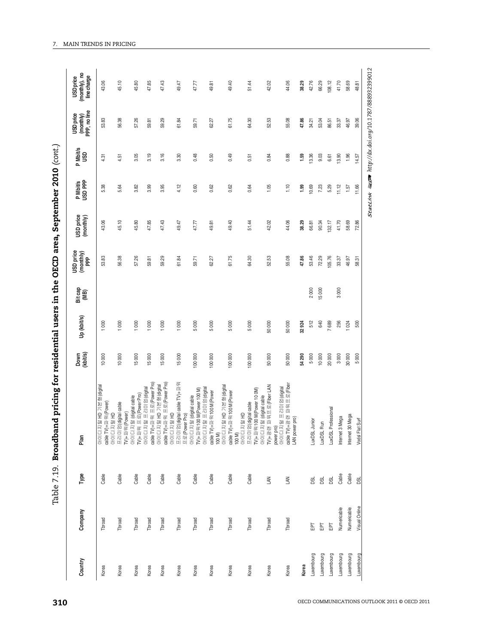| 10 000<br>10 000<br>탈HD 기본형(digita<br>+파워(Power)<br>(digital cable<br>(Power)<br>全面<br>OFOICIX<br>프리미엄<br>TV <sub>+파워</sub><br>아이디자<br>cable TV)<br>Cable<br>Cable<br>Throad<br>Tbroad<br>Korea<br>Korea | 1000         | 53.83    | 43.06  | 5.38  | 4.31  |       | 43.06  |
|----------------------------------------------------------------------------------------------------------------------------------------------------------------------------------------------------------|--------------|----------|--------|-------|-------|-------|--------|
|                                                                                                                                                                                                          |              |          |        |       |       | 53.83 |        |
|                                                                                                                                                                                                          | 1000         | 56.38    | 45.10  | 5.64  | 4.51  | 56.38 | 45.10  |
| 15 000<br>프로(Power Pro)<br>털 (digital cable<br>OFOICIXI<br>Cable<br>Tbroad<br>Korea                                                                                                                      | 1000         | 57.26    | 45.80  | 3.82  | 3.05  | 57.26 | 45.80  |
| 15 000<br>cable TV)+파워 프로(Power Pro)<br>탈 프리미엄(digital<br>Cable<br>Tbroad<br>Korea                                                                                                                       | 1000         | 59.81    | 47.85  | 3.99  | 3.19  | 59.81 | 47.85  |
| 15 000<br>cable TV)+파워 프로(Power Pro)<br>털 HD 기본형(digital<br>日置け<br>OFOICIXI<br>OFOICIXI<br>Cable<br>Tbroad<br>Korea                                                                                      | 1000         | 59.29    | 47.43  | 3.95  | 3.16  | 59.29 | 47.43  |
| 15000<br>프리미엄(digital cable TV)+파워<br>프로(Power Pro)<br>Cable<br>Tbroad<br>Korea                                                                                                                          | 1000         | 61.84    | 49.47  | 4.12  | 3.30  | 61.84 | 49.47  |
| 100 000<br>탈프리미엄(digital<br>100 M(Power 100 M)<br>달 (digital cable<br>OFOICIXI<br>$TV + II + R$<br>$O+O C X $<br>Cable<br>Tbroad<br>Korea                                                                | 5000         | 59.71    | 47.77  | 0.60  | 0.48  | 59.71 | 47.77  |
| 100 000<br>Cable<br>Tbroad<br>Korea                                                                                                                                                                      | 5000         | 62.27    | 49.81  | 0.62  | 0.50  | 62.27 | 49.81  |
| 100 000<br>탈HD 기본형(digital<br>cable TV)+파워100 M(Power<br>100 M)<br>아이디지털 HD 기본형(digita<br>Cable<br>Tbroad<br>Korea                                                                                       | 5000         | 61.75    | 49.40  | 0.62  | 0.49  | 61.75 | 49.40  |
| 100 000<br>100 M(Power 10 0M)<br>cable TV)+파워 100 M(Power<br>100 M)<br>아이디지털 HD<br>마리미엄(digital cable<br>$TVJ + \Pi \ncong$<br>Cable<br>Tbroad<br>Korea                                                  | 5000         | 64.30    | 51.44  | 0.64  | 0.51  | 64.30 | 51.44  |
| 50 000<br>탈 (digital cable<br>파워프로(Fiber LAN<br>OFOICIXI<br>TV)+광랜<br>LAN<br>Tbroad<br>Korea                                                                                                             | 50000        | 52.53    | 42.02  | 1.05  | 0.84  | 52.53 | 42.02  |
| 50 000<br>아이디지털 프리미엄(digital<br>cable TV)+광랜 파워프로(Fiber<br>LAN power pro)<br>power pro)<br>OFOI CI XI<br>LAN<br>Tbroad<br>Korea                                                                          | 50000        | 55.08    | 44.06  | 1.10  | 0.88  | 55.08 | 44.06  |
| 54 290<br>Korea                                                                                                                                                                                          | 32924        | 47.86    | 38.29  | 1.99  | 1.59  | 47.86 | 38.29  |
| 5000<br>LuxDSL Junior<br>DSL<br>둅<br>Luxembourg                                                                                                                                                          | 2000<br>512  | 53.46    | 66.81  | 10.69 | 13.36 | 34.21 | 42.76  |
| 10 000<br>LuxDSL Run<br>DSL<br>EPT<br>Luxembourg                                                                                                                                                         | 15000<br>640 | 72.29    | 90.34  | 7.23  | 9.03  | 53.04 | 66.29  |
| 20 000<br>LuxDSL Professional<br>DSL<br>EPT<br>Luxembourg                                                                                                                                                | 7689         | 105.76   | 132.17 | 5.29  | 6.61  | 86.51 | 108.12 |
| 3000<br>Internet 3 Mega<br>Cable<br>Numericable<br>Luxembourg                                                                                                                                            | 3000<br>256  | 33.37    | 41.70  | 11.12 | 13.90 | 33.37 | 41.70  |
| 30 000<br>Internet 30 Mega<br>Cable<br>Numericable<br>Luxembourg                                                                                                                                         | 1024         | 46.97    | 58.69  | 1.57  | 1.96  | 46.97 | 58.69  |
| 8<br>S<br>Surf<br>Vodsl Flat<br>DSL<br>Visual Online<br>Luxembourg                                                                                                                                       | 500          | ਨ੍<br>ജ് | 72.86  | 11.66 | 14.57 | 39.06 | 48.81  |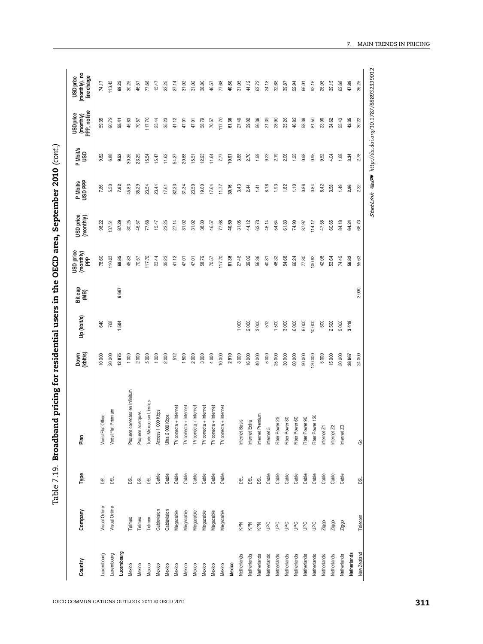| ׅ֘֒                               |
|-----------------------------------|
|                                   |
| $\sim$ TC area $\sim$<br>$\bf{r}$ |
| $\frac{1}{2}$                     |
|                                   |
|                                   |
| י<br>י                            |
|                                   |
|                                   |
|                                   |
|                                   |
|                                   |
|                                   |
|                                   |
|                                   |
|                                   |
| i<br>Search                       |
|                                   |
|                                   |
|                                   |
| <br>.<br>ו<br>י<br>י<br>1         |
|                                   |

| <b>看空 http://dx.doi.org/10.1787/888932399012</b><br>90.79<br>28.90<br>117.70<br>41.12<br>117.70<br>61.36<br>27.46<br>56.36<br>21.39<br>35.26<br>58.38<br>81.50<br>23.06<br>34.62<br>55.43<br>42.35<br>55.41<br>45.83<br>70.57<br>23.44<br>35.23<br>58.79<br>70.57<br>39.02<br>46.82<br>30.22<br>59.35<br>47.01<br>47.01<br>2.19<br>2.78<br>9.82<br>6.88<br>30.25<br>20.68<br>3.88<br>2.76<br>1.59<br>9.23<br>2.06<br>1.25<br>0.98<br>0.95<br>1.68<br>3.34<br>9.52<br>23.29<br>15.54<br>15.47<br>12.93<br>19.91<br>9.52<br>4.04<br>11.62<br>54.27<br>11.64<br>7.77<br>15.51<br>5.50<br>8.16<br>1.10<br>0.86<br>3.58<br>1.49<br>2.32<br>7.86<br>7.62<br>45.83<br>35.29<br>23.54<br>23.44<br>82.23<br>31.34<br>23.50<br>19.60<br>17.64<br>30.16<br>3.43<br>2.44<br>1.93<br>1.82<br>0.84<br>8.42<br>1.41<br>2.96<br>17.61<br>11.77<br><b>StatLink</b><br>84.18<br>40.50<br>31.05<br>44.12<br>46.14<br>61.83<br>74.90<br>114.12<br>47.58<br>66.73<br>87.29<br>30.25<br>77.68<br>27.14<br>31.02<br>31.02<br>38.80<br>46.57<br>77.68<br>63.73<br>54.64<br>87.97<br>60.65<br>64.24<br>98.22<br>46.57<br>15.47<br>23.25<br>137.51<br>61.36<br>27.46<br>74.45<br>10.03<br>69.85<br>45.83<br>35.23<br>41.12<br>58.79<br>117.70<br>39.02<br>56.36<br>48.32<br>54.68<br>66.24<br>$77.80$<br>100.92<br>42.08<br>53.64<br>56.82<br>55.63<br>78.60<br>70.57<br>117.70<br>23.44<br>70.57<br>40.81<br>47.01<br>47.01<br>3000<br>6667<br>768<br>512<br>640<br>504<br>1000<br>2000<br>3000<br>1500<br>3000<br>6000<br>10000<br>500<br>3418<br>6000<br>2500<br>5000<br>12875<br>1000<br>2000<br>5000<br>1000<br>512<br>1500<br>$2000$<br>4000<br>2910<br>8000<br>16 000<br>40 000<br>5000<br>25 000<br>30 000<br>60 000<br>90 000<br>5000<br>15000<br>50 000<br>20 000<br>2000<br>3000<br>10 000<br>120 000<br>38 667<br>24 000<br>10 000<br>Paquete conectes en Infinitum<br>Todo México sin Límites<br>TV conecta + Internet<br>TV conecta + Internet<br>TV conecta + Internet<br>TV conecta + Internet<br>TV conecta + Interne<br>TV conecta + Interne<br>Premium<br>Access 1000 Kbps<br>Paquete acerques<br>Internet Premium<br>Kbps<br>Office<br>Fiber Power 120<br>Fiber Power 60<br>Fiber Power 90<br>Fiber Power 30<br>Fiber Power 25<br>Internet Extra<br><b>Internet Basis</b><br>Ultra 2000<br>Internet 5<br>Internet Z1<br>Internet Z2<br>Internet Z3<br>Vodsl Flat (<br>Vodsl Flat F<br>යි<br>Cable<br>Cable<br>Cable<br>Cable<br>Cable<br>Cable<br>Cable<br>Cable<br>Cable<br>Cable<br>Cable<br>Cable<br>Cable<br>Cable<br>Cable<br>Cable<br>Cable<br>DSL<br><b>B</b><br>DSL<br>DSL<br><b>BSL</b><br><b>BSL</b><br><b>BSL</b><br><b>BSL</b><br>DSL<br>Visual Online<br>Visual Online<br>Cablevision<br>Cablevision<br>Megacable<br>Megacable<br>Megacable<br>Megacable<br>Megacable<br>Megacable<br>Telecom<br>Telmex<br>Telmex<br>Telmex<br>Ziggo<br>Ziggo<br>Ziggo<br>KPN<br>KPN<br>KPN<br><b>Dan</b><br><b>UPC</b><br><b>Dan</b><br>$\frac{C}{D}$<br><b>UPC</b><br>$\frac{1}{2}$<br>Luxembourg<br>New Zealand<br>Netherlands<br>Luxembourg<br>Luxembourg<br>Netherlands<br>Netherlands<br>Netherlands<br>Netherlands<br>Netherlands<br>Netherlands<br>Netherlands<br>Netherlands<br>Netherlands<br>Netherlands<br>Netherlands<br>Netherlands<br>Mexico<br>Mexico<br>Mexico<br>Mexico<br>Mexico<br>Mexico<br>Mexico<br>Mexico<br>Mexico<br>Mexico<br>Mexico<br>Mexico | Country | Company | Type | Plan | Down<br>(kbit/s) | Up (kbit/s) | Bit cap<br>(MB) | USD price<br>(monthly)<br>PPP | USD price<br>(monthly) | P Mbit/s<br>USD PPP | Mbit/s<br>USD<br>$\sim$ | (monthly)<br>PPP, no line<br><b>USD</b> price | USD price<br>(monthly), no<br>line charge |
|------------------------------------------------------------------------------------------------------------------------------------------------------------------------------------------------------------------------------------------------------------------------------------------------------------------------------------------------------------------------------------------------------------------------------------------------------------------------------------------------------------------------------------------------------------------------------------------------------------------------------------------------------------------------------------------------------------------------------------------------------------------------------------------------------------------------------------------------------------------------------------------------------------------------------------------------------------------------------------------------------------------------------------------------------------------------------------------------------------------------------------------------------------------------------------------------------------------------------------------------------------------------------------------------------------------------------------------------------------------------------------------------------------------------------------------------------------------------------------------------------------------------------------------------------------------------------------------------------------------------------------------------------------------------------------------------------------------------------------------------------------------------------------------------------------------------------------------------------------------------------------------------------------------------------------------------------------------------------------------------------------------------------------------------------------------------------------------------------------------------------------------------------------------------------------------------------------------------------------------------------------------------------------------------------------------------------------------------------------------------------------------------------------------------------------------------------------------------------------------------------------------------------------------------------------------------------------------------------------------------------------------------------------------------------------------------------------------------------------------------------------------------------------------------------------------------------------------------------------------------------------------------------------------------------------------------------------------------------------------------------------------------------------------------------------------------------------------------------------------------------------------------------------------------------------------------------------------------------------------------------------------------------------------------------------------------------------------------------------------|---------|---------|------|------|------------------|-------------|-----------------|-------------------------------|------------------------|---------------------|-------------------------|-----------------------------------------------|-------------------------------------------|
|                                                                                                                                                                                                                                                                                                                                                                                                                                                                                                                                                                                                                                                                                                                                                                                                                                                                                                                                                                                                                                                                                                                                                                                                                                                                                                                                                                                                                                                                                                                                                                                                                                                                                                                                                                                                                                                                                                                                                                                                                                                                                                                                                                                                                                                                                                                                                                                                                                                                                                                                                                                                                                                                                                                                                                                                                                                                                                                                                                                                                                                                                                                                                                                                                                                                                                                                                                  |         |         |      |      |                  |             |                 |                               |                        |                     |                         |                                               | 74.17                                     |
|                                                                                                                                                                                                                                                                                                                                                                                                                                                                                                                                                                                                                                                                                                                                                                                                                                                                                                                                                                                                                                                                                                                                                                                                                                                                                                                                                                                                                                                                                                                                                                                                                                                                                                                                                                                                                                                                                                                                                                                                                                                                                                                                                                                                                                                                                                                                                                                                                                                                                                                                                                                                                                                                                                                                                                                                                                                                                                                                                                                                                                                                                                                                                                                                                                                                                                                                                                  |         |         |      |      |                  |             |                 |                               |                        |                     |                         |                                               | 113.45                                    |
|                                                                                                                                                                                                                                                                                                                                                                                                                                                                                                                                                                                                                                                                                                                                                                                                                                                                                                                                                                                                                                                                                                                                                                                                                                                                                                                                                                                                                                                                                                                                                                                                                                                                                                                                                                                                                                                                                                                                                                                                                                                                                                                                                                                                                                                                                                                                                                                                                                                                                                                                                                                                                                                                                                                                                                                                                                                                                                                                                                                                                                                                                                                                                                                                                                                                                                                                                                  |         |         |      |      |                  |             |                 |                               |                        |                     |                         |                                               | 69.25                                     |
|                                                                                                                                                                                                                                                                                                                                                                                                                                                                                                                                                                                                                                                                                                                                                                                                                                                                                                                                                                                                                                                                                                                                                                                                                                                                                                                                                                                                                                                                                                                                                                                                                                                                                                                                                                                                                                                                                                                                                                                                                                                                                                                                                                                                                                                                                                                                                                                                                                                                                                                                                                                                                                                                                                                                                                                                                                                                                                                                                                                                                                                                                                                                                                                                                                                                                                                                                                  |         |         |      |      |                  |             |                 |                               |                        |                     |                         |                                               | 30.25                                     |
|                                                                                                                                                                                                                                                                                                                                                                                                                                                                                                                                                                                                                                                                                                                                                                                                                                                                                                                                                                                                                                                                                                                                                                                                                                                                                                                                                                                                                                                                                                                                                                                                                                                                                                                                                                                                                                                                                                                                                                                                                                                                                                                                                                                                                                                                                                                                                                                                                                                                                                                                                                                                                                                                                                                                                                                                                                                                                                                                                                                                                                                                                                                                                                                                                                                                                                                                                                  |         |         |      |      |                  |             |                 |                               |                        |                     |                         |                                               | 46.57                                     |
|                                                                                                                                                                                                                                                                                                                                                                                                                                                                                                                                                                                                                                                                                                                                                                                                                                                                                                                                                                                                                                                                                                                                                                                                                                                                                                                                                                                                                                                                                                                                                                                                                                                                                                                                                                                                                                                                                                                                                                                                                                                                                                                                                                                                                                                                                                                                                                                                                                                                                                                                                                                                                                                                                                                                                                                                                                                                                                                                                                                                                                                                                                                                                                                                                                                                                                                                                                  |         |         |      |      |                  |             |                 |                               |                        |                     |                         |                                               | 77.68                                     |
|                                                                                                                                                                                                                                                                                                                                                                                                                                                                                                                                                                                                                                                                                                                                                                                                                                                                                                                                                                                                                                                                                                                                                                                                                                                                                                                                                                                                                                                                                                                                                                                                                                                                                                                                                                                                                                                                                                                                                                                                                                                                                                                                                                                                                                                                                                                                                                                                                                                                                                                                                                                                                                                                                                                                                                                                                                                                                                                                                                                                                                                                                                                                                                                                                                                                                                                                                                  |         |         |      |      |                  |             |                 |                               |                        |                     |                         |                                               | 15.47                                     |
|                                                                                                                                                                                                                                                                                                                                                                                                                                                                                                                                                                                                                                                                                                                                                                                                                                                                                                                                                                                                                                                                                                                                                                                                                                                                                                                                                                                                                                                                                                                                                                                                                                                                                                                                                                                                                                                                                                                                                                                                                                                                                                                                                                                                                                                                                                                                                                                                                                                                                                                                                                                                                                                                                                                                                                                                                                                                                                                                                                                                                                                                                                                                                                                                                                                                                                                                                                  |         |         |      |      |                  |             |                 |                               |                        |                     |                         |                                               | 23.25                                     |
|                                                                                                                                                                                                                                                                                                                                                                                                                                                                                                                                                                                                                                                                                                                                                                                                                                                                                                                                                                                                                                                                                                                                                                                                                                                                                                                                                                                                                                                                                                                                                                                                                                                                                                                                                                                                                                                                                                                                                                                                                                                                                                                                                                                                                                                                                                                                                                                                                                                                                                                                                                                                                                                                                                                                                                                                                                                                                                                                                                                                                                                                                                                                                                                                                                                                                                                                                                  |         |         |      |      |                  |             |                 |                               |                        |                     |                         |                                               | 27.14                                     |
|                                                                                                                                                                                                                                                                                                                                                                                                                                                                                                                                                                                                                                                                                                                                                                                                                                                                                                                                                                                                                                                                                                                                                                                                                                                                                                                                                                                                                                                                                                                                                                                                                                                                                                                                                                                                                                                                                                                                                                                                                                                                                                                                                                                                                                                                                                                                                                                                                                                                                                                                                                                                                                                                                                                                                                                                                                                                                                                                                                                                                                                                                                                                                                                                                                                                                                                                                                  |         |         |      |      |                  |             |                 |                               |                        |                     |                         |                                               | 31.02                                     |
|                                                                                                                                                                                                                                                                                                                                                                                                                                                                                                                                                                                                                                                                                                                                                                                                                                                                                                                                                                                                                                                                                                                                                                                                                                                                                                                                                                                                                                                                                                                                                                                                                                                                                                                                                                                                                                                                                                                                                                                                                                                                                                                                                                                                                                                                                                                                                                                                                                                                                                                                                                                                                                                                                                                                                                                                                                                                                                                                                                                                                                                                                                                                                                                                                                                                                                                                                                  |         |         |      |      |                  |             |                 |                               |                        |                     |                         |                                               | 31.02                                     |
|                                                                                                                                                                                                                                                                                                                                                                                                                                                                                                                                                                                                                                                                                                                                                                                                                                                                                                                                                                                                                                                                                                                                                                                                                                                                                                                                                                                                                                                                                                                                                                                                                                                                                                                                                                                                                                                                                                                                                                                                                                                                                                                                                                                                                                                                                                                                                                                                                                                                                                                                                                                                                                                                                                                                                                                                                                                                                                                                                                                                                                                                                                                                                                                                                                                                                                                                                                  |         |         |      |      |                  |             |                 |                               |                        |                     |                         |                                               | 38.80                                     |
|                                                                                                                                                                                                                                                                                                                                                                                                                                                                                                                                                                                                                                                                                                                                                                                                                                                                                                                                                                                                                                                                                                                                                                                                                                                                                                                                                                                                                                                                                                                                                                                                                                                                                                                                                                                                                                                                                                                                                                                                                                                                                                                                                                                                                                                                                                                                                                                                                                                                                                                                                                                                                                                                                                                                                                                                                                                                                                                                                                                                                                                                                                                                                                                                                                                                                                                                                                  |         |         |      |      |                  |             |                 |                               |                        |                     |                         |                                               | 46.57                                     |
|                                                                                                                                                                                                                                                                                                                                                                                                                                                                                                                                                                                                                                                                                                                                                                                                                                                                                                                                                                                                                                                                                                                                                                                                                                                                                                                                                                                                                                                                                                                                                                                                                                                                                                                                                                                                                                                                                                                                                                                                                                                                                                                                                                                                                                                                                                                                                                                                                                                                                                                                                                                                                                                                                                                                                                                                                                                                                                                                                                                                                                                                                                                                                                                                                                                                                                                                                                  |         |         |      |      |                  |             |                 |                               |                        |                     |                         |                                               | $77.68$                                   |
|                                                                                                                                                                                                                                                                                                                                                                                                                                                                                                                                                                                                                                                                                                                                                                                                                                                                                                                                                                                                                                                                                                                                                                                                                                                                                                                                                                                                                                                                                                                                                                                                                                                                                                                                                                                                                                                                                                                                                                                                                                                                                                                                                                                                                                                                                                                                                                                                                                                                                                                                                                                                                                                                                                                                                                                                                                                                                                                                                                                                                                                                                                                                                                                                                                                                                                                                                                  |         |         |      |      |                  |             |                 |                               |                        |                     |                         |                                               | 40.50                                     |
|                                                                                                                                                                                                                                                                                                                                                                                                                                                                                                                                                                                                                                                                                                                                                                                                                                                                                                                                                                                                                                                                                                                                                                                                                                                                                                                                                                                                                                                                                                                                                                                                                                                                                                                                                                                                                                                                                                                                                                                                                                                                                                                                                                                                                                                                                                                                                                                                                                                                                                                                                                                                                                                                                                                                                                                                                                                                                                                                                                                                                                                                                                                                                                                                                                                                                                                                                                  |         |         |      |      |                  |             |                 |                               |                        |                     |                         |                                               | 31.05                                     |
|                                                                                                                                                                                                                                                                                                                                                                                                                                                                                                                                                                                                                                                                                                                                                                                                                                                                                                                                                                                                                                                                                                                                                                                                                                                                                                                                                                                                                                                                                                                                                                                                                                                                                                                                                                                                                                                                                                                                                                                                                                                                                                                                                                                                                                                                                                                                                                                                                                                                                                                                                                                                                                                                                                                                                                                                                                                                                                                                                                                                                                                                                                                                                                                                                                                                                                                                                                  |         |         |      |      |                  |             |                 |                               |                        |                     |                         |                                               | 44.12                                     |
|                                                                                                                                                                                                                                                                                                                                                                                                                                                                                                                                                                                                                                                                                                                                                                                                                                                                                                                                                                                                                                                                                                                                                                                                                                                                                                                                                                                                                                                                                                                                                                                                                                                                                                                                                                                                                                                                                                                                                                                                                                                                                                                                                                                                                                                                                                                                                                                                                                                                                                                                                                                                                                                                                                                                                                                                                                                                                                                                                                                                                                                                                                                                                                                                                                                                                                                                                                  |         |         |      |      |                  |             |                 |                               |                        |                     |                         |                                               | 63.73                                     |
|                                                                                                                                                                                                                                                                                                                                                                                                                                                                                                                                                                                                                                                                                                                                                                                                                                                                                                                                                                                                                                                                                                                                                                                                                                                                                                                                                                                                                                                                                                                                                                                                                                                                                                                                                                                                                                                                                                                                                                                                                                                                                                                                                                                                                                                                                                                                                                                                                                                                                                                                                                                                                                                                                                                                                                                                                                                                                                                                                                                                                                                                                                                                                                                                                                                                                                                                                                  |         |         |      |      |                  |             |                 |                               |                        |                     |                         |                                               | 24.18                                     |
|                                                                                                                                                                                                                                                                                                                                                                                                                                                                                                                                                                                                                                                                                                                                                                                                                                                                                                                                                                                                                                                                                                                                                                                                                                                                                                                                                                                                                                                                                                                                                                                                                                                                                                                                                                                                                                                                                                                                                                                                                                                                                                                                                                                                                                                                                                                                                                                                                                                                                                                                                                                                                                                                                                                                                                                                                                                                                                                                                                                                                                                                                                                                                                                                                                                                                                                                                                  |         |         |      |      |                  |             |                 |                               |                        |                     |                         |                                               | 32.68                                     |
|                                                                                                                                                                                                                                                                                                                                                                                                                                                                                                                                                                                                                                                                                                                                                                                                                                                                                                                                                                                                                                                                                                                                                                                                                                                                                                                                                                                                                                                                                                                                                                                                                                                                                                                                                                                                                                                                                                                                                                                                                                                                                                                                                                                                                                                                                                                                                                                                                                                                                                                                                                                                                                                                                                                                                                                                                                                                                                                                                                                                                                                                                                                                                                                                                                                                                                                                                                  |         |         |      |      |                  |             |                 |                               |                        |                     |                         |                                               | 39.87                                     |
|                                                                                                                                                                                                                                                                                                                                                                                                                                                                                                                                                                                                                                                                                                                                                                                                                                                                                                                                                                                                                                                                                                                                                                                                                                                                                                                                                                                                                                                                                                                                                                                                                                                                                                                                                                                                                                                                                                                                                                                                                                                                                                                                                                                                                                                                                                                                                                                                                                                                                                                                                                                                                                                                                                                                                                                                                                                                                                                                                                                                                                                                                                                                                                                                                                                                                                                                                                  |         |         |      |      |                  |             |                 |                               |                        |                     |                         |                                               | 52.94                                     |
|                                                                                                                                                                                                                                                                                                                                                                                                                                                                                                                                                                                                                                                                                                                                                                                                                                                                                                                                                                                                                                                                                                                                                                                                                                                                                                                                                                                                                                                                                                                                                                                                                                                                                                                                                                                                                                                                                                                                                                                                                                                                                                                                                                                                                                                                                                                                                                                                                                                                                                                                                                                                                                                                                                                                                                                                                                                                                                                                                                                                                                                                                                                                                                                                                                                                                                                                                                  |         |         |      |      |                  |             |                 |                               |                        |                     |                         |                                               | 66.01                                     |
|                                                                                                                                                                                                                                                                                                                                                                                                                                                                                                                                                                                                                                                                                                                                                                                                                                                                                                                                                                                                                                                                                                                                                                                                                                                                                                                                                                                                                                                                                                                                                                                                                                                                                                                                                                                                                                                                                                                                                                                                                                                                                                                                                                                                                                                                                                                                                                                                                                                                                                                                                                                                                                                                                                                                                                                                                                                                                                                                                                                                                                                                                                                                                                                                                                                                                                                                                                  |         |         |      |      |                  |             |                 |                               |                        |                     |                         |                                               | 92.16                                     |
|                                                                                                                                                                                                                                                                                                                                                                                                                                                                                                                                                                                                                                                                                                                                                                                                                                                                                                                                                                                                                                                                                                                                                                                                                                                                                                                                                                                                                                                                                                                                                                                                                                                                                                                                                                                                                                                                                                                                                                                                                                                                                                                                                                                                                                                                                                                                                                                                                                                                                                                                                                                                                                                                                                                                                                                                                                                                                                                                                                                                                                                                                                                                                                                                                                                                                                                                                                  |         |         |      |      |                  |             |                 |                               |                        |                     |                         |                                               | 26.08                                     |
|                                                                                                                                                                                                                                                                                                                                                                                                                                                                                                                                                                                                                                                                                                                                                                                                                                                                                                                                                                                                                                                                                                                                                                                                                                                                                                                                                                                                                                                                                                                                                                                                                                                                                                                                                                                                                                                                                                                                                                                                                                                                                                                                                                                                                                                                                                                                                                                                                                                                                                                                                                                                                                                                                                                                                                                                                                                                                                                                                                                                                                                                                                                                                                                                                                                                                                                                                                  |         |         |      |      |                  |             |                 |                               |                        |                     |                         |                                               | 39.15                                     |
|                                                                                                                                                                                                                                                                                                                                                                                                                                                                                                                                                                                                                                                                                                                                                                                                                                                                                                                                                                                                                                                                                                                                                                                                                                                                                                                                                                                                                                                                                                                                                                                                                                                                                                                                                                                                                                                                                                                                                                                                                                                                                                                                                                                                                                                                                                                                                                                                                                                                                                                                                                                                                                                                                                                                                                                                                                                                                                                                                                                                                                                                                                                                                                                                                                                                                                                                                                  |         |         |      |      |                  |             |                 |                               |                        |                     |                         |                                               | 62.68                                     |
|                                                                                                                                                                                                                                                                                                                                                                                                                                                                                                                                                                                                                                                                                                                                                                                                                                                                                                                                                                                                                                                                                                                                                                                                                                                                                                                                                                                                                                                                                                                                                                                                                                                                                                                                                                                                                                                                                                                                                                                                                                                                                                                                                                                                                                                                                                                                                                                                                                                                                                                                                                                                                                                                                                                                                                                                                                                                                                                                                                                                                                                                                                                                                                                                                                                                                                                                                                  |         |         |      |      |                  |             |                 |                               |                        |                     |                         |                                               | 47.89                                     |
|                                                                                                                                                                                                                                                                                                                                                                                                                                                                                                                                                                                                                                                                                                                                                                                                                                                                                                                                                                                                                                                                                                                                                                                                                                                                                                                                                                                                                                                                                                                                                                                                                                                                                                                                                                                                                                                                                                                                                                                                                                                                                                                                                                                                                                                                                                                                                                                                                                                                                                                                                                                                                                                                                                                                                                                                                                                                                                                                                                                                                                                                                                                                                                                                                                                                                                                                                                  |         |         |      |      |                  |             |                 |                               |                        |                     |                         |                                               | 36.25                                     |
|                                                                                                                                                                                                                                                                                                                                                                                                                                                                                                                                                                                                                                                                                                                                                                                                                                                                                                                                                                                                                                                                                                                                                                                                                                                                                                                                                                                                                                                                                                                                                                                                                                                                                                                                                                                                                                                                                                                                                                                                                                                                                                                                                                                                                                                                                                                                                                                                                                                                                                                                                                                                                                                                                                                                                                                                                                                                                                                                                                                                                                                                                                                                                                                                                                                                                                                                                                  |         |         |      |      |                  |             |                 |                               |                        |                     |                         |                                               |                                           |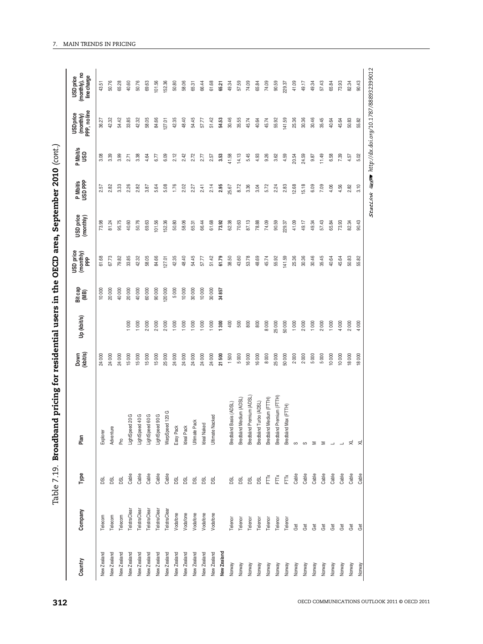| התחת לה <sub>הות</sub>                           |
|--------------------------------------------------|
| יי 27,75°                                        |
|                                                  |
|                                                  |
|                                                  |
|                                                  |
|                                                  |
|                                                  |
|                                                  |
|                                                  |
| une OECD area, September                         |
|                                                  |
|                                                  |
|                                                  |
|                                                  |
| - The are in the C                               |
|                                                  |
|                                                  |
|                                                  |
|                                                  |
|                                                  |
|                                                  |
|                                                  |
|                                                  |
|                                                  |
|                                                  |
|                                                  |
|                                                  |
|                                                  |
|                                                  |
|                                                  |
|                                                  |
| ミストスイマー                                          |
|                                                  |
|                                                  |
|                                                  |
|                                                  |
|                                                  |
|                                                  |
| ֦֧֖֧֧֦֧֧֧֧֧֧֧֚֚֝֝֝֝֝֬֝֬֝֬֝֓֝֬֝֬֝֬֝֬<br>֧֢ׅ֧֧֓֓֝֝ |

| 101.56<br>52.36<br>73.93<br>50.76<br>65.28<br>40.60<br>50.76<br>69.63<br>58.06<br>57.59<br>74.09<br>90.59<br>229.37<br>41.09<br>49.17<br>57.43<br>65.84<br>50.80<br>66.44<br>61.68<br>49.34<br>74.09<br>49.34<br>65.31<br>65.21<br>65.84<br>43.51<br>42.32<br>33.85<br>54.45<br>51.42<br>30.46<br>35.55<br>141.59<br>25.36<br>30.36<br>54.42<br>42.32<br>58.05<br>84.66<br>42.35<br>48.40<br>54.53<br>45.74<br>55.92<br>30.46<br>35.45<br>40.64<br>45.64<br>127.01<br>57.77<br>40.64<br>45.74<br>36.27<br>14.13<br>5.45<br>9.26<br>6.58<br>7.39<br>3.08<br>3.39<br>3.99<br>3.38<br>2.12<br>2.42<br>2.72<br>3.53<br>41.58<br>4.93<br>3.62<br>4.59<br>20.54<br>24.59<br>11.49<br>4.64<br>6.09<br>2.77<br>9.87<br>6.77<br>2.57<br>2.71<br>15.18<br>2.14<br>2.95<br>8.72<br>3.36<br>5.72<br>2.24<br>2.83<br>12.68<br>6.09<br>7.09<br>4.06<br>4.56<br>2.82<br>3.33<br>2.26<br>2.82<br>5.08<br>1.76<br>2.02<br>2.41<br>25.67<br>3.04<br>3.87<br>5.64<br>2.27<br>2.57<br>87.13<br>73.98<br>40.60<br>50.76<br>69.63<br>50.80<br>58.06<br>61.68<br>62.38<br>70.63<br>78.88<br>74.09<br>90.59<br>41.09<br>49.17<br>49.34<br>57.43<br>73.93<br>95.75<br>101.56<br>52.36<br>66.44<br>73.92<br>229.37<br>65.84<br>81.24<br>65.31<br>61.79<br>35.45<br>67.73<br>33.85<br>54.45<br>51.42<br>38.50<br>43.60<br>53.78<br>141.59<br>25.36<br>30.36<br>30.46<br>40.64<br>45.64<br>79.82<br>42.32<br>58.05<br>84.66<br>42.35<br>48.40<br>48.69<br>45.74<br>55.92<br>61.68<br>127.01<br>57.77<br>40000<br>60000<br>20000<br>5000<br>10000<br>40000<br>20000<br>90000<br>10000<br>30000<br>10000<br>20000<br>30000<br>34857<br>1000<br>2000<br>2000<br>2000<br>1000<br>1000<br>1000<br>400<br>500<br>800<br>800<br>50000<br>1000<br>2000<br>1000<br>2000<br>1000<br>4000<br>1000<br>1000<br>1000<br>1300<br>8000<br>25000<br>1500<br>5000<br>16000<br>25 000<br>2000<br>2000<br>5000<br>10 000<br>10 000<br>24 000<br>24 000<br>15000<br>15000<br>15000<br>15000<br>25 000<br>24 000<br>24 000<br>24 000<br>24 000<br>24 000<br>21500<br>16000<br>8000<br>50 000<br>5000<br>24 000<br>Premium (FTTH)<br>Bredbånd Premium (ADSL)<br>Medium (ADSL)<br>Medium (FTTH)<br>Bredbånd Turbo (ADSL)<br>Bredbånd Basis (ADSL)<br>Max (FTTH)<br>WarpSpeed 120 G<br>20 G<br>40 G<br>160G<br>190G<br><b>Ultimate Nacked</b><br>Ultimate Pack<br>Ideal Naked<br>LightSpeed<br>LightSpeed<br>LightSpeed<br>LightSpeed<br>Easy Pack<br>Ideal Pack<br>Adventure<br>Bredbånd N<br>Bredbånd<br>Bredbånd<br>Bredbånd<br>Explorer<br>Pro<br>$\geq$<br>S<br>ပာ<br>Σ<br>$\overline{\phantom{a}}$<br>$\rightarrow$<br>Cable<br>Cable<br>Cable<br>Cable<br>Cable<br>Cable<br>Cable<br>Cable<br>Cable<br>Cable<br>Cable<br>FTŇ<br>FTŘ<br>FTTx<br>D <sub>SL</sub><br><b>BSL</b><br><b>DSL</b><br><b>DSL</b><br>ø<br><b>DSL</b><br><b>BSL</b><br><b>BSL</b><br>DSL<br><b>DSL</b><br><b>DSL</b><br><b>BSL</b><br>TelstraClear<br>TelstraClear<br>TelstraClear<br>TelstraClear<br>TelstraClear<br>Vodafone<br>Vodafone<br>Vodafone<br>Vodafone<br>Vodafone<br>Telecom<br>Telecom<br>Telecom<br>Telenor<br>Telenor<br>Telenor<br>Telenor<br>Telenor<br>Telenor<br>Telenor<br>Ğ<br>Get<br>Get<br>Get<br>Get<br>Get<br>New Zealand<br>New Zealand<br>New Zealand<br>New Zealand<br>New Zealand<br>New Zealand<br>New Zealand<br>New Zealand<br>New Zealand<br>New Zealand<br>New Zealand<br>New Zealand<br>New Zealand<br>New Zealand<br>Norway<br>Norway<br>Norway<br>Norway<br>Norway<br>Norway<br>Norway<br>Norway<br>Norway<br>Norway<br>Norway<br>Norway<br>Norway |
|------------------------------------------------------------------------------------------------------------------------------------------------------------------------------------------------------------------------------------------------------------------------------------------------------------------------------------------------------------------------------------------------------------------------------------------------------------------------------------------------------------------------------------------------------------------------------------------------------------------------------------------------------------------------------------------------------------------------------------------------------------------------------------------------------------------------------------------------------------------------------------------------------------------------------------------------------------------------------------------------------------------------------------------------------------------------------------------------------------------------------------------------------------------------------------------------------------------------------------------------------------------------------------------------------------------------------------------------------------------------------------------------------------------------------------------------------------------------------------------------------------------------------------------------------------------------------------------------------------------------------------------------------------------------------------------------------------------------------------------------------------------------------------------------------------------------------------------------------------------------------------------------------------------------------------------------------------------------------------------------------------------------------------------------------------------------------------------------------------------------------------------------------------------------------------------------------------------------------------------------------------------------------------------------------------------------------------------------------------------------------------------------------------------------------------------------------------------------------------------------------------------------------------------------------------------------------------------------------------------------------------------------------------------------------------------------------------------------------------------------------------------------------------------------------------------------------------------------------------------------------------------------------------------------------------------------------------------------------------------------------------------------------------------------------------------------------------------------------------------------------------------------------------------------------------------------------------------------------------------------------------------------------------------------------------------------------------------------------------------------------------------------------------------------------------------------------------------------------------------------------------------|
|                                                                                                                                                                                                                                                                                                                                                                                                                                                                                                                                                                                                                                                                                                                                                                                                                                                                                                                                                                                                                                                                                                                                                                                                                                                                                                                                                                                                                                                                                                                                                                                                                                                                                                                                                                                                                                                                                                                                                                                                                                                                                                                                                                                                                                                                                                                                                                                                                                                                                                                                                                                                                                                                                                                                                                                                                                                                                                                                                                                                                                                                                                                                                                                                                                                                                                                                                                                                                                                                                                                  |
|                                                                                                                                                                                                                                                                                                                                                                                                                                                                                                                                                                                                                                                                                                                                                                                                                                                                                                                                                                                                                                                                                                                                                                                                                                                                                                                                                                                                                                                                                                                                                                                                                                                                                                                                                                                                                                                                                                                                                                                                                                                                                                                                                                                                                                                                                                                                                                                                                                                                                                                                                                                                                                                                                                                                                                                                                                                                                                                                                                                                                                                                                                                                                                                                                                                                                                                                                                                                                                                                                                                  |
|                                                                                                                                                                                                                                                                                                                                                                                                                                                                                                                                                                                                                                                                                                                                                                                                                                                                                                                                                                                                                                                                                                                                                                                                                                                                                                                                                                                                                                                                                                                                                                                                                                                                                                                                                                                                                                                                                                                                                                                                                                                                                                                                                                                                                                                                                                                                                                                                                                                                                                                                                                                                                                                                                                                                                                                                                                                                                                                                                                                                                                                                                                                                                                                                                                                                                                                                                                                                                                                                                                                  |
|                                                                                                                                                                                                                                                                                                                                                                                                                                                                                                                                                                                                                                                                                                                                                                                                                                                                                                                                                                                                                                                                                                                                                                                                                                                                                                                                                                                                                                                                                                                                                                                                                                                                                                                                                                                                                                                                                                                                                                                                                                                                                                                                                                                                                                                                                                                                                                                                                                                                                                                                                                                                                                                                                                                                                                                                                                                                                                                                                                                                                                                                                                                                                                                                                                                                                                                                                                                                                                                                                                                  |
|                                                                                                                                                                                                                                                                                                                                                                                                                                                                                                                                                                                                                                                                                                                                                                                                                                                                                                                                                                                                                                                                                                                                                                                                                                                                                                                                                                                                                                                                                                                                                                                                                                                                                                                                                                                                                                                                                                                                                                                                                                                                                                                                                                                                                                                                                                                                                                                                                                                                                                                                                                                                                                                                                                                                                                                                                                                                                                                                                                                                                                                                                                                                                                                                                                                                                                                                                                                                                                                                                                                  |
|                                                                                                                                                                                                                                                                                                                                                                                                                                                                                                                                                                                                                                                                                                                                                                                                                                                                                                                                                                                                                                                                                                                                                                                                                                                                                                                                                                                                                                                                                                                                                                                                                                                                                                                                                                                                                                                                                                                                                                                                                                                                                                                                                                                                                                                                                                                                                                                                                                                                                                                                                                                                                                                                                                                                                                                                                                                                                                                                                                                                                                                                                                                                                                                                                                                                                                                                                                                                                                                                                                                  |
|                                                                                                                                                                                                                                                                                                                                                                                                                                                                                                                                                                                                                                                                                                                                                                                                                                                                                                                                                                                                                                                                                                                                                                                                                                                                                                                                                                                                                                                                                                                                                                                                                                                                                                                                                                                                                                                                                                                                                                                                                                                                                                                                                                                                                                                                                                                                                                                                                                                                                                                                                                                                                                                                                                                                                                                                                                                                                                                                                                                                                                                                                                                                                                                                                                                                                                                                                                                                                                                                                                                  |
|                                                                                                                                                                                                                                                                                                                                                                                                                                                                                                                                                                                                                                                                                                                                                                                                                                                                                                                                                                                                                                                                                                                                                                                                                                                                                                                                                                                                                                                                                                                                                                                                                                                                                                                                                                                                                                                                                                                                                                                                                                                                                                                                                                                                                                                                                                                                                                                                                                                                                                                                                                                                                                                                                                                                                                                                                                                                                                                                                                                                                                                                                                                                                                                                                                                                                                                                                                                                                                                                                                                  |
|                                                                                                                                                                                                                                                                                                                                                                                                                                                                                                                                                                                                                                                                                                                                                                                                                                                                                                                                                                                                                                                                                                                                                                                                                                                                                                                                                                                                                                                                                                                                                                                                                                                                                                                                                                                                                                                                                                                                                                                                                                                                                                                                                                                                                                                                                                                                                                                                                                                                                                                                                                                                                                                                                                                                                                                                                                                                                                                                                                                                                                                                                                                                                                                                                                                                                                                                                                                                                                                                                                                  |
|                                                                                                                                                                                                                                                                                                                                                                                                                                                                                                                                                                                                                                                                                                                                                                                                                                                                                                                                                                                                                                                                                                                                                                                                                                                                                                                                                                                                                                                                                                                                                                                                                                                                                                                                                                                                                                                                                                                                                                                                                                                                                                                                                                                                                                                                                                                                                                                                                                                                                                                                                                                                                                                                                                                                                                                                                                                                                                                                                                                                                                                                                                                                                                                                                                                                                                                                                                                                                                                                                                                  |
|                                                                                                                                                                                                                                                                                                                                                                                                                                                                                                                                                                                                                                                                                                                                                                                                                                                                                                                                                                                                                                                                                                                                                                                                                                                                                                                                                                                                                                                                                                                                                                                                                                                                                                                                                                                                                                                                                                                                                                                                                                                                                                                                                                                                                                                                                                                                                                                                                                                                                                                                                                                                                                                                                                                                                                                                                                                                                                                                                                                                                                                                                                                                                                                                                                                                                                                                                                                                                                                                                                                  |
|                                                                                                                                                                                                                                                                                                                                                                                                                                                                                                                                                                                                                                                                                                                                                                                                                                                                                                                                                                                                                                                                                                                                                                                                                                                                                                                                                                                                                                                                                                                                                                                                                                                                                                                                                                                                                                                                                                                                                                                                                                                                                                                                                                                                                                                                                                                                                                                                                                                                                                                                                                                                                                                                                                                                                                                                                                                                                                                                                                                                                                                                                                                                                                                                                                                                                                                                                                                                                                                                                                                  |
|                                                                                                                                                                                                                                                                                                                                                                                                                                                                                                                                                                                                                                                                                                                                                                                                                                                                                                                                                                                                                                                                                                                                                                                                                                                                                                                                                                                                                                                                                                                                                                                                                                                                                                                                                                                                                                                                                                                                                                                                                                                                                                                                                                                                                                                                                                                                                                                                                                                                                                                                                                                                                                                                                                                                                                                                                                                                                                                                                                                                                                                                                                                                                                                                                                                                                                                                                                                                                                                                                                                  |
|                                                                                                                                                                                                                                                                                                                                                                                                                                                                                                                                                                                                                                                                                                                                                                                                                                                                                                                                                                                                                                                                                                                                                                                                                                                                                                                                                                                                                                                                                                                                                                                                                                                                                                                                                                                                                                                                                                                                                                                                                                                                                                                                                                                                                                                                                                                                                                                                                                                                                                                                                                                                                                                                                                                                                                                                                                                                                                                                                                                                                                                                                                                                                                                                                                                                                                                                                                                                                                                                                                                  |
|                                                                                                                                                                                                                                                                                                                                                                                                                                                                                                                                                                                                                                                                                                                                                                                                                                                                                                                                                                                                                                                                                                                                                                                                                                                                                                                                                                                                                                                                                                                                                                                                                                                                                                                                                                                                                                                                                                                                                                                                                                                                                                                                                                                                                                                                                                                                                                                                                                                                                                                                                                                                                                                                                                                                                                                                                                                                                                                                                                                                                                                                                                                                                                                                                                                                                                                                                                                                                                                                                                                  |
|                                                                                                                                                                                                                                                                                                                                                                                                                                                                                                                                                                                                                                                                                                                                                                                                                                                                                                                                                                                                                                                                                                                                                                                                                                                                                                                                                                                                                                                                                                                                                                                                                                                                                                                                                                                                                                                                                                                                                                                                                                                                                                                                                                                                                                                                                                                                                                                                                                                                                                                                                                                                                                                                                                                                                                                                                                                                                                                                                                                                                                                                                                                                                                                                                                                                                                                                                                                                                                                                                                                  |
|                                                                                                                                                                                                                                                                                                                                                                                                                                                                                                                                                                                                                                                                                                                                                                                                                                                                                                                                                                                                                                                                                                                                                                                                                                                                                                                                                                                                                                                                                                                                                                                                                                                                                                                                                                                                                                                                                                                                                                                                                                                                                                                                                                                                                                                                                                                                                                                                                                                                                                                                                                                                                                                                                                                                                                                                                                                                                                                                                                                                                                                                                                                                                                                                                                                                                                                                                                                                                                                                                                                  |
|                                                                                                                                                                                                                                                                                                                                                                                                                                                                                                                                                                                                                                                                                                                                                                                                                                                                                                                                                                                                                                                                                                                                                                                                                                                                                                                                                                                                                                                                                                                                                                                                                                                                                                                                                                                                                                                                                                                                                                                                                                                                                                                                                                                                                                                                                                                                                                                                                                                                                                                                                                                                                                                                                                                                                                                                                                                                                                                                                                                                                                                                                                                                                                                                                                                                                                                                                                                                                                                                                                                  |
|                                                                                                                                                                                                                                                                                                                                                                                                                                                                                                                                                                                                                                                                                                                                                                                                                                                                                                                                                                                                                                                                                                                                                                                                                                                                                                                                                                                                                                                                                                                                                                                                                                                                                                                                                                                                                                                                                                                                                                                                                                                                                                                                                                                                                                                                                                                                                                                                                                                                                                                                                                                                                                                                                                                                                                                                                                                                                                                                                                                                                                                                                                                                                                                                                                                                                                                                                                                                                                                                                                                  |
|                                                                                                                                                                                                                                                                                                                                                                                                                                                                                                                                                                                                                                                                                                                                                                                                                                                                                                                                                                                                                                                                                                                                                                                                                                                                                                                                                                                                                                                                                                                                                                                                                                                                                                                                                                                                                                                                                                                                                                                                                                                                                                                                                                                                                                                                                                                                                                                                                                                                                                                                                                                                                                                                                                                                                                                                                                                                                                                                                                                                                                                                                                                                                                                                                                                                                                                                                                                                                                                                                                                  |
|                                                                                                                                                                                                                                                                                                                                                                                                                                                                                                                                                                                                                                                                                                                                                                                                                                                                                                                                                                                                                                                                                                                                                                                                                                                                                                                                                                                                                                                                                                                                                                                                                                                                                                                                                                                                                                                                                                                                                                                                                                                                                                                                                                                                                                                                                                                                                                                                                                                                                                                                                                                                                                                                                                                                                                                                                                                                                                                                                                                                                                                                                                                                                                                                                                                                                                                                                                                                                                                                                                                  |
|                                                                                                                                                                                                                                                                                                                                                                                                                                                                                                                                                                                                                                                                                                                                                                                                                                                                                                                                                                                                                                                                                                                                                                                                                                                                                                                                                                                                                                                                                                                                                                                                                                                                                                                                                                                                                                                                                                                                                                                                                                                                                                                                                                                                                                                                                                                                                                                                                                                                                                                                                                                                                                                                                                                                                                                                                                                                                                                                                                                                                                                                                                                                                                                                                                                                                                                                                                                                                                                                                                                  |
|                                                                                                                                                                                                                                                                                                                                                                                                                                                                                                                                                                                                                                                                                                                                                                                                                                                                                                                                                                                                                                                                                                                                                                                                                                                                                                                                                                                                                                                                                                                                                                                                                                                                                                                                                                                                                                                                                                                                                                                                                                                                                                                                                                                                                                                                                                                                                                                                                                                                                                                                                                                                                                                                                                                                                                                                                                                                                                                                                                                                                                                                                                                                                                                                                                                                                                                                                                                                                                                                                                                  |
|                                                                                                                                                                                                                                                                                                                                                                                                                                                                                                                                                                                                                                                                                                                                                                                                                                                                                                                                                                                                                                                                                                                                                                                                                                                                                                                                                                                                                                                                                                                                                                                                                                                                                                                                                                                                                                                                                                                                                                                                                                                                                                                                                                                                                                                                                                                                                                                                                                                                                                                                                                                                                                                                                                                                                                                                                                                                                                                                                                                                                                                                                                                                                                                                                                                                                                                                                                                                                                                                                                                  |
|                                                                                                                                                                                                                                                                                                                                                                                                                                                                                                                                                                                                                                                                                                                                                                                                                                                                                                                                                                                                                                                                                                                                                                                                                                                                                                                                                                                                                                                                                                                                                                                                                                                                                                                                                                                                                                                                                                                                                                                                                                                                                                                                                                                                                                                                                                                                                                                                                                                                                                                                                                                                                                                                                                                                                                                                                                                                                                                                                                                                                                                                                                                                                                                                                                                                                                                                                                                                                                                                                                                  |
|                                                                                                                                                                                                                                                                                                                                                                                                                                                                                                                                                                                                                                                                                                                                                                                                                                                                                                                                                                                                                                                                                                                                                                                                                                                                                                                                                                                                                                                                                                                                                                                                                                                                                                                                                                                                                                                                                                                                                                                                                                                                                                                                                                                                                                                                                                                                                                                                                                                                                                                                                                                                                                                                                                                                                                                                                                                                                                                                                                                                                                                                                                                                                                                                                                                                                                                                                                                                                                                                                                                  |
|                                                                                                                                                                                                                                                                                                                                                                                                                                                                                                                                                                                                                                                                                                                                                                                                                                                                                                                                                                                                                                                                                                                                                                                                                                                                                                                                                                                                                                                                                                                                                                                                                                                                                                                                                                                                                                                                                                                                                                                                                                                                                                                                                                                                                                                                                                                                                                                                                                                                                                                                                                                                                                                                                                                                                                                                                                                                                                                                                                                                                                                                                                                                                                                                                                                                                                                                                                                                                                                                                                                  |
| 82.34<br>50.83<br>4.57<br>2.82<br>82.34<br>50.83<br>2000<br>18000<br>਼ਟ<br>Cable<br>Get<br>Norway                                                                                                                                                                                                                                                                                                                                                                                                                                                                                                                                                                                                                                                                                                                                                                                                                                                                                                                                                                                                                                                                                                                                                                                                                                                                                                                                                                                                                                                                                                                                                                                                                                                                                                                                                                                                                                                                                                                                                                                                                                                                                                                                                                                                                                                                                                                                                                                                                                                                                                                                                                                                                                                                                                                                                                                                                                                                                                                                                                                                                                                                                                                                                                                                                                                                                                                                                                                                                |
| 90.43<br>55.82<br>5.02<br>3.10<br>90.43<br>ಜ್ಜ<br>ಜ<br>4000<br>80<br>$\overline{8}$<br>≍<br>Cable<br>Ğ<br>Norway                                                                                                                                                                                                                                                                                                                                                                                                                                                                                                                                                                                                                                                                                                                                                                                                                                                                                                                                                                                                                                                                                                                                                                                                                                                                                                                                                                                                                                                                                                                                                                                                                                                                                                                                                                                                                                                                                                                                                                                                                                                                                                                                                                                                                                                                                                                                                                                                                                                                                                                                                                                                                                                                                                                                                                                                                                                                                                                                                                                                                                                                                                                                                                                                                                                                                                                                                                                                 |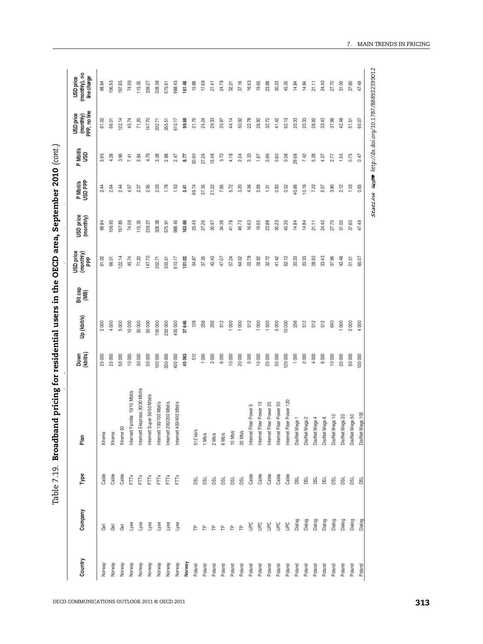| Lyse<br>esk<br>Lyse<br>Lyse<br>yse<br>Lyse<br>Get<br>Ğ<br>ළි<br>$\mathsf{P}$<br>$\mathsf{P}$<br>은<br>Norway<br>Norway<br>Norway<br>Norway<br>Norway<br>Norway<br>Norway<br>Norway<br>Norway<br>Norway<br>Poland<br>Poland<br>Poland | Cable               |                                                                                                                                                                                |         |         | Bit cap<br>(MB) | $(monthy)$<br>PPP | USD price<br>(monthly) | P Mbit/s<br>USD PPP | P Mbit/s<br>USD | (monthly)<br>PPP, no line<br>USD price | (monthly), no<br>line charge |
|-------------------------------------------------------------------------------------------------------------------------------------------------------------------------------------------------------------------------------------|---------------------|--------------------------------------------------------------------------------------------------------------------------------------------------------------------------------|---------|---------|-----------------|-------------------|------------------------|---------------------|-----------------|----------------------------------------|------------------------------|
|                                                                                                                                                                                                                                     |                     | Xtreme                                                                                                                                                                         | 25000   | 2000    |                 | 61.02             | 98.84                  | 2.44                | 3.95            | 61.02                                  | 98.84                        |
|                                                                                                                                                                                                                                     | Cable               | Xtreme                                                                                                                                                                         | 25000   | 4000    |                 | 66.01             | 106.93                 | 2.64                | 4.28            | 66.01                                  | 106.93                       |
|                                                                                                                                                                                                                                     | Cable               | Xtreme 50                                                                                                                                                                      | 50000   | 5000    |                 | <b>22.14</b>      | 197.85                 | 2.44                | 3.96            | 22.14                                  | 197.85                       |
|                                                                                                                                                                                                                                     | Ě                   | amilie 10/10 Mbit/s<br>Internett F                                                                                                                                             | 10000   | 10000   |                 | 45.74             | 74.09                  | 4.57                | 7.41            | 45.74                                  | 74.09                        |
|                                                                                                                                                                                                                                     | Ě                   | Internett Ekspress 30/30 Mbit/s                                                                                                                                                | 30000   | 30 000  |                 | 71.20             | 115.35                 | 2.37                | 3.84            | 71.20                                  | 115.35                       |
|                                                                                                                                                                                                                                     | Ě                   | Internett Super 50/50 Mbit/s                                                                                                                                                   | 50000   | 50000   |                 | 147.70            | 239.27                 | 2.95                | 4.79            | 147.70                                 | 239.27                       |
|                                                                                                                                                                                                                                     | Ě                   | Internett 100/100 Mbit/s                                                                                                                                                       | 100000  | 000 001 |                 | 202.71            | 328.38                 | 2.03                | 3.28            | 202.71                                 | 328.38                       |
|                                                                                                                                                                                                                                     | Ĕ                   | Internett 200/200 Mbit/s                                                                                                                                                       | 200 000 | 200 000 |                 | 355.51            | 575.91                 | 1.78                | 2.88            | 355.51                                 | 575.91                       |
|                                                                                                                                                                                                                                     | Ě                   | Internett 400/400 Mbit/s                                                                                                                                                       | 400 000 | 400 000 |                 | 610.17            | 988.45                 | 1.53                | 2.47            | 610.17                                 | 988.45                       |
|                                                                                                                                                                                                                                     |                     |                                                                                                                                                                                | 45063   | 37646   |                 | 101.02            | 163.66                 | 5.41                | 5.77            | 99.68                                  | 161.48                       |
|                                                                                                                                                                                                                                     | g                   | 512 kb/s                                                                                                                                                                       | 512     | 128     |                 | 34.87             | 25.45                  | 69.74               | 50.90           | 21.76                                  | 15.88                        |
|                                                                                                                                                                                                                                     | g                   | 1 Mb/s                                                                                                                                                                         | 1000    | 256     |                 | 37.35             | 27.26                  | 37.35               | 27.26           | 24.24                                  | 17.69                        |
|                                                                                                                                                                                                                                     | <b>BSL</b>          | $2$ Mb/s                                                                                                                                                                       | 2000    | 256     |                 | 42.43             | 30.97                  | 21.22               | 15.48           | 29.33                                  | 21.41                        |
| $\mathsf{P}$<br>Poland                                                                                                                                                                                                              | <b>DSL</b>          | 6 Mb/s                                                                                                                                                                         | 6000    | 512     |                 | 47.07             | 34.36                  | 7.85                | 5.73            | 33.97                                  | 24.79                        |
| 욘<br>Poland                                                                                                                                                                                                                         | <b>BC</b>           | 10 Mb/s                                                                                                                                                                        | 10000   | 1000    |                 | 57.24             | 41.78                  | 5.72                | 4.18            | 44.14                                  | 32.21                        |
| $\mathsf{P}$<br>Poland                                                                                                                                                                                                              | <b>Bd</b>           | 20 Mb/s                                                                                                                                                                        | 20000   | 1000    |                 | 64.02             | 46.73                  | 3.20                | 2.34            | 50.92                                  | 37.16                        |
| <b>Dan</b><br>Poland                                                                                                                                                                                                                | Cable               | ber Power 5<br>Internet Fi                                                                                                                                                     | 5000    | 512     |                 | 22.78             | 16.63                  | 4.56                | 3.33            | 22.78                                  | 16.63                        |
| $\frac{C}{D}$<br>Poland                                                                                                                                                                                                             | Cable               | ber Power 10<br>Internet Fi                                                                                                                                                    | 10000   | 1 000   |                 | 26.92             | 19.65                  | 2.69                | 1.97            | 26.92                                  | 19.65                        |
| <b>UPC</b><br>Poland                                                                                                                                                                                                                | Cable               | iber Power 25<br>Internet Fi                                                                                                                                                   | 25000   | 1500    |                 | 32.72             | 23.88                  | 1.31                | 0.96            | 32.72                                  | 23.88                        |
|                                                                                                                                                                                                                                     |                     |                                                                                                                                                                                | 50000   | 5000    |                 | 41.42             | 30.23                  | 0.83                | 0.60            | 41.42                                  | 30.23                        |
|                                                                                                                                                                                                                                     |                     | iber Power 120                                                                                                                                                                 | 120000  | 10000   |                 | 62.13             | 45.35                  | 0.52                | 0.38            | 62.13                                  | 45.35                        |
| Poland                                                                                                                                                                                                                              | <b>DSL</b>          |                                                                                                                                                                                | 1000    | 256     |                 | 20.33             | 14.84                  | 40.66               | 29.68           | 20.33                                  | 14.84                        |
| Dialog<br>Poland                                                                                                                                                                                                                    | <b>DSL</b>          | DialNet Mega 2                                                                                                                                                                 | 2000    | 512     |                 | 20.33             | 14.84                  | 10.16               | 7.42            | 20.33                                  | 14.84                        |
| Poland                                                                                                                                                                                                                              | <b>DSL</b>          |                                                                                                                                                                                | 4000    | 512     |                 | 28.92             | 21.11                  | 7.23                | 5.28            | 28.92                                  | 21.11                        |
| Dialog<br>Poland                                                                                                                                                                                                                    | <b>DSL</b>          |                                                                                                                                                                                | 6000    | 512     |                 | 33.43             | 24.40                  | 5.57                | 4.07            | 33.43                                  | 24.40                        |
| Poland                                                                                                                                                                                                                              |                     |                                                                                                                                                                                | 10000   | 640     |                 | 37.96             | 27.70                  | 3.80                | 2.77            | 37.96                                  | 27.70                        |
| Poland                                                                                                                                                                                                                              | g                   |                                                                                                                                                                                | 20000   | 1000    |                 | 42.48             | 31.00                  | 2.12                | 1.55            | 42.48                                  | 31.00                        |
| Poland                                                                                                                                                                                                                              | g                   |                                                                                                                                                                                | 50000   | 2000    |                 | 51.51             | 37.60                  | 1.03                | 0.75            | 51.51                                  | 37.60                        |
| Dialog<br>Poland                                                                                                                                                                                                                    | <b>BS</b>           |                                                                                                                                                                                | 100000  | 4000    |                 | 65.07             | 47.49                  | 0.65                | 0.47            | 65.07                                  | 47.49                        |
| Dialog<br>Dialog<br>Dialog<br>Dialog<br>Dialog<br>$\overline{5}$<br><b>Dan</b><br>Poland<br>Poland                                                                                                                                  | Cable<br>Cable<br>g | ber Power 50<br>DialNet Mega 100<br>DialNet Mega 10<br>DialNet Mega 50<br>DialNet Mega 20<br>DialNet Mega 6<br>DialNet Mega 1<br>DialNet Mega 4<br>Internet Fil<br>Internet Fi |         |         |                 |                   |                        |                     |                 |                                        |                              |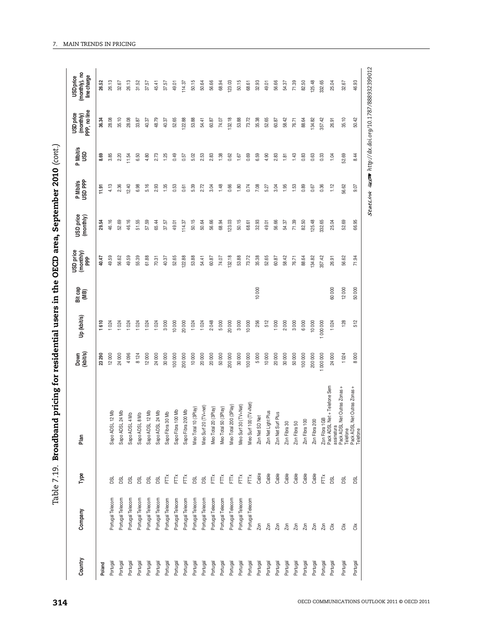| i                |
|------------------|
|                  |
|                  |
|                  |
|                  |
| )<br>!           |
| יינס במים במיני  |
|                  |
|                  |
|                  |
|                  |
| :<br>1           |
|                  |
|                  |
|                  |
|                  |
|                  |
|                  |
|                  |
| י<br>-<br>¢<br>ı |

|          |                  | Type       | Plan                                                                                           | Down<br>(kbit/s) | Up (kbit/s) | Bit cap<br>(MB) | USD price<br>(monthly)<br>PPP | USD price<br>(monthly) | P Mbit/s<br>USD PPP | P Mbit/s<br>USD | (monthly)<br>PPP, no line<br>USD price | (monthly), no<br>line charge<br>USD price |
|----------|------------------|------------|------------------------------------------------------------------------------------------------|------------------|-------------|-----------------|-------------------------------|------------------------|---------------------|-----------------|----------------------------------------|-------------------------------------------|
| Poland   |                  |            |                                                                                                | 23290            | 1610        |                 | 40.47                         | 29.54                  | 11.91               | 8.69            | 36.34                                  | 26.52                                     |
| Portugal | Portugal Telecom | g          | Sapo ADSL 12 Mb                                                                                | 12000            | 1024        |                 | 49.59                         | 46.16                  | 4.13                | 3.85            | 28.08                                  | 26.13                                     |
| Portugal | Portugal Telecom | DSL        | Sapo ADSL 24 Mb                                                                                | 24000            | 1024        |                 | 56.62                         | 52.69                  | 2.36                | 2.20            | 35.10                                  | 32.67                                     |
| Portugal | Portugal Telecom | <b>BSL</b> | Sapo ADSL 4 Mb                                                                                 | 4096             | 1024        |                 | 49.59                         | 46.16                  | 12.40               | 11.54           | 28.08                                  | 26.13                                     |
| Portugal | Portugal Telecom | <b>BSL</b> | Sapo ADSL 8 Mb                                                                                 | 8 124            | 1024        |                 | 55.39                         | 51.55                  | 6.98                | 6.50            | 33.87                                  | 31.52                                     |
| Portugal | Portugal Telecom | <b>BSL</b> | Sapo ADSL 12 Mb                                                                                | 12000            | 1024        |                 | 61.88                         | 57.59                  | 5.16                | 4.80            | 40.37                                  | 37.57                                     |
| Portugal | Portugal Telecom | <b>Bd</b>  | Sapo ADSL 24 Mb                                                                                | 24000            | 1024        |                 | 70.31                         | 65.44                  | 2.93                | 2.73            | 48.79                                  | 45.41                                     |
| Portugal | Portugal Telecom | Ě          | 130 Mb<br>Sapo Fibra                                                                           | 30000            | 3000        |                 | 40.37                         | 37.57                  | 1.35                | 1.25            | 40.37                                  | 37.57                                     |
| Portugal | Portugal Telecom | Ě          | Sapo Fibra 100 Mb                                                                              | 100 000          | 10 000      |                 | 52.65                         | 49.01                  | 0.53                | 0.49            | 52.65                                  | 49.01                                     |
| Portugal | Portugal Telecom | FT         | 200 Mb<br>Sapo Fibra                                                                           | 200 000          | 20 000      |                 | 122.88                        | 114.37                 | 0.61                | 0.57            | 122.88                                 | 114.37                                    |
| Portugal | Portugal Telecom | DSL        | 10(3Play)<br>Meo Total                                                                         | 10000            | 1024        |                 | 53.88                         | 50.15                  | 5.39                | 5.02            | 53.88                                  | 50.15                                     |
| Portugal | Portugal Telecom | DSL        | Meo Surf 20 (TV+net)                                                                           | 20000            | 1024        |                 | 54.41                         | 50.64                  | 2.72                | 2.53            | 54.41                                  | 50.64                                     |
| Portugal | Portugal Telecom | FTX        | 20 (3Play)<br>Meo Total                                                                        | 20000            | 2048        |                 | 60.87                         | 56.66                  | 3.04                | 2.83            | 60.87                                  | 56.66                                     |
| Portugal | Portugal Telecom | FTX        | 50 (3Play)<br>Meo Total                                                                        | 50000            | 5000        |                 | 74.07                         | 68.94                  | 1.48                | 1.38            | 74.07                                  | 68.94                                     |
| Portugal | Portugal Telecom | FTX        | 200 (3Play)<br>Meo Total                                                                       | 200 000          | 20 000      |                 | 132.18                        | 123.03                 | 0.66                | 0.62            | 132.18                                 | 123.03                                    |
| Portugal | Portugal Telecom | Ĕ          | Meo Surf 30 (TV+Net)                                                                           | 30000            | 3000        |                 | 53.88                         | 50.15                  | 1.80                | 1.67            | 53.88                                  | 50.15                                     |
| Portugal | Portugal Telecom | FTTX       | Meo Surf 100 (TV+Net)                                                                          | 100 000          | 10 000      |                 | 73.72                         | 68.61                  | 0.74                | 0.69            | 73.72                                  | 68.61                                     |
| Portugal | Zon              | Cable      | Zon Net SD Net                                                                                 | 5000             | 256         | 10000           | 35.38                         | 32.93                  | 7.08                | 6.59            | 35.38                                  | 32.93                                     |
| Portugal | Zon              | Cable      | Zon Net Light Plus                                                                             | 10000            | 512         |                 | 52.65                         | 49.01                  | 5.27                | 4.90            | 52.65                                  | 49.01                                     |
| Portugal | Zon              | Cable      | Zon Net Surf Plus                                                                              | 20000            | 1000        |                 | 60.87                         | 56.66                  | 3.04                | 2.83            | 60.87                                  | 56.66                                     |
| Portugal | Zon              | Cable      | Zon Fibra 30                                                                                   | 30000            | 2000        |                 | 58.42                         | 54.37                  | 1.95                | 1.81            | 58.42                                  | 54.37                                     |
| Portugal | Zon              | Cable      | 50<br>Zon Fibra!                                                                               | 50000            | 3000        |                 | 76.71                         | 71.39                  | 1.53                | 1.43            | 76.71                                  | 71.39                                     |
| Portugal | Zon              | Cable      | 100<br>Zon Fibra 1                                                                             | 100000           | 6000        |                 | 88.64                         | 82.50                  | 0.89                | 0.83            | 88.64                                  | 82.50                                     |
| Portugal | Zon              | Cable      | Zon Fibra 200                                                                                  | 200 000          | 10 000      |                 | 134.82                        | 125.48                 | 0.67                | 0.63            | 134.82                                 | 125.48                                    |
| Portugal | Zon              | FTŘ        | Zon Fibra 1GB<br>Pack ADSL Net + Telefone Sem                                                  | 000 000          | 000 000     |                 | 357.42                        | 332.65                 | 0.36                | 0.33            | 357.42                                 | 332.65                                    |
| Portugal | $\tilde{d}$      | <b>DSL</b> |                                                                                                | 24000            | 1024        | 60000           | 26.91                         | 25.04                  | 1.12                | 1.04            | 26.91                                  | 25.04                                     |
| Portugal | ä                | <b>BSL</b> |                                                                                                | 1024             | 128         | 12000           | 56.62                         | 89<br>S.               | 56.62               | 52.69           | 35.10                                  | 32.67                                     |
| Portugal | ă                | <b>DSL</b> |                                                                                                | 8000             | 512         | 50000           | 71.94                         | 66.95                  | 9.07                | 8.44            | 50.42                                  | 46.93                                     |
|          |                  |            | assinatura<br>Pack ADSL Net Outras Zonas<br>Telefone<br>Pack ADSL Net Outras Zonas<br>Telefone |                  |             |                 |                               |                        |                     |                 |                                        |                                           |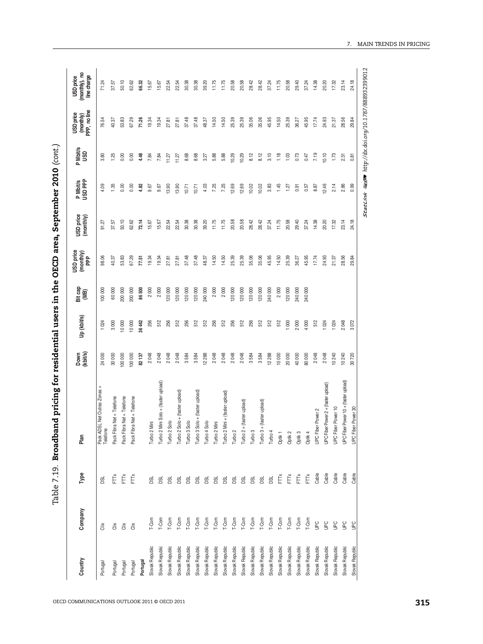| <b>POTO</b>                   |
|-------------------------------|
|                               |
|                               |
| .<br>Protein                  |
|                               |
|                               |
|                               |
|                               |
|                               |
| J area.                       |
| )<br>2月27日<br>י<br>ק          |
|                               |
|                               |
|                               |
| $\frac{1}{2}$                 |
|                               |
|                               |
| <br> <br> <br> <br> <br> <br> |
|                               |
| -<br>-<br>-<br>-<br>-<br>-    |
|                               |
|                               |
| こうそうしょう ちょうこう                 |
|                               |
|                               |
|                               |
|                               |
|                               |
|                               |
|                               |
| $\frac{1}{2}$<br>י<br>:<br>;  |
|                               |
|                               |

| Company<br>Country                        | Type       | Plan                                   | Down<br>(kbit/s) | Up (kbit/s) | Bit cap<br>(MB) | USD price<br>(monthly)<br>PPP | USD price<br>(monthly) | P Mbit/s<br>USD PPP | P Mbit/s<br>USD | (monthly)<br>PPP, no line<br><b>USD</b> price | (monthly), no<br>line charge<br><b>USD</b> price |
|-------------------------------------------|------------|----------------------------------------|------------------|-------------|-----------------|-------------------------------|------------------------|---------------------|-----------------|-----------------------------------------------|--------------------------------------------------|
| ä<br>Portugal                             | <b>DSL</b> | Pack ADSL Net Outras Zonas<br>Telefone | 24 000           | 1024        | 100 000         | 98.06                         | 91.27                  | 4.09                | 3.80            | 76.54                                         | 71.24                                            |
| $\tilde{\tilde{\Xi}}$<br>Portugal         | FTX        | Net + Telefone<br>Pack Fibra           | 30000            | 3000        | 60 000          | 40.37                         | 37.57                  | 1.35                | 1.25            | 40.37                                         | 37.57                                            |
| $\tilde{\overline{\text{d}}}$<br>Portugal | FTŘ        | Net + Telefone<br>Pack Fibra           | 100 000          | 10000       | 200 000         | 53.83                         | 50.10                  | 0.00                | 0.00            | 53.83                                         | 50.10                                            |
| $\ddot{\tilde{\sigma}}$<br>Portugal       | FT         | Net + Telefone<br>Pack Fibra           | 100 000          | 10000       | 200 000         | 67.29                         | 62.62                  | 0.00                | 0.00            | 67.29                                         | 62.62                                            |
| Portugal                                  |            |                                        | 82 137           | 36442       | 86 500          | 77.51                         | 72.14                  | 4.82                | 4.48            | 71.26                                         | 66.32                                            |
| T-Com<br>Slovak Republic                  | <b>BSL</b> | Turbo 2 Mini                           | 2048             | 256         | 2000            | 19.34                         | 15.67                  | 9.67                | 7.84            | 19.34                                         | 15.67                                            |
| T-Com<br>Slovak Republic                  | <b>DSL</b> | Turbo 2 Mini Solo + (faster upload)    | 2048             | 512         | 2000            | 19.34                         | 15.67                  | 9.67                | 7.84            | 19.34                                         | 15.67                                            |
| T-Com<br>Slovak Republic                  | <b>DSL</b> | Turbo 2 Solo                           | 2048             | 256         | 120 000         | 27.81                         | 22.54                  | 13.90               | 11.27           | 27.81                                         | 22.54                                            |
| T-Com<br>Slovak Republic                  | <b>BSL</b> | Turbo 2 Solo + (faster upload)         | 2048             | 512         | 120 000         | 27.81                         | 22.54                  | 13.90               | 11.27           | 27.81                                         | 22.54                                            |
| T-Com<br>Slovak Republic                  | <b>BSL</b> | Turbo 3 Solo                           | 3584             | 256         | 120 000         | 37.48                         | 30.38                  | 10.71               | 8.68            | 37.48                                         | 30.38                                            |
| T-Com<br>Slovak Republic                  | <b>DSL</b> | Turbo 3 Solo + (faster upload)         | 3584             | 512         | 120 000         | 37.48                         | 30.38                  | 10.71               | 8.68            | 37.48                                         | 30.38                                            |
| T-Com<br>Slovak Republic                  | <b>DSL</b> | Turbo 4 Solo                           | 12 288           | 512         | 240 000         | 48.37                         | 39.20                  | 4.03                | 3.27            | 48.37                                         | 39.20                                            |
| T-Com<br>Slovak Republic                  | <b>DSL</b> | Turbo 2 Mini                           | 2048             | 256         | 2000            | 14.50                         | 11.75                  | 7.25                | 5.88            | 14.50                                         | 11.75                                            |
| T-Com<br>Slovak Republic                  | <b>DSL</b> | Turbo 2 Mini + (faster upload)         | 2048             | 512         | 2000            | 14.50                         | 11.75                  | 7.25                | 5.88            | 14.50                                         | 11.75                                            |
| T-Com<br>Slovak Republic                  | <b>DSL</b> | Turbo <sub>2</sub>                     | 2048             | 256         | 120 000         | 25.39                         | 20.58                  | 12.69               | 10.29           | 25.39                                         | 20.58                                            |
| T-Com<br>Slovak Republic                  | <b>DSL</b> | (faster upload)<br>Turbo 2+            | 2048             | 512         | 120 000         | 25.39                         | 20.58                  | 12.69               | 10.29           | 25.39                                         | 20.58                                            |
| T-Com<br>Slovak Republic                  | <b>DSL</b> | Turbo 3                                | 3584             | 256         | 120 000         | 35.06                         | 28.42                  | 10.02               | 8.12            | 35.06                                         | 28.42                                            |
| T-Com<br>Slovak Republic                  | <b>DSL</b> | faster upload)<br>Turbo 3+             | 3584             | 512         | 120 000         | 35.06                         | 28.42                  | 10.02               | 8.12            | 35.06                                         | 28.42                                            |
| T-Com<br>Slovak Republic                  | <b>BSL</b> | Turbo 4                                | 12 288           | 512         | 240 000         | 45.95                         | 37.24                  | 3.83                | 3.10            | 45.95                                         | 37.24                                            |
| T-Com<br>Slovak Republic                  | FTTx       | Optik 1                                | 10000            | 512         | 2000            | 14.50                         | 11.75                  | 1.45                | 1.18            | 14.50                                         | 11.75                                            |
| T-Com<br>Slovak Republic                  | FTŇ        | Optik 2                                | 20 000           | 1000        | 120 000         | 25.39                         | 20.58                  | 1.27                | 1.03            | 25.39                                         | 20.58                                            |
| T-Com<br>Slovak Republic                  | FTTX       | Optik 3                                | 40 000           | 2000        | 240 000         | 36.27                         | 29.40                  | 0.91                | 0.73            | 36.27                                         | 29.40                                            |
| T-Com<br>Slovak Republic                  | FTK        | Optik 4                                | 80 000           | 4000        | 240 000         | 45.95                         | 37.24                  | 0.57                | 0.47            | 45.95                                         | 37.24                                            |
| <b>UPC</b><br>Slovak Republic             | Cable      | Power 2<br><b>UPC</b> Fiber            | 2048             | 512         |                 | 17.74                         | 14.38                  | 8.87                | 7.19            | 17.74                                         | 14.38                                            |
| <b>Dan</b><br>Slovak Republic             | Cable      | UPC Fiber Power 2 + (faster upload)    | 2048             | 1024        |                 | 24.93                         | 20.20                  | 12.46               | 10.10           | 24.93                                         | 20.20                                            |
| UPC<br>Slovak Republic                    | Cable      | Power 10<br><b>UPC Fiber</b>           | 10240            | 1024        |                 | 21.37                         | 17.32                  | 2.14                | 1.73            | 21.37                                         | 17.32                                            |
| <b>UPC</b><br>Slovak Republic             | Cable      | UPC Fiber Power 10 + (faster upload)   | 10 240           | 2048        |                 | 28.56                         | 23.14                  | 2.86                | 2.31            | 28.56                                         | 23.14                                            |
| <b>Del</b><br>Slovak Republic             | Cable      | Power 30<br><b>UPC</b> Fiber           | 30720            | 3072        |                 | 29.84                         | 24.18                  | 0.99                | 0.81            | 29.84                                         | 24.18                                            |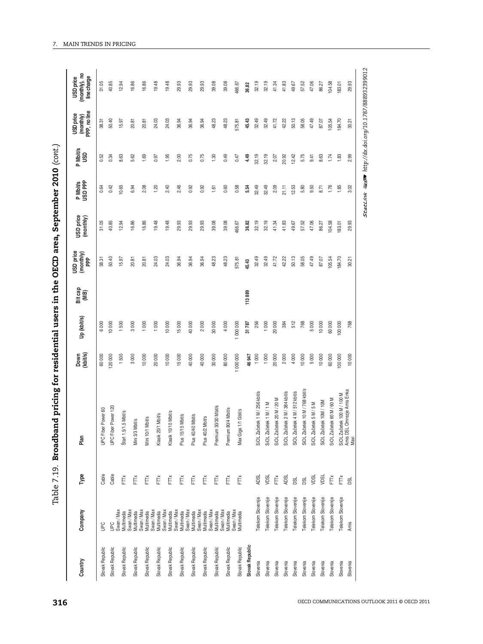| ו<br>נ                  |
|-------------------------|
|                         |
|                         |
| $\frac{1}{2}$           |
|                         |
|                         |
|                         |
| l                       |
|                         |
|                         |
|                         |
| $\bf{r}$<br>ì           |
|                         |
|                         |
| .<br>נו<br>!<br>֓׆<br>׆ |
|                         |
|                         |
|                         |
|                         |
|                         |
|                         |
|                         |
|                         |
|                         |
|                         |
|                         |
|                         |
|                         |
| i<br>S                  |
|                         |
|                         |
|                         |
|                         |
|                         |
|                         |
|                         |
|                         |
|                         |
|                         |
|                         |
|                         |
|                         |
|                         |
|                         |
|                         |
|                         |
|                         |
|                         |
|                         |
|                         |
|                         |
|                         |
|                         |
|                         |
| ì                       |
|                         |
| $\vdots$<br>י<br>י      |
|                         |
|                         |

| Country                        | Company                                                                                                                    | Type                 | Plan                                                             | Down<br>(kbit/s) | Up (kbit/s) | Bit cap<br>(MB) | <b>USD</b> price<br>$(\text{multiply})$<br>PPP | USD price<br>(monthly) | P Mbit/s<br>USD PPP | P Mbit/s<br>USD | (monthly)<br>PPP, no line<br>USD price | (monthly), no<br>line charge<br><b>USD</b> price |
|--------------------------------|----------------------------------------------------------------------------------------------------------------------------|----------------------|------------------------------------------------------------------|------------------|-------------|-----------------|------------------------------------------------|------------------------|---------------------|-----------------|----------------------------------------|--------------------------------------------------|
| <b>Dero</b><br>Slovak Republic |                                                                                                                            | Cable                | Power 60<br><b>UPC</b> Fiber                                     | 60000            | 6000        |                 | 38.31                                          | 31.05                  | 0.64                | 0.52            | 38.31                                  | 31.05                                            |
| Slovak Republic                | UPC<br>Swan / Max                                                                                                          | Cable                | Power 120<br>UPC Fiber H                                         | 120000           | 10000       |                 | 50.40                                          | 40.85                  | 0.42                | 0.34            | 50.40                                  | 40.85                                            |
| Slovak Republic                |                                                                                                                            | Ĕ                    | Štart 1.5/1.5 Mbit/s                                             | 1500             | 1500        |                 | 15.97                                          | 12.94                  | 10.65               | 8.63            | 15.97                                  | 12.94                                            |
| Slovak Republic                | Multimedia<br>Swan / Max<br>Multimedia                                                                                     | Ě                    | Mini 3/3 Mbit/s                                                  | 3000             | 3000        |                 | 20.81                                          | 16.86                  | 6.94                | 5.62            | 20.81                                  | 16.86                                            |
| Slovak Republic                | Swan / Max<br>Multimedia<br>Multimedia<br>Swan / Max<br>Multimedia<br>Swan / Max<br>Swan / Max<br>Swan / Max<br>Swan / Max | Ě                    | Mini 10/1 Mbit/s                                                 | 10000            | 1 000       |                 | 20.81                                          | 16.86                  | 2.08                | 1.69            | 20.81                                  | 16.86                                            |
| Slovak Republic                |                                                                                                                            | Ĕ                    | Mbit/s<br>Klasik 20/1                                            | 20000            | 1 000       |                 | 24.03                                          | 19.48                  | 1.20                | 0.97            | 24.03                                  | 19.48                                            |
| Slovak Republic                |                                                                                                                            | Ě                    | Klasik 10/10 Mbit/s                                              | 10000            | 10000       |                 | 24.03                                          | 19.48                  | 2.40                | 1.95            | 24.03                                  | 19.48                                            |
| Slovak Republic                |                                                                                                                            | Ě                    | Mbit/s<br>Plus 15/15                                             | 15000            | 15000       |                 | 36.94                                          | 29.93                  | 2.46                | 2.00            | 36.94                                  | 29.93                                            |
| Slovak Republic                |                                                                                                                            | Ě                    | Mbit/s<br>Plus 40/40                                             | 40000            | 40000       |                 | 36.94                                          | 29.93                  | 0.92                | 0.75            | 36.94                                  | 29.93                                            |
| Slovak Republic                |                                                                                                                            | Ě                    | Plus 40/2 Mbit/s                                                 | 40000            | 2000        |                 | 36.94                                          | 29.93                  | 0.92                | 0.75            | 36.94                                  | 29.93                                            |
| Slovak Republic                | Multimedia                                                                                                                 | Ě                    | Premium 30/30 Mbit/s                                             | 30000            | 30 000      |                 | 48.23                                          | 39.08                  | 1.61                | 1.30            | 48.23                                  | 39.08                                            |
| Slovak Republic                | Swan / Max                                                                                                                 | Ě                    | Premium 80/4 Mbit/s                                              | 80000            | 4 000       |                 | 48.23                                          | 39.08                  | 0.60                | 0.49            | 48.23                                  | 39.08                                            |
| Slovak Republic                | Multimedia<br>Swan / Max<br>Multimedia                                                                                     | $\check{\mathsf{E}}$ | Max Giga 1/1 Gbit/s                                              | 1000000          | 1000 000    |                 | 575.81                                         | 466.67                 | 0.58                | 0.47            | 575.81                                 | 466.67                                           |
| Slovak Republic                |                                                                                                                            |                      |                                                                  | 46947            | 31787       | 113889          | 45.43                                          | 36.82                  | 5.54                | 4.49            | 45.43                                  | 36.82                                            |
| Slovenia                       | Telekom Slovenije                                                                                                          | <b>ADSL</b>          | SiOL Začetek 1 M / 256 kbit/s                                    | 1000             | 256         |                 | 32.49                                          | 32.19                  | 32.49               | 32.19           | 32.49                                  | 32.19                                            |
| Slovenia                       | Telekom Slovenije                                                                                                          | VDSL                 | SiOL Začetek 1 M / 1 M                                           | 1000             | 1000        |                 | 32.49                                          | 32.19                  | 32.49               | 32.19           | 32.49                                  | 32.19                                            |
| Slovenia                       | Telekom Slovenije                                                                                                          | Ě                    | SiOL Začetek 20 M / 20 M                                         | 20000            | 20 000      |                 | 41.72                                          | 41.34                  | 2.09                | 2.07            | 41.72                                  | 41.34                                            |
| Slovenia                       | Telekom Slovenije                                                                                                          | <b>ADSL</b>          | SiOL Začetek 2 M / 384 kbit/s                                    | 2000             | 384         |                 | 42.22                                          | 41.83                  | 21.11               | 20.92           | 42.22                                  | 41.83                                            |
| Slovenia                       | Telekom Slovenije                                                                                                          | DSL                  | SiOL Začetek 4 M / 512 kbit/s                                    | 4000             | 512         |                 | 50.13                                          | 49.67                  | 12.53               | 12.42           | 50.13                                  | 49.67                                            |
| Slovenia                       | Telekom Slovenije                                                                                                          | DSL                  | SiOL Začetek 10 M / 768 kbit/s                                   | 10000            | 768         |                 | 58.05                                          | 57.52                  | 5.80                | 5.75            | 58.05                                  | 57.52                                            |
| Slovenia                       | Telekom Slovenije                                                                                                          | VDSL                 | SiOL Začetek 5 M / 5 M                                           | 5000             | 5000        |                 | 47.49                                          | 47.06                  | 9.50                | 9.41            | 47.49                                  | 47.06                                            |
| Slovenia                       | Telekom Slovenije                                                                                                          | <b>NDSL</b>          | SiOL Začetek 10M / 10M                                           | 10000            | 10000       |                 | 87.07                                          | 86.27                  | 8.71                | 8.63            | 87.07                                  | 86.27                                            |
| Slovenia                       | Telekom Slovenije                                                                                                          | Ě                    | SiOL Začetek 60 M / 60 M                                         | 60000            | 60000       |                 | 105.54                                         | 104.58                 | 1.76                | 1.74            | 105.54                                 | 104.58                                           |
| Slovenia                       | Telekom Slovenije                                                                                                          | Ĕ                    |                                                                  | 100 000          | 100 000     |                 | 184.70                                         | 183.01                 | 1.85                | 1.83            | 184.70                                 | 183.01                                           |
| Amis<br>Slovenia               |                                                                                                                            | g                    | SiOL Začetek 100 M / 100 M<br>Amis DSL Omrezje Amis Enka<br>Maxi | 10000            | 768         |                 | 30.21                                          | S,<br>ஜ்               | 3.02                | 2.99            | 30.21                                  | 29.93                                            |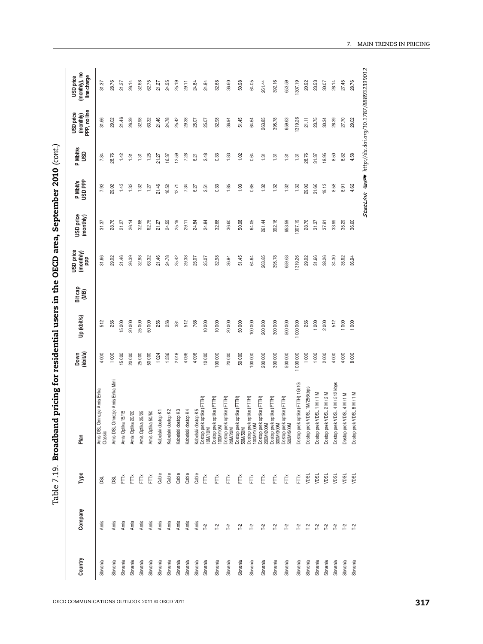| Country  | Company               | Type         | Plan                                                                                                                                                                                                                                                        | Down<br>(khit/s) | Up (kbit/s) | Bit cap<br>(MB) | USD price<br>(monthy) | USD price<br>(monthly) | P Mbit/s<br>USD PPP | P Mbit/s<br>USD | (monthly)<br>PPP, no line<br><b>USD</b> price | (monthly), no<br>line charge<br><b>USD</b> price |
|----------|-----------------------|--------------|-------------------------------------------------------------------------------------------------------------------------------------------------------------------------------------------------------------------------------------------------------------|------------------|-------------|-----------------|-----------------------|------------------------|---------------------|-----------------|-----------------------------------------------|--------------------------------------------------|
| Slovenia | Amis                  | g            | L Omrezje Amis Enka<br>Amis DSI<br>Classic                                                                                                                                                                                                                  | 4000             | 512         |                 | 31.66                 | 31.37                  | 7.92                | 7.84            | 31.66                                         | 31.37                                            |
| Slovenia | Amis                  | g            | Amis DSL Omrezje Amis Enka Mini                                                                                                                                                                                                                             | 1000             | 256         |                 | 29.02                 | 28.76                  | 29.02               | 28.76           | 29.02                                         | 28.76                                            |
| Slovenia | Amis                  | Ě            | Amis Optika 15/15                                                                                                                                                                                                                                           | 15000            | 15000       |                 | 21.46                 | 21.27                  | 1.43                | 1.42            | 21.46                                         | 21.27                                            |
| Slovenia | Amis                  | Ě            | Amis Optika 20/20                                                                                                                                                                                                                                           | 20000            | 20 000      |                 | 26.39                 | 26.14                  | 1.32                | 1.31            | 26.39                                         | 26.14                                            |
| Slovenia | Amis                  | Ě            | Amis Optika 25/25                                                                                                                                                                                                                                           | 25000            | 25 000      |                 | 32.98                 | 32.68                  | 1.32                | 1.31            | 32.98                                         | 32.68                                            |
| Slovenia | Amis                  | Ĕ            | Amis Optika 50/50                                                                                                                                                                                                                                           | 50000            | 50 000      |                 | 63.32                 | 62.75                  | 1.27                | 1.25            | 63.32                                         | 62.75                                            |
| Slovenia | Amis                  | Cable        | dostop K1<br>Kabelski                                                                                                                                                                                                                                       | 1024             | 256         |                 | 21.46                 | 21.27                  | 21.46               | 21.27           | 21.46                                         | 21.27                                            |
| Slovenia | Amis                  | Cable        | dostop K2<br>Kabelski                                                                                                                                                                                                                                       | 1536             | 256         |                 | 24.78                 | 24.55                  | 16.52               | 16.37           | 24.78                                         | 24.55                                            |
| Slovenia | Amis                  | Cable        | dostop K3<br>Kabelski                                                                                                                                                                                                                                       | 2048             | 384         |                 | 25.42                 | 25.19                  | 12.71               | 12.59           | 25.42                                         | 25.19                                            |
| Slovenia | Amis                  | Cable        | i dostop K4<br>Kabelski                                                                                                                                                                                                                                     | 4096             | 512         |                 | 29.38                 | 29.11                  | 7.34                | 7.28            | 29.38                                         | 29.11                                            |
| Slovenia | Amis                  | Gable        |                                                                                                                                                                                                                                                             | 4096             | 768         |                 | 25.07                 | 24.84                  | 6.27                | 6.21            | 25.07                                         | 24.84                                            |
| Slovenia | $\tilde{L}^2$         | Ę            |                                                                                                                                                                                                                                                             | 10000            | 10000       |                 | 25.07                 | 24.84                  | 2.51                | 2.48            | 25.07                                         | 24.84                                            |
| Slovenia | $\Gamma$ 2            | Ě            |                                                                                                                                                                                                                                                             | 100000           | 10 000      |                 | 32.98                 | 32.68                  | 0.33                | 0.33            | 32.98                                         | 32.68                                            |
| Slovenia | $\Gamma$ 2            | $E_{\rm{N}}$ |                                                                                                                                                                                                                                                             | 20000            | 20 000      |                 | 36.94                 | 36.60                  | 1.85                | 1.83            | 36.94                                         | 36.60                                            |
| Slovenia | $T-2$                 | Ĕ            |                                                                                                                                                                                                                                                             | 50000            | 50 000      |                 | 51.45                 | 50.98                  | 1.03                | 1.02            | 51.45                                         | 50.98                                            |
| Slovenia | $T-2$                 | Ě            |                                                                                                                                                                                                                                                             | 100 000          | 100 000     |                 | 64.64                 | 64.05                  | 0.65                | 0.64            | 64.64                                         | 64.05                                            |
| Slovenia | $T-2$                 | Ě            |                                                                                                                                                                                                                                                             | 200 000          | 200 000     |                 | 263.85                | 261.44                 | 1.32                | 1.31            | 263.85                                        | 261.44                                           |
| Slovenia | $T-2$                 | Ě            |                                                                                                                                                                                                                                                             | 300 000          | 300 000     |                 | 395.78                | 392.16                 | 1.32                | 1.31            | 395.78                                        | 392.16                                           |
| Slovenia | $\Gamma$ <sup>2</sup> | Ĕ            | Kabelski dostop K5<br>Dostop prek oplike (FTTH)<br>Dostop prek oplike (FTTH)<br>Dostop prek oplike (FTTH)<br>TOOM/TOM<br>Dostop prek oplike (FTTH)<br>Dostop prek oplike (FTTH)<br>TOOM/TOM<br>Dostop prek oplike (FTTH)<br>Dostop prek oplike (FTTH)<br>Do | 500 000          | 500 000     |                 | 659.63                | 653.59                 | 1.32                | 1.31            | 659.63                                        | 653.59                                           |
| Slovenia | <b>7-2</b>            | Ě            | Dostop prek optike (FTTH) 1G/1G                                                                                                                                                                                                                             | 1 000 000        | 1000000     |                 | 1319.26               | 1307.19                | 1.32                | 1.31            | 319.26                                        | 1307.19                                          |
| Slovenia | $T-2$                 | ypsu         | Dostop prek VDSL 1M/256kbps                                                                                                                                                                                                                                 | 1000             | 256         |                 | 29.02                 | 28.76                  | 29.02               | 28.76           | 21.11                                         | 20.92                                            |
| Slovenia | $T-2$                 | vpsu         | Dostop prek VDSL 1 M / 1 M                                                                                                                                                                                                                                  | 1000             | 1000        |                 | 31.66                 | 31.37                  | 31.66               | 31.37           | 23.75                                         | 23.53                                            |
| Slovenia | $T-2$                 | NDSL         | Dostop prek VDSL 2 M / 2 M                                                                                                                                                                                                                                  | 2000             | 2000        |                 | 38.26                 | 37.91                  | 19.13               | 18.95           | 30.34                                         | 30.07                                            |
| Slovenia | $T-2$                 | yosu         | Dostop prek VDSL 4 M / 512 kbps                                                                                                                                                                                                                             | 4000             | 512         |                 | 34.30                 | 33.99                  | 8.58                | 8.50            | 26.39                                         | 26.14                                            |
| Slovenia | $T-2$                 | VDSL         | Dostop prek VDSL 4 M/1 M                                                                                                                                                                                                                                    | 4000             | 1000        |                 | 35.62                 | 35.29                  | 8.91                | 8.82            | 27.70                                         | 27.45                                            |
| Slovenia | F <sub>2</sub>        | VDSL         | rek VDSL 8 M / 1 M<br>Dostop pr                                                                                                                                                                                                                             | 8000             | 1000        |                 | 36.94                 | 36.60                  | 4.62                | 4.58            | 29.02                                         | 28.76                                            |

7. MAIN TRENDS IN PRICING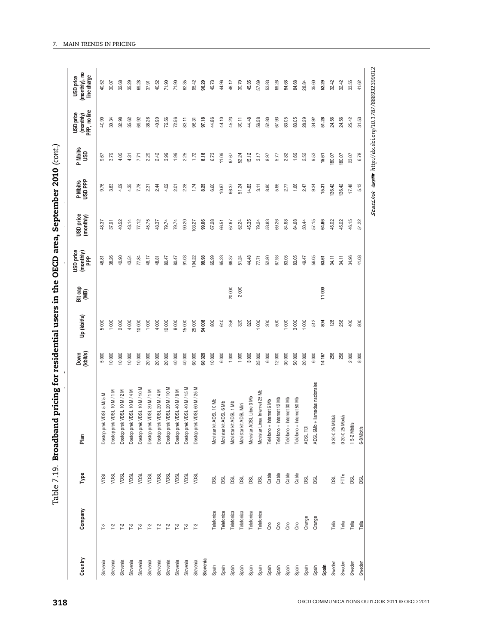| ;<br>)<br>!<br>$\frac{1}{2}$                                                                                         |
|----------------------------------------------------------------------------------------------------------------------|
| ֘֒                                                                                                                   |
|                                                                                                                      |
| ֺ֚֚֚֚֚֚֚֚֚֚֚֚֚֚֓֕֓׆֧֧֧֧֜<br>֧֧֧֧֧֧֧֧֧֧֧֧֧֧֧֦֧֦֧֦֧֦֧֦֧֧֧֧֧֧֧֚֚֚֚֚֚֚֚֚֚֚֚֚֚֚֚֚֚֚֚֚֚֚֚֚֚֚֚֚֚֚֚֚֚֚֓֓֓֓֓֓֓֓֓֓֡֓<br>.<br>. |
|                                                                                                                      |
|                                                                                                                      |
|                                                                                                                      |
|                                                                                                                      |
|                                                                                                                      |
|                                                                                                                      |
|                                                                                                                      |
| ֖֦֦֧֦֧֦֧֦֧֦֧֦֧֦֧֦֚֚֚֚֚֚֚֚֚֚֚֚֚֚֚֚֚֬֡֡֡֡֡֬<br> <br> <br> <br> <br> <br>ׇ֚֘֡                                           |
|                                                                                                                      |
|                                                                                                                      |
| $\vdots$                                                                                                             |
| i<br>.                                                                                                               |

| Plan<br>Type<br>Company<br>Country                                             | Down<br>(kbit/s)        | Up (kbit/s) | Bit cap<br>(MB) | USD price<br>(monthly)<br>PPP | USD price<br>(monthly) | P Mbit/s<br>USD PPP | P Mbit/s<br>USD | (monthly)<br>PPP, no line<br><b>USD</b> price | (monthly), no<br>line charge<br><b>USD</b> price |
|--------------------------------------------------------------------------------|-------------------------|-------------|-----------------|-------------------------------|------------------------|---------------------|-----------------|-----------------------------------------------|--------------------------------------------------|
| VDSL 5 M/ 5 M<br>Dostop prek<br>v <sub>DSL</sub><br>T <sub>2</sub><br>Slovenia | 5 000                   | 5000        |                 | 48.81                         | 48.37                  | 9.76                | 9.67            | 40.90                                         | ္သ<br>₽                                          |
| VDSL 10 M/1 M<br>Dostop prek<br>VDSL<br>Γ <sup>2</sup><br>Slovenia             | 10000                   | 1000        |                 | 38.26                         | 37.91                  | 3.83                | 3.79            | 30.34                                         | 30.07                                            |
| VDSL 10 M / 2 M<br>Dostop prek<br>VDSL<br>72<br>Slovenia                       | 10000                   | 2000        |                 | 40.90                         | 40.52                  | 4.09                | 4.05            | 32.98                                         | æ.<br>ജ്                                         |
| VDSL 10 M/4 M<br>Dostop prek<br>VDSL<br><b>7-2</b><br>Slovenia                 | 10000                   | 4 000       |                 | 43.54                         | 43.14                  | 4.35                | 4.31            | 35.62                                         | 35.29                                            |
| VDSL 10 M / 10 M<br>Dostop prek<br>VDSL<br>Γ <sup>2</sup><br>Slovenia          | 10000                   | 10 000      |                 | 77.84                         | 77.12                  | 7.78                | 7.71            | 69.92                                         | 69.28                                            |
| Dostop prek VDSL 20 M/1 M<br>VDSL<br>T <sub>2</sub><br>Slovenia                | 20000                   | 1000        |                 | 46.17                         | 45.75                  | 2.31                | 2.29            | 38.26                                         | 37.91                                            |
| VDSL 20 M / 4 M<br>Dostop prek<br>VDSL<br>$\Gamma^2$<br>Slovenia               | 20000                   | 4 000       |                 | 48.81                         | 48.37                  | 2.44                | 2.42            | 40.90                                         | 40.52                                            |
| VDSL 20 M / 10 M<br>Dostop prek<br>VDSL<br>T <sup>2</sup><br>Slovenia          | 20000                   | 10 000      |                 | 80.47                         | 79.74                  | 4.02                | 3.99            | 72.56                                         | 71.90                                            |
| VDSL 40 M/8 M<br>Dostop prek<br>VDSL<br>7.2<br>Slovenia                        | 40 000                  | 8000        |                 | 80.47                         | 79.74                  | 2.01                | 1.99            | 72.56                                         | 71.90                                            |
| Dostop prek VDSL 40 M / 15 M<br>VDSL<br>$\Gamma_{\!2}^2$<br>Slovenia           | 40 000                  | 15000       |                 | 91.03                         | 90.20                  | 2.28                | 2.25            | 83.11                                         | 82.35                                            |
| VDSL 60 M / 25 M<br>Dostop prek<br>VDSL<br>$\Gamma^2$<br>Slovenia              | 60000                   | 25 000      |                 | 104.22                        | 103.27                 | 1.74                | 1.72            | 96.31                                         | 95.42                                            |
| Slovenia                                                                       | 60329                   | 54 008      |                 | 99.98                         | 99.06                  | 8.25                | 8.18            | 97.18                                         | 96.29                                            |
| ADSL 10 Mb<br>Movistar kit<br>DSL<br>Telefonica<br>Spain                       | 10000                   | 800         |                 | 65.99                         | 67.28                  | 6.60                | 6.73            | 44.86                                         | 45.73                                            |
| ADSL 6 Mb<br>Movistar kit<br><b>DSL</b><br>Telefonica<br>Spain                 | 6 000                   | 640         |                 | 65.23                         | 66.51                  | 10.87               | 11.09           | 44.10                                         | 44.96                                            |
| Movistar kit ADSL 1 Mb<br><b>DSL</b><br>Telefonica<br>Spain                    | 1000                    | 256         | 20000           | 66.37                         | 67.67                  | 66.37               | 67.67           | 45.23                                         | 46.12                                            |
| Movistar kit ADSL Mini<br><b>DSL</b><br>Telefonica<br>Spain                    | 1000                    | 320         | 2000            | 51.24                         | 52.24                  | 51.24               | 52.24           | 30.11                                         | 30.70                                            |
| Movistar ADSL Libre 3 Mb<br><b>BSL</b><br>Telefonica<br>Spain                  | 3000                    | 320         |                 | 44.48                         | 45.35                  | 14.83               | 15.12           | 44.48                                         | 45.35                                            |
| Movistar Linea Internet 25 Mb<br>ø<br>Telefonica<br>Spain                      | 25 000                  | 000         |                 | 77.71                         | 79.24                  | 3.11                | 3.17            | 56.58                                         | 57.69                                            |
| Teléfono + Internet 6 Mb<br>Cable<br>Ono<br>Spain                              | 6 000                   | $300\,$     |                 | 52.80                         | 53.83                  | 8.80                | 8.97            | 52.80                                         | 53.83                                            |
| Teléfono + Internet 12 Mb<br>Cable<br>Ono<br>Spain                             | 12000                   | 500         |                 | 67.93                         | 69.26                  | 5.66                | 5.77            | 67.93                                         | 69.26                                            |
| Teléfono + Internet 30 Mb<br>Cable<br>Ono<br>Spain                             | 30 000                  | 80          |                 | 83.05                         | 84.68                  | 2.77                | 2.82            | 83.05                                         | 84.68                                            |
| Teléfono + Internet 50 Mb<br>Cable<br>Ono<br>Spain                             | 50000                   | 3000        |                 | 83.05                         | 84.68                  | 1.66                | 1.69            | 83.05                                         | 84.68                                            |
| ADSL TDI<br>DSL<br>Orange<br>Spain                                             | 20 000                  | 1000        |                 | 49.47                         | 50.44                  | 2.47                | 2.52            | 28.29                                         | 28.84                                            |
| llamadas nacionales<br>ADSL 6Mb +<br><b>DSL</b><br>Orange<br>Spain             | 6000                    | 512         |                 | 56.05                         | 57.15                  | 9.34                | 9.53            | 34.92                                         | 35.60                                            |
| Spain                                                                          | 14 167                  | 804         | 11000           | 63.61                         | 64.86                  | 15.31               | 15.61           | 51.28                                         | 52.29                                            |
| 0 20-0 25 Mbit/s<br><b>DSL</b><br>Telia<br>Sweden                              | 256                     | 128         |                 | 34.11                         | 45.02                  | 136.42              | 180.07          | 24.56                                         | 32.42                                            |
| 0 20-0 25 Mbit/s<br>FTTX<br>Telia<br>Sweden                                    | 256                     | 256         |                 | 34.11                         | 45.02                  | 136.42              | 180.07          | 24.56                                         | 32.42                                            |
| 15-2 Mbit/s<br><b>BSL</b><br>Telia<br>Sweden                                   | 2000                    | 400         |                 | 34.96                         | 46.15                  | 17.48               | 23.07           | 25.42                                         | 33.55                                            |
| 6-8 Mbit/s<br>g<br>Telia<br>Sweden                                             | $8^{\circ}$<br>$\infty$ | 800         |                 | 41.08                         | 54.22                  | 5.13                | 6.78            | 31.53                                         | 41.62                                            |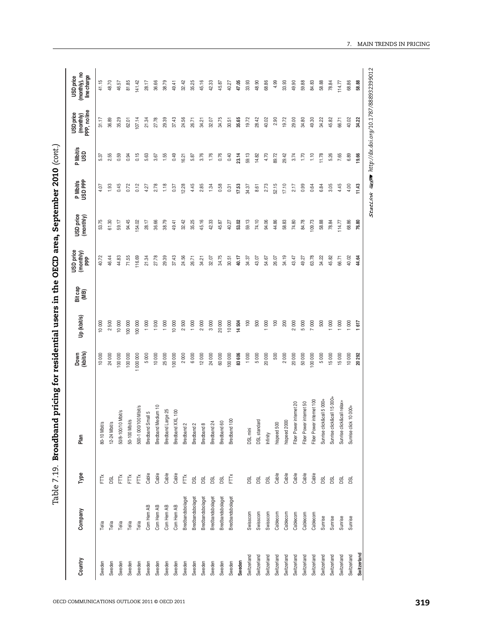| l                           |
|-----------------------------|
| <b>COLORATION</b><br>i<br>į |
| $\frac{1}{2}$               |
| ;<br>;<br>;                 |
| i<br>Islamic                |
|                             |
|                             |
|                             |
| $\vdots$<br>.<br>-<br>-     |
| l                           |

| 07.14<br>27.78<br>37.43<br>34.75<br>35.65<br>19.72<br>28.42<br>40.02<br>2.90<br>19.72<br>29.00<br>34.80<br>49.30<br>45.82<br>40.02<br>31.17<br>36.89<br>35.29<br>29.39<br>24.56<br>30.51<br>34.22<br>66.71<br>34.22<br>62.01<br>21.34<br>26.71<br>32.07<br>34.21<br>0.15<br>0.76<br>0.40<br>59.13<br>1.10<br>7.65<br>6.89<br>1.55<br>0.49<br>3.76<br>1.76<br>23.14<br>4.70<br>89.72<br>29.42<br>3.74<br>1.70<br>11.78<br>5.26<br>19.66<br>2.55<br>0.59<br>0.94<br>5.63<br>5.87<br>14.82<br>5.37<br>3.67<br>16.21<br>0.99<br>4.45<br>0.45<br>0.12<br>1.18<br>4.45<br>2.85<br>0.58<br>2.73<br>52.15<br>17.10<br>0.64<br>6.84<br>3.05<br>4.00<br>11.43<br>1.93<br>0.72<br>2.78<br>0.37<br>12.28<br>1.34<br>0.31<br>17.53<br>34.37<br>8.61<br>2.17<br>4.07<br>4.27<br>59.13<br>74.10<br>53.75<br>94.45<br>45.16<br>53.02<br>94.06<br>44.86<br>58.83<br>74.80<br>84.78<br>109.73<br>58.88<br>68.86<br>76.80<br>59.17<br>54.02<br>28.17<br>38.79<br>32.42<br>35.25<br>42.33<br>45.87<br>78.84<br>114.77<br>61.30<br>36.66<br>49.41<br>40.27<br>37.43<br>34.75<br>34.19<br>63.78<br>45.82<br>40.72<br>46.44<br>44.83<br>71.55<br>116.69<br>27.78<br>29.39<br>24.56<br>40.17<br>43.47<br>34.22<br>40.02<br>32.07<br>34.37<br>43.07<br>54.67<br>26.07<br>49.27<br>66.71<br>44.64<br>21.34<br>26.71<br>34.21<br>30.51<br>2000<br>10000<br>$\approx$<br>500<br>200<br>2000<br>5000<br>7000<br>500<br>1000<br>1000<br>1000<br>10000<br>2500<br>1000<br>3000<br>20000<br>14504<br>800<br>100<br>1000<br>1000<br>10000<br>2500<br>10000<br>100 000<br>100 000<br>1000<br>617<br>60000<br>83606<br>500<br>2000<br>5000<br>15000<br>10000<br>24000<br>000 000<br>25000<br>24000<br>100000<br>1000<br>5000<br>20000<br>20000<br>50000<br>100 000<br>15000<br>10000<br>100000<br>100000<br>5000<br>10000<br>100000<br>2000<br>6000<br>12000<br>20292<br>Sunrise click&call 15 000+<br>Sunrise click&call 5 000+<br>Fiber Power internet 100<br>Sunrise click&call relax+<br>Fiber Power internet 20<br>Fiber Power internet 50<br>Bredband Medium 10<br>500-1 000/100 Mbit/s<br>Sunrise click 10 000+<br>Bredband Large 25<br>50/8-100/10 Mbit/s<br>Bredband XXL 100<br>Bredband Small 5<br>50-100 Mbit/s<br>Bredband 100<br>DSL standard<br>hispeed 2000<br>Bredband 60<br>Bredband 24<br>12-24 Mbit/s<br>hispeed 500<br>80-10 Mbit/s<br>Bredband 8<br>Bredband 2<br>Bredband <sub>2</sub><br>DSL mini<br>Infinity<br>Cable<br>Cable<br>Cable<br>Cable<br>Cable<br>Cable<br>Cable<br>Cable<br>Cable<br>$\check{\mathsf{FT}}$<br>$\check{\mathsf{E}}$<br>$\check{\mathsf{E}}$<br>Ě<br>Ĕ<br>Ě<br><b>DSL</b><br><b>DSL</b><br>ø<br>DSL<br>g<br>DSL<br><b>BSL</b><br><b>BSL</b><br>DSL<br><b>DSL</b><br><b>BSL</b><br><b>Bd</b><br>Bredbandsbolaget<br>Bredbandsbolaget<br>Bredbandsbolaget<br>Bredbandsbolaget<br>Bredbandsbolaget<br>Bredbandsbolaget<br>Com Hem AB<br>Com Hem AB<br>Com Hem AB<br>Com Hem AB<br>Swisscom<br>Swisscom<br>Swisscom<br>Cablecom<br>Cablecom<br>Cablecom<br>Cablecom<br>Cablecom<br>Sunrise<br>Sunrise<br>Sunrise<br>Sunrise<br>Telia<br>Telia<br>Telia<br>Telia<br>Telia<br>Switzerland<br>Switzerland<br>Switzerland<br>Switzerland<br>Switzerland<br>Switzerland<br>Switzerland<br>Switzerland<br>Switzerland<br>Switzerland<br>Switzerland<br>Switzerland<br>Switzerland<br>Sweden<br>Sweden<br>Sweden<br>Sweden<br>Sweden<br>Sweden<br>Sweden<br>Sweden<br>Sweden<br>Sweden<br>Sweden<br>Sweden<br>Sweden<br>Sweden<br>Sweden<br>Sweden | Country | Company | Type | Plan | Down<br>(kbit/s) | Up (kbit/s) | Bit cap<br>(MB) | USD price<br>(monthly)<br>PPP | USD price<br>(monthly) | P Mbit/s<br>USD PPP | P Mbit/s<br>USD | (monthly)<br>PPP, no line<br>USD price | USD price<br>(monthly), no<br>line charge |
|--------------------------------------------------------------------------------------------------------------------------------------------------------------------------------------------------------------------------------------------------------------------------------------------------------------------------------------------------------------------------------------------------------------------------------------------------------------------------------------------------------------------------------------------------------------------------------------------------------------------------------------------------------------------------------------------------------------------------------------------------------------------------------------------------------------------------------------------------------------------------------------------------------------------------------------------------------------------------------------------------------------------------------------------------------------------------------------------------------------------------------------------------------------------------------------------------------------------------------------------------------------------------------------------------------------------------------------------------------------------------------------------------------------------------------------------------------------------------------------------------------------------------------------------------------------------------------------------------------------------------------------------------------------------------------------------------------------------------------------------------------------------------------------------------------------------------------------------------------------------------------------------------------------------------------------------------------------------------------------------------------------------------------------------------------------------------------------------------------------------------------------------------------------------------------------------------------------------------------------------------------------------------------------------------------------------------------------------------------------------------------------------------------------------------------------------------------------------------------------------------------------------------------------------------------------------------------------------------------------------------------------------------------------------------------------------------------------------------------------------------------------------------------------------------------------------------------------------------------------------------------------------------------------------------------------------------------------------------------------------------------------------------------------------------------------------------------------------------------------------------------------------------------------------------------------------------------------------------------------------------------------------------------------------------------------------------------------------------------------------------------------------------------------------------------------------------------|---------|---------|------|------|------------------|-------------|-----------------|-------------------------------|------------------------|---------------------|-----------------|----------------------------------------|-------------------------------------------|
|                                                                                                                                                                                                                                                                                                                                                                                                                                                                                                                                                                                                                                                                                                                                                                                                                                                                                                                                                                                                                                                                                                                                                                                                                                                                                                                                                                                                                                                                                                                                                                                                                                                                                                                                                                                                                                                                                                                                                                                                                                                                                                                                                                                                                                                                                                                                                                                                                                                                                                                                                                                                                                                                                                                                                                                                                                                                                                                                                                                                                                                                                                                                                                                                                                                                                                                                                                                                                                                        |         |         |      |      |                  |             |                 |                               |                        |                     |                 |                                        | 41.15                                     |
|                                                                                                                                                                                                                                                                                                                                                                                                                                                                                                                                                                                                                                                                                                                                                                                                                                                                                                                                                                                                                                                                                                                                                                                                                                                                                                                                                                                                                                                                                                                                                                                                                                                                                                                                                                                                                                                                                                                                                                                                                                                                                                                                                                                                                                                                                                                                                                                                                                                                                                                                                                                                                                                                                                                                                                                                                                                                                                                                                                                                                                                                                                                                                                                                                                                                                                                                                                                                                                                        |         |         |      |      |                  |             |                 |                               |                        |                     |                 |                                        | 48.70                                     |
|                                                                                                                                                                                                                                                                                                                                                                                                                                                                                                                                                                                                                                                                                                                                                                                                                                                                                                                                                                                                                                                                                                                                                                                                                                                                                                                                                                                                                                                                                                                                                                                                                                                                                                                                                                                                                                                                                                                                                                                                                                                                                                                                                                                                                                                                                                                                                                                                                                                                                                                                                                                                                                                                                                                                                                                                                                                                                                                                                                                                                                                                                                                                                                                                                                                                                                                                                                                                                                                        |         |         |      |      |                  |             |                 |                               |                        |                     |                 |                                        | 46.57                                     |
|                                                                                                                                                                                                                                                                                                                                                                                                                                                                                                                                                                                                                                                                                                                                                                                                                                                                                                                                                                                                                                                                                                                                                                                                                                                                                                                                                                                                                                                                                                                                                                                                                                                                                                                                                                                                                                                                                                                                                                                                                                                                                                                                                                                                                                                                                                                                                                                                                                                                                                                                                                                                                                                                                                                                                                                                                                                                                                                                                                                                                                                                                                                                                                                                                                                                                                                                                                                                                                                        |         |         |      |      |                  |             |                 |                               |                        |                     |                 |                                        | 81.85                                     |
|                                                                                                                                                                                                                                                                                                                                                                                                                                                                                                                                                                                                                                                                                                                                                                                                                                                                                                                                                                                                                                                                                                                                                                                                                                                                                                                                                                                                                                                                                                                                                                                                                                                                                                                                                                                                                                                                                                                                                                                                                                                                                                                                                                                                                                                                                                                                                                                                                                                                                                                                                                                                                                                                                                                                                                                                                                                                                                                                                                                                                                                                                                                                                                                                                                                                                                                                                                                                                                                        |         |         |      |      |                  |             |                 |                               |                        |                     |                 |                                        | 41.42                                     |
|                                                                                                                                                                                                                                                                                                                                                                                                                                                                                                                                                                                                                                                                                                                                                                                                                                                                                                                                                                                                                                                                                                                                                                                                                                                                                                                                                                                                                                                                                                                                                                                                                                                                                                                                                                                                                                                                                                                                                                                                                                                                                                                                                                                                                                                                                                                                                                                                                                                                                                                                                                                                                                                                                                                                                                                                                                                                                                                                                                                                                                                                                                                                                                                                                                                                                                                                                                                                                                                        |         |         |      |      |                  |             |                 |                               |                        |                     |                 |                                        | 28.17                                     |
|                                                                                                                                                                                                                                                                                                                                                                                                                                                                                                                                                                                                                                                                                                                                                                                                                                                                                                                                                                                                                                                                                                                                                                                                                                                                                                                                                                                                                                                                                                                                                                                                                                                                                                                                                                                                                                                                                                                                                                                                                                                                                                                                                                                                                                                                                                                                                                                                                                                                                                                                                                                                                                                                                                                                                                                                                                                                                                                                                                                                                                                                                                                                                                                                                                                                                                                                                                                                                                                        |         |         |      |      |                  |             |                 |                               |                        |                     |                 |                                        | 36.66                                     |
|                                                                                                                                                                                                                                                                                                                                                                                                                                                                                                                                                                                                                                                                                                                                                                                                                                                                                                                                                                                                                                                                                                                                                                                                                                                                                                                                                                                                                                                                                                                                                                                                                                                                                                                                                                                                                                                                                                                                                                                                                                                                                                                                                                                                                                                                                                                                                                                                                                                                                                                                                                                                                                                                                                                                                                                                                                                                                                                                                                                                                                                                                                                                                                                                                                                                                                                                                                                                                                                        |         |         |      |      |                  |             |                 |                               |                        |                     |                 |                                        | 38.79                                     |
|                                                                                                                                                                                                                                                                                                                                                                                                                                                                                                                                                                                                                                                                                                                                                                                                                                                                                                                                                                                                                                                                                                                                                                                                                                                                                                                                                                                                                                                                                                                                                                                                                                                                                                                                                                                                                                                                                                                                                                                                                                                                                                                                                                                                                                                                                                                                                                                                                                                                                                                                                                                                                                                                                                                                                                                                                                                                                                                                                                                                                                                                                                                                                                                                                                                                                                                                                                                                                                                        |         |         |      |      |                  |             |                 |                               |                        |                     |                 |                                        | 49.41                                     |
|                                                                                                                                                                                                                                                                                                                                                                                                                                                                                                                                                                                                                                                                                                                                                                                                                                                                                                                                                                                                                                                                                                                                                                                                                                                                                                                                                                                                                                                                                                                                                                                                                                                                                                                                                                                                                                                                                                                                                                                                                                                                                                                                                                                                                                                                                                                                                                                                                                                                                                                                                                                                                                                                                                                                                                                                                                                                                                                                                                                                                                                                                                                                                                                                                                                                                                                                                                                                                                                        |         |         |      |      |                  |             |                 |                               |                        |                     |                 |                                        | 32.42                                     |
|                                                                                                                                                                                                                                                                                                                                                                                                                                                                                                                                                                                                                                                                                                                                                                                                                                                                                                                                                                                                                                                                                                                                                                                                                                                                                                                                                                                                                                                                                                                                                                                                                                                                                                                                                                                                                                                                                                                                                                                                                                                                                                                                                                                                                                                                                                                                                                                                                                                                                                                                                                                                                                                                                                                                                                                                                                                                                                                                                                                                                                                                                                                                                                                                                                                                                                                                                                                                                                                        |         |         |      |      |                  |             |                 |                               |                        |                     |                 |                                        | 35.25                                     |
|                                                                                                                                                                                                                                                                                                                                                                                                                                                                                                                                                                                                                                                                                                                                                                                                                                                                                                                                                                                                                                                                                                                                                                                                                                                                                                                                                                                                                                                                                                                                                                                                                                                                                                                                                                                                                                                                                                                                                                                                                                                                                                                                                                                                                                                                                                                                                                                                                                                                                                                                                                                                                                                                                                                                                                                                                                                                                                                                                                                                                                                                                                                                                                                                                                                                                                                                                                                                                                                        |         |         |      |      |                  |             |                 |                               |                        |                     |                 |                                        | 45.16                                     |
|                                                                                                                                                                                                                                                                                                                                                                                                                                                                                                                                                                                                                                                                                                                                                                                                                                                                                                                                                                                                                                                                                                                                                                                                                                                                                                                                                                                                                                                                                                                                                                                                                                                                                                                                                                                                                                                                                                                                                                                                                                                                                                                                                                                                                                                                                                                                                                                                                                                                                                                                                                                                                                                                                                                                                                                                                                                                                                                                                                                                                                                                                                                                                                                                                                                                                                                                                                                                                                                        |         |         |      |      |                  |             |                 |                               |                        |                     |                 |                                        | 42.33                                     |
|                                                                                                                                                                                                                                                                                                                                                                                                                                                                                                                                                                                                                                                                                                                                                                                                                                                                                                                                                                                                                                                                                                                                                                                                                                                                                                                                                                                                                                                                                                                                                                                                                                                                                                                                                                                                                                                                                                                                                                                                                                                                                                                                                                                                                                                                                                                                                                                                                                                                                                                                                                                                                                                                                                                                                                                                                                                                                                                                                                                                                                                                                                                                                                                                                                                                                                                                                                                                                                                        |         |         |      |      |                  |             |                 |                               |                        |                     |                 |                                        | 45.87                                     |
|                                                                                                                                                                                                                                                                                                                                                                                                                                                                                                                                                                                                                                                                                                                                                                                                                                                                                                                                                                                                                                                                                                                                                                                                                                                                                                                                                                                                                                                                                                                                                                                                                                                                                                                                                                                                                                                                                                                                                                                                                                                                                                                                                                                                                                                                                                                                                                                                                                                                                                                                                                                                                                                                                                                                                                                                                                                                                                                                                                                                                                                                                                                                                                                                                                                                                                                                                                                                                                                        |         |         |      |      |                  |             |                 |                               |                        |                     |                 |                                        | 40.27                                     |
|                                                                                                                                                                                                                                                                                                                                                                                                                                                                                                                                                                                                                                                                                                                                                                                                                                                                                                                                                                                                                                                                                                                                                                                                                                                                                                                                                                                                                                                                                                                                                                                                                                                                                                                                                                                                                                                                                                                                                                                                                                                                                                                                                                                                                                                                                                                                                                                                                                                                                                                                                                                                                                                                                                                                                                                                                                                                                                                                                                                                                                                                                                                                                                                                                                                                                                                                                                                                                                                        |         |         |      |      |                  |             |                 |                               |                        |                     |                 |                                        | 47.05                                     |
|                                                                                                                                                                                                                                                                                                                                                                                                                                                                                                                                                                                                                                                                                                                                                                                                                                                                                                                                                                                                                                                                                                                                                                                                                                                                                                                                                                                                                                                                                                                                                                                                                                                                                                                                                                                                                                                                                                                                                                                                                                                                                                                                                                                                                                                                                                                                                                                                                                                                                                                                                                                                                                                                                                                                                                                                                                                                                                                                                                                                                                                                                                                                                                                                                                                                                                                                                                                                                                                        |         |         |      |      |                  |             |                 |                               |                        |                     |                 |                                        | 33.93                                     |
|                                                                                                                                                                                                                                                                                                                                                                                                                                                                                                                                                                                                                                                                                                                                                                                                                                                                                                                                                                                                                                                                                                                                                                                                                                                                                                                                                                                                                                                                                                                                                                                                                                                                                                                                                                                                                                                                                                                                                                                                                                                                                                                                                                                                                                                                                                                                                                                                                                                                                                                                                                                                                                                                                                                                                                                                                                                                                                                                                                                                                                                                                                                                                                                                                                                                                                                                                                                                                                                        |         |         |      |      |                  |             |                 |                               |                        |                     |                 |                                        | 48.90                                     |
|                                                                                                                                                                                                                                                                                                                                                                                                                                                                                                                                                                                                                                                                                                                                                                                                                                                                                                                                                                                                                                                                                                                                                                                                                                                                                                                                                                                                                                                                                                                                                                                                                                                                                                                                                                                                                                                                                                                                                                                                                                                                                                                                                                                                                                                                                                                                                                                                                                                                                                                                                                                                                                                                                                                                                                                                                                                                                                                                                                                                                                                                                                                                                                                                                                                                                                                                                                                                                                                        |         |         |      |      |                  |             |                 |                               |                        |                     |                 |                                        | 68.86                                     |
|                                                                                                                                                                                                                                                                                                                                                                                                                                                                                                                                                                                                                                                                                                                                                                                                                                                                                                                                                                                                                                                                                                                                                                                                                                                                                                                                                                                                                                                                                                                                                                                                                                                                                                                                                                                                                                                                                                                                                                                                                                                                                                                                                                                                                                                                                                                                                                                                                                                                                                                                                                                                                                                                                                                                                                                                                                                                                                                                                                                                                                                                                                                                                                                                                                                                                                                                                                                                                                                        |         |         |      |      |                  |             |                 |                               |                        |                     |                 |                                        | 4.99                                      |
|                                                                                                                                                                                                                                                                                                                                                                                                                                                                                                                                                                                                                                                                                                                                                                                                                                                                                                                                                                                                                                                                                                                                                                                                                                                                                                                                                                                                                                                                                                                                                                                                                                                                                                                                                                                                                                                                                                                                                                                                                                                                                                                                                                                                                                                                                                                                                                                                                                                                                                                                                                                                                                                                                                                                                                                                                                                                                                                                                                                                                                                                                                                                                                                                                                                                                                                                                                                                                                                        |         |         |      |      |                  |             |                 |                               |                        |                     |                 |                                        | 33.93                                     |
|                                                                                                                                                                                                                                                                                                                                                                                                                                                                                                                                                                                                                                                                                                                                                                                                                                                                                                                                                                                                                                                                                                                                                                                                                                                                                                                                                                                                                                                                                                                                                                                                                                                                                                                                                                                                                                                                                                                                                                                                                                                                                                                                                                                                                                                                                                                                                                                                                                                                                                                                                                                                                                                                                                                                                                                                                                                                                                                                                                                                                                                                                                                                                                                                                                                                                                                                                                                                                                                        |         |         |      |      |                  |             |                 |                               |                        |                     |                 |                                        | 49.90                                     |
|                                                                                                                                                                                                                                                                                                                                                                                                                                                                                                                                                                                                                                                                                                                                                                                                                                                                                                                                                                                                                                                                                                                                                                                                                                                                                                                                                                                                                                                                                                                                                                                                                                                                                                                                                                                                                                                                                                                                                                                                                                                                                                                                                                                                                                                                                                                                                                                                                                                                                                                                                                                                                                                                                                                                                                                                                                                                                                                                                                                                                                                                                                                                                                                                                                                                                                                                                                                                                                                        |         |         |      |      |                  |             |                 |                               |                        |                     |                 |                                        | 59.88                                     |
|                                                                                                                                                                                                                                                                                                                                                                                                                                                                                                                                                                                                                                                                                                                                                                                                                                                                                                                                                                                                                                                                                                                                                                                                                                                                                                                                                                                                                                                                                                                                                                                                                                                                                                                                                                                                                                                                                                                                                                                                                                                                                                                                                                                                                                                                                                                                                                                                                                                                                                                                                                                                                                                                                                                                                                                                                                                                                                                                                                                                                                                                                                                                                                                                                                                                                                                                                                                                                                                        |         |         |      |      |                  |             |                 |                               |                        |                     |                 |                                        | 84.83                                     |
|                                                                                                                                                                                                                                                                                                                                                                                                                                                                                                                                                                                                                                                                                                                                                                                                                                                                                                                                                                                                                                                                                                                                                                                                                                                                                                                                                                                                                                                                                                                                                                                                                                                                                                                                                                                                                                                                                                                                                                                                                                                                                                                                                                                                                                                                                                                                                                                                                                                                                                                                                                                                                                                                                                                                                                                                                                                                                                                                                                                                                                                                                                                                                                                                                                                                                                                                                                                                                                                        |         |         |      |      |                  |             |                 |                               |                        |                     |                 |                                        | 58.88                                     |
|                                                                                                                                                                                                                                                                                                                                                                                                                                                                                                                                                                                                                                                                                                                                                                                                                                                                                                                                                                                                                                                                                                                                                                                                                                                                                                                                                                                                                                                                                                                                                                                                                                                                                                                                                                                                                                                                                                                                                                                                                                                                                                                                                                                                                                                                                                                                                                                                                                                                                                                                                                                                                                                                                                                                                                                                                                                                                                                                                                                                                                                                                                                                                                                                                                                                                                                                                                                                                                                        |         |         |      |      |                  |             |                 |                               |                        |                     |                 |                                        | 78.84                                     |
|                                                                                                                                                                                                                                                                                                                                                                                                                                                                                                                                                                                                                                                                                                                                                                                                                                                                                                                                                                                                                                                                                                                                                                                                                                                                                                                                                                                                                                                                                                                                                                                                                                                                                                                                                                                                                                                                                                                                                                                                                                                                                                                                                                                                                                                                                                                                                                                                                                                                                                                                                                                                                                                                                                                                                                                                                                                                                                                                                                                                                                                                                                                                                                                                                                                                                                                                                                                                                                                        |         |         |      |      |                  |             |                 |                               |                        |                     |                 |                                        | 114.77                                    |
|                                                                                                                                                                                                                                                                                                                                                                                                                                                                                                                                                                                                                                                                                                                                                                                                                                                                                                                                                                                                                                                                                                                                                                                                                                                                                                                                                                                                                                                                                                                                                                                                                                                                                                                                                                                                                                                                                                                                                                                                                                                                                                                                                                                                                                                                                                                                                                                                                                                                                                                                                                                                                                                                                                                                                                                                                                                                                                                                                                                                                                                                                                                                                                                                                                                                                                                                                                                                                                                        |         |         |      |      |                  |             |                 |                               |                        |                     |                 |                                        | 68.86                                     |
|                                                                                                                                                                                                                                                                                                                                                                                                                                                                                                                                                                                                                                                                                                                                                                                                                                                                                                                                                                                                                                                                                                                                                                                                                                                                                                                                                                                                                                                                                                                                                                                                                                                                                                                                                                                                                                                                                                                                                                                                                                                                                                                                                                                                                                                                                                                                                                                                                                                                                                                                                                                                                                                                                                                                                                                                                                                                                                                                                                                                                                                                                                                                                                                                                                                                                                                                                                                                                                                        |         |         |      |      |                  |             |                 |                               |                        |                     |                 |                                        | 58.88                                     |
|                                                                                                                                                                                                                                                                                                                                                                                                                                                                                                                                                                                                                                                                                                                                                                                                                                                                                                                                                                                                                                                                                                                                                                                                                                                                                                                                                                                                                                                                                                                                                                                                                                                                                                                                                                                                                                                                                                                                                                                                                                                                                                                                                                                                                                                                                                                                                                                                                                                                                                                                                                                                                                                                                                                                                                                                                                                                                                                                                                                                                                                                                                                                                                                                                                                                                                                                                                                                                                                        |         |         |      |      |                  |             |                 |                               |                        |                     |                 |                                        |                                           |
|                                                                                                                                                                                                                                                                                                                                                                                                                                                                                                                                                                                                                                                                                                                                                                                                                                                                                                                                                                                                                                                                                                                                                                                                                                                                                                                                                                                                                                                                                                                                                                                                                                                                                                                                                                                                                                                                                                                                                                                                                                                                                                                                                                                                                                                                                                                                                                                                                                                                                                                                                                                                                                                                                                                                                                                                                                                                                                                                                                                                                                                                                                                                                                                                                                                                                                                                                                                                                                                        |         |         |      |      |                  |             |                 |                               |                        |                     |                 |                                        |                                           |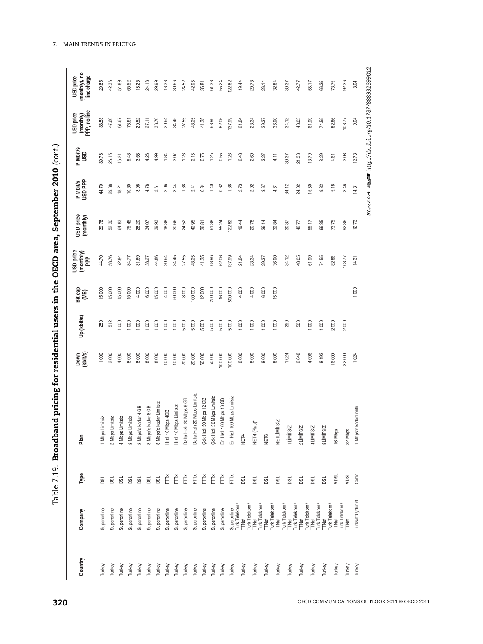| こうりょう                     |
|---------------------------|
|                           |
|                           |
|                           |
|                           |
| AS EALE CLO<br>さしこ        |
| <b>、ampains - 1</b>       |
| i<br>!                    |
|                           |
| ;<br>{<br>j               |
|                           |
| ;<br>;<br>;               |
|                           |
|                           |
| いりい こうほうこう プランジャント リミラミン  |
|                           |
|                           |
|                           |
|                           |
| ו<br>;<br>;<br>;<br>- - - |
| l                         |

| Country | Company                                                                                                                                                                                                                                                                                                                                                                                                                                                                 | Type        | Plan                        | Down<br>(kbit/s) | Up (kbit/s)      | Bit cap<br>(MB) | USD price<br>(monthly)<br>PPP | USD price<br>(monthly) | P Mbit/s<br>USD PPP | P Mbit/s<br>USD | (monthly)<br>PPP, no line<br><b>USD</b> price | USD price<br>(monthly), no<br>line charge |
|---------|-------------------------------------------------------------------------------------------------------------------------------------------------------------------------------------------------------------------------------------------------------------------------------------------------------------------------------------------------------------------------------------------------------------------------------------------------------------------------|-------------|-----------------------------|------------------|------------------|-----------------|-------------------------------|------------------------|---------------------|-----------------|-----------------------------------------------|-------------------------------------------|
| Turkey  | Superonline                                                                                                                                                                                                                                                                                                                                                                                                                                                             | g           | 1 Mbps Limitsiz             | 1000             | 250              | 15000           | 44.70                         | 39.78                  | 44.70               | 39.78           | 33.53                                         | 29.85                                     |
| Turkey  | Superonline                                                                                                                                                                                                                                                                                                                                                                                                                                                             | <b>BSL</b>  | 2 Mbps Limitsiz             | 2000             | 512              | 15000           | 58.76                         | 52.30                  | 29.38               | 26.15           | 47.60                                         | 42.36                                     |
| Turkey  | Superonline                                                                                                                                                                                                                                                                                                                                                                                                                                                             | <b>BC</b>   | 4 Mbps Limitsiz             | 4000             | 000              | 15000           | 72.84                         | 64.83                  | 18.21               | 16.21           | 61.67                                         | 54.89                                     |
| Turkey  | Superonline                                                                                                                                                                                                                                                                                                                                                                                                                                                             | <b>BSL</b>  | 8 Mbps Limitsiz             | 8000             | 000              | 15000           | 84.77                         | 75.45                  | 10.60               | 9.43            | 73.61                                         | 65.52                                     |
| Turkey  | Superonline                                                                                                                                                                                                                                                                                                                                                                                                                                                             | <b>DSL</b>  | 8 Mbps'e kadar 4 GB         | 8000             | 000              | 4000            | 31.69                         | 28.20                  | 3.96                | 3.53            | 20.52                                         | 18.26                                     |
| Turkey  | Superonline                                                                                                                                                                                                                                                                                                                                                                                                                                                             | <b>DSL</b>  | 8 Mbps'e kadar 6 GB         | 8000             | $\frac{8}{2}$    | 6000            | 38.27                         | 34.07                  | 4.78                | 4.26            | 27.11                                         | 24.13                                     |
| Turkey  | Superonline                                                                                                                                                                                                                                                                                                                                                                                                                                                             | <b>BSL</b>  | 8 Mbps'e kadar Limitsiz     | 8000             | 000              | 15000           | 44.86                         | 39.93                  | 5.61                | 4.99            | 33.70                                         | 29.99                                     |
| Turkey  | Superonline                                                                                                                                                                                                                                                                                                                                                                                                                                                             | È           | 1994 adc<br>Hizli 10 Mb     | 10 000           | 000              | 4000            | 20.64                         | 18.38                  | 2.06                | 1.84            | 20.64                                         | 18.38                                     |
| Turkey  | Superonline                                                                                                                                                                                                                                                                                                                                                                                                                                                             | FŤ          | pps Limitsiz<br>Hizli 10 Mb | 10 000           | 1000             | 50000           | 34.45                         | 30.66                  | 3.44                | 3.07            | 34.45                                         | 30.66                                     |
| Turkey  | Superonline                                                                                                                                                                                                                                                                                                                                                                                                                                                             | FTx         | 20 Mbps 8 GB<br>Daha Hızlı  | 20 000           | 5000             | 8000            | 27.55                         | 24.52                  | 1.38                | 1.23            | 27.55                                         | 24.52                                     |
| Turkey  | Superonline                                                                                                                                                                                                                                                                                                                                                                                                                                                             | FTX         | Daha Hızlı 20 Mbps Limitsiz | 20 000           | 5000             | 100 000         | 48.25                         | 42.95                  | 2.41                | 2.15            | 48.25                                         | 42.95                                     |
| Turkey  | Superonline                                                                                                                                                                                                                                                                                                                                                                                                                                                             | FTŘ         | Çok Hızlı 50 Mbps 12 GB     | 50 000           | 5000             | 12000           | 41.35                         | 36.81                  | 0.84                | 0.75            | 41.35                                         | 36.81                                     |
| Turkey  | Superonline                                                                                                                                                                                                                                                                                                                                                                                                                                                             | FTŘ         | Çok Hızlı 50 Mbps Limitsiz  | 50 000           | 5000             | 250000          | 68.96                         | 61.38                  | 1.40                | 1.25            | 68.96                                         | 61.38                                     |
| Turkey  | Superonline                                                                                                                                                                                                                                                                                                                                                                                                                                                             | FTX         | En Hizli 100 Mbps 16 GB     | 100 000          | 5000             | 16000           | 62.06                         | 55.24                  | 0.62                | 0.55            | 62.06                                         | 55.24                                     |
| Turkey  |                                                                                                                                                                                                                                                                                                                                                                                                                                                                         | FTX         | En Hızlı 100 Mbps Limitsiz  | 100 000          | 5000             | 500 000         | 137.99                        | 122.82                 | 1.38                | 1.23            | 137.99                                        | 122.82                                    |
| Turkey  |                                                                                                                                                                                                                                                                                                                                                                                                                                                                         | <b>DSL</b>  | NET4                        | 8000             | 1000             | 4000            | 21.84                         | 19.44                  | 2.73                | 2.43            | 21.84                                         | 19.44                                     |
| Turkey  |                                                                                                                                                                                                                                                                                                                                                                                                                                                                         | <b>BSL</b>  | NET4 (Plus)*                | 8000             | 000              | 4000            | 23.34                         | 20.78                  | 2.92                | 2.60            | 23.34                                         | 20.78                                     |
| Turkey  |                                                                                                                                                                                                                                                                                                                                                                                                                                                                         | <b>DSL</b>  | NET6                        | 8000             | $\overline{0}00$ | 6000            | 29.37                         | 26.14                  | 3.67                | 3.27            | 29.37                                         | 26.14                                     |
| Turkey  |                                                                                                                                                                                                                                                                                                                                                                                                                                                                         | <b>DSL</b>  | NETLİMİTSİZ                 | 8000             | 1000             | 15000           | 36.90                         | 32.84                  | 4.61                | 4.11            | 36.90                                         | 32.84                                     |
| Turkey  |                                                                                                                                                                                                                                                                                                                                                                                                                                                                         | <b>DSL</b>  | 1LİMİTSİZ                   | 1024             | 250              |                 | 34.12                         | 30.37                  | 34.12               | 30.37           | 34.12                                         | 30.37                                     |
| Turkey  |                                                                                                                                                                                                                                                                                                                                                                                                                                                                         | <b>DSL</b>  | 2LIMITSIZ                   | 2048             | 500              |                 | 48.05                         | 42.77                  | 24.02               | 21.38           | 48.05                                         | 42.77                                     |
| Turkey  |                                                                                                                                                                                                                                                                                                                                                                                                                                                                         | <b>DSL</b>  | 4LİMİTSİZ                   | 4 096            | $\rm 60$         |                 | 61.99                         | 55.17                  | 15.50               | 13.79           | 61.99                                         | 55.17                                     |
| Turkey  | $\begin{tabular}{l c c c} \hline Spec 1 & \hline \multicolumn{3}{c}{\textbf{Suppoint}}\\ \hline \multicolumn{3}{c}{\textbf{LWt}} & \hline \multicolumn{3}{c}{\textbf{H0}} & \hline \multicolumn{3}{c}{\textbf{LWt}}\\ \hline \multicolumn{3}{c}{\textbf{LWt}} & \hline \multicolumn{3}{c}{\textbf{H0}} & \hline \multicolumn{3}{c}{\textbf{H0}}\\ \hline \multicolumn{3}{c}{\textbf{LWt}} & \hline \multicolumn{3}{c}{\textbf{H0}} & \hline \multicolumn{3}{c}{\textbf$ | <b>B</b>    | <b>8LIMITSIZ</b>            | 8 192            | 000              |                 | 74.55                         | 66.35                  | 9.32                | 8.29            | 74.55                                         | 66.35                                     |
| Turkey  |                                                                                                                                                                                                                                                                                                                                                                                                                                                                         | <b>NOSL</b> | 16 Mbps                     | 16000            | 2000             |                 | 82.86                         | 73.75                  | 5.18                | 4.61            | 82.86                                         | 73.75                                     |
| Turkey  | TTNet                                                                                                                                                                                                                                                                                                                                                                                                                                                                   | VDSL        | 32 Mbps                     | 32 000           | 2000             |                 | 103.77                        | 92.36                  | 3.46                | 3.08            | 103.77                                        | 92.36                                     |
| Turkey  | Turksat/Uydunet                                                                                                                                                                                                                                                                                                                                                                                                                                                         | Cable       | 1 Mbps'e kadar limitl       | 1024             |                  | 1000            | 14.31                         | 12.73                  | 14.31               | 12.73           | 9.04                                          | 8.04                                      |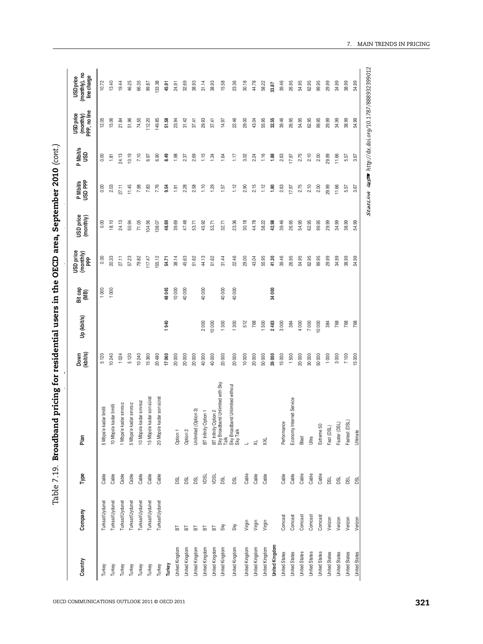| Type<br>Company<br>Country                        | Plan                                                                                                             | Down<br>(kbit/s) | Up (kbit/s) | Bit cap<br>(MB) | USD price<br>(monthly)<br>PPP | USD price<br>(monthly) | P Mbit/s<br>USD PPP | P Mbit/s<br>USD | (monthly)<br>PPP, no line<br><b>USD</b> price | (monthly), no<br>line charge<br><b>USD</b> price |
|---------------------------------------------------|------------------------------------------------------------------------------------------------------------------|------------------|-------------|-----------------|-------------------------------|------------------------|---------------------|-----------------|-----------------------------------------------|--------------------------------------------------|
| Cable<br>Turksat/Uydunet<br>Turkey                | kadar limitli<br>5 Mbps'e                                                                                        | 5120             |             | 1000            | 0.00                          | 0.00                   | 0.00                | 0.00            | 12.05                                         | 10.72                                            |
| Cable<br>Turksat/Uydunet<br>Turkey                | 10 Mbps'e kadar limitli                                                                                          | 10240            |             | 1000            | 20.33                         | 18.10                  | 2.03                | 1.81            | 15.06                                         | 13.40                                            |
| Cable<br>Turksat/Uydunet<br>Turkey                | kadar sınırsız<br>1 Mbps'e                                                                                       | 1024             |             |                 | 27.11                         | 24.13                  | 27.11               | 24.13           | 21.84                                         | 19.44                                            |
| Cable<br>Turksat/Uydunet<br>Turkey                | kadar sınırsız<br>5 Mbps'e                                                                                       | 5120             |             |                 | 57.23                         | 50.94                  | 11.45               | 10.19           | 51.96                                         | 46.25                                            |
| Cable<br>Turksat/Uydunet<br>Turkey                | 10 Mbps'e kadar sınırsız                                                                                         | 10240            |             |                 | 79.82                         | 71.05                  | 7.98                | 7.10            | 74.55                                         | 66.35                                            |
| Cable<br>Turksat/Uydunet<br>Turkey                | 15 Mbps'e kadar son sürat                                                                                        | 15 360           |             |                 | 117.47                        | 104.56                 | 7.83                | 6.97            | 12.20                                         | 99.87                                            |
| Cable<br>Turksat/Uydunet<br>Turkey                | 20 Mbps'e kadar son sürat                                                                                        | 20480            |             |                 | 155.12                        | 138.07                 | 7.76                | 6.90            | 149.85                                        | 133.38                                           |
| Turkey                                            |                                                                                                                  | 17060            | 1940        | 48045           | 54.71                         | 48.69                  | 9.54                | 8.49            | 51.58                                         | 45.91                                            |
| <b>BSL</b><br>눕<br>United Kingdom                 | Option 1                                                                                                         | 20 000           |             | 10 000          | 38.14                         | 39.69                  | 1.91                | 1.98            | 23.94                                         | 24.91                                            |
| DSL<br>$\overline{a}$<br>United Kingdom           | Option 2                                                                                                         | 20 000           |             | 40 000          | 45.63                         | 47.48                  | 2.28                | 2.37            | 31.42                                         | 32.69                                            |
| <b>DSL</b><br>БT<br>United Kingdom                | (Option 3)<br>Unlimited                                                                                          | 20 000           |             |                 | 51.62                         | 53.71                  | 2.58                | 2.69            | 37.41                                         | 38.93                                            |
| <b>VDSL</b><br>$\overline{a}$<br>United Kingdom   | / Option 1<br>BT Infinity                                                                                        | 40 000           | 2000        | 40 000          | 44.13                         | 45.92                  | 1.10                | 1.15            | 29.93                                         | 31.14                                            |
| VDSL<br>$\overline{\mathbf{b}}$<br>United Kingdom |                                                                                                                  | 40 000           | 10000       |                 | 51.62                         | 53.71                  | 1.29                | 1.34            | 37.41                                         | 38.93                                            |
| ø<br>Sky<br>United Kingdom                        |                                                                                                                  | 20 000           | 1300        | 40000           | 31.44                         | 32.71                  | 1.57                | 1.64            | 14.97                                         | 15.58                                            |
| <b>DSL</b><br>Sky<br>United Kingdom               | BT Infinity Option 2<br>Sky Broadband Unlimited with Sky<br>Talk.<br>Sky Teakedand Unlimited without<br>Sky Talk | 20 000           | 1300        | 40000           | 22.46                         | 23.36                  | 1.12                | 1.17            | 22.46                                         | 23.36                                            |
| Cable<br>Virgin<br>United Kingdom                 | $\overline{a}$                                                                                                   | 10000            | 512         |                 | 29.00                         | 30.18                  | 2.90                | 3.02            | 29.00                                         | 30.18                                            |
| Cable<br>Virgin<br>United Kingdom                 | $\asymp$                                                                                                         | 20 000           | 768         |                 | 43.04                         | 44.78                  | 2.15                | 2.24            | 43.04                                         | 44.78                                            |
| Cable<br>Virgin<br>United Kingdom                 | XXL                                                                                                              | 50000            | 1500        |                 | 55.95                         | 58.22                  | 1.12                | 1.16            | 55.95                                         | 58.22                                            |
| United Kingdom                                    |                                                                                                                  | 26 000           | 2483        | 34 000          | 41.30                         | 42.98                  | 1.80                | 1.88            | 32.55                                         | 33.87                                            |
| Cable<br>Comcast<br><b>United States</b>          | Performance                                                                                                      | 15000            | 3000        |                 | 39.46                         | 39.46                  | 2.63                | 2.63            | 39.46                                         | 39.46                                            |
| Cable<br>Comcast<br><b>United States</b>          | Internet Service<br>Economy                                                                                      | 1500             | 384         |                 | 26.95                         | 26.95                  | 17.97               | 17.97           | 26.95                                         | 26.95                                            |
| Cable<br>Comcast<br><b>United States</b>          | Blast                                                                                                            | 20 000           | 4000        |                 | 54.95                         | 54.95                  | 2.75                | 2.75            | 54.95                                         | 54.95                                            |
| Cable<br>Comcast<br><b>United States</b>          | Ultra                                                                                                            | 30 000           | 7000        |                 | 62.95                         | 62.95                  | 2.10                | 2.10            | 62.95                                         | 62.95                                            |
| Cable<br>Comcast<br>United States                 | Extreme 50                                                                                                       | $5000$           | 10000       |                 | 99.95                         | 99.95                  | 2.00                | 2.00            | 99.95                                         | 99.95                                            |
| DSL<br>Verizon<br>United States                   | Fast (DSL)                                                                                                       | 1000             | 384         |                 | 29.99                         | 29.99                  | 29.99               | 29.99           | 29.99                                         | 29.99                                            |
| DSL<br>Verizon<br><b>United States</b>            | Faster (DSL)                                                                                                     | 3000             | 768         |                 | 34.99                         | 34.99                  | 11.66               | 11.66           | 34.99                                         | 34.99                                            |
| <b>DSL</b><br>Verizon<br><b>United States</b>     | Fastest (DSL)                                                                                                    | 7 100            | 768         |                 | 38.99                         | 38.99                  | 5.57                | 5.57            | 38.99                                         | 38.99                                            |
| g<br>Verizon<br><b>United States</b>              | Ultimate                                                                                                         | 15000            | 768         |                 | 54.99                         | 54.99                  | 3.67                | 3.67            | 54.99                                         | 54.99                                            |